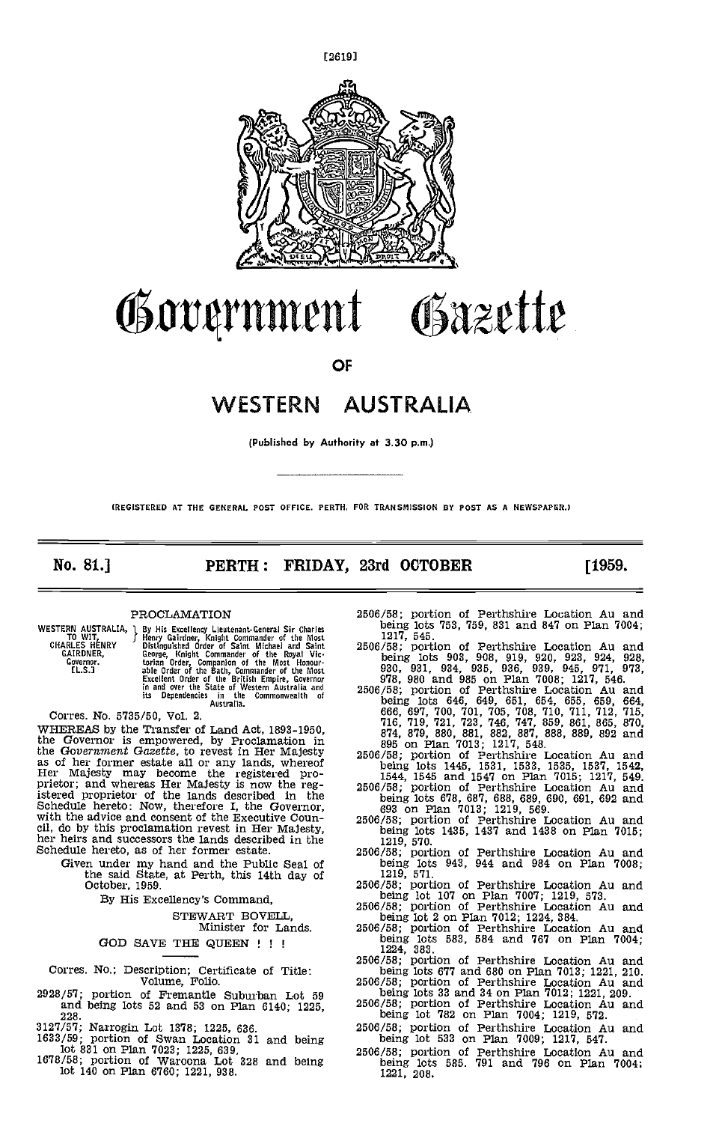

# Government Gazette

OF

# WESTERN AUSTRALIA

(Published by Authority at 3.30 p.m.)

(REGISTERED AT THE GENERAL POST OFFICE, PERTH. FOR TRANSMISSION BY POST AS A NEWSPAPER.)

No. 81.] **PERTH: FRIDAY, 23rd OCTOBER** [1959.

### PROCLAMATION

WESTERN AUSTRALIA, 1 By H<br>CHARLES HENRY Bistir<br>CHARLES HENRY Distir<br>GAIRDNER, Georg<br>Governor. the fl.S.]

1 By His Excellency Lieutenant-General Sir Charles<br>5 Henry Gairdner, Knight Commander of the Most<br>Distinguished Order of Saint Michael and Saint<br>George, Knight Commander of the Royal Victorian Order, Companion of the Most Honour-<br>able Order of the Bath, Commander of the Most<br>Excellent Order of the British Empire, Governor<br>in and over the State of Western Australia and<br>its Dependencies in the Commonwealth

Corres. No. 5735/50, Vol. 2.

WHEREAS by the Transfer of Land Act, 1893-1950, the Governor is empowered, by Proclamation in the Government Gazette, to revest in Her Majesty  $_{2506}$ as of her former estate all or any lands, whereof Her Majesty may become the registered pro-<br>prietor; and whereas Her Majesty is now the reg-<br> $25^{\circ}$ istered proprietor of the lands described in the Schedule hereto: Now, therefore I, the Governor, with the advice and consent of the Executive Counwith the advice and consent of the Executive Coun-<br>cil, do by this proclamation revest in Her Majesty,<br>her heirs and successors the lands described in the<br>1219, 570.<br>1435, 1437 and 1438 on Plan 7015; Schedule hereto, as of her former estate.

Given under my hand and the Public Seal of<br>the said State, at Perth, this 14th day of<br>October, 1959.

By His Excellency's Command,

STEWART EOVELL, Minister for Lands.

### GOD SAVE THE QUEEN ! ! !

Corres. No.; Description; Certificate of Title: Volume, Folio.

- $2928/57$ ; portion of Fremantle Suburban Lot 59 being<br>and being lots 52 and 53 on Plan 6140; 1995  $2506/58$ ; and being lots 52 and 53 on Plan 6140; 1225, 228.
- 3127/57; Narrogin Lot 1378; 1225, 636. 1633/59; portion of Swan Location 31 and being
- lot 831 on Plan 7023; 1225, 639, 1678/58; portion of Waroona Lot 328 and being
- lot 140 on Plan 6760; 1221, 938.
- 2506/58; portion of Perthshire Location Au and being lots 753, 759, 831 and 847 on Plan 7004;<br>1217, 545. portion of Perthshire Location Au and
- being lots 903, 908, 919, 920, 923, 924, 928,<br>930, 931, 934, 935, 936, 939, 945, 971, 973,<br>978, 980 and 985 on Plan 7008; 1217, 546.<br>2506/58; portion of Perthshire Location Au and
- being lots 646, 649, 651, 654, 655, 659, 664, 666, 697, 700, 701, 705, 708, 710, 711, 712, 715, 716, 719, 721, 723, 746, 747, 859, 861, 865, 870, 874, 879, 880, 881, 888, 889, 892 and<br>895 on Plan 7013; 121, 548, 888, 889,
- being lots 1445, 1531, 1533, 1535, 1537, 1542, 1544, 1545 and 1547 on Plan 7015; 1217, 549. 2506/58; portion of Perthshire Location Au and
- being lots 678, 687, 688, 689, 690, 691, 692 and 693 on Plan 7013; 1219, 569. 2506/58; portion of Perthshire Location Au and
- 
- being 1219, 570.<br>
2506/58; portion of Perthshire Location Au and being lots 943, 944 and 984 on Plan 7008;<br>
1219, 571.<br>
2506/58; portion of Perthshire Location Au and
- $2506/58$ ; portion of Perthshire Location Au and<br>being lot 107 on Plan 7007; 1219, 573.<br> $2506/58$ ; portion of Perthshire Location Au and<br>being lot 2 on Plan 7012; 1224, 384.
- 
- 2506/58; portion of Perthshire Location Au and being lots 583, 584 and 767 on Plan 7004;<br>1224, 383.<br>2506/58; portion of Perthshire Location Au and being lots 677 and 680 on Plan 7013; 1221, 210.
- being lots 677 and 680 on Plan 7013; 1221, 210. 2506/58; portion of Perthshire Location Au and
- being lots 33 and 34 on Plan 7012; 1221, 209. 2506/58; portion of Perthshire Location Au and
- being lot 782 on Perthshire Location Au and being lot 782 on Plan 7004; 1219, 572.
- 2506/58; portion of Perthshire Location Au and being lot 533 on Plan 7009; 1217, 547.
- 2506/58; portion of Perthshire Location Au and being lots 585. 791 and 796 on Plan 7004; 1221, 208,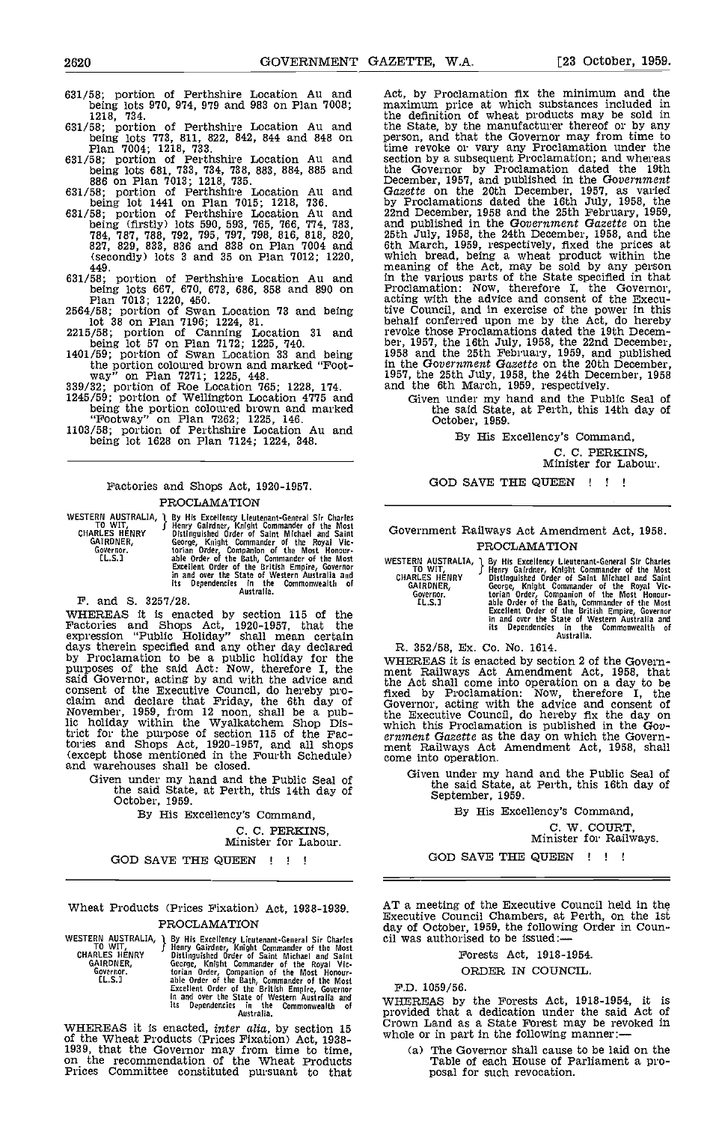- 631/58; portion of Perthshire Location Au and being lots 970, 974, 979 and 983 on Plan 7008;<br>1218, 734.
- 631/58; portion of Perthshire Location Au and the Sta being lots 773, 811, 822, 842, 844 and 848 on person<br>Plan 7004; 1218, 733. time r<br>631/58; portion of Perthshire Location Au and section
- being lots 681, 733, 734, 738, 883, 884, 885 and the Gould being lots 681, 733, 734, 735. [[1]<br>631/58; portion of Perthshire Location Au and Gazette
- being lot 1441 on Plan 7015; 1218, 736. by Pro<br>631/58; portion of Perthshire Location Au and 22nd D
- being (firstly) lots 590, 593, 765, 766, 774, 783, and p<br>784, 787, 788, 792, 795, 797, 798, 816, 818, 820, 25th J<br>827, 829, 833, 836 and 838 on Plan 7004 and 6th M (secondly) lots 3 and 35 on Plan 7012; 1220, 449.
- 631/58; portion of Perthshire Location Au and being lots 667, 670, 673, 686, 858 and 890 on Proclar Plan 7013; 1220, 450. 2564/58; portion of Swan Location 73 and being tive Co
- lot 38 on Plan 7196; 1224, 81. 2215/58; portion of Canning Location 31 and Pevoke
- being lot 57 on Plan 7172; 1225, 740. 1401/59; portion of Swan Location 33 and being  $1958$
- the portion coloured brown and marked "Foot-<br>way" on Plan 7271; 1225, 448. 339/32; portion of Roe Location 765; 1228, 174. and tl<br>1245/59; portion of Wellington Location 4775 and being the portion coloured brown and marked

- being the portion coloured brown and marked<br>
"Footway" on Plan 7262; 1225, 146.<br>
1103/58; portion of Perthshire Location Au and
- being lot 1628 on Plan 7124; 1224, 348.

### Factories and Shops Act, 1920-1957. PROCLAMATION

WESTERN AUSTRALIA, 1 By His Excellency Lieutenant-General Sir Charles<br>TO WIT, 5 Henry Gairdrer, Knight Commander of the Most<br>CHARLES HENRY Distinguished Order of Saint Michael and Saint C GAIRDNER, George, Knight Commander of the Royal Vie-<br>Covernor. torian Order, Companion of the Most Honour-<br>CL.S.1 able Order of the Bath, Commander of the Most<br>Excellent Order of the British Empire, Governor<br>in and over th

WHEREAS it is enacted by section 115 of the Factories and Shops Act, 1920-1957, that the expression "Public Holiday" shall mean certain days therein specified and any other day declared and by Proclamation to be a public holiday for the purposes of the said Act: Now, therefore I, the ment said Governor, acting by and with the advice and the Act consent of the Executive Council, do hereby pro-<br>claim and declare that Friday, the 6th day of  $\frac{1}{100}$ <br>November, 1959, from 12 noon, shall be a pub-<br>lic holiday within the Wyalkatchem Shop Dis-<br>whi trict for the purpose of section 115 of the Factories and Shops Act, 1920-1957, and all shops men (except those mentioned in the Fourth Schedule) and warehouses shall be closed.

Given under my hand and the Public Seal of the said State, at Perth, this 14th day of October, 1959.

By His Excellency's Command,

C. C. PERKINS,

Minister for Labour.

GOD SAVE THE QUEEN ! ! !

Wheat Products (Prices Fixation) Act, 1938-1939. PROCLAMATION

WESTERN AUSTRALIA, a By His Excellency Lieutenant-General Sir Charles Cil<br>
CHARLES HENRY Jenry Garden Order of Saint Michael and Saint<br>
GARLES HENRY Distinguished Order of Saint Michael and Saint<br>
GARDNER, George, Knight C

WHEREAS it is enacted, *inter alia*, by section 15  $\frac{C_{\text{row}}}{W_{\text{hole}}}$ of the Wheat Products (Prices Fixation) Act, 1938- 1939, that the Governor may from time to time, on the recommendation of the Wheat Products Prices Committee constituted pursuant to that

Act, by Proclamation fix the minimum and the maximum price at which substances included in the definition of wheat products may be sold in the State, by the manufacturer thereof or by any person, and that the Governor may from time to time revoke or vary any Proclamation under the section by a subsequent Proclamation; and whereas<br>the Governor by Proclamation dated the 19th<br>December, 1957, and published in the Governent<br> $G$ azette on the 20th December, 1957, as varied<br>by Proclamations dated the 16th in the various parts of the State specified in that Proclamation: Now, therefore I, the Governor, acting with the advice and consent of the Executive Council, and in exercise of the power in this behalf conferred upon me by the Act, do hereby revoke those Proclamations dated the 19th Decem-ber, 1957, the 16th July, 1958, the 22nd December, 1958 and the 25th February, 1959, and published in the Government Gazette on the 20th December, 1957, the 25th July, 1958, the 24th December, 1958 and the 6th March, 1959, respectively.

Given under my hand and the Public Seal of the said State, at Perth, this 14th day of October, 1959.

By His Excellency's Command,

C. C. PERKINS, Minister for Labour.

GOD SAVE THE QUEEN ! ! !

### Government Railways Act Amendment Act, 1958. PROCLAMATION

WESTERN AUSTRALIA, J By His Excellency Lieutenant-General Sir Charles<br>
CHARLES HENRY Girlenty Kinghit Commander of the Most<br>
GARLES HENRY Distinguished Order of Saint Michael and Saint<br>
GARLES HENRY Distinguished Order of

R. 352/58, Ex. Co. No. 1614.

WHEREAS it is enacted by section 2 of the Govern-<br>ment Railways Act Amendment Act, 1958, that<br>the Act shall come into operation on a day to be fixed by Proclamation: Now, therefore I, the Governor, acting with the advice and consent of the Executive Council, do hereby fix the day on which this Proclamation is published in the Gov-<br>ernment Gazette as the day on which the Govern-<br>ment Railways Act Amendment Act, 1958, shall<br>come into operation.

Given under my hand and the Public Seal of the said State, at Perth, this 16th day of September, 1959. September, 1959.<br>By His Excellency's Command,

C. W. COURT, Minister for Railways.

GOD SAVE THE QUEEN !!!

AT a meeting of the Executive Council held in the Executive Council Chambers, at Perth, on the 1st day of October, 1959, the following Order in Coun- cil was authorised to be issued:-

### Forests Act, 1918-1954.

#### ORDER IN COUNCIL.

F.D. 1059/56.

WHEREAS by the Forests Act, 1918-1954, it is provided that a dedication under the said Act of Crown Land as a State Forest may be revoked in whole or in part in the following manner:-

(a) The Governor shall cause to be laid on the Table of each House of Parliament a pro- posal for such revocation.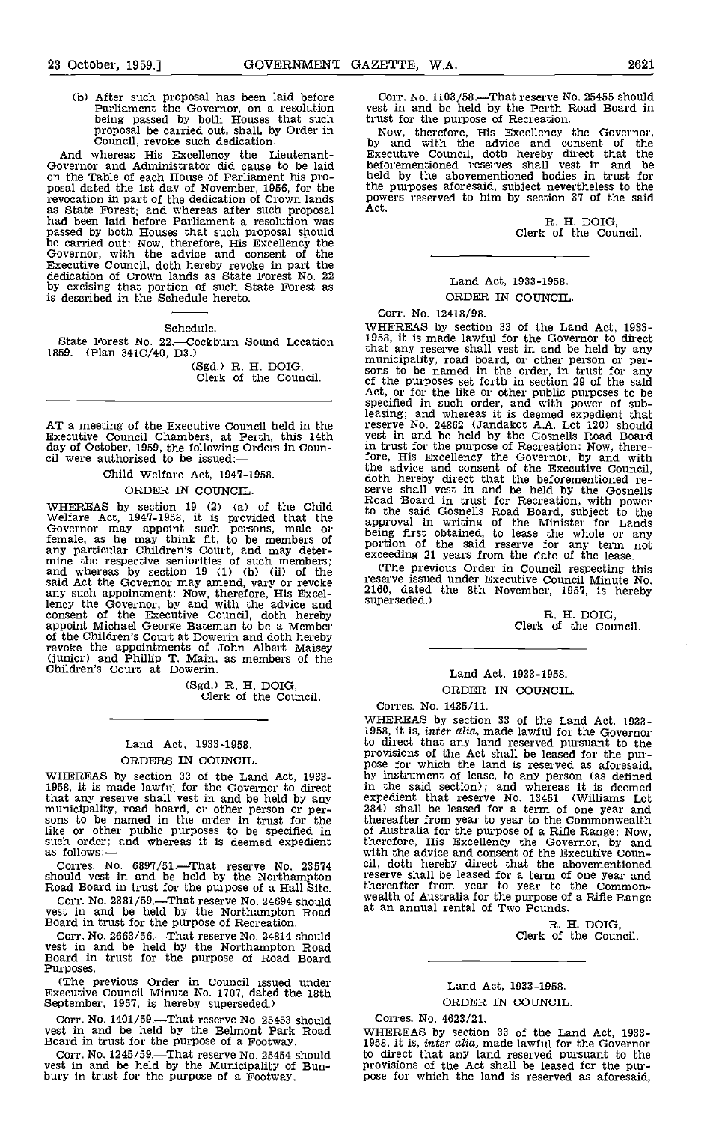(b) After such proposal has been laid before Corr<br>Parliament the Governor, on a resolution being passed by both Houses that such trust f proposal be carried out, shall, by Order in Now<br>Council, revoke such dedication. by a

And whereas His Excellency the Lieutenant-Governor and Administrator did cause to be laid on the Table of each House of Parliament his pro-<br>posal dated the 1st day of November, 1956, for the the revocation in part of the dedication of Crown lands and proposal as State Forest; and whereas after such proposal and hether had been laid before Parliament a resolution was passed by both Houses that such proposal should be carried out: Now, therefore, His Excellency the Governor, with the advice and consent of the Executive Council, doth hereby revoke in part the dedication of Crown lands as State Forest No. 22 by excising that portion of such State Forest as<br>is described in the Schedule hereto.

Schedule.

State Forest No. 22.-Cockburn Sound Location 1859. (Plan 341C/40, D3.)

(Sgd.) R. H. DOIG, Clerk of the Council.

AT a meeting of the Executive Council held in the street reserve<br>Executive Council Chambers, at Perth, this 14th vest in day of October, 1959, the following Orders in Coun-<br>cil were authorised to be issued:— $\frac{1}{1}$ 

Child Welfare Act, 1947-1958.

#### ORDER IN COUNCIL.

said Act the Governor may amend, vary or revoke<br>any such appointment: Now, therefore, His Excel-<br>lency the Governor, by and with the advice and<br>consent of the Executive Council, doth hereby appoint Michael George Bateman to be a Member of the Children's Court at Dowerin and doth hereby revoke the appointments of John Albert Maisey (junior) and Phillip T. Main, as members of the Children's Court at Dowerin.

(Sgd.) R. H. DOIG, Clerk of the Council.

### Land Act, 1933-1958. ORDERS IN COUNCIL,

such order; and whereas it is deemed expedient as follows:-

Corres. No. 6897/51. That reserve No. 23574 cil. doi should vest in and be held by the Northampton reserve<br>Road Board in trust for the purpose of a Hall Site. therea.

Corr. No. 2381/59.—That reserve No. 24694 should vealth of Australia for the purpose of vest in and be held by the Northampton Road Board in trust for the purpose of Recreation. R. Board in trust for the purpose of Recreat

Corr. No. 2663/56.That reserve No. 24814 should vest in and be held by the Northampton Road Board in trust for the purpose of Road Board Purposes.

(The previous Order in Council issued under Executive Council Minute No. 1707, dated the 18th September, 1957, is hereby superseded.)

Corr. No. 1401/59.—That reserve No. 25453 should Corres. No. 4623/21.<br>
vest in and be held by the Belmont Park Road WHEREAS by section 33 of the Land Act, 1933-<br>
Board in trust for the purpose of a Footway. 1958, it is, *i* 

Corr. No. 1245/59.—That reserve No. 25454 should vest in and be held by the Municipality of Bun- bury in trust for the purpose of a Footway.

Corr. No. 1103/58.—That reserve No. 25455 should<br>vest in and be held by the Perth Road Board in<br>trust for the purpose of Recreation.

Now, therefore, His Excellency the Governor, by and with the advice and consent of the Executive Council, doth hereby direct that the beforementioned reserves shall vest in and be held by the abovementioned bodies in trust for the purposes aforesaid, subject nevertheless to the powers reserved to him by section 37 of the said Act.<br>Act. R. H. DOIG,

Clerk of the Council.

## Land Act, 1933-1958. ORDER IN COUNCIL.

WHEREAS by section 19 (2) (a) of the Child Road Board in trust for Recreation, with powelfare Act, 1947-1958, it is provided that the approval in writing of the Minister for Land Covernor may appoint such persons, male or Corr. No. 12418/98.<br>WHEREAS by section 33 of the Land Act, 1933visit is made lawful for the Governor to direct<br>that any reserve shall vest in and be held by any<br>municipality, road board, or other person or per-<br>sons to be named in the order, in trust for any of the purposes set forth in section 29 of the said Act, or for the like or other public purposes to be specified in such order, and with power of sub-leasing; and whereas it is deemed expedient that reserve No. 24862 (Jandakot A.A. Lot 120) should vest in and be held by the Gosnells Road Board in trust for the purpose of Recreation: Now, there- fore, His Excellency the Governor, by and with the advice and consent of the Executive Council, doth hereby direct that the beforementioned reserve shall vest in and be held by the Gosnells Road Board in trust for Recreation, with power to the said Gosnells Road Board, subject to the<br>approval in writing of the Minister for Lands<br>being first obtained, to lease the whole or any<br>portion of the said reserve for any term not<br>exceeding 21 years from the date of

(The previous Order in Council respecting this reserve issued under Executive Council Minute No. 2160, dated the 8th November, 1957, is hereby superseded.)

R. H. DOIG, Clerk of the Council.

### Land Act, 1933-1958. ORDER IN COUNCIL.

Corres. No. 1435/11.

WHEREAS by section 33 of the Land Act, 1933-<br>1958, it is made lawful for the Governor to direct<br>in the said section); and whereas it is deemed<br>that any reserve shall vest in and be held by any<br>1958, it is made lawful rest WHEREAS by section 33 of the Land Act, 1933- 1958, it is, inter alia, made lawful for the Governor to direct that any land reserved pursuant to the provisions of the Act shall be leased for the pur-<br>pose for which the land is reserved as aforesaid, in the said section); and whereas it is deemed expedient that reserve No. 13451 (Williams Lot 284) shall be leased for a term of one year and thereafter from year to year to the Commonwealth therefore, His Excellency the Governor, by and with the advice and consent of the Executive Counreserve shall be leased for a term of one year and thereafter from year to year to the Common-wealth of Australia for the purpose of a Rifle Range

R. H. DOIG, Clerk of the Council.

# Land Act, 1933-1958. ORDER IN COUNCIL.

### Corres. No. 4623/21.

WHEREAS by section 33 of the Land Act, 1933-<br>1958, it is, *inter alia*, made lawful for the Governor to direct that any land reserved pursuant to the provisions of the Act shall be leased for the pur- pose for which the land is reserved as aforesaid,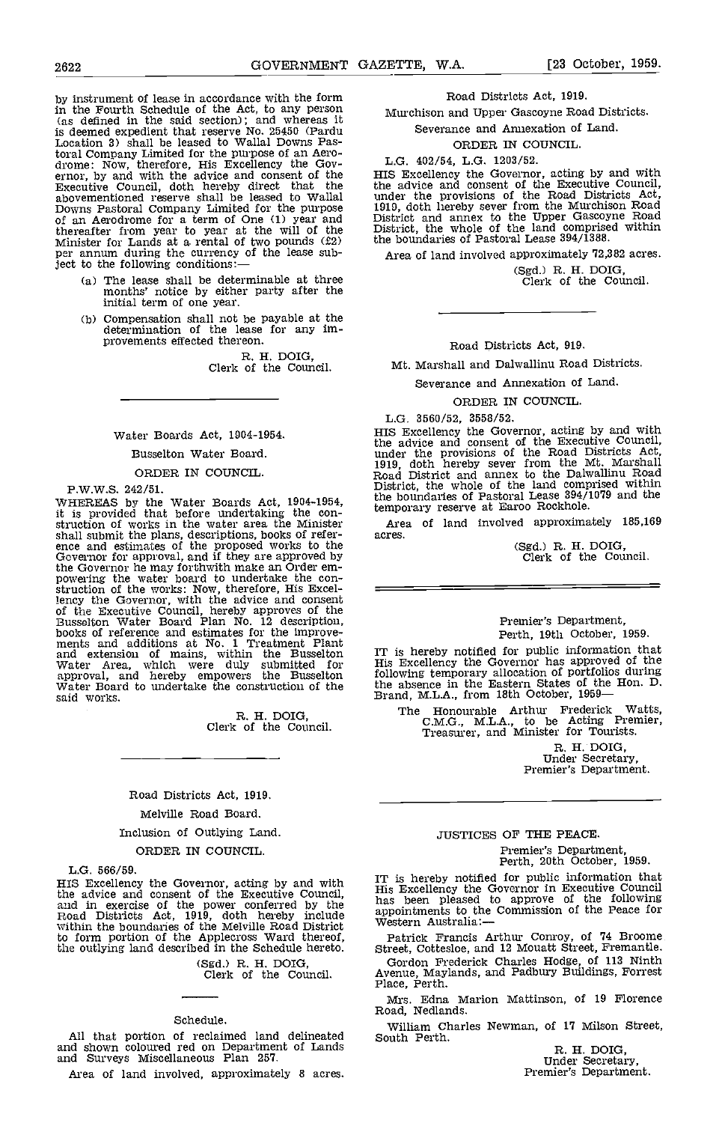by instrument of lease in accordance with the form in the Fourth Schedule of the Act, to any person (as defined in the said section); and whereas it is deemed expedient that reserve No. 25450 (Pardu Location 3) shall be leased to Wallal Downs Pastoral Company Limited for the purpose of an Aero-<br>drome: Now, therefore, His Excellency the Gov-<br>ernor, by and with the advice and consent of the HIS I<br>Executive Council, doth hereby direct that the the a abovementioned reserve shall be leased to Wallal Downs Pastoral Company Limited for the purpose 1919, dof an Aerodrome for a term of One (1) year and District thereafter from year to year at the will of the District Minister for Lands at a rental of two pounds  $(f2)$  the ject to the following conditions:—

- (a) The lease shall be determinable at three months' notice by either party after the initial term of one year.
- Compensation shall not be payable at the determination of the lease for any im- provements effected thereon.

B. H. DOIG, Clerk of the Council.

#### Water Boards Act, 1904-1954.

Busselton Water Board.

#### ORDER IN COUNCIL.

P.W.W.S. 242/51.

WHEREAS by the Water Boards Act, 1904-1954, the boards it is provided that before undertaking the con-<br>struction of works in the water area the Minister Area<br>shall submit the plans, descriptions, books of refershall submit the plans, descriptions, books of refer-<br>ence and estimates of the proposed works to the<br>Governor for approval, and if they are approved by<br>the Governor he may forthwith make an Order emthe Governor he may forthwith make an Order em-<br>powering the water board to undertake the con-<br>struction of the works: Now, therefore, His Excel-Finally the Governor, with the advice and consent<br>of the Executive Council, hereby approves of the<br>Busselton Water Board Plan No. 12 description,<br>books of reference and estimates for the improve-<br>ments and editions at No. approval, and hereby empowers the Busselton following water Board to undertake the construction of the the absaid works. Brand,

R. H. DOIG, Clerk of the Council.

# Road Districts Act, 1919. Melville Road Board.

# Inclusion of Outlying Land.

### ORDER IN COUNCIL.

L.G. 566/59.

His Excellency the Governor, acting by and with<br>the advice and consent of the Excellency the<br>and in exercise of the power conferred by the<br>Road Districts Act, 1919, doth hereby include<br>within the boundaries of the Melville

(Sgd.) R. H. DOIG, Clerk of the Council.

#### Schedule.

All that portion of reclaimed land delineated South and shown coloured red on Department of Lands and Surveys Miscellaneous Plan 257.

Area of land involved, approximately 8 acres.

#### Road Districts Act, 1919,

Murchison and Upper Gascoyne Road Districts.

Severance and Annexation of Land.

#### ORDER IN COUNCIL.

# L.G. 402/54, L.G. 1203/52.

HIS Excellency the Governor, acting by and with<br>the advice and consent of the Executive Council,<br>under the provisions of the Road Districts Act,<br>1919, doth hereby sever from the Murchison Road<br>District and annex to the Upp Four fitter and annex to the Upper Gascoyne Road<br>District, the whole of the land comprised within<br>the boundaries of Pastoral Lease 394/1388.

Area of land involved approximately 72,382 acres.

(Sgd.) R. H. DOIG, Clerk of the Council.

Road pistricts Act, 919.

Mt. Marshall and Dalwallinu Road Districts.

Severance and Annexation of Land.

#### ORDER IN COUNCIL.

L.G. 3560/52, 3558/52.

HIS Excellency the Governor, acting by and with<br>the advice and consent of the Executive Council,<br>under the provisions of the Road Districts Act,<br>1919, doth hereby sever from the Mt. Marshall<br>Road District and annex to the District, the whole of the land comprised within the boundaries of Pastoral Lease 394/1079 and the temporary reserve at Earoo Rockhole.

Area of land involved approximately 185,169

(Sgd.) R. H. DOIG,<br>Clerk of the Council.

#### Premier's Department, Perth, 19th October, 1959.

IT is hereby notified for public information that<br>His Excellency the Governor has approved of the<br>following temporary allocation of portfolios during<br>the absence in the Eastern States of the Hon. D.<br>Brand, M.L.A., from 18t

The Honourable Arthur Frederick Watts, C.M.G., M.L.A., to be Acting Premier, Treasurer, and Minister for Tourists.

R. H. DOIG, Under Secretary, Premier's Department.

# JUSTICES OF THE PEACE. Premier's Department, Perth, 20th October, 1959.

HIS Excellency the Governor, acting by and with TT is hereby notified for public information that<br>HIS Excellency the Governor, acting by and with Tis Excellency the Governor in Executive Council IT is hereby notified for public information that His Excellency the Governor in Executive Council has been pleased to approve of the following appointments to the Commission of the Peace for Western Australia:—

Patrick Francis Arthur Conroy, of 74 Broome Street, Cottesloe, and 12 Mouatt Street, Fremantle.

Gordon Frederick Charles Hodge, of 113 Ninth Avenue, Maylands, and Padbury Buildings, Forrest Place, Perth.

Mrs. Edna Marion Mattinson, of 19 Florence Road, Nedlands.

William Charles Newman, of 17 Milson Street,<br>South Perth. R. H. DOIG,

Under Secretary,<br>Premier's Department.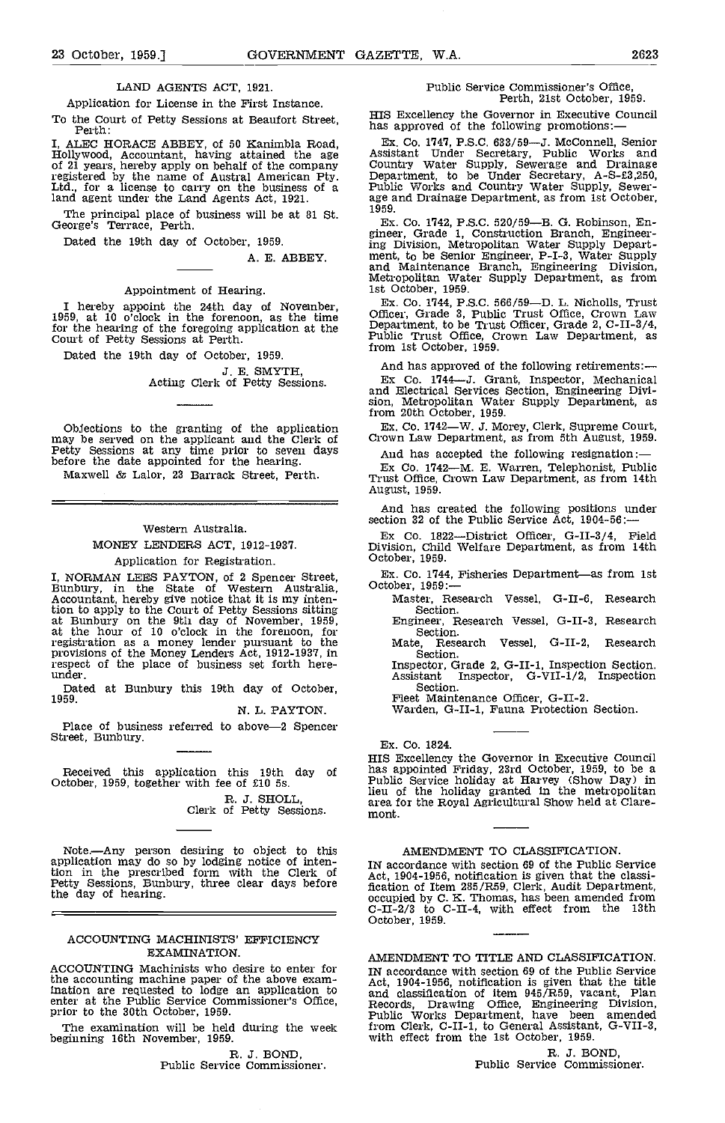### LAND AGENTS ACT, 1921.

Application for License in the First Instance.

To the Court of Petty Sessions at Beaufort Street,<br>Perth: Perth: Perth: Perth:

I, ALEC HORACE ABBEY, of 50 Kanimbla Road, Hollywood, Accountant, having attained the age Assistant Under Secretary, Public Works and of 21 years, hereby apply on behalf of the company Country Water Supply, Sewerage and Dr registered by the name of Austral American Pty. Ltd., for a license to carry on the business of a land agent under the Land Agents Act, 1921.

The principal place of business will be at 81 St. George's Terrace, Perth.

Dated the 19th day of October, 1959.

A. E. ABBEY.

#### Appointment of Hearing.

I hereby appoint the 24th day of November,  $\frac{Ex}{1959}$ , at 10 o'clock in the forenoon, as the time  $\frac{DE}{10000}$ for the hearing of the foregoing application at the Depa<br>Court of Petty Sessions at Perth.

Dated the 19th day of October, 1959.

J. E. SMYTH,<br>Acting Clerk of Petty Sessions.

Objections to the granting of the application may be served on the applicant and the Clerk of Petty Sessions at any time prior to seven days before the date appointed for the hearing. But all the seven days before the dat Maxwell & Lalor, 23 Barrack Street, Perth.

# Western Australia. MONEY LENDERS ACT, 1912-1937.

#### Application for Registration.

I, NORMAN LEES PAYTON, of 2 Spencer Street, Bunbury, in the State of Western Australia, October, 1959:<br>Accountant, hereby give notice that it is my inten-Master, R tion to apply to the Court of Petty Sessions sitting at Bunbury on the 9th day of November, 1959, at the hour of 10 o'clock in the forenoon, for registration as a money lender pursuant to the<br>provisions of the Money Lenders Act, 1912-1937, in<br>respect of the place of business set forth here-<br>under.

Dated at Bunbury this 19th day of October, 1959.

N. L. PAYTON.

Place of business referred to above-2 Spencer Street, Bunbury.

Received this application this 19th day of October, 1959, together with fee of £10 5s.

R. J. SHOLIL, Clerk of Petty Sessions.

Note.—Any person desiring to object to this amendment TO CLASSIFICATION.<br>
application may do so by lodging notice of inten-<br>
tion in the prescribed form with the Clerk of Petty Sessions, Bunbury, three clear days before th

#### ACCOUNTING MACHINISTS' EFFICIENCY EXAMINATION.

ACCOUNTING Machinists who desire to enter for the accounting machine paper of the above exam-<br>
ination are requested to lodge an application to and cl enter at the Public Service Commissioner's Office, prior to the 30th October, 1959.

The examination will be held during the week from G beginning 16th November, 1959.

R. J. BOND,<br>Public Service Commissioner.

# Public Service Commissioner's Office, Perth, 21st October, 1959.

HIS Excellency the Governor in Executive Council

Ex. Co. 1747, P.S.C. 633/59—J. McConnell, Senior<br>Assistant Under Secretary, Public Works and Country Water Supply, Sewerage and Drainage<br>Department, to be Under Secretary, A-S-£3,250,<br>Public Works and Country Water Supply, Sewer-<br>age and Drainage Department, as from 1st October,

1959.<br>Ex. Co. 1742, P.S.C. 520/59—B. G. Robinson, En-Ex. Co. 1742, P.S.C. 520/59—B. G. Robinson, En-<br>gineer, Grade 1, Construction Branch, Engineering Division, Metropolitan Water Supply Depart- ment, to be Senior Engineer, P-I-3, Water Supply and Maintenance Branch, Engineering Division, Metropolitan Water Supply Department, as from metropolitan Water Supply Department, as from<br>1st October, 1959.

Ex. Co. 1744, P.S.C. 566/59—D. L. Nicholls, Trust<br>Officer, Grade 3, Public Trust Office, Crown Law Department, to be Trust Officer, Grade 2, C-II-3/4, Public Trust Office, Crown Law Department, as Public Trust Office, Crown Law Department, as from 1st October, 1959.

And has approved of the following retirements: —<br>Ex Co. 1744—J. Grant, Inspector, Mechanical<br>and Electrical Services Section, Engineering Divi-<br>sion, Metropolitan Water Supply Department, as from 20th October, 1959.

Crown Law Department, as from 5th August, 1959.

And has accepted the following resignation:

Ex Co. 1742—M. E. Warren, Telephonist, Public Trust Office, Crown Law Department, as from 14th August, 1959.

And has created the following positions under section 32 of the Public Service Act, 1904-56:

Co. 1822-District Officer, G-II-3/4, Field Division, Child Welfare Department, as from 14th October, 1959.

Ex. Co. 1744, Fisheries Department-as from 1st

Master, Research Vessel, G-II-6, Research Section.

Engineer, Research Vessel, G-II-3, Research Section.<br>Mate, Rese

Research Vessel, G-II-2, Research Section.

Inspector, Grade 2, G-II-1, Inspection Section. Assistant Inspector, G-VII-1/2, Inspection Section.

fleet Maintenance Officer, G-II-2. Warden, G-II-1, Fauna protection Section.

Ex. Co. 1824.

HIS Excellency the Governor in Executive Council of has appointed Friday, 23rd October, 1959, to be a Public Service holiday at Harvey (Show Day) in lieu of the holiday granted in the metropolitan area for the Royal Agricultural Show held at Claremont.

#### AMENDMENT TO CLASSIFICATION.

IN accordance with section 69 of the Public Service Act, 1904-1956, notification is given that the classi- fication of Item 285/R59, Clerk, Audit Department, occupied by C. K. Thomas, has been amended from C-II-2/3 to C-II-4, with effect from the 13th October, 1959.

AMENDMENT TO TITLE AND CLASSIFICATION, IN accordance with section 69 of the Public Service Act, 1904-1956, notification is given that the title and classification of item 945/R59, vacant, Plan Records, Drawing Office, Engineering Division, Public Works Department, have been amended from Clerk, C-Il-I, to General Assistant, G-VII-3, with effect from the 1st October, 1959.

R. J. BOND,<br>Public Service Commissioner.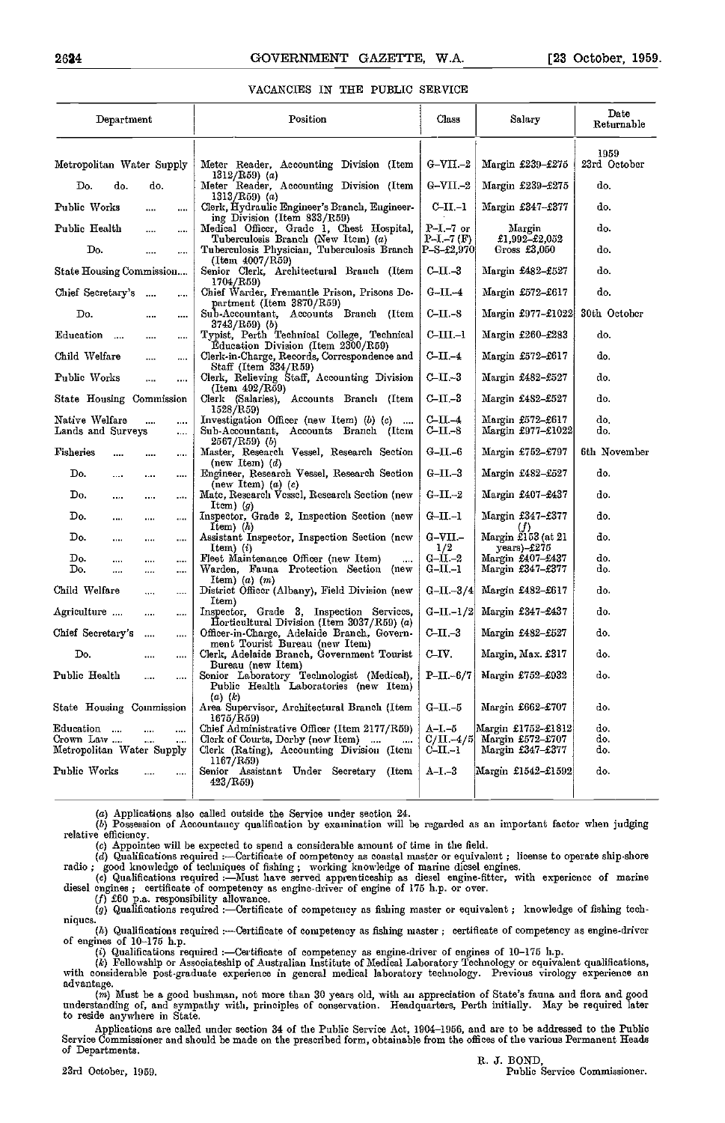#### VACANCIES IN TEE PUBLIC SERVICE

| Department                          |                              | Position                                                                                                       | Class                       | Salary                                 | Date<br>Returnable   |
|-------------------------------------|------------------------------|----------------------------------------------------------------------------------------------------------------|-----------------------------|----------------------------------------|----------------------|
| Metropolitan Water Supply           |                              | Meter Reader, Accounting Division (Item                                                                        | $G-VII-2$                   | Margin £239-£275                       | 1959<br>23rd October |
| Do.<br>do.                          | do.                          | $1312/\text{R59}$ (a)<br>Meter Reader, Accounting Division (Item                                               | $G-VII-2$                   | Margin £239-£275                       | do.                  |
| Public Works                        | $\cdots$                     | $1313/R59$ (a)<br>Clerk, Hydraulic Engineer's Branch, Engineer-                                                | C-II.-1                     | Margin £347-£377                       | do.                  |
| Public Health                       | <br>$\cdots$                 | ing Division (Item 833/R59)<br>Medical Officer, Grade 1, Chest Hospital,<br>Tuberculosis Branch (New Item) (a) | $P-I-7$ or<br>$P-I. - 7(F)$ | Margin<br>£1,992-£2,052                | do.                  |
| Do.                                 | $\overline{a}$<br>$\cdots$   | Tuberculosis Physician, Tuberculosis Branch<br>(Item 4007/R59)                                                 | $P-S-22.970$                | Gross £3,050                           | do.                  |
| State Housing Commission            |                              | Senior Clerk, Architectural Branch (Item<br>1704/R59)                                                          | $C$ -II. $-3$               | Margin £482-£527                       | do.                  |
| Chief Secretary's                   | $\cdots$<br>$\cdots$         | Chief Warder, Fremantle Prison, Prisons De-<br>partment (Item 3870/R59)                                        | $G-II-4$                    | Margin £572-£617                       | do.                  |
| Do.                                 | $\cdots$<br>$\cdots$         | Sub-Accountant, Accounts Branch (Item<br>$3743/R59$ (b)                                                        | $C$ -II.-8                  | Margin £977-£1022                      | 30th October         |
| Education<br>$\sim$                 | $\cdots$<br>$\cdots$         | Typist, Perth Technical College, Technical<br>Education Division (Item 2300/R59)                               | $C-III-1$                   | Margin £260-£283                       | do.                  |
| Child Welfare                       | $\cdots$<br>$\cdots$         | Clerk-in-Charge, Records, Correspondence and<br>Staff (Item 334/R59)                                           | $C-II-4$                    | Margin £572-£617                       | do.                  |
| Public Works                        | $\cdots$<br>$\cdots$         | Clerk, Relieving Staff, Accounting Division<br>$(Item 492/R\bar{6}9)$                                          | $C-II-3$                    | Margin £482-£527                       | do.                  |
| State Housing Commission            |                              | Clerk (Salaries), Accounts Branch (Item<br>1528/R59)                                                           | $C-III - 3$                 | Margin £482-£527                       | do.                  |
| Native Welfare<br>Lands and Surveys | <br>$\cdots$<br>$\cdots$     | Investigation Officer (new Item) $(b)$ $(c)$<br>Sub-Accountant, Accounts Branch (Item<br>2567/R59) (b)         | $C$ -II.-4<br>$C-II-8$      | Margin £572-£617<br>Margin £977-£1022  | do.<br>do.           |
| <b>Fisheries</b><br>$\cdots$        | <br>$\cdots$                 | Master, Research Vessel, Research Section<br>(new Item) $(d)$                                                  | $G-II-6$                    | Margin £752-£797                       | 6th November         |
| Do.<br>                             | $\cdots$<br>                 | Engineer, Research Vessel, Research Section<br>(new Item) $(a)$ $(e)$                                          | $C-II-3$                    | Margin £482-£527                       | do.                  |
| Do.<br>$\cdots$                     | $\cdots$<br>$\cdots$         | Matc, Research Vessel, Research Section (new<br>Item) $(g)$                                                    | $G-II-2$                    | Margin £407-£437                       | do.                  |
| Do.<br>$\cdots$                     | $\cdots$<br>$\cdots$         | Inspector, Grade 2, Inspection Section (new<br>Item $(h)$                                                      | $G$ -II.-1                  | Margin £347-£377                       | do.                  |
| Do.<br>$\cdots$                     | $\cdots$<br>$\cdots$         | Assistant Inspector, Inspection Section (new<br>Item, $(i)$                                                    | $G-VII-$<br>1/2             | Margin £153 (at 21<br>$years) - £275$  | do.                  |
| Do.<br>$\cdots$<br>Do.<br>$\cdots$  | <br>$\cdots$<br>$\cdots$<br> | Fleet Maintenance Officer (new Item)<br>$\cdots$<br>Warden, Fauna Protection Section (new                      | $G-II-2$<br>$G-II-1$        | Margin £407-£437<br>Margin £347-£377   | do.<br>do.           |
| Child Welfare                       | <br>$\cdots$                 | Item) $(a)$ $(m)$<br>District Officer (Albany), Field Division (new<br>Item)                                   | $G-II.-3/4$                 | Margin £482-£617                       | do.                  |
| Agriculture                         | $\mathbf{r}$<br>$\cdots$     | Inspector, Grade 3, Inspection Services,<br>Horticultural Division (Item 3037/R59) (a)                         | $G-II-I/2$                  | Margin £347-£437                       | do.                  |
| Chief Secretary's                   | $\cdots$<br>$\cdots$         | Officer-in-Charge, Adelaide Branch, Govern-<br>ment Tourist Bureau (new Item)                                  | $C-II-3$                    | Margin £482-£527                       | do.                  |
| Do.                                 | <br>                         | Clerk, Adelaide Branch, Government Tourist<br>Bureau (new Item)                                                | C-IV.                       | Margin, Max. £317                      | do.                  |
| Public Health                       | <br>                         | Senior Laboratory Technologist (Medical),<br>Public Health Laboratories (new Item)                             | $P-II.-6/7$                 | Margin £752-£932                       | do.                  |
| State Housing Commission            |                              | $(a)$ $(k)$<br>Area Supervisor, Architectural Branch (Item<br>1675/R59)                                        | $G-II.-5$                   | Margin £662-£707                       | do.                  |
| Education<br>Crown Law              |                              | Chief Administrative Officer (Item 2177/R59)<br>Clerk of Courts, Derby (new Item)                              | A–I –5<br>C/II.–4/5         | Margin £1752–£1812<br>Margin £572-£707 | do.<br>do.           |
| Metropolitan Water Supply           |                              | Clerk (Rating), Accounting Division (Item<br>1167/R59                                                          | $C-II-1$                    | Margin £347–£377                       | do.                  |
| Public Works                        |                              | Senior Assistant Under Secretary (Item<br>423/R59                                                              | A-I -3                      | Margin £1542–£1592                     | do.                  |

(a) Applications also called outside the Service under section 24.<br>
(b) Possession of Accountancy qualification by examination will be regarded as an important factor when judging<br>
relative efficiency. relative efficiency.<br>(c) Appointee will be expected to spend a considerable amount of time in the field.

(d) Qualifications required :---Certificate of competency as coastal master or equivalent; license to operate ship-shore<br>radio; good knowledge of techniques of fishing; working knowledge of marine dicsel engines.<br>(e) Quali

diesel engines ; certificate of competency as engine-driver of engine of 175 h.p. or over.  $(f)$  £60 p.a. responsibility allowance.

 $(g)$  Qualifications required :—Certificate of competency as fishing master or equivalent; knowledge of fishing tech- niques.

(b) Qualifications required :---Certificate of competency as fishing master; certificate of competency as engine-driver<br>of engines of  $10-175$  h.p.<br>(i) Qualifications required :--Certificate of competency as engine-driver

(k) Fellowship or Associateship of Australian Institute of Medical Laboratory Technology or equivalent qualifications,<br>with considerable post-graduate experience in gencral medical laboratory technology. Previous virology advantage.<br>(m) Must be a good bushman, not more than 30 years old, with an appreciation of State's fauna and flora and good

understanding of, and sympathy with, principles of conservation. Headquarters, Perth initially. May be required later to reside anywhere in State.

Applications are called under section 34 of the Public Service Act, 1904-1950, and are to be addressed to the Public Service Commissioner and should be made on the prescribed form, obtainable from the offices of the various Permanent Heads<br>of Departments.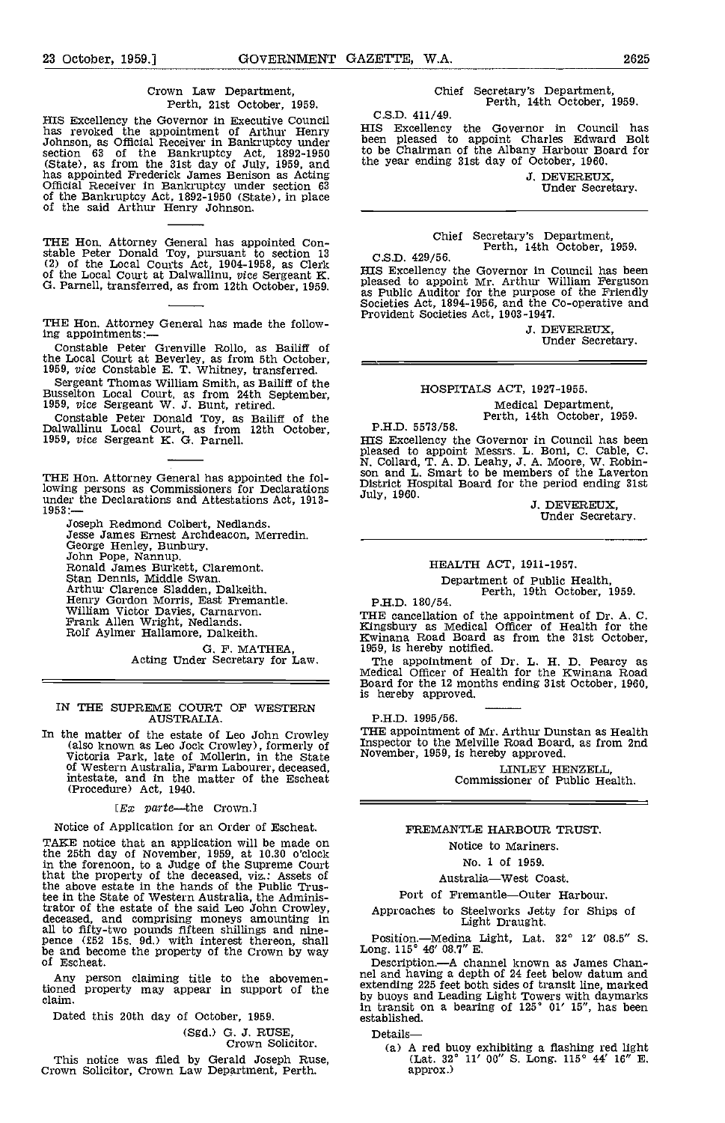#### Crown Law Department, Perth, 21st October, 1959.

HIS Excellency the Governor in Executive Council has revoked the appointment of Arthur Henry Johnson, as Official Receiver in Bankruptcy under section <sup>63</sup> of the Bankruptcy Act, 1892-1950 (State), as from the 31st day of July, 1959, and the ye has appointed Frederick James Benison as Acting Official Receiver in Bankruptcy under section 63 of the Bankruptcy Act, 1892-1950 (State), in place of the said Arthur Henry Johnson.

THE Hon. Attorney General has appointed Con-<br>stable Peter Donald Toy, pursuant to section 13 C.S.I<br>(2) of the Local Courts Act, 1904-1958, as Clerk True F. of the Local Court at Dalwallinu, vice Sergeant K. 0. Parnell, transferred, as from 12th October, 1959.

THE Hon. Attorney General has made the follow- ing appointments:

Constable Peter Grenville Rollo, as Bailiff of the Local Court at Beverley, as from 5th October, 1959, vice Constable E. T. Whitney, transferred.

Sergeant Thomas William Smith, as Bailiff of the Busselton Local Court, as from 24th September, 1959, vice Sergeant W. J. Bunt, retired.<br>Constable Peter Donald Toy, as Bailiff of the Dalwallinu Local Court, as from 12th Oc

THE Hon. Attorney General has appointed the following persons as Commissioners for Declarations DIS<br>under the Declarations and Attestations Act, 1913-<br>1953:—

Joseph Redmond Colbert, Nedlands.<br>Jesse James Ernest Archdeacon, Merredin.<br>George Henley, Bunbury.<br>John Pope, Nannup.<br>Ronald James Burkett, Claremont.<br>Ronald James Burkett, Claremont.<br>Stan Dennis, Middle Swan.<br>Arthur Clare

0. F. MATHEA, Acting Under Secretary for Law.

#### IN THE SUPREME COURT OF WESTERN AUSTRALIA.

In the matter of the estate of Leo John Crowley  $\text{THE~a}$ (also known as Leo Jock Crowley), formerly of Victoria Park, late of Mollerin, in the State intestate, and in the matter of the Escheat (Procedure) Act, 1940.

 $Ex$  parte—the Crown.]

Notice of Application for an Order of Escheat.

TAKE notice that an application will be made on the 25th day of November, 1959, at 10.30 o'clock in the forenoon, to a Judge of the Supreme Court that the property of the deceased, viz.: Assets of the above estate in the hands of the Public Trus-tee in the State of Western Australia, the Adminis-trator of the estate of the said Leo John Crowley, deceased, and comprising moneys amounting in all to fifty-two pounds fifteen shillings and nine-<br>pence (£52 15s. 9d.) with interest thereon, shall be and become the property of the Crown by way Long. be and become the property of the Crown by way of Escheat.

Any person claiming title to the abovementioned property may appear in support of the  $\frac{ext{en}}{hw}$ claim.

Dated this 20th day of October, 1959.

(Sgd.) G. J. RUSE,<br>Crown Solicitor.

This notice was filed by Gerald Joseph Ruse, Crown Solicitor, Crown Law Department, Perth.

Chief Secretary's Department, Perth, 14th October, 1959.

C.S.D. 411/49.

HIS Excellency the Governor in Council has been pleased to appoint Charles Edward Bolt to be Chairman of the Albany Harbour Board for the year ending 31st day of October, 1960.

J. DEVEREUX, Under Secretary.

Chief Secretary's Department, Perth, 14th October, 1959.

C,S.D. 429/56.

HIS Excellency the Governor in Council has been pleased to appoint Mr. Arthur William Ferguson as Public Auditor for the purpose of the Friendly Societies Act, 1894-1956, and the Co-operative and Provident Societies Act, 1903-1947.

J. DEVEREUX, Under Secretary.

#### HOSPITALS ACT, 1921-1955.

Medical Department, Perth, 14th October, 1959.

P.H.D. 5573/58. HIS Excellency the Governor in Council has been<br>pleased to appoint Messrs. L. Boni, C. Cable, C.<br>N. Collard, T. A. D. Leahy, J. A. Moore, W. Robin-<br>son and L. Smart to be members of the Laverton<br>District Hospital Board for

HEALTH ACT, 1911-1957.

Department of Public Health,<br>Perth, 19th October, 1959.<br>P.H.D. 180/54.

THE cancellation of the appointment of Dr. A. C. Kingsbury as Medical Officer of Health for the Kwinana Road Board as from the 31st October,

1959, is hereby notified. The appointment of Dr. L. H. D, Pearcy as Medical Officer of Health for the Kwinana Road Board for the 12 months ending 31st October, 1960, is hereby approved.

P.H.D. 1995/56.

THE appointment of Mr. Arthur Dunstan as Health Inspector to the Melville Road Board, as from 2nd November, 1959, is hereby approved.

LINLEY HENZELIL Commissioner of Public Health,

### FREMARTLE HARBOUR TRUST.

Notice to Mariners.

No. 1 of 1959.

Australia-West Coast.

Port of Fremantle-Outer Harbour.

Approaches to Steelworks Jetty for Ships of Light Draught.

Position.Medina Light, Lat. 32° 12' 08.5" 5. Long. 115° 46' 08.7" E.

Description.—A channel known as James Channel and having a depth of 24 feet below datum and extending 225 feet both sides of transit line, marked by buoys and Leading Light Towers with daymarks in transit on a bearing of 125° 01' 15", has been established.

Details

(a) A red buoy exhibiting a flashing red light (Lat.  $32^{\circ}$  11' 00" S. Long. 115° 44' 16" E. approx.)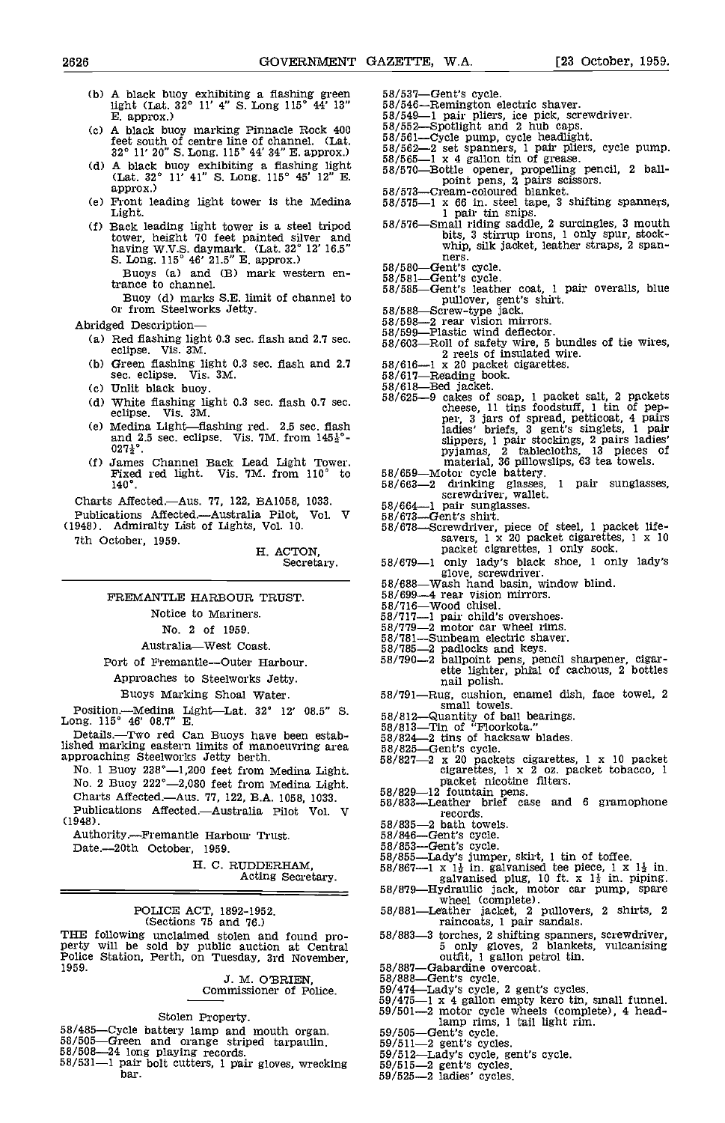- (b) A black buoy exhibiting a flashing green 58/53' light (Lat. 32° 11' 4" S. Long 115° 44' 13" B. approx.)
- (c) A black buoy marking Pinnacle Rock  $400$   $58/552$ <br>for evitable fraction line of channel (Let  $58/561$ ) feet south of centre line of channel. (Lat.  $32^{\circ}$  11' 20" S. Long. 115° 44' 34" E. approx.)  $\frac{5}{5}$
- Capture of the buoy exhibiting a flashing light  $(Lat. 32° 11' 41'' S. Long. 115° 45' 12'' E.$ <br>approx.)  $58/573-$
- (e) Front leading light tower is the Medina  $58/575$ -<br>Light.<br>(f) Back leading light tower is a steel tripod  $58/576$ -
- (f) Back leading light tower is a steel tripod tower, height 70 feet painted silver and having W.V.S. daymark. (Lat.  $32^{\circ}$  12' 16.5"<br>
S. Long. 115° 46' 21.5" E. approx.)<br>
Buoys (a) and (B) mark western en-
	- Buoys (a) and (B) mark western en-<br>trance to channel.
	- trance to channel. 58/585-<br>Buoy (d) marks S.E. limit of channel to<br>or from Steelworks Jetty. 58/588-<br>red Description-68/598-
- Abridged Description-
	- (a) Red flashing light 0.3 sec. flash and 2.7 sec.  $\frac{58}{58/603}$ <br>eclipse. Vis. 3M.
	- (b) Green flashing light 0.3 sec. flash and  $2.7$   $58/616$ -<br>sec. eclipse. Vis. 3M.  $58/617$ sec. eclipse.
	- Cc) Unlit black buoy.
	- (d) White flashing light 0.3 sec. flash 0.7 sec.  $\frac{58}{625}$ -eclipse. Vis. 3M.
	- (e) Medina Light-flashing red. 2.5 sec. flash and 2.5 sec. eclipse. Vis. 7M. from  $145\frac{1}{2}$ °- $027\frac{1}{2}$ °.
	- Cr) James Channel Back Lead Light Tower. Fixed red light. Vis. 7M. from 110° to 140°.

Charts Affected.-Aus. 77, 122, BA1058, 1033.

Publications Affected-Australia Pilot, Vol. V (1948). Admiralty List of Lights, Vol. 10.

7th October, 1959.

#### H. ACTON, Secretary.

### FREMANTLE HARBOUR TRUST.

Notice to Mariners.

No. 2 of 1959.

Australia-West Coast.

Port of Fremantle-Outer Harbour.

Approaches to Steelworks Jetty.

Buoys Marking Shoal Water.

Position.-Medina Light-Lat. 32° 12' 08.5" 5. Long. 115° 46' 08.7" B.

Details.-Two red Can Buoys have been established marking eastern limits of manoeuvring area 58/8<br>approaching Steelworks Jetty berth. 58/8

- No. 1 Buoy 238°-1,200 feet from Medina Light. No. 2 Buoy 222°-2,080 feet from Medina Light.
- Charts Affected.-Aus. 77, 122, B.A. 1058, 1033.
- Publications Affected.—Australia Pilot Vol. V<br>948). 58/835—2 bath to (1948).

Authority.-Fremantle Harbour Trust.

Date.--20th October, 1959.

H. C. RUDDERHAM,<br>Acting Secretary.

# POLICE ACT, 1892-1952. (Sections 75 and 76.)

THE following unclaimed stolen and found pro-<br>
perty will be sold by public auction at Central<br>
Police Station, Perth, on Tuesday, 3rd November,<br>
1959.<br>
1959.<br>
2. M. O'BRIEN.<br>
2. S8/888-

# J. M. O'BRIEN,

# Commissioner of Police.

#### Stolen Property,

- 
- 
- 58/485-Cycle battery lamp and mouth organ.<br>
58/505-Green and orange striped tarpaulin.<br>
58/508-24 long playing records.<br>
58/531-1 pair bolt cutters, 1 pair gloves, wrecking<br>  $58/531-1$  pair bolt cutters, 1 pair gloves, wr 58/531-1 pair bolt cutters, 1 pair gloves, wrecking
- 
- -
	-
- 
- 
- 58/537—Gent's cycle.<br>
58/546—Remington electric shaver.<br>
58/546—Remington electric shaver.<br>
58/549—1 pair pliers, ice pick, screwdriver.<br>
58/562—Spotlight and 2 hub caps.<br>
58/561—Cycle pump, cycle headlight.<br>
58/562—2 set
- 
- 
- 58/575-1 x 66 in. steel tape, 3 shifting spanners,<br>  $1$  pair tin snips.<br>
58/576-Small riding saddle, 2 surcingles, 3 mouth<br>
bits, 3 stirrup irons, 1 only spur, stock-<br>
whip, silk jacket, leather straps, 2 spanbits, 3 stirrup irons, 1 only spur, stockwhip, silk jacket, leather straps, 2 spanners.<br>Gent's cycle.
- 
- 
- 58/580-Gent's cycle.<br>58/581-Gent's cycle.<br>58/585-Gent's leather coat, 1 pair overalls, blue<br>58/585-Screw-type jack. 58/588-Screw-type jack.
- 
- 
- 
- 58/599-Plastic wind deflector. 58/603-Roll of safety wire, 5 bundles of tie wires, 2 reels of insulated wire.
- 
- 
- $58/617$ —Reading book.<br>  $58/618$ —Bed jacket.<br>  $58/625$ —9 cakes of soap, 1 packet salt, 2 packets<br>  $58/625$ —9 cakes of soap, 1 packet salt, 2 packets<br>
cheese, 11 tins foodstuff, 1 tin of pep-<br>
per; 3 jars of spread, pettic
- 
- 
- 
- 58/659—Motor cycle battery.<br>58/663—2 drinking glasses, 1 pair sunglasses, screwdriver, wallet.<br>58/664—1 pair sunglasses.<br>58/673—Gent's shirt.<br>58/673—Screwdriver, piece of steel, 1 packet life-<br>58/678—Screwdriver, piece of
- packet cigarettes, 1 only lady's black shoe, 1 only lady's glove, screwdriver.<br>58/688-Wash hand basin, window blind.
- 
- 58/699-4 rear vision mirrors.<br>58/716-Wood chisel.
- 
- 58/717-1 pair child's overshoes.<br>58/779-2 motor car wheel rims.
- 58/781-Sunbeam electric shaver.
- 
- 58/785-2 padlocks and keys.<br>58/790-2 ballpoint pens, pencil sharpener, cigar-<br>58/790-2 ballpoint pens, pencil sharpener, cigar-<br>ette lighter, phial of cachous, 2 bottles<br>nail polish.
- small towels. 58/812-Quantity of ball bearings. 58/813-Tin of "Floorkota." 58/824-2 tins of hacksaw blades.
- 
- 
- 
- 
- $58/825$ -Gent's cycle.<br> $58/827-2 \times 20$  packets cigarettes, 1 x 10 packet cigarettes, 1 x 2 oz. packet tobacco, 1 packet nicotine filters.<br>58/829-12 fountain pens.<br>58/833-Leather brief case and 6 gramophone
	-
- 
- 58/835-2 bath towels.<br>58/846-Gent's cycle.
- 
- 
- 
- 
- 58/846—Gent's cycle.<br>
58/853—Gent's cycle.<br>
58/853—Lady's jumper, skirt, 1 tin of toffee.<br>
58/855—Lady's jumper, skirt, 1 tin of toffee.<br>
58/867—1 x 1<sup>1</sup><sup>2</sup> in. galvanised tee piece, 1 x 1<sup>1</sup><sup>2</sup> in.<br>
58/879—Hydraulic jack
- raincoats, 1 pair sandals.
- 58/883-3 torches, 2 shifting spanners, screwdriver, 5 only gloves, 2 blankets, vulcanising outfit, 1 gallon petrol tin.<br>58/887-Gabardine overcoat.
- 
- 
- 
- 58/888-Gent's cycle.<br>59/888-Gent's cycle, 2 gent's cycles.<br>59/475-1 x 4 gallon empty kero tin, small funnel.<br>59/501-2 motor cycle wheels (complete), 4 head-<br>1 amp rims, 1 tail light rim.
- 
- 
- $\frac{1}{59/512}$ -Lady's cycle, gent's cycle.<br>59/511-2 gent's cycles.<br>59/525-2 ladies' cycles.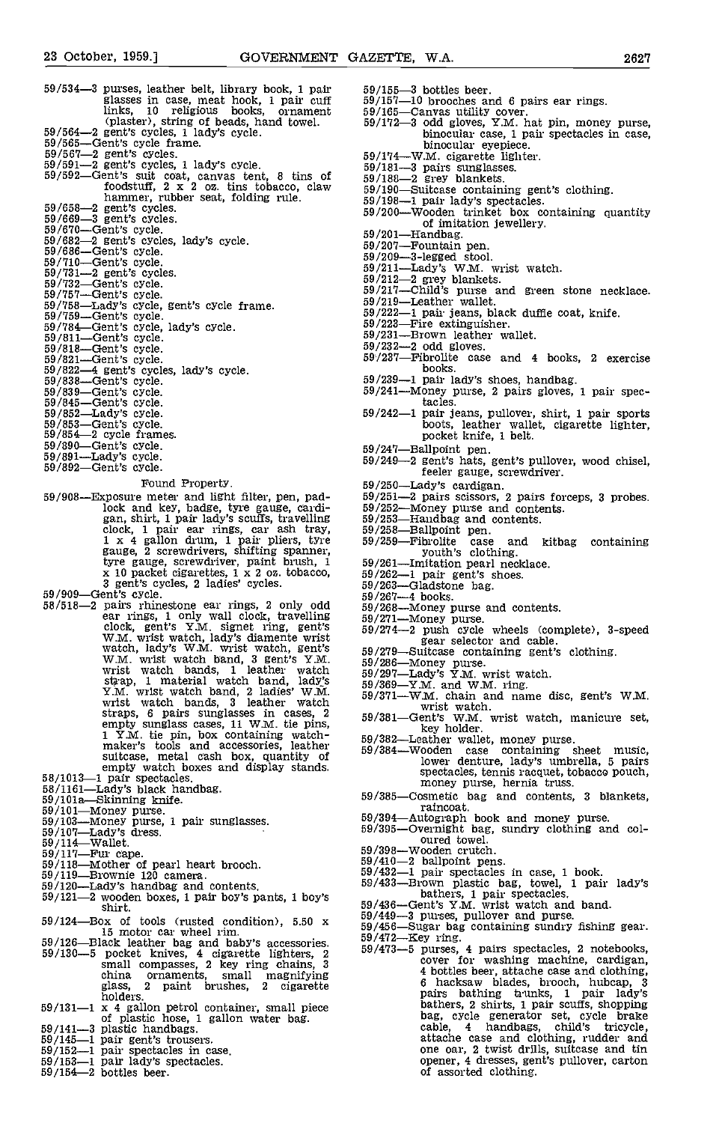- 59/534-3 purses, leather belt, library book, 1 pair glasses in case, meat hook, 1 pair cuff<br>links, 10 religious books, ornament (plaster), string of beads, hand towel.<br>
59/564-2 gent's cycles, 1 lady's cycle.<br>
59/565Gent's cycles. 59/567-2 gent's cycles. 59/591-2 gent's cycles, 1 tids of suit coate.
- 
- 
- 
- $59/592$ -Gent's suit coat, canvas tent, 8 tins of<br>foodstuff, 2 x 2 oz. tins tobacco, claw<br>hammer, rubber seat, folding rule.
- 
- 
- 
- 
- 
- 
- 
- 59/658—2 gent's cycles.<br>
59/658—2 gent's cycles.<br>
59/669—3 gent's cycles.<br>
59/669—3 gent's cycles.<br>
59/682—2 gent's cycles.<br>
59/686—2 gent's cycles.<br>
59/686—2 ernt's cycle.<br>
59/732—Gent's cycle.<br>
59/732—Gent's cycle.<br>
59/
	-
	-
	-
	-
	-
	-
	-
	-
	-
	-
	-
	-
	-

### Found Property.

- 59/908-Exposure meter and light filter, pen, padlock and key, badge, tyre gauge, cardi- 59/25<br>gan, shirt, 1 pair lady's scuffs, travelling 59/25 clock, 1 pair ear rings, car ash tray, 59/258<br>1 x 4 gallon drum, 1 pair pliers, tyre 59/258<br>gauge, 2 screwdrivers, shifting spanner,<br>tyre gauge, screwdriver, paint brush, 1 59/261 x 10 packet cigarettes, 1 x 2 oz. tobacco,  $\frac{59}{262}$ <br>3 gent's cycles, 2 ladies' cycles. 59/909–Gent's cycle. 58/518-2 pairs rhinestone ear rings, 2 only odd 59/268
- 
- For rings, 1 only wall clock, travelling  $59/271$ <br>clock, gent's Y.M. signet ring, gent's  $59/271$ <br>W.M. wrist watch, lady's diamente wrist<br>watch, lady's W.M. wrist watch, gent's  $59/279$ <br>W.M. wrist watch bands, 1 leather w strap, 1 material watch band, lady's 99/297.<br>
Y.M. wrist watch band, 2 ladies' W.M. wrist watch bands, 3 leather watch 59/371.<br>
straps, 6 pairs sunglasses in cases, 2 59/381. empty sunglass cases, 11 W.M. tie pins,<br>  $1 \text{ Y.M.}$  tie pin, box containing watch-<br>
maker's tools and accessories, leather<br>
suitcase, metal cash box, quantity of<br>
empty watch boxes and display stands.<br>  $58/1013-1$  pair sp
- 
- 
- 
- 
- 
- 
- 
- 
- 
- 
- $\frac{59}{120}$ <br> $\frac{59}{120}$  Lady's handbag and contents.  $\frac{59}{120}$ <br> $\frac{59}{121}$ shirt.
- $59/124$ —Box of tools (rusted condition),  $5.50 \times 59/449$ –<br>
15 motor car wheel rim.
- $59/126$ —Black leather bag and baby's accessories.  $59/130$ —5 pocket knives, 4 cigarette lighters, 2  $59/130$ small compasses, 2 key ring chains, 3 china ornaments, small magnifying glass, <sup>2</sup> paint brushes, <sup>2</sup> cigarette holders.
- molders.<br>  $59/131-1 \times 4$  gallon petrol container, small piece<br>
of plastic hose, 1 gallon water bag.<br>  $59/141-3$  plastic handbags.<br>  $59/145-1$  pair gent's trussers.<br>  $59/152-1$  pair spectacles in case.<br>  $59/153-1$  pair lad
- 
- 
- 
- 
- 
- 
- 
- 
- 59/155-3 bottles beer.<br>59/157-10 brooches and 6 pairs ear rings.<br>59/165-Canvas utility cover.<br>59/172-3 odd gloves, Y.M. hat pin, money purse,
- 
- 
- 
- 
- 
- binocular case, 1 pair spectacles in case,<br>binocular eyepiece.<br>59/174—W.M. cigarette lighter.<br>59/181—3 pairs sunglasses.<br>59/188—2 grey blankets.<br>59/190—Suitcase containing gent's clothing.<br>59/198—1 pair lady's spectacles. of imitation jewellery.<br>59/201—Handbag.<br>59/209—3-legged stool.<br>59/211—Lady's W.M. wrist watch.<br>59/211—Lady's W.M. wrist watch.<br>59/217—Child's purse and green stone necklace.<br>59/219—Leather wallet.
- 
- 
- 
- 
- 
- 
- 59/222—1 pair jeans, black duffie coat, knife.<br>59/223—Fire extinguisher.<br>59/231—Brown leather wallet.
- 
- 
- 
- $59/232-2$  odd gloves.<br> $59/237$ —Fibrolite case and 4 books, 2 exercise<br>books.
- 
- $59/239-1$  pair lady's shoes, handbag.<br> $59/241$ —Money purse, 2 pairs gloves, 1 pair spec-<br>tacles
- tacles. 59/242-1 pair jeans, pullover, shirt, 1 pair sports boots, leather wallet, cigarette lighter, pocket knife, 1 belt.
- 
- 59/247—Ballpoint pen.<br>59/249—2 gent's hats, gent's pullover, wood chisel,<br>feeler gauge, screwdriver.
- 
- 
- 
- 
- 
- 59/250—Lady's cardigan.<br>
59/251—2 pairs scissors, 2 pairs forceps, 3 probes.<br>
59/252—Money purse and contents.<br>
59/252—Money purse and contents.<br>
59/253—Handbag and contents.<br>
59/253—Handbag and contents.<br>
59/259—Fibrolit
- 
- 
- 
- 
- 
- $59/268$ —Money purse and contents.<br>59/271—Money purse.<br>59/274—2 push cycle wheels (complete), 3-speed<br> $59/274$ —2 push cycle wheels (complete), 3-speed
- 
- 
- 
- 

59/398-Wooden crutch.

- 
- 
- 
- 59/279—Suitcase containing gent's clothing.<br>
59/286—Money purse.<br>
59/286—Money purse.<br>
59/369—Y.M. and W.M. ring.<br>
59/371—W.M. chain and name disc, gent's W.M.<br>
89/371—W.M. chain and name disc, gent's W.M.<br>
wrist watch.<br>
- money purse, hernia truss.<br>59/385—Cosmetic bag and contents, 3 blankets, raincoat.
- 59/394—Autograph book and money purse.<br>59/395—Overnight bag, sundry clothing and col-<br>oured towel.<br>59/398—Wooden crutch.

 $59/472$ —Key ring.<br> $59/472$ —Key ring.<br> $59/473$ —5 purses, 4 pairs spectacles, 2 notebooks,<br> $60$  cover for washing machine, cardigan,<br> $4$  bottles beer, attache case and clothing,<br> $3$ 

 $59/410-2$  ballpoint pens.<br>  $59/432-1$  pair spectacles in case, 1 book.<br>  $59/433$ —Brown plastic bag, towel, 1 pair lady's bathers, 1 pair spectacles.<br>  $59/436$ —Gent's Y.M. wrist watch and band.

pairs bathing trunks, <sup>1</sup> pair lady's bathers, 2 shirts, 1 pair scuffs, shopping bag, cycle generator set, cycle brake

cable, <sup>4</sup> handbags, child's tricycle, attache case and clothing, rudder and one oar, 2 twist drills, suitcase and tin opener, 4 dresses. gent's pullover, carton of assorted clothing.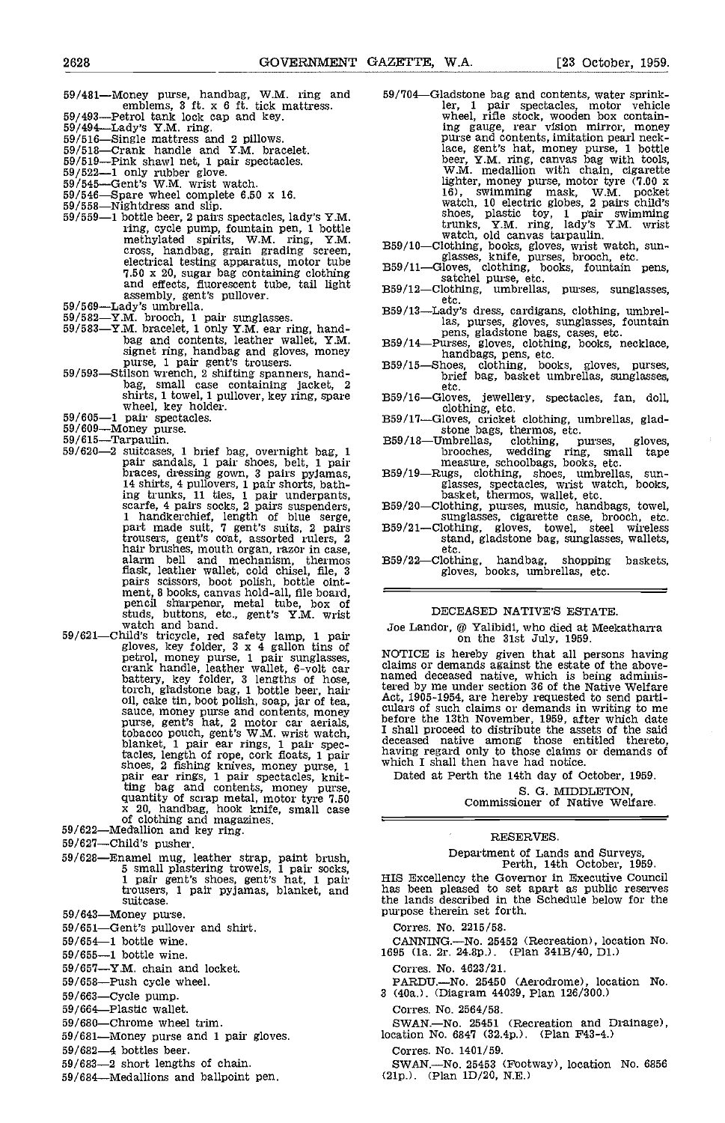- $59/481$ —Money purse, handbag, W.M. ring and  $59/704$ emblems, 3 ft. x 6 ft. tick mattress.<br>59/493—Petrol tank lock cap and key.<br>59/494—Lady's Y.M. ring.<br>59/516—Single mattress and 2 pillows.<br>59/518—Crank handle and Y.M. bracelet.
- 
- 
- 
- 59/516—Single mattress and 2 pillows.<br>59/516—Single mattress and 2 pillows.<br>59/513—Crank handle and Y.M. bracelet.<br>59/519—Pink shawl net, 1 pair spectacles.<br>59/522—1 only rubber glove.<br>59/545—Gent's W.M. wrist watch.<br>59/5
- 
- 
- 
- 
- 59/546—Spare wheel complete 6.50 x 16.<br>
59/558—Nightdress and slip.<br>
59/559—1 bottle beer, 2 pairs spectacles, lady's Y.M.<br>
ring, cycle pump, fountain pen, 1 bottle<br>
methylated spirits, W.M. ring, Y.M. cross, handbag, grain grading screen, B59/1<br>electrical testing apparatus, motor tube 7.50 x 20, sugar bag containing clothing B59/1
- 
- 
- and effects, fluorescent tube, tail light<br>
assembly, gent's pullover.<br>
59/569—Lady's umbrella.<br>
59/569—ZM. brooch, 1 pair sunglasses.<br>
59/582—YM. brooch, 1 pair sunglasses.<br>
59/583—YM. bracelet, 1 only Y.M. ear ring, hand-
- shirts, 1 towel, 1 pullover, key ring, spare wheel, key holder.<br>
59/605-1 pair spectacles. 59/609-Money purse. 59/609-Money purse.<br>
59/615-Tarpaulin. 59/620-2 suitcases, 1 brief bag, overnight bag, 1
- 
- 
- 
- pair sandals, 1 pair shoes, belt, 1 pair<br>braces, dressing gown, 3 pairs pyjamas, 14 shirts, 4 pullovers, 1 pair shorts, bathing trunks, 11 ties, 1 pair underpants, scarfe, 4 pairs socks, 2 pairs suspenders, 1 handkerchief, length of blue serge,<br>part made suit, 7 gent's suits, 2 pairs B59, trousers, gent's coat, assorted rulers, 2 hair brushes, mouth organ, razor in case, alarm bell and mechanism, thermos
- flask, leatlier wallet, cold chisel, file, 3<br>pairs scissors, boot polish, bottle oint-<br>ment, 8 books, canvas hold-all, file board,<br>pencil sharpener, metal tube, box of<br>studs, buttons, etc., gent's Y.M. wrist<br>watch and ban tobacco pouch, gent's W.M. wrist watch, blanket, 1 pair ear rings, I pair spectacles, length of rope, cork floats, 1 pair having<br>shoes, 2 fishing knives, money purse, 1 which<br>pair ear rings, 1 pair spectacles, knit- Dat ting bag and contents, money purse,<br>quantity of scrap metal, motor tyre 7.50<br> $\frac{x}{20}$ , handbag, hook knife, small case<br>of clothing and magazines.<br> $59/622$ —Medallion and key ring.
- 
- 59/627—Child's pusher.
- 59/628—Enamel mug, leather strap, paint brush, 5 small plastering trowels, 1 pair socks, 1 pair gent's shoes, gent's hat, 1 pair trousers, 1 pair pyjamas, blanket, and suitcase.
- 
- 59/643—Money purse.<br>59/651—Gent's pullover and shirt.<br>59/654—1 bottle wine.
- 
- 59/655-1 bottle wine.
- $59/657$ -Y.M. chain and locket.
- $59/658$ —Push cycle wheel.<br> $59/663$ —Cycle pump.
- 
- 59/664-Plastic wallet.
- 59/680-Chrome wheel trim.
- 59/681-Money purse and 1 pair gloves.
- 59/682-4 bottles beer.
- 59/683-2 short lengths of chain.
- 59/684-Medallions and ballpoint pen.
- 59/704–Gladstone bag and contents, water sprink-<br>ler, 1 pair spectacles, motor vehicle ler, <sup>1</sup> pair spectacles, motor vehicle wheel, rifle stock, wooden box contain-<br>ing gauge, rear vision mirror, money<br>purse and contents, imitation pearl necklace, gent's hat, money purse, 1 bottle beer, Y.M. ring, canvas bag with tools, W.M. medallion with chain, cigarette lighter, money purse, motor tyre (7.00 x 16), swimming mask, W.M. pocket watch, 10 electric globes, 2 pairs child's shoes, plastic toy,  $1$  pair swimming trunks, Y.M. ring, lady's Y.M. wrist<br>watch, old canvas tarpaulin.<br>B59/10—Clothing, books, gloves, wrist watch, sunglasses, knife, purses, brooch, etc.<br>B59/11—Glothing, books, fountain pens,<br>satchel purse, etc.<br>B59/12—Cloth
- 
- 
- 
- etc.<br>359/13—Lady's dress, cardigans, clothing, umbrellas, purses, gloves, sunglasses, fountain
- 
- pens, gladstone bags, cases, etc.<br>
359/14—Purses, gloves, clothing, books, necklace, handbags, pens, etc.<br>
359/15—Shoes, clothing, books, gloves, purses, brief bag, basket umbrellas, sunglasses, etc.
- 
- 
- B59/16—Gloves, jewellery, spectacles, fan, doll,<br>clothing, etc.<br>B59/17—Gloves, cricket clothing, umbrellas, glad-<br>stone bags, thermos, etc.<br>B59/18—Umbrellas, clothing, purses, gloves,<br>brooches, wedding ring, small tape<br>mea
- glasses, spectacles, wrist watch, books,<br>basket, thermos, wallet, etc.<br>359/20—Clothing, purses, music, handbags, towel, sunglasses, cigarette case, brooch, etc.<br>359/21—Clothing, gloves, towel, steel wireless
- 
- stand, gladstone bag, sunglasses, wallets, etc.
- etc.<br>359/22—Clothing, handbag, shopping baskets, gloves, books, umbrellas, etc.

#### DECEASED NATIVE'S ESTATE.

Joe Landor,  $\mathcal Q$  Yalibidi, who died at Meekatharra on the 31st July, 1959.

NOTICE is hereby given that all persons having claims or demands against the estate of the above- named deceased native, which is being adminis-Act, 1905-1954, are hereby requested to send parti- culars of such claims or demands in writing to me I shall proceed to distribute the assets of the said deceased native among those entitled thereto, having regard only to those claims or demands of which I shall then have had notice.

Dated at Perth the 14th day of October, 1959. S. G. MIDDLETON, Commissioner of Native Welfare.

RESERVES.

Department of Lands and Surveys, Perth, 14th October, 1959.

HIS Excellency the Governor in Executive Council has been pleased to set apart as public reserves the lands described in the Schedule below for the purpose therein set forth.

Corres. No. 2215/58.

- CANNING.—No. 25452 (Recreation), location No. 1695 (1a. 2r. 24.8p.). (Plan 341B/40, D1.)
	- Corres. No. 4623/21.
- PARDU.—No. 25450 (Aerodrome), location No. 3 (40a.). (Diagram 44039, Plan 126/300.)
	- Corres. No. 2564/58.

SWAN.-No. 25451 (Recreation and Drainage), location No. 6847 (32.4p.). (Plan F43-4.)

Corres. No. 1401/59.

 $SWAN$ .—No. 25453 (Footway), location No. 6856 (21p.). (Plan 1D/20, N.E.)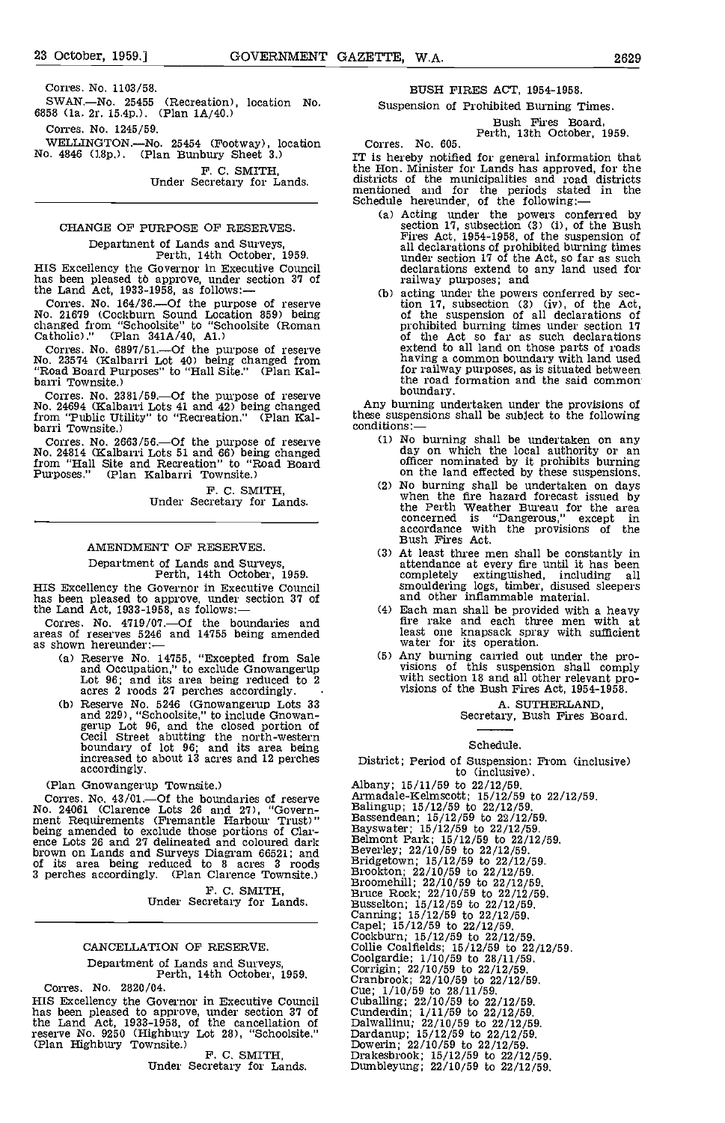Cones. No. 1103/58.

SWAN.-No. 25455 (Recreation), location No. 6858 Cia. 2r. l5.4p.). (Plan 1A/40.)

Corres. No. 1245/59.

F. C. SMITH, Under Secretary for Lands.

# CHANGE OF PURPOSE OF RESERVES.

Department of Lands and Surveys,<br>Perth, 14th October, 1959.<br>HIS Excellency the Governor in Executive Council HIS Excellency the Governor in Executive Council<br>has been pleased to approve, under section 37 of the Land Act,  $1933-1958$ , as follows: $-$ 

Corres. No. 164/36.-Of the purpose of reserve No. 21679 (Cockburn Sound Location 859) being changed from "Schoolsite" to "Schoolsite (Roman Catholic)." (Plan 341A/40, Al.)

Corres. No. 6897/51.-Of the purpose of reserve No. 23574 (Kalbarri Lot 40) being changed from "Road Board Purposes" to "Hall Site." (Plan Kal-<br>barri Townsite.)

Corres. No. 2381/59.—Of the purpose of reserve<br>No. 24694 (Kalbarri Lots 41 and 42) being changed from "Public Utility" to "Recreation." (Plan Kal-<br>barri Townsite.) co

Corres. No. 2663/56.-Of the purpose of reserve No. 24814 (Kalbarri Lots 51 and 66) being changed from "Hall Site and Recreation" to "Road Board Purposes." (Plan Kalbarri Townsite.)

> F. C. SMITH Under Secretary for Lands.

# AMENDMENT OF RESERVES.

Department of Lands and Surveys,<br>Perth, 14th October, 1959.<br>HIS Excellency the Governor in Executive Council HIS Excellency the Governor in Executive Council<br>has been pleased to approve, under section 37 of<br>the Land Act, 1933-1958, as follows:—

Corres. No. 4719/07.-Of the boundaries and areas of reserves 5246 and 14755 being amended as shown hereunder:-

- and Occupation," to exclude Gnowangerup Lot 96; and its area being reduced to 2 acres 2 roods 27 perches accordingly.
- (b) Reserve No. 5246 (Gnowangerup Lots 33 and 229), "Schoolsite," to include Gnowanand 229), "Schoolsite," to include Gnowan-<br>gerup Lot 96, and the closed portion of<br>Cecil Street abutting the north-western<br>boundary of lot 96; and its area being increased to about 13 acres and 12 perches accordingly.

(Plan Gnowangerup Townsite.)

Corres. No. 43/01.—Of the boundaries of reserve No. 24061 (Clarence Lots 26 and 27), "Government Requirements (Fremantle Harbour Trust)" heing amended to exclude those portions of Clarence Lots 26 and 27 delineated and coloured dark brown on Lands and Surveys Diagram 66521; and Bever.<br>
of its area being reduced to 8 acres 3 roods Bridge<br>
3 perches accordingly. (Plan Clarence Townsite.) Brook

F. C. SMITH, Under Secretary for Lands,

#### CANCELLATION OF RESERVE.

Department of Lands and Surveys, Perth, 14th October, 1959.

Corres. No. 2820/04.<br>HIS Excellency the Governor in Executive Council HIS Excellency the Governor in Executive Council has been pleased to approve, under section 37 of the Land Act, 1933-1958, of the cancellation of reserve No. 9250 (Highbury Lot 28), "Schoolsite." (Plan Highbury Townsite.)<br>F. C. SMITH,<br>Under Secretary for Lands.

BUSH FIRES ACT, 1954-1958.

Suspension of Prohibited Burning Times.

Bush Fires Board, Perth, 13th October, 1959.

Corres. No. 605.

WELLINGTON.—No. 25454 (Footway), location Corres. No. 605.<br>No. 4846 (18p.). (Plan Bunbury Sheet 3.) IT is hereby notified for general information that<br>F. C. SMITH. the Hon. Minister for Lands has approved, for the IT is hereby notified for general information that districts of the municipalities and road districts mentioned and for the periods stated in the Schedule hereunder, of the following:—<br>
(a) Acting under the powers conferred by section 17, subsection (3) (i), of the Bush Fi

- section 17, subsection (3) (i), of the Bush Fires Act, 1954-1958, of the suspension of all declarations of prohibited burning times under section 17 of the Act, so far as such declarations extend to any land used for railway purposes; and
- acting under the powers conferred by sec-tion 17, subsection (3) (iv), of the Act, of the suspension of all declarations of prohibited burning times under section 17 of the Act so far as such declarations of the Act so far as such declarations extend to all land on those parts of roads having a common boundary with land used<br>for railway purposes, as is situated between<br>the road formation and the said common boundary,

Any burning undertaken under the provisions of these suspensions shall be subject to the following conditions:—

- No burning shall be undertaken on any day on which the local authority or an officer nominated by it prohibits burning
- on the land effected by these suspensions, No burning shall be undertaken on days when the fire hazard forecast issued by the Perth Weather Bureau for the area concerned is "Dangerous," except in accordance with the provisions of the Bush Fires Act.
- At least three men shall be constantly in attendance at every fire until it has been completely extinguished, including all smouldering logs, timber, disused sleepers and other inflammable material.
- Each man shall be provided with a heavy fire rake and each three men with at
- (a) Reserve No. 14755, "Excepted from Sale (5) Any burning carried out under the proheast one knapsack spray with sufficient<br>water for its operation.<br>Any burning carried out under the pro-<br>visions of this suspension shall comply<br>with section 18 and all other relevant pro-<br>visions of the Bush Fires Act, 19

A. SUTHERLAND, Secretary, Bush Fires Board.

# Schedule.

District; Period of Suspension: From (inclusive)

to (inclusive). Albany; 15/11/59 to 22/12/59.<br>Armadale-Kelmscott; 15/12/59 to 22/12/59.<br>Balingup; 15/12/59 to 22/12/59.<br>Bassendean; 15/12/59 to 22/12/59.<br>Bassendean; 15/12/59 to 22/12/59.<br>Bayswater; 15/12/59 to 22/12/59.<br>Belmont Park; 15/ Collie Coalfields; 15/12/59 to 22/12/59.<br>Coolgardie; 1/10/59 to 28/11/59.<br>Corrigin; 22/10/59 to 22/12/59.<br>Cranbrook; 22/10/59 to 22/12/59.<br>Cue; 1/10/59 to 28/11/59. Cuballing;  $22/10/59$  to  $22/12/59$ .<br>Cunderdin;  $1/11/59$  to  $22/12/59$ .<br>Dalwallinu;  $22/10/59$  to  $22/12/59$ .<br>Dardanup;  $15/12/59$  to  $22/12/59$ .<br>Dowerin;  $22/10/59$  to  $22/12/59$ .<br>Drakesbrook;  $15/12/59$  to  $22/12/59$ .<br>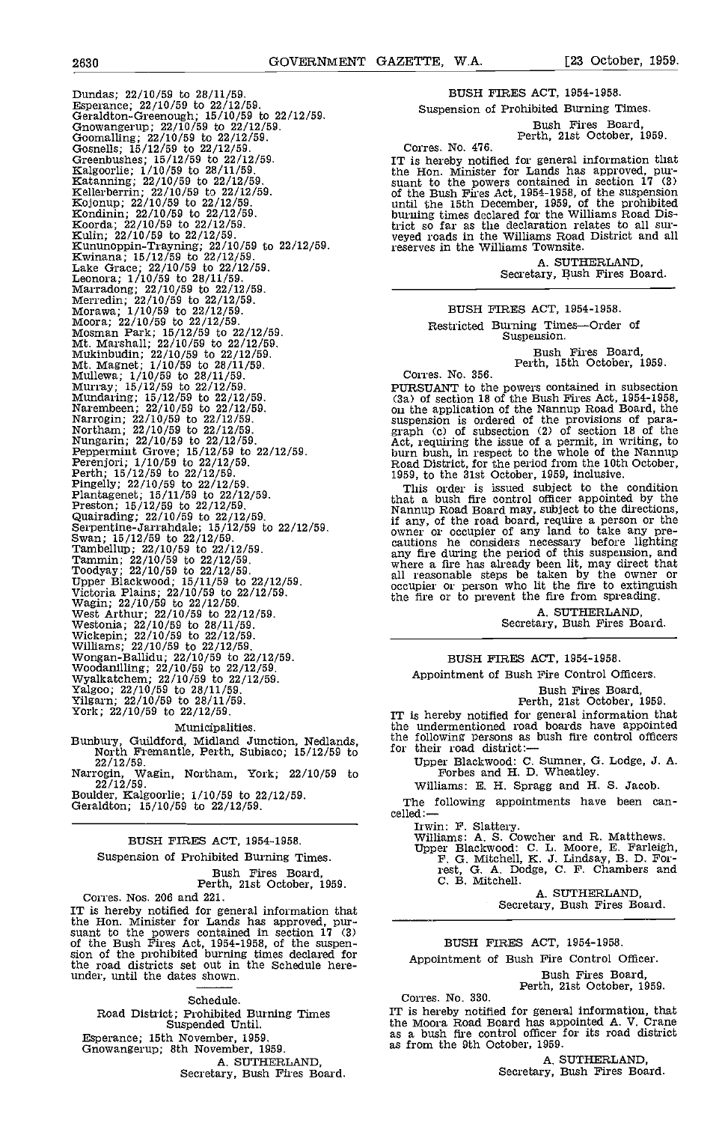Dundas; 22/10/59 to 28/11/59 to 22/12<br>
Esperance; 22/10/59 to 22/12/59.<br>
Genealton-Greenough; 15/10/59 to 22/12/59.<br>
Genealton-Greenough; 15/10/59 to 22/12/59.<br>
Genomaling; 22/10/59 to 22/12/59.<br>
Genomaling; 22/10/59 to 22

### Municipalities.

Bunbury, Guildford, Midland Junction, Nedlands, North Fremantle, Perth, Subiaco; 15/12/59 to

22/12/59. Narrogin, Wagin, Northam, York; 22/10/59 to

22/12/59. Boulder, Kalgoorlie; 1/10/59 to 22/12/59. Geraldton; 15/10/59 to 22/12/59.

# BUSH FIRES ACT, 1954-1958,

Suspension of Prohibited Burning Times.

Bush Fires Board, Perth, 21st October, 1959.

Corres. Nos. 206 and 221.<br>IT is hereby notified for general information that IT is hereby notified for general information that<br>the Hon. Minister for Lands has approved, pur-<br>suant to the powers contained in section  $17$  (3)<br>of the Bush Fires Act, 1954-1958, of the suspen-<br>sion of the prohibited b the road districts set out in the Schedule hereunder, until the dates shown.

#### Schedule.

Road District; Prohibited Burning Times Suspended Until. Esperance; 15th November, 1959. Gnowangerup; 8th November, 1959. Secretary, Bush Fires Board. BUSH FIRES ACT, 1954-1958.

Suspension of Prohibited Burning Times.

Bush Fires Board, Perth, 21st October, 1959.

Corres. No. 476.

IT is hereby notified for general information that<br>the Hon. Minister for Lands has approved, pur-<br>suant to the powers contained in section  $17$  (3)<br>of the Bush Fires Act,  $1954-1958$ , of the suspension<br>until the 15th Dece veyed roads in the Williams Road District and all reserves in the Williams Townsite.

A. SUTHERLAND, Secretary, Bush Fires Board.

#### BUSH FIRES ACT, 1954-1958.

Restricted Burning Times-Order of Suspension.

Bush Fires Board, Perth, 15th October, 1959.

Corres. No. 356.

PURSUANT to the powers contained in subsection (3a) of section 18 of the Bush Fires Act, 1954-1958, on the application of the Nannup Road Board, the Suspension is ordered of the provisions of paragraph (c) of subsection  $(2)$  of section 18 of the Act, requiring the issue of a permit, in writing, to burn bush, in respect to the whole of the Namnup Road District, for th

This order is issued subject to the condition that a bush fire control officer appointed by the Nannup Road Board may, subject to the directions, if any, of the road board, require a person or the owner or occupier of any land to take any precautions he considers nece any fire during the period of this suspension, and where a fire has already been lit, may direct that all reasonable steps be taken by the owner or occupier or person who lit the fire to extinguish the fire or to prevent the fire from spreading,

A. SUTHERLAND, Secretary, Bush Fires Board.

### BUSH FIRES ACT, 1954-1958.

Appointment of Bush Fire Control Officers.

# Bush Fires Board, Perth, 21st October, 1959.

IT is hereby notified for general information that the undermentioned road boards have appointed

the following persons as bush fire control officers for their road district:

Upper Blackwood: C. Sumner, G. Lodge, J. A. Forbes and H. D. Wheatley.<br>Williams: E. H. Spragg and H. S. Jacob.

The following appointments have been can-<br>celled:-

Irwin: F. Slattery. Williams: A. S. Cowcher and R. Matthews.

Upper Blackwood: C. L. Moore, E, Farleigh, F. G. Mitchell, K. 3. Lindsay, B. D. For- rest, G. A. Dodge, C. F. Chambers and C. B. Mitchell.

A. SUTHERLAND, Secretary, Bush Fires Board.

#### BUSH FIRES ACT, 1954-1958.

### Appointment of Bush Fire Control Officer.

Bush Fires Board, Perth, 21st October, 1959.

Corres. No. 330. IT is hereby notified for general information, that the Moora Road Board has appointed A. V. Crane as a bush fire control officer for its road district as from the 9th October, 1959.

A. SUTHERLAND,<br>Secretary, Bush Fires Board.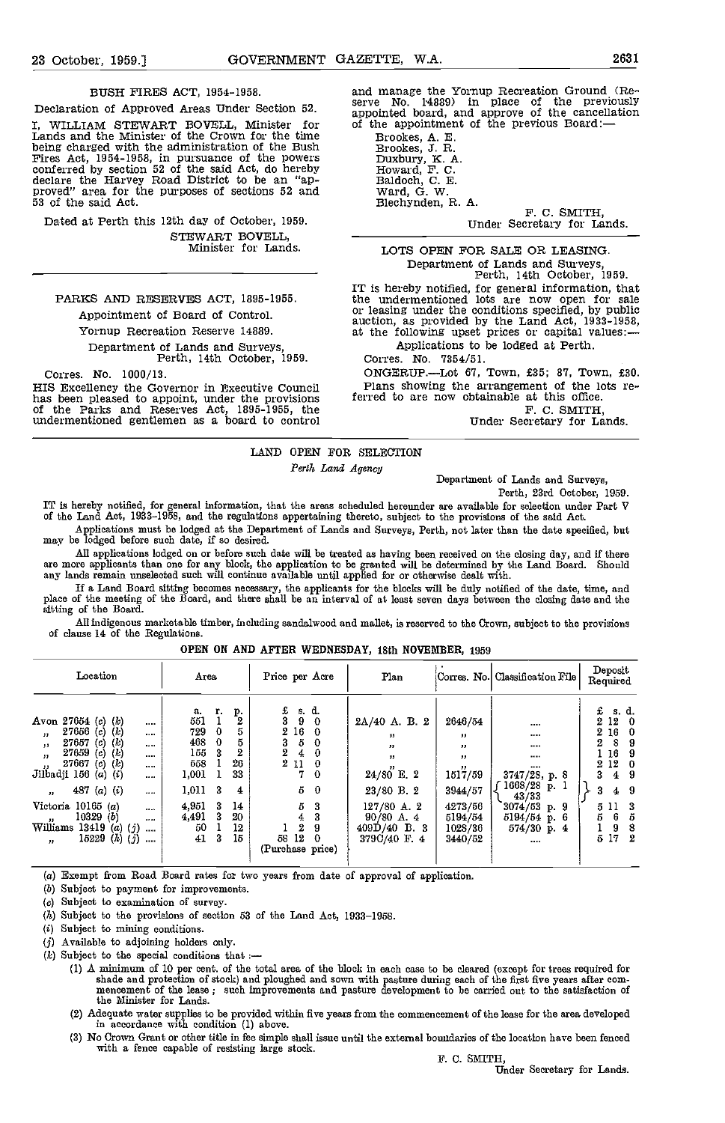#### BUSH FIRES ACT, 1954-1958.

Declaration of Approved Areas Under Section 52. I, WILLIAM STEWART BOVELL, Minister for Lands and the Minister of the Crown for the time Lands and the Minister of the Crown for the time<br>
being charged with the administration of the Bush<br>
Fries Act, 1954-1958, in pursuance of the powers<br>
Duxbury, K. A.<br>
conferred by section 52 of the said Act, do hereby<br>
Ho 53 of the said Act.

Dated at Perth this 12th day of October, 1959. STEWART BOVELL, Minister for Lands.

## PARKS AND RESERVES ACT, 1895-1955. Appointment of Board of Control

Yornup Recreation Reserve 14889.

# Department of Lands and Surveys, Perth, 14th October, 1959.

Corres. No. 1000/13.<br>HIS Excellency the Governor in Executive Council has been pleased to appoint, under the provisions of the Parks and Reserves Act, 1895-1955, the undermentioned gentlemen as a board to control and manage the Yornup Recreation Ground (Reserve No. 14889) in place of the previously appointed board, and approve of the cancellation of the appointment of the previous Board:—

Brookes, J. R. A.<br>Broward, F. C.<br>Baldoch, C. E.<br>Ward, G. W.<br>Blechynden, R. A. F. C. SMITH, Under Secretary for Lands.

LOTS OPEN FOR SALE OR LEASING Department of Lands and Surveys, Perth, 14th October, 1959.

IT is hereby notified, for general information, that<br>the undermentioned lots are now open for sale<br>or leasing under the conditions specified, by public<br>auction, as provided by the Land Act, 1933-1958,<br>at the following upse

Applications to be lodged at Perth.

Corres. No. 7354/51.

ONGEROP.Lot 67, Town, £35; 87, Town, £30. Plans showing the arrangement of the lots referred to are now obtainable at this office.<br>F. C. SMITH,

Under Secretary for Lands.

#### LAND OPEN FOR SELECTION

Perth Land Agency

Department of Lands and Surveys,

Perth, 23rd October, 1959.

IT is hereby notified, for general information, that the areas scheduled hereunder are available for selection under Part V<br>of the Land Act, 1933–1958, and the regulations appertaining thereto, subject to the provisions of

Applications must be lodged at the Department of Lands and Surveys, Perth, not later than the date specified, but may be lodged before such date, if so desired.

All applications lodged on or before such date will be treated as having been received on the closing day, and if there<br>are more applicants than one for any block, the application to be granted will be determined by the La

If a Land Board sitting becomes necessary, the applicants for the blocks will be duly notified of the date, time, and<br>place of the meeting of the Board, and there shall be an interval of at least seven days between the clo sitting of the Board.

All indigenous marketable timber, including sandalwood and malleb, is reserved to the Crown, subject to the provisions of clause 14 of the Regulations.

| Location                                                                                                                                                                                                                                                                     | Агеа                                                                                                                   | Price per Acre                                                                                                    | Plan                                                                             |                                                                 | Corres. No.  Classification File                              | Deposit<br>Required                                                                                              |
|------------------------------------------------------------------------------------------------------------------------------------------------------------------------------------------------------------------------------------------------------------------------------|------------------------------------------------------------------------------------------------------------------------|-------------------------------------------------------------------------------------------------------------------|----------------------------------------------------------------------------------|-----------------------------------------------------------------|---------------------------------------------------------------|------------------------------------------------------------------------------------------------------------------|
| Avon 27654 (c) $(k)$<br><br>27656(c) (k)<br>$\mathbf{r}$<br>1.11<br>$27657$ (c) (k)<br>$\mathbf{H}$<br>1.11<br>27659<br>$(c)$ $(k)$<br>$\overline{\mathbf{u}}$<br>$\cdots$<br>$27667$ (c) (k)<br>Jilbadji 156 (a) (i)<br><br><br>487 $(a)$ $(i)$<br>$\cdots$<br>$\mathbf{v}$ | р.<br>г.<br>а.<br>551<br>5<br>729<br>0<br>468<br>5<br>$\bf{0}$<br>155<br>3<br>26<br>558<br>33<br>1,001<br>1,011 3<br>4 | £<br>s d.<br>3<br>9<br>- 0<br>$2\,16$<br>$5^{\circ}$<br>0<br>3<br>2<br>0<br>4<br>21<br>$\bf{0}$<br>7.<br>-0<br>50 | $2A/40$ A. B. 2<br>,,<br>,,<br>$\mathbf{H}$<br>$24/80^{''}$ E. $2$<br>23/80 B. 2 | 2646/54<br>,,<br>,,<br>$\mathbf{H}$<br>,,<br>1517/59<br>3944/57 | <br><br><br><br><br>3747/28, p. 8<br>$1668/28$ p.<br>43/33    | £<br>s. d.<br>12<br>2.<br>16<br>2.<br>8<br>2<br>9<br>-16<br>9<br>2 12<br>9<br>3<br>$\overline{4}$<br>9<br>3<br>4 |
| Victoria 10165 (a)<br>$\cdots$<br>10329(b)<br>$\text{Williams}$<br><br>13419 (a) $(j)$<br>$\cdots$<br>15229 $(h)$ $(j)$<br>$\cdots$<br>,,                                                                                                                                    | 4,951<br>14<br>- 3<br>4,491<br>20<br>- 3<br>50<br>12<br>41<br>15<br>-3                                                 | 5<br>3<br>3<br>4<br>$\mathbf{2}$<br>9<br>$12^{\circ}$<br>58<br>0<br>(Purchase price)                              | $127/80$ A. 2<br>$90/80$ A, 4<br>$409D/40$ B. 3<br>379C/40 F. 4                  | 4273/56<br>5194/54<br>1028/36<br>3440/52                        | $3074/53$ p. 9<br>$5194/54$ p. 6<br>$574/30$ p. 4<br>$\cdots$ | 5 11 3<br>5<br>5<br>6<br>8<br>9<br>17<br>2<br>5                                                                  |

#### OPEN ON AND AFTER WEDNESDAY, 18th NOVEMBER, 1959

(a) Exempt from Road Board rates for two years from date of approval of application.

(b) Subject to payment for improvements.

(e) Subject to examination of survey.

 $(h)$  Subject to the provisions of section 53 of the Land Act, 1933-1958.

(i) Subject to mining conditions.

(3) Available to adjoining holders only.

 $(k)$  Subject to the special conditions that :-

A minimum of 10 per cent, of the total area of the block in each case to be cleared (except for treee required for shade and protection of stock) and ploughed and sown with pasture during each of the first five years after com-<br>mencement of the lease ; such improvements and pasture development to be carried out to the satisfaction of the Minister for Lands.

Adequate water supplies to be provided within five years from the commencement of the lease for the area developed in accordance with condition (1) above.

No Crown Grant or other title in fee simple shall issue until the external bomidaries of the location have been fenced with a fence capable of resisting large stock. F. C. SWTH, Under Secretary for Lands.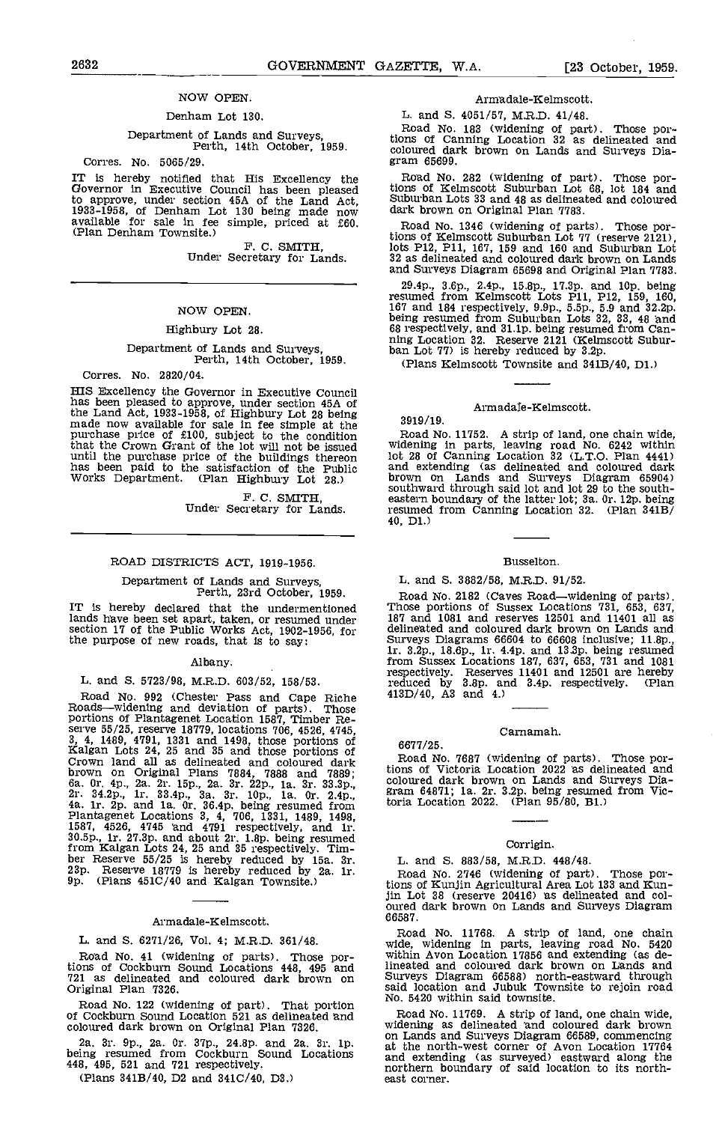# NOW OPEN.

### Denham Lot 130.

# Department of Lands and Surveys, Perth, 14th October, 1959.

Corres. No. 5085/29.

IT is hereby notified that His Excellency the Governor in Executive Council has been pleased to approve, under section 45A of the Land Act, Suburban I<br>1933-1958, of Denham Lot 130 being made now dark brown available for sale in fee simple, priced at  $f(0)$ .<br>(Plan Denham Townsite.)

F. C. SMITH, Under Secretary for Lands.

#### NOW OPEN.

#### Highbury Lot 28.

# Department of Lands and Surveys, Perth, 14th October, 1959.

Corres. No. 2820/04.

HIS Excellency the Governor in Executive Council has been pleased to approve, under section 45A of the Land Act, 1933-1958, of Highbury Lot 28 being<br>made now available for sale in fee simple at the<br>purchase price of £100, subject to the condition Road that the Crown Grant of the lot will not be issued until the purchase price of the buildings thereon has been paid to the satisfaction of the Public Works Department. (Plan Highbury Lot 28,)

F. C. SMITH,<br>Under Secretary for Lands.

#### ROAD DISTRICTS ACT, 1919-1956.

# Department of Lands and Surveys, Perth, 23rd October, 1959.

lands have been set apart, taken, or resumed under 18<br>section 17 of the Public Works Act, 1902-1956, for de the purpose of new roads, that is to say:

#### Albany.

L. and S. 5723/98, M.R.D. 603/52, 158/53.<br>Road No. 992 (Chester Pass and Cape Riche<br>cads—widentne and deviation of parts). Those Road No. 992 (Chester Pass and Cape Riche  $413D/4$ <br>Roads—widening and deviation of parts). Those<br>portions of Plantagenet Location 1587, Timber Re-<br>serve 55/25, reserve 18779, locations 706, 4526, 4745,<br>3, 4, 1489, 4791, 1 brown on Original Plans 7884, 7888 and 7889; tions of Vict 6a. 0r. 4p., 2a. 2r. 15p., 2a. 3r. 22p., 1a. 3r. 33.3p., coloured dar 2r. 34.2p., 1r. 33.4p., 3a. 3r. 10p., 1a. 0r. 2.4p., 4a. 1r. 2p. and 1a. 0r. 36.4p. being res Plantagenet Locations 3, 4, 706, 1331, 1489, 1498, 1587, 4526, 4745 'and 4791 respectively, and ir. 30.5p., ir. 27.3p. and about 2r. l.8p. being resumed from Kalgan Lots 24, 25 and 35 respectively. Tim-<br>ber Reserve 55/25 is hereby reduced by 15a. 3r.<br>23p. Reserve 18779 is hereby reduced by 2a. 1r.<br>9p. (Plans 451C/40 and Kalgan Townsite.) ti

#### Armadale-Kelmscott.

L. and 5. 6271/26, Vol. 4; M.R.D. 361/48.

Road No. 41 (widening of parts). Those portions of Cockburn Sound Locations 448, 495 and 721 as delineated and coloured dark brown on Original Plan 7326.

Road No. 122 (widening of part). That portion<br>of Cockburn Sound Location 521 as delineated and Roa coloured dark brown on Original Plan 7326.

2a. 3r. 9p., 2a. Or. 37p., 24.8p. and 2a. 3r. 1p. being resumed from Cockburn Sound Locations 448, 495, 521 and 721 respectively.

(Plans 3413/40, D2 and 341C/40, D3.)

#### Armadale-Kelmscott.

L. and S. 4051/57, M.R.D. 41/48.

Road No. 183 (widening of part). Those por- tions of Canning Location 32 as delineated and coloured dark brown on Lands and Surveys Dia- gram 65699.

Road No. 282 (widening of part). Those portions of Kelmscott Suburban Lot 68, lot 184 and Suburban Lots 33 and 48 as delineated and coloured dark brown on Original Plan 7783.

Road No. 1346 (widening of parts). Those portions of Kelmscott Suburban Lot 77 (reserve 2121), lots P12, P11, 167, 159 and 160 and Suburban Lot 32 as delineated and coloured dark brown on Lands and Surveys Diagram 65698 and Original Plan 7783.

29.4p., 3.6p., 2.4p., 15.8p., 17.3p. and lop, being resumed from Kelmscott Lots P11, P12, 159, 160,<br>167 and 184 respectively, 9.9p., 5.5p., 5.9 and 32.2p.<br>being resumed from Suburban Lots 32, 33, 48 and 68 respectively, and 31.lp. being resumed from Can- ning Location 32. Reserve 2121 (Kelmscott Subur- ban Lot 77) is hereby reduced by 3,2p.

(Plans Kelmscott Townsite and 3413/40, Di,)

#### Armadale-Kelmscott.

3919/ 19.

6677/25,

Road No. 11752. A strip of land, one chain wide, widening in parts, leaving road No. 6242 within lot 28 of Canning Location 32 (L.T.O. Plan  $4441$ )<br>and extending (as delineated and coloured dark<br>brown on Lands and Surveys Diagram  $65904$ )<br>southward through said lot and lot 29 to the south-<br>eastern boundary of the lat resumed from Canning Location 32. (Plan 341B)<br>40, D1.)

#### Busselton.

## L. and S. 3882/58, M.R.D. 91/52.

Perth, 23rd October, 1959. Road No. 2182 (Caves Road—widening of parts).<br>IT is hereby declared that the undermentioned Those portions of Sussex Locations 731, 653, 637, Road No. 2182 (Caves Roadwidening of parts). Those portions of Sussex Locations 731, 653, 637, 187 and 1081 and reserves 12501 and 11401 all as delineated and coloured dark brown on Lands and Surveys Diagrams 66604 to 66608 inclusive; 11.8p., Surveys Diagrams 66604 to 68608 inclusive; 11.8p., lr. 3.2p., 18.6p., ir. 4.4p. and 13,3p, being resumed from Sussex Locations 187, 637, 653, 731 and 1081 respectively. Reserves 11401 and 12501 are hereby reduced by 3.8p. and 3.4p. respectively. (Plan 413D/40, A3 and 4)

#### Carnamah.

Road No 7687 (widening of parts). Those por-tions of Victoria Location 2022 as delineated and coloured dark brown on Lands and Surveys Dia- gram 64871; Ia. 2r. 3.2p. being resumed from Victoria Location 2022. (Plan 95/80, B1.)

#### Corrigin.

L. and S. 883/58, M.R.D. 448/48. Road No. 2746 (widening of part). tions of icunjin Agricultural Area Lot 133 and Run-jin Lot 38 (reserve 20416) as delineated and col- oured dark brown on Lands and Surveys Diagram 66587.

Road No. 11768. A strip of land, one chain wide, widening in parts, leaving road No. 5420 within Avon Location 17856 and extending (as delineated and coloured dark brown on Lands and Surveys Diagram 66588) north-eastward through said location and Jubuk Townsite to rejoin road No, 5420 within said townsite.

Road No. 11769. A strip of land, one chain wide, widening as delineated 'and coloured dark brown on Lands and Surveys Diagram 66589, commencing at the north-west corner of Avon Location 17764 and extending (as surveyed) eastward along the northern boundary of said location to its north- east corner.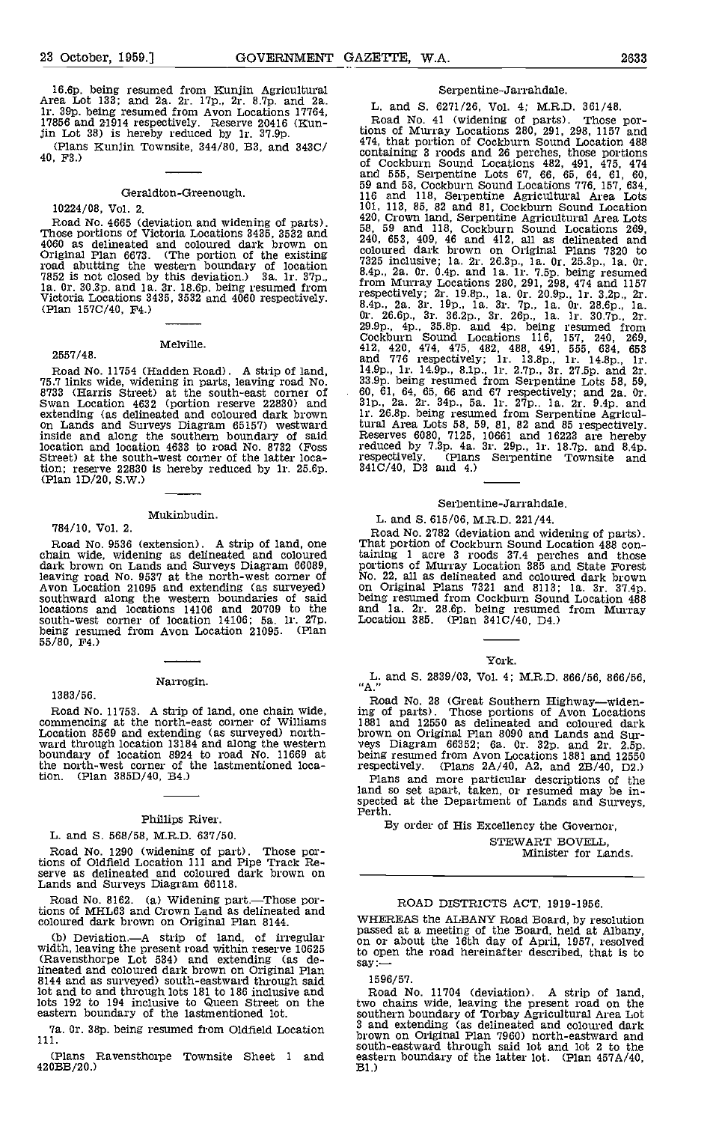16.6p. being resumed from Kunjin Agricultural Area Lot 133; and 2a. 2r. lip., 2r. 8.7p. and 2g. 1r. 39p. being resumed from Avon Locations 17764,<br>17856 and 21914 respectively. Reserve 20416 (Kun-17856 and 21914 respectively. Reserve 20416 (Kun-<br>jin Lot 38) is hereby reduced by 1r. 37.9p.

#### Geraldton-Greenough.

10224/08, Vol. 2.

2557/48.

Road No. 4665 (deviation and widening of parts).  $\begin{array}{r} 420, C1$ <br>Those portions of Victoria Locations 3435, 3532 and  $\begin{array}{r} 58,59 \ 6,60 \end{array}$ <br>4060 as delineated and coloured dark brown on  $\begin{array}{r} 240,60 \ \text{mod} \, 1000 \end$ Original Plan 6673. (The portion of the existing colour road abutting the western boundary of location a  $\frac{235}{84}$ 7852 is not closed by this deviation.) 3a. 1r. 37p., 8.4p., 2a. 0r.<br>1a. 0r. 30.3p. and 1a. 3r. 18.6p. being resumed from from thurraly Victoria Locations 3435, 3532 and 4060 respectively. (Plan 1570/40, F4.)

#### Melville.

Road No. 11754 (Hadden Road). A strip of land,  $14.9p.,$ <br>75.7 links wide, widening in parts, leaving road No.  $33.9p.$ <br>8733 (Harris Street) at the south-east corner of 60, 61<br>Swan Location 4632 (portion reserve 22830) and extending (as delineated and coloured dark brown 1r. 26<br>on Lands and Surveys Diagram 65157) westward tural inside and along the southern boundary of said Reserve location and location 4633 to road No. 8732 (Foss red<br>Street) at the south-west corner of the latter location; reserve 22830 is hereby reduced by 1r. 25.6p.  $341C/40$ , D3 and 4.)<br>(Plan 1D/20, S.W.)

# 784/10, Vol. 2.

# Mukinbudin.

dark brown on Lands and Surveys Diagram 66089, leaving road No. 9537 at the north-west corner of  $\,$ No. 22<br>Avon Location 21095 and extending (as surveyed) son Or southward along the western boundaries of said being i locations and locations 14106 and 20709 to the and south-west corner of location 14106; 5a. 1r. 27p. Locat<br>being resumed from Avon Location 21095. (Plan 55/80, F4.)

#### 1383/56.

#### Narrogin.

Road No. 11753. A strip of land, one chain wide, ing of commencing at the north-east corner of Williams 1881<br>Location 8569 and extending (as surveyed) north-<br>ward through location 13184 and along the western veys<br>boundary the north-west corner of the lastmentioned loca-tion. (Plan 385D/40, 34.)

#### Phillips River.

#### L. and 5. 568/58, M.R.D. 637/50.

Road No. 1290 (widening of part). Those portions of Oldfield Location 111 and Pipe Track Re- serve as delineated and coloured dark brown on Lands and Surveys Diagram 66118.

Road No. 8162. (a) Widening part.-Those portions of MHTL63 and Crown Land as delineated and coloured dark brown on Original Plan 8144,

(b) Deviation.—A strip of land, of irregular basse<br>width, leaving the present road within reserve 10625 to op (Ravensthorpe Lot 534) and extending (as de-lineated and coloured dark brown on Original Plan 8144 and as surveyed) south-eastward through said lot and to and through lots 181 to 186 inclusive and lots 192 to 194 inclusive to Queen Street on the eastern boundary of the lastmentioned lot.

7a. Or. 38p. being resumed from Oldfield Location 111.

(Plans Ravensthorpe Townsite Sheet I and 42033/20.)

### Serpentine-Jarrandale.

## L. and S. 6271/26, Vol. 4; M.RD. 361/48.

(Plans Kunjin Townsite,  $344/80$ , B3, and  $343C/$  474, that portion of Cockburn Sound Location 488 (Plans Kunjin Townsite,  $344/80$ , B3, and  $343C/$  containing 3 roods and 26 perches, those portions Road No. 41 (widening of parts). Those portions of Murray Locations 280, 291, 298, 1157 and 474, that portion of Cockburn Sound Location 488 containing 3 roods and 26 perches, those portions of Cockburn Sound Locations 482, 491, 475, 474 and 555, Serpentine Lots 67, 66, 65, 64, 61, 60, 59 and 58, Cockburn Sound Locations 776, 157, 634, 116 and 118, Serpentine Agricultural Area Lots 101, 113, 85, 82 and 81, Cockburn Sound Location 420, Crown land, Serpentine Agricultural Area Lots 58, 59 and 118, Cockburn Sound Locations 269, 240, 653, 409, 46 and 412, all as delineated and coloured dark brown on Original Plans 7320 to 7325 inclusive; la. 2r. 26.3p., Ia. Or. 25.3p., la. Or. 8.4p., 2g. Or. O.4p. and Ia. ir. Isp. being resumed from Murray Locations 280, 291, 298, 474 and 1157 respectively; 2r. 19.8p., la. Or. 2O.9p., lr. 3.2p., 2r. 8.4p., 2a. 3r. l9p., la. Sr. 7p., la. Or. 28.6p., la. Or. 26.6p., 3r. 36.2p., Sr. 26p., la. lr. 30.7p., 2r. 29.9p., 4p., 35.8p. and 4p. being resumed from Cockburn Sound Locations 116, 157, 240, 269, 412, 420, 474, 475, 482, 488, 491, 555, 634, 653 and 776 respectively; Ir. 13.8p., lr. l4.8p., lr. 14.9p., 1r. 14.9p., 8.1p., 1r. 2.7p., 3r. 27.5p. and 2r.<br>33.9p. being resumed from Serpentine Lots 58, 59, 60, 61, 64, 65, 66 and 67 respectively; and 2a. 0r.<br>31p., 2a. 2r. 34p., 5a. 1r. 27p.. 1a. 2r. 9.4p. and<br>1r. 26.8p. tural Area Lots 58, 59, 81, 82 and 85 respectively. Reserves 6080, 7125, 10661 and 16223 are hereby reduced by 7.3p. 4a.  $3r$ . 29p., 1r. 18.7p. and 8.4p. respectively. (Plans Serpentine Townsite and  $341C/40$ , D3 and 4.)

#### Serpentine-Jarrandale.

#### L. and 5. 615/06, M.R.D. 221/44.

Road No. 2782 (deviation and widening of parts).<br>Road No. 9536 (extension). A strip of land, one chain wide, widening as delineated and coloured chain wide, widening as delineated and coloured daining 1 acre 3 roods 37.4 p Road No. 2782 (deviation and widening of parts). That portion of Cockburn Sound Location 488 containing 1 acre 3 roods 37.4 perches and those<br>portions of Murray Location 385 and State Forest<br>No. 22, all as delineated and coloured dark brown<br>on Original Plans 7321 and 8113; 1a. 3r. 37.4p.<br>on Original Plans 7321 and 8

#### York.

L. and 5. 2839/03, Vol. 4; M.R.D. 866/56, 866/56, "A."

Road No. 28 (Great Southern Highway—widen-<br>ing of parts). Those portions of Avon Locations<br>1881 and 12550 as delineated and coloured dark veys Diagram 66352; 6a. 0r. 32p. and 2r. 2.5p.<br>being resumed from Avon Locations 1881 and 12550<br>respectively. (Plans 2A/40, A2, and 2B/40, D2.)

respectively. (Plans 2A/40, A2, and 23/40, D2.) Plans and more particular descriptions of the land so set apart, taken, or resumed may be in-spected at the Department of Lands and Surveys, Perth.

By order of His Excellency the Governor, STEWART BOVELL Minister for Lands.

#### ROAD DISTRICTS ACT, 1919-1956.

WHEREAS the ALBANY Road Board, by resolution passed at a meeting of the Board, held at Albany, on or about the 16th day of April, 1957, resolved to open the road hereinafter described, that is to say:—

1596/57.

Road No. 11704 (deviation). A strip of land, two chains wide, leaving the present road on the southern boundary of Torbay Agricultural Area Lot 3 and extending (as delineated and coloured dark brown on Original Plan 7960) north-eastward and south-eastward through said 1t and lot 2 to the eastern boundary of the latter lot. (Plan 457A/40,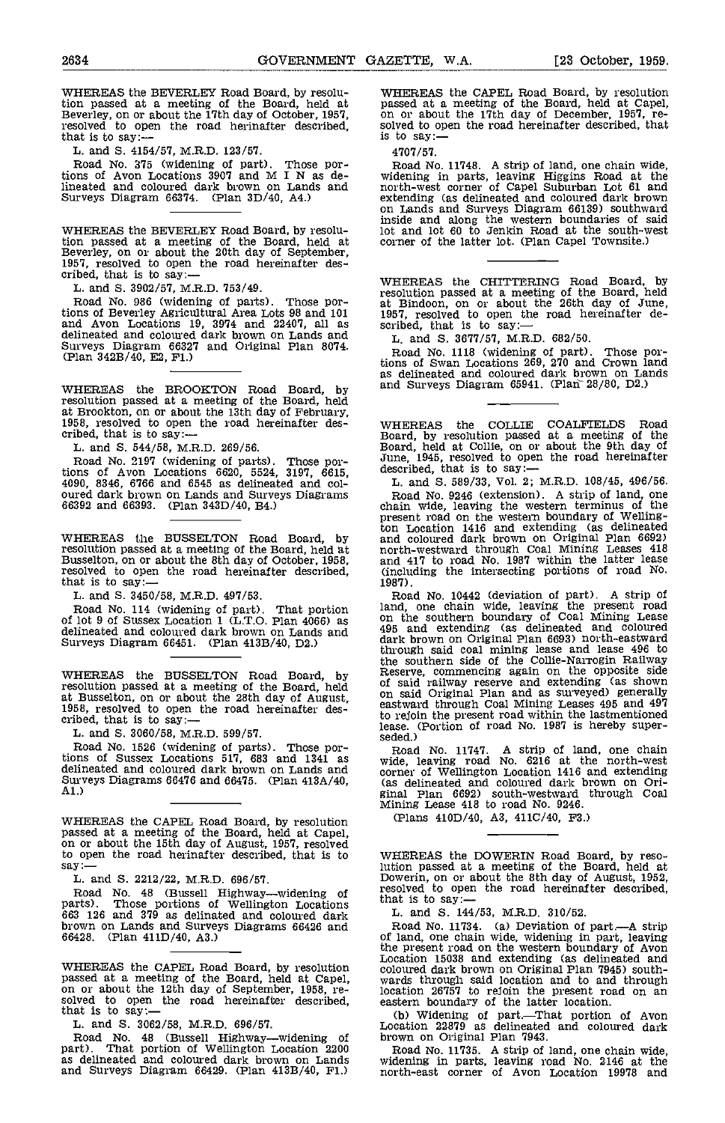WHEREAS the BEVERLEY Road Board, by resolution passed at a meeting of the Board, held at passed at Beverley, on or about the 17th day of October, 1957, on or about resolved to open the road herinafter described, solved to othat is to say:— is to say:—

L. and S. 4154/57, M.R.D. 123/57.

Road No. 375 (widening of part). Those por-tions of Avon Locations 3907 and M I N as delineated and coloured dark brown on Lands and morth-Surveys Diagram 66374. (Plan 3D/40, A4.)

WHEREAS the BEVERLEY Road Board, by resolution passed at a meeting of the Board, held at Beverley, on or about the 20th day of September, 1957, resolved to open the road hereinafter des-<br>cribed, that is to say:—

L. and S. 3902/57, M.R.D. 753/49.

Road No. 986 (widening of parts). Those por-tions of Beverley Agricultural Area Lots 98 and 101 and Avon Locations 19, 3974 and 22407, all as scribe<br>delineated and coloured dark brown on Lands and  $\frac{1}{1}$ Surveys Diagram 66327 and Original Plan 8074. (Plan 342B/40, E2, Fl.)

WHEREAS the BROOKTON Road Board, by and S resolution passed at a meeting of the Board, held at Brookton, on or about the 13th day of February, 1958, resolved to open the road hereinafter des-<br>cribed, that is to say:—

L. and S. 544/58, M.R.D. 269/56.

Road No. 2197 (widening of parts). Those portions of Avon Locations 6620, 5524, 3197, 6615, des<br>4090, 8346, 6766 and 6545 as delineated and col-<br>oured dark brown on Lands and Surveys Diagrams 66392 and 66393. (Plan 343D/40, B4.) cha

WHEREAS the BUSSELTON Road Board, by<br>resolution passed at a meeting of the Board, held at<br>Busselton, on or about the 8th day of October, 1958, resolved to open the road hereinafter described, (inclu<br>that is to say:— 1987).

L. and S. 3450/58, M.R.D. 497/53.

Road No. 114 (widening of part). That portion land, of lot 9 of Sussex Location 1 (L.T.O. Plan 4066) as on the delineated and coloured dark brown on Lands and 495 a Surveys Diagram 66451. (Plan 413B/40, D2.) dark is

WHEREAS the BUSSELTON Road Board, by Reserv resolution passed at a meeting of the Board, held of sai at Busselved to open the 28th day of August, 1958, resolved to open the road hereinafter des-<br>cribed, that is to say:—

L. and 5. 3060/58, M.R.D. 599/57.

Road No. 1526 (widening of parts), Those portions of Sussex Locations 517, 683 and 1341 as under<br>delineated and coloured dark brown on Lands and corner Surveys Diagrams 66476 and 66475. (Plan 413A/40, Al.)

WHEREAS the CAPET., Road Board, by resolution passed at a meeting of the Board, held at Capel, on or about the 15th day of August, 1957, resolved to open the road herinafter described, that is to say:<br>
L. and S. 2212/22, M.R.D. 696/57.<br>
Road No. 48 (Bussell Highway—widening of

Road No. 48 (Bussell Highway—widening of resolve parts). Those portions of Wellington Locations that is<br>663 126 and 379 as delinated and coloured dark  $\,$  L. a brown on Lands and Surveys Diagrams 66426 and 66428. (Plan 411D/40, A3.)

WHEREAS the CAPEL Road Board, by resolution colour passed at a meeting of the Board, held at Capel, wards on or about the 12th day of September, 1958, re-<br>on or about the 12th day of September, 1958, re- locati solved to open the road hereinafter described,<br>that is to say: —<br>L. and S. 3062/58, M.R.D. 696/57.

Road No. 48 (Bussell Highway-widening of br part). That portion of Wellington Location 2200 as delineated and coloured dark brown on Lands and Surveys Diagram 66429. (Plan 413B/40, Fl.)

WHEREAS the CAPEL Road Board, by resolution passed at a meeting of the Board, held at Capel, on or about the 17th day of December, 1957, resolved to open the road hereinafter described, that

4707/57.

Road No. 11748. A strip of land, one chain wide, widening in parts, leaving Higgins Road at the north-west corner of Capel Suburban Lot 61 and extending (as delineated and coloured dark brown on Lands and Surveys Diagram 66139) southward inside and along the western boundaries of said lot and lot 60 to Jenkin Road at the south-west corner of the latter lot. (Plan Capel Townsite.)

WHEREAS the CHITTERING Road Board, by resolution passed at a meeting of the Board, held<br>at Bindoon, on or about the 26th day of June,<br>1957, resolved to open the road hereinafter de-<br>scribed, that is to say: —<br>L, and S. 3677/57, M.R.D. 682/50.

Road No. 1118 (widening of part). Those por-tions of Swan Locations 269, 270 and Crown land as delineated and coloured dark brown on Lands and Surveys Diagram  $65941$ . (Plan  $28/80$ , D2.)

WHEREAS the COLLIE COALFIELDS Road<br>Board, by resolution passed at a meeting of the<br>Board, held at Collie, on or about the 9th day of<br>June, 1945, resolved to open the road hereinafter<br>described, that is to say:—<br>L. and S. 5

L. and S. 589/33, Vol. 2; M.R.D. 108/45, 496/56.<br>Road No. 9246 (extension). A strip of land, one chain wide, leaving the western terminus of the present road on the western boundary of Wellington Location 1416 and extending (as delineated and coloured dark brown on Original Plan 6692) north-westward through Coal Mining Leases 418 and 417 to road No. 1987 within the latter lease (including the intersecting portions of road No.

1987). Road No. 10442 (deviation of part). A strip of land, one chain wide, leaving the present road on the southern boundary of Coal Mining Lease 495 and extending (as delineated and coloured dark brown on Original Plan 6693) north-eastward through said coal mining lease and lease 496 to the southern side of the Collie-Narrogin Railway Reserve, commencing again on the opposite side of said railway reserve and extending (as shown on said Original Plan and as surveyed) generally eastward through Coal Mining Leases 495 and 497 to rejoin the present road within the lastmentioned lease. (Portion of road No. 1987 is hereby super- seded.)

Road No. 11747. A strip of land, one chain wide, leaving road No. 6216 at the north-west corner of Wellington Location 1416 and extending (as delineated and coloured dark brown on Orieinal Plan 6692) south-westward through Coal Mining Lease 418 to road No. 9246.

(Plans 410D/40, A3, 411C/40, F3.)

WHEREAS the DOWERIN Road Board, by reso-lution passed at a meeting of the Board, held at Hution passed at a meeting of at a meeting of the Board, held at Dowerin, on or about the 8th day of August, 1952, resolved to open the road hereinafter described, that is to say: —<br>L. and S. 144/53, M.R.D. 310/52.

Road No. 11734. (a) Deviation of part.—A strip of land, one chain wide, widening in part, leaving the present road on the western boundary of Avon Location 15038 and extending (as delineated and coloured dark brown on Original Plan 7945) south- wards through said location and to and through location 26757 to rejoin the present road on an

eastern boundary of the latter location.<br>
(b) Widening of part.—That portion of Avon<br>
Location 22879 as delineated and coloured dark<br>
brown on Original Plan 7943.

Road No. 11735. A strip of land, one chain wide, widening in parts, leaving road No. 2146 at the north-east corner of Avon Location 19978 and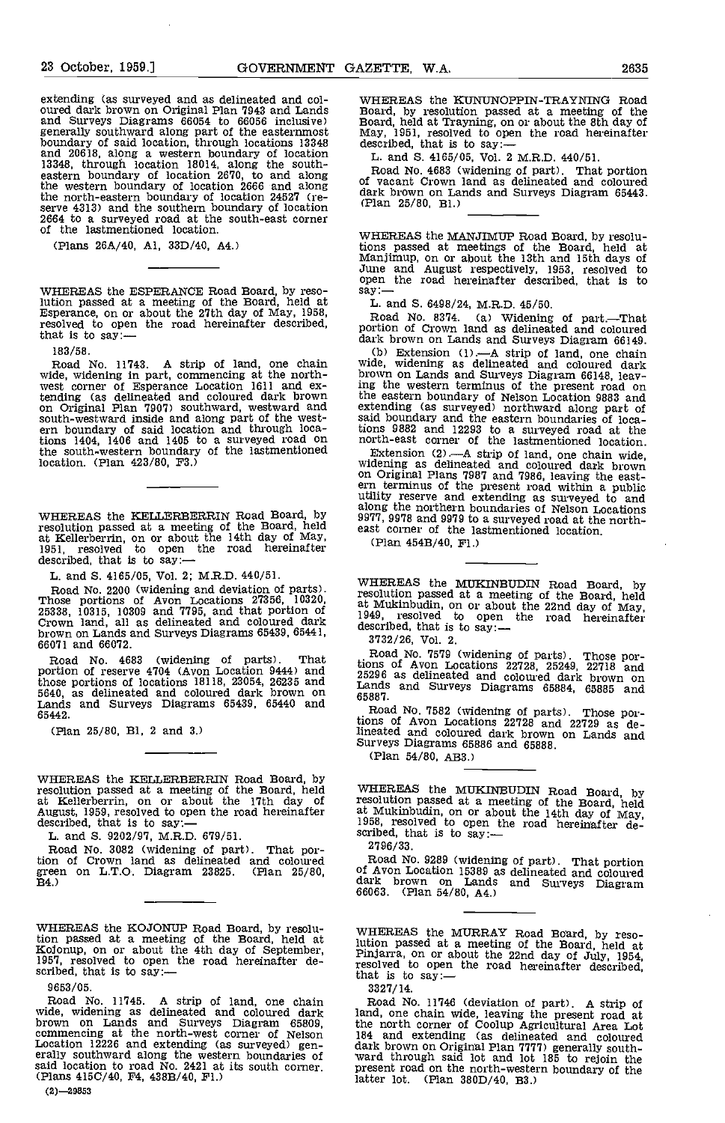extending (as surveyed and as delineated and col-<br>
oured dark brown on Original Plan 7943 and Lands<br>
Board Surveys Diagrams 66054 to 66056 inclusive) Board<br>
generally southward along part of the easternmost May,<br>
boundary and 20618, along a western boundary of location<br>
13348, through location 18014, along the south-<br>
eastern boundary of location 2670, to and along the western boundary of location 2666 and along of vac the north-eastern boundary of location 24527 (re-<br>serve 4313) and the southern boundary of location (Plan<br>2664 to a surveyed road at the south-east corner<br>of the lastmentioned location.

(Plans 26A/40, Al, 33D/40, A4.)

WHEREAS the ESPERANCE Road Board, by reso-WHEREAS the ESPERANCE Road Board, by reso-<br>
lution passed at a meeting of the Board, held at L. and S. 6498/24, M.R.D. 45/50.<br>
Esperance, on or about the 27th day of May, 1958, Road No. 8374. (a) Widening of part.—That<br>
re

183/58.

Road No. 11743. A strip of land, one chain wide, wide, widening in part, commencing at the north-<br>west corner of Esperance Location 1611 and ex-<br>ing the tending (as delineated and coloured dark brown on Original Plan 7907) southward, westward and south-westward inside and along part of the west- ern boundary of said location and through locations 1404, 1406 and 1405 to a surveyed road on the south-western boundary of the lastmentioned Exte location. (Plan 423/80, P3.)

WHEREAS the KELLERBERRIN Road Board, by 5977, control of the Board, held east controller and the Board, held east c at Kellerberrin, on or about the 14th day of May, 1951, resolved to open the road hereinafter described, that is to say:—

L. and S. 4165/05, Vol. 2; M.R.D. 440/51.

Road No. 2200 (widening and deviation of parts).<br>Those portions of Avon Locations 27356, 10320, 25338, 10315, 10309 and 7795, and that portion of Crown land, all as delineated and coloured dark described and coloured dark brown on Lands and Surveys Diagrams 65439, 65441, 66071 and 66072.

Road No. 4683 (widening of parts). That portion of reserve 4704 (Avon Location 9444) and those portions of locations 18118, 23054, 26235 and 5640, as delineated and coloured dark brown on Lands and Surveys Diagrams 65439, 65440 and 65887. 65442.

(Plan 25/80, BI, 2 and 3)

WHEREAS the KELLERBERRIN Road Board, by<br>resolution passed at a meeting of the Board, held<br>at Kellerberrin, on or about the 17th day of resolu<br>August, 1959, resolved to open the road hereinafter dt Mu<br>described, that is to

L. and 5. 9202/97, M.R.D. 679/51.

Road No. 3082 (widening of part). That por-<br>tion of Crown land as delineated and coloured green on L.T.O. Diagram 23825. (Plan 25/80, B4.)

WHEREAS the KOJONUP Road Board, by resolution passed at a meeting of the Board, held at Kojonup, on or about the 4th day of September, 1957, resolved to open the road hereinafter described, that is to say:-

9653/05.

Road No. 11745. A strip of land, one chain wide, widening as delineated and coloured dark<br>brown on Lands and Surveys Diagram 65809, commencing at the north-west corner of Nelson<br>Location 12226 and extending (as surveyed) g erally southward along the western boundaries of<br>said location to road No. 2421 at its south corner.<br>(Plans 415C/40, F4, 438B/40, F1.)

 $(2)$  -29853

WHEREAS the KUNtJNOPPIN-TRAYNING Road Board, by resolution passed at a meeting of the Board, held at Trayning, on or about the 8th day of May, 1951, resolved to open the road hereinafter described, that is to say:—

L. and 5. 4165/05, Vol. 2 M.R.D. 440/51.

Road No. 4683 (widening of part). That portion of vacant Crown land as delineated and coloured dark brown on Lands and Surveys Diagram 65443. (Plan 25/80, Bi.)

WHEREAS the MANJIMUP Road Board, by resolutions passed at meetings of the Board, held at Manjimup, on or about the 13th and 15th days of June and August respectively, 1953, resolved to open the road hereinafter described,

Road No. 8374. (a) Widening of part.—That portion of Crown land as delineated and coloured

dark brown on Lands and Surveys Diagram 66149.<br>
(b) Extension (1).—A strip of land, one chain<br>
wide, widening as delineated and coloured dark<br>
brown on Lands and Surveys Diagram 66148, leav-<br>
ing the western terminus of th the eastern boundary of Nelson Location 9883 and<br>extending (as surveyed) northward along part of<br>said boundary and the eastern boundaries of loca-<br>tions 9882 and 12293 to a surveyed road at the<br>north-east corner of the las

Extension  $(2)$  - A strip of land, one chain wide, widening as delineated and coloured dark brown on Original Plans 7987 and 7986, leaving the east-<br>ern terminus of the present road within a public<br>utility reserve and extending as surveyed to and utility reserve and extending as surveyed to and along the northern boundaries of Nelson Locations 9977, 9978 and 9979 to a surveyed road at the north-<br>east corner of the lastmentioned location.

(Plan 454B/40, P1.)

WHEREAS the MUKINBUDIN Road Board, by resolution passed at a meeting of the Board, held at Mukinbudin, on or about the 22nd day of May, 1949, resolved to open the road hereinafter described, that is to say:-

3732/26, Vol. 2.

Road No. 7579 (widening of parts). Those por-<br>tions of Avon Locations 22728, 25249, 22718 and<br>25296 as delineated and coloured dark brown on<br>Lands and Surveys Diagrams 65884, 65885 and

Road No. 7582 (widening of parts). Those por- tions of Avon Locations 22728 and 22729 as de- lineated and coloured dark brown on Lands and Surveys Diagrams 65886 and 65888.

(Plan 54/80, ABS.)

WHEREAS the MUKINBUDIN Road Board, by resolution passed at a meeting of the Board, held at Mukinbudin, on or about the 14th day of May, 1958, resolved to open the road hereinafter de-scribed, that is to say:-

2796/33.

Road No. 9289 (widening of part). That portion of Avon Location 15389 as delineated and coloured dark brown on Lands and Surveys Diagram 66063. (Plan 54/80, A4.)

WHEREAS the MURRAY Road Board, by reso-<br>lution passed at a meeting of the Board, held at<br>Pinjarra, on or about the 22nd day of July, 1954,<br>resolved to open the road hereinafter described,<br>that is to say:-

3327/ 14.

Road No. 11746 (deviation of part). A strip of land, one chain wide, leaving the present road at the north corner of Coolup Agricultural Area Lot 184 and extending (as delineated and coloured dark brown on Original Plan 7777) generally south-<br>ward through said lot and lot 185 to rejoin the<br>present road on the north-western boundary of the latter lot. (Plan 380D/40, B3.)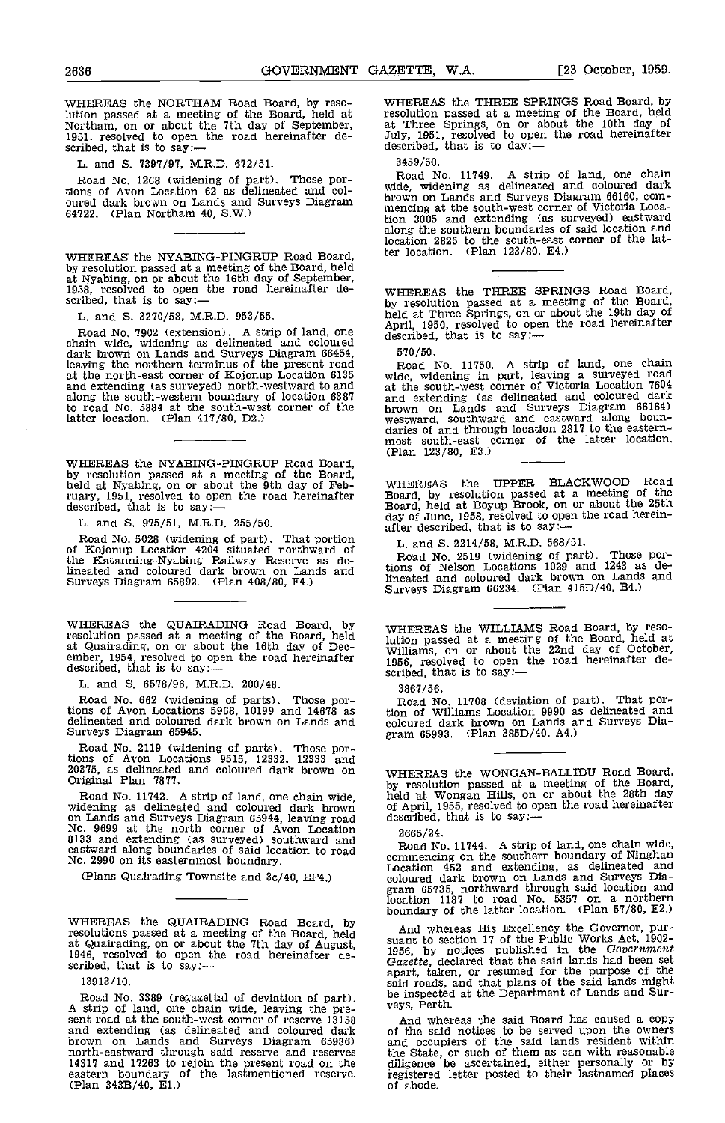WHEREAS the NORTHAM Road Board, by resolution passed at a meeting of the Board, held at Northam, on or about the 7th day of September, 1951, resolved to open the road hereinafter de- scribed, that is to say:

L. and S. 7397/97, M.R.D. 672/51.

Road No. 1268 (widening of part). Those portions of Avon Location 62 as delineated and coloured dark brown on Lands and Surveys Diagram 64722. (Plan Northam 40, S.W.)

WHEREAS the NYABING-PINGRUP Road Board, by resolution passed at a meeting of the Board, held<br>at Nyabing, on or about the 16th day of September,<br>1958, resolved to open the road hereinafter de-<br>scribed, that is to say:—<br>by re

L. and S. 3270/58, M.R.D. 953/55.

Road No. 7902 (extension). A strip of land, one chain wide, widening as delineated and coloured dark brown on Lands and Surveys Diagram 66454, 570/<br>leaving the northern terminus of the present road Roa at the north-east corner of Kojonup Location 6135 wide, and extending (as surveyed) north-westward to and at the along the south-western boundary of location 6387 and extending (as delineated and coloured dark to road No. 5884 at the south-west corner of the latter location. (Plan 417/80, D2.)

WHEREAS the NYABING-PINGRUP Road Board,<br>by resolution passed at a meeting of the Board,<br>held at Nyabing, on or about the 9th day of February, 1951, resolved to open the road hereinafter  $\overline{B}$  Bodescribed, that is to say:

L. and S. 975/51, M.R.D. 255/50.

Road No. 5028 (widening of part). That portion L. a<br>of Kojonup Location 4204 situated northward of Ros the Katanning-Nyabing Railway Reserve as delineated and coloured dark brown on Lands and Surveys Diagram 65892. (Plan 408/80, P4.)

WHEREAS the QUAIRADING Road Board, by resolution passed at a meeting of the Board, held<br>at Quairading, on or about the 16th day of Dec-<br>ember, 1954, resolved to open the road hereinafter described,<br>described, that is to say:—<br>scribed

L. and S. 6578/96, M.R.D. 200/48.

Read No. 662 (widening of parts). Those portions of Avon Locations 5968, 10199 and 14678 as delineated and coloured dark brown on Lands and Surveys Diagram 65945.

Road No. 2119 (widening of parts). Those por- tions of Avon Locations 9515, 12332, 12333 and 20375, as delineated and coloured dark brown on WHER<br>Original Plan 7877.

Road No. 11742. A strip of land, one chain wide, widening as delineated and coloured dark brown on Lands and Surveys Diagram 65944, leaving road describ<br>No. 9699 at the north corner of Avon Location 2665<br>8133 and extending (as surveyed) southward and Pos eastward along boundaries of said location to road Road<br>No. 2990 on its easternmost boundary.

(Plans Quairading Townsite and 3c/40, EP4.)

WHEREAS the QUAIRADING Road Board, by resolutions passed at a meeting of the Board, held<br>at Quairading, on or about the 7th day of August, suant<br>1946, resolved to open the road hereinafter de-<br>scribed, that is to say:--

13913/ 10.

Road No. 3389 (regazettal of deviation of part). be inspected<br>A strip of land, one chain wide, leaving the pre-<br>sent road at the south-west corner of reserve 13158 And where and extending (as delineated and coloured dark of the sa<br>brown on Lands and Surveys Diagram 65936) and occur<br>north-eastward through said reserve and reserves the State<br>14317 and 17263 to rejoin the present road on the dili

WHEREAS the THREE SPRINGS Road Board, by resolution passed at a meeting of the Board, held<br>at Three Springs, on or about the 10th day of at Three Springs, on or about the road hereinafter described, that is to day:-

3459/50. Road No. 11749. A strip of land, one chain wide, widening as delineated and coloured dark brown on Lands and Surveys Diagram 66160, com- mencing at the south-west corner of Victoria Location 3005 and extending (as surveyed) eastward along the southern boundaries of said looation and location 2825 to the south-east corner of the latter location. (Plan 123/80, E4.)

WHEREAS the THREE SPRINGS Road Board, by resolution passed at a meeting of the Board, held at Three Springs, on or about the 19th day of April, 1950, resolved to open the road hereinafter described, that is to say:--

570/50. Road No. 11750. A strip of land, one chain wide, widening in part, leaving a surveyed road at the south-west corner of Victoria Location 7604 and extending (as delineated and coloured dark<br>brown on Lands and Surveys Diagram 66164)<br>westward, southward and eastward along boun-<br>daries of and through location 2817 to the eastern-<br>most south-east corner of the latter (Plan 123/80, E3.)

WHEREAS the UPPER BLACKW000 Road Board, by resolution passed at a meeting of the Board, held at Boyup Brook, on or about the 25th day of June, 1958, resolved to open the road herein- after described, that is to say:

L.. and S. 2214/58, M.R.D. 568/51.

Road No. 2519 (widening of part). Those por-<br>tions of Nelson Locations 1029 and 1243 as delineated and coloured dark brown on Lands and Surveys Diagram 66234. (Plan 415D/40. B4.)

WHEREAS the WILLIAMS Road Board, by resolution passed at a meeting of the Board, held at Williams, on or about the 22nd day of October, 1956, resolved to open the road hereinafter de-<br>scribed, that is to say:-

3867/56. Road No. 11708 (deviation of part). That por-tion of Williams Location 9990 as delineated and coloured dark brown on Lands and Surveys Dia- gram 65993. (Plan 3850/40, A4.)

WHEREAS the WONGAN-BALLIDU Road Board, by resolution passed at a meeting of the Board, held at Wongan Hills, on or about the 28th day of April, 1955, resolved to open the road hereinafter described, that is to say:-

2665/24.

Road No. 11744. A strip of land, one chain wide, commencing on the southern boundary of Ninghan Location 452 and extending, as delineated and coloured dark brown on Lands and Surveys Dia- gram 65735, northward through said location and location 1187 to road No. 5357 on a northern boundary of the latter location. (Plan 57/80, E2.)

And whereas His Excellency the Governor, pur-<br>suant to section 17 of the Public Works Act, 1902-<br>1956, by notices published in the Government<br>Gazette, declared that the said lands had been set<br>apart, taken, or resumed for said roads, and that plans of the said lands might be inspected at the Department of Lands and Sur- veys, Perth.

And whereas the said Board has caused a copy of the said notices to be served upon the owners and occupiers of the said lands resident within the State, or such of them as can with reasonable diligence be ascertained, either personally or by registered letter posted to their lastnamed places of abode.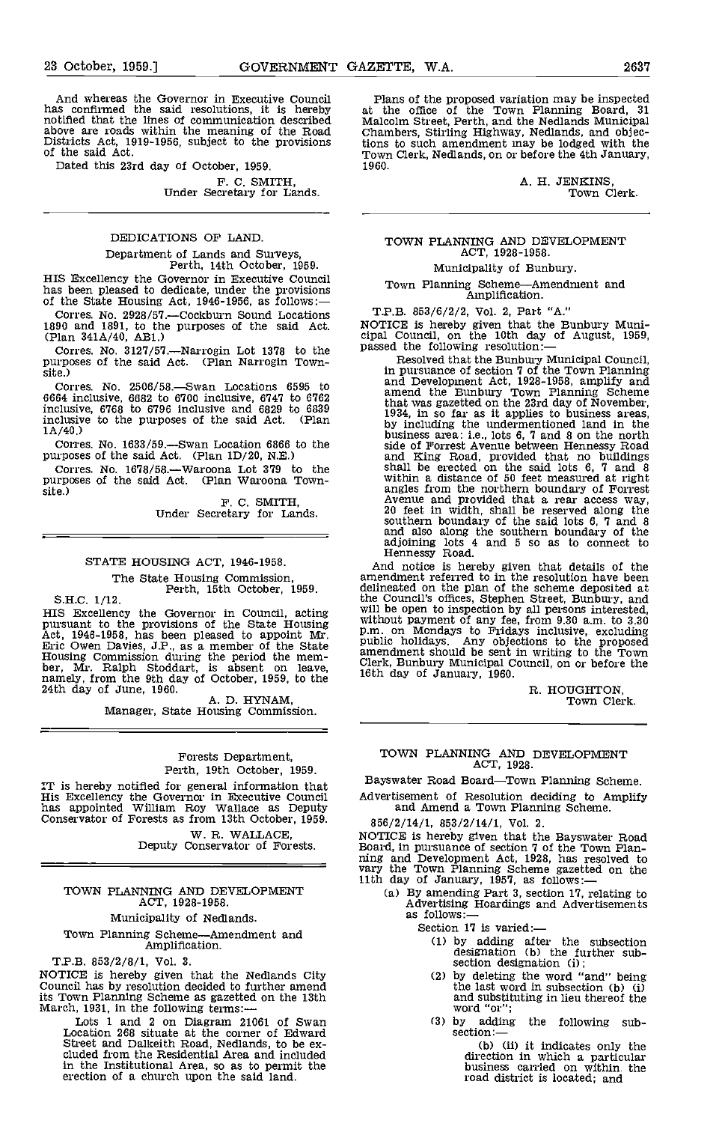And whereas the Governor in Executive Council has confirmed the said resolutions, it is hereby notified that the lines of communication described above are roads within the meaning of the Road Districts Act, 1919-1956, subject to the provisions of the said Act.

Dated this 23rd day of October, 1959.

F. C. SMITH, Under Secretary for Lands.

# DEDICATIONS OF LAND.

Department of Lands and Surveys, Perth, 14th October, 1959.

HIS Excellency the Governor in Executive Council has been pleased to dedicate, under the provisions of the State Housing Act, 1946-1956, as follows:-

Corres. No. 2928/57.—Cockburn Sound Locations  $\overline{\phantom{a}}$ 1890 and 1891, to the purposes of the said Act. (Plan 341A/40, ABI.)

Corres. No. 3127/57.—Narrogin Lot 1378 to the purposes of the said Act. (Plan Narrogin Town-site.)

Corres. No.  $2506/58$ . Swan Locations 6595 to 6664 inclusive, 6682 to 6700 inclusive, 6747 to 6762 inclusive, 6768 to 6796 inclusive and 6829 to 6839 inclusive to the purposes of the said Act. (Plan 1A/40.)

Corres. No. 1633/59.—Swan Location 6866 to the purposes of the said Act. (Plan 1D/20, N.E.)

Corres. No. 1678/58.--- Waroona Lot 379 to the purposes of the said Act. (Plan Waroona Town-<br>site.) F. C. SMITH, Under Secretary for Lands.

### STATE HOUSING ACT. 1946-1958.

The State Housing Commission,<br>
Perth, 15th October, 1959.<br>
S.H.C. 1/12.

B.H.C. 1712.<br>
HIS Excellency the Governor in Council, acting<br>
pursuant to the provisions of the State Housing<br>
Act, 1946-1958, has been pleased to appoint Mr.<br>
Eric Owen Davies, J.P., as a member of the State<br>
Housing Comm

#### Forests Department, Perth, 19th October, 1959.

IT is hereby notified for general information that His Excellency the Governor in Executive Council has appointed William Roy Wallace as Deputy Conservator of Forests as from 13th October, 1959.

W. R. WALLACE,<br>Deputy Conservator of Forests.

### TOWN PLANNING AND DEVELOPMENT ACT, 1928-1958.

#### Municipality of Nedlands.

Town Planning Scheme—Amendment and Amplification.

T.P.B. 853/2/8/1, Vol. 3.

NOTICE is hereby given that the Nedlands City Council has by resolution decided to further amend its Town Planning Scheme as gazetted on the 13th March, 1931, in the following terms: —<br>Lots 1 and 2 on Diagram 21061 of Swan<br>Location 268 situate at the corner of Edward

Street and Dalkeith Road, Nedlands, to be ex- cluded from the Residential Area and included in the Institutional Area, so as to permit the erection of a church upon the said land

Plans of the proposed variation may be inspected at the office of the Town Planning Board, 31 Malcolm Street, Perth, and the Nedlands Municipal Chambers, Stirling Highway, Nedlands, and objections to such amendment may be lodged with the Town Clerk, Nedlands, on or before the 4th January, 1960.

> A. H. JENKINS, Town Clerk.

#### TOWN PLANNING AND DEVELOPMENT ACT, 1928-1958.

#### Municipality of Bunbury.

Town Planning Scheme—Amendment and Amplification.

T.P.B. 853/6/2/2, Vol. 2, Part "A."

NOTICE is hereby given that the Bunbury Municipal Council, on the 10th day of August, 1959, passed the following resolution:—

Resolved that the Bunbury Municipal Council, in pursuance of section 7 of the Town Planning and Development Act, 1928-1958, amplify and amend the Bunbury Town Planning Scheme that was gazetted on the 23rd day of November, 1934, in so far as it applies to business areas, by including the undermentioned land in the business area: i.e., lots 6, 7 and 8 on the north side of Forrest Avenue between Hennessy Road<br>and King Road, provided that no buildings<br>shall be erected on the said lots 6, 7 and 8<br>within a distance of 50 feet measured at right<br>angles from the northern boundary of Forres and also along the southern boundary of the adjoining lots 4 and 5 so as to connect to Hennessy Road.

And notice is hereby given that details of the amendment referred to in the resolution have been delineated on the plan of the scheme deposited at the Council's offices, Stephen Street, Bunbury, and will be open to inspection by all persons interested, without payment of any fee, from 9.30 am, to 3.30 p.m. on Mondays to Fridays inclusive, excluding public holidays. Any objections to the proposed amendment should be sent in writing to the Town Clerk, Bunbury Municipal Council, on or before the 16th day of January, 1960.

R. HOUGHTON,<br>Town Clerk.

# TOWN PLANNING AND DEVELOPMENT ACT, 1928.

Bayswater Road Board-Town Planning Scheme.

Advertisement of Resolution deciding to Amplify and Amend a Town Planning Scheme.

856/2/14/1, 853/2/14/1, Vol. 2.

NOTICE is hereby given that the Bayswater Road<br>Board, in pursuance of section 7 of the Town Plan-<br>ning and Development Act, 1928, has resolved to<br>vary the Town Planning Scheme gazetted on the<br>11th day of January, 1957, as

- (a) By amending Part 3, section 17, relating to Advertising Hoardings and Advertisements as follows:—
	- Section 17 is varied:
		- by adding after the subsection designation (b) the further sub-<br>section designation (i);
		- by deleting the word "and" being the last word in subsection (b) (i) and substituting in lieu thereof the word "or";
		- (3) by adding the following sub-<br>section:—<br>(b) (ii) it indicates only the

direction in which a particular business carried on within the road district is located; and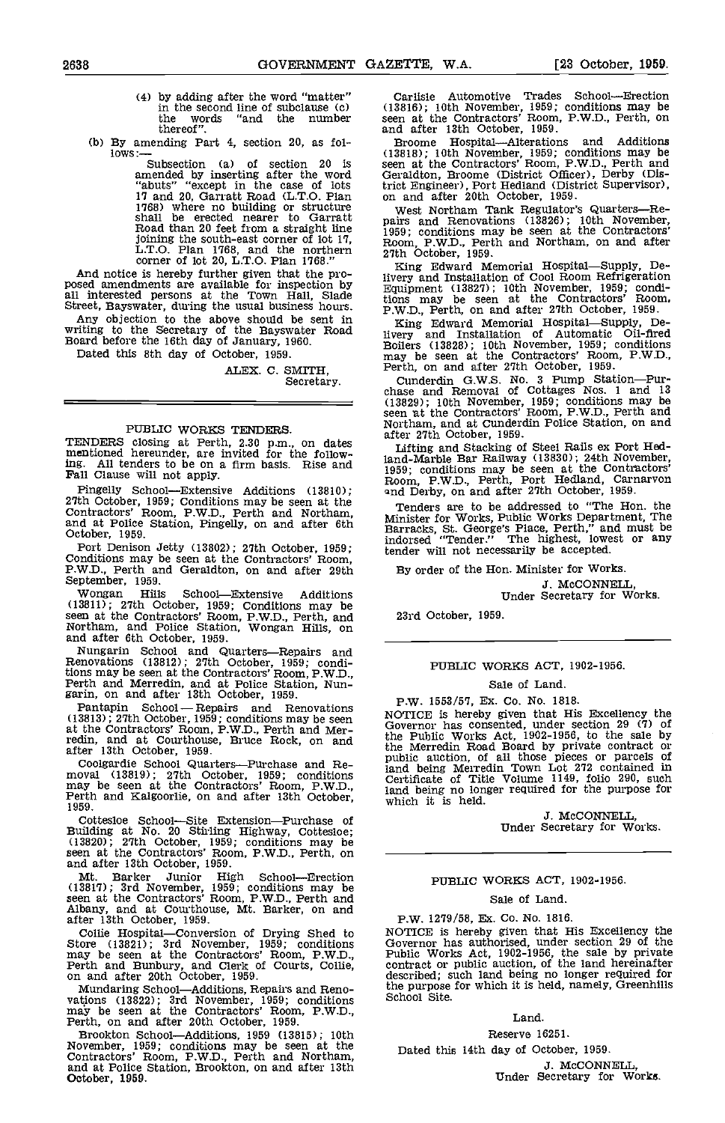- (4) by adding after the word "matter" in the second line of subclause (c) the words "and the number the words<br>thereof".
- (b) By amending Part 4, section 20, as fol-<br>lows:--  $(13818)$ ; 1

Subsection (a) of section 20 is seen a amended by inserting after the word Gerald "abuts" "except in the case of lots trict E<br>17 and 20, Garratt Road (L.T.O. Plan on an 1768) where no building or structure wes: shall be erected nearer to Garratt Road than 20 feet from a straight line joining the south-east corner of lot 17,<br>
L.T.O. Plan 1768, and the northern 27th Corner of lot 20, L.T.O. Plan 1768."

And notice is hereby further given that the pro-<br>posed amendments are available for inspection by<br> $E_{\text{quipment}}$  and Installation of Cool Room Refrigeration<br>all interested persons at the Town Hall, Slade<br>tions may be seen at

Street, Bayswater, during the usual business hours.<br>Any objection to the above should be sent in<br>writing to the Secretary of the Bayswater Road<br>Board before the 16th day of January, 1960.

Dated this 8th day of October, 1959.

ALEX. C. SMITH, Secretary.

#### PUBLIC WORKS TENDERS.

TENDERS closing at Perth, 2.30 p.m., on dates<br>mentioned hereunder, are invited for the follow-<br>ing. All tenders to be on a firm basis. Rise and All tenders to be on a firm basis. Rise and Fall Clause will not apply.

Pingelly School—Extensive Additions (13810); 27th October, 1959; Conditions may be seen at the Contractors' Room, P.W.D., Perth and Northam, and at Police Station, Pingelly, on and after 6th October, 1959.

Port Denison Jetty (13802); 27th October, 1959; Conditions may be seen at the Contractors' Room, P.W.D., Perth and Geraldton, on and after 29th September, 1959.

Wongan Hills SchoolExtensive Additions (13811); 27th October, 1959; Conditions may be seen at the Contractors' Room, P.W.D., Perth, and 23rd<br>Northam, and Police Station, Wongan Hills, on and after 6th October, 1959.

Nungarin School and Quarters-Repairs and Renovations (13812); 27th October, 1959; conditions may be seen at the Contractors' Room, P.W.D., Ferth and Merredin, and at Police Station, Nun-<br>garin, on and after 13th October, 1959.<br>Pantapin School — Repairs and Renovations

Pantapin School - Repairs and Renovations<br>(13813); 27th October, 1959; conditions may be seen at the Contractors' Room, P.W.D., Perth and Mer- redin, and at Courthouse, Bruce Rock, on and after 13th October, 1959.

Coolgardie School Quarters—Purchase and Re-<br>moval (13819); 27th October, 1959; conditions may be seen at the Contractors' Room, P.W.D., Perth and Kalgoorlie, on and after 13th October,  $P$ -which it is held.<br>Perth and Kalgo

Cottesloe School—Site Extension—Purchase of Building at No. 20 Stirling Highway, Cottesloe; (13820); 27th October, 1959; conditions may be seen at the Contractors' Room, P.W.D., Perth, on and after 13th October, 1959.

Mt. Barker Junior High School—Erection (13817); 3rd November, 1959; conditions may be seen at the Contractors' Room, P.W.D., Perth and Albany, and at Courthouse, Mt. Barker, on and after 13th October, 1959.

Collie Hospital—Conversion of Drying Shed to NOTIO<br>Store (13821); 3rd November, 1959; conditions Gover: may be seen at the Contractors' Room, P.W.D., Perth and Bunbury, and Clerk of Courts, Collie, on and after 20th October, 1959.

Mundaring School—Additions, Repairs and Reno-<br>vations (13822); 3rd November, 1959; conditions may be seen at the Contractors' Room, P.W.D.,<br>Perth, on and after 20th October, 1959.

Brookton School—Additions, 1959 (13815); 10th November, 1959; conditions may be seen at the Contractors' Room, P.W.D., Perth and Northam, and at Police Station, Brookton, on and after 13th October, 1959.

Carlisle Automotive Trades School—Erection (13816); 10th November, 1959; conditions may be seen at the Contractors' Room, P.W.D., Perth, on and after 13th October, 1959.<br>Broome Hospital—Alterations and

Broome Hospital—Alterations and Additions (13818); 10th November, 1959; conditions may be seen at the Contractors' Room, P.W.D., Perth and Geraldton, Broome (District Officer), Derby (District Engineer), Port Hedland (District Supervisor), on and after 20th October, 1959.

West Northam Tank Regulator's Quarters---Re-<br>pairs and Renovations (13826); 10th November, 1959; conditions may be seen at the Contractors'<br>Room, P.W.D., Perth and Northam, on and after<br>27th October, 1959.

King Edward Memorial Hospital-Supply, Delivery and Installation of Cool Room Refrigeration Equipment (13827); 10th November, 1959; condI- tions may be seen at the Contractors' Room, P.W.D., Perth, on and after 27th October, 1959.

King Edward Memorial Hospital-Supply, Delivery and Installation of Automatic Oil-tired Boilers (13828); 10th November, 1959; conditions may be seen at the Contractors' Room, P.W.D., Perth, on and after 27th October, 1959.

Cunderdin G.W.S. No. 3 Pump Station-Pur-<br>chase and Removal of Cottages Nos. 1 and 13 (13829); 10th November, 1959; conditions may be Northam, and at Cunderdin Police Station, on and after 27th October, 1959.

Lifting and Stacking of Steel Rails ex Port Hodland-Marble Bar Railway (13830); 24th November, 1959; conditions may be seen at the Contractors' Room, P.W.D., Perth, Port Hedland, Carnarvon nd Derby, on and after 27th October, 1959.

Tenders are to be addressed to "The Hon. the Minister for Works, Public Works Department, The Barracks, St. George's Place, Perth," and must be indorsed "Tender." The highest, lowest or any tender will not necessarily be accepted.

By order of the Hon. Minister for Works.

J. McCONNELL, Under Secretary for Works.

23rd October, 1959.

#### PUBLIC WORKS ACT, 1902-1956.

#### Sale of Land.

#### P.W. 1553/57, Ex. Co. No. 1818.

NOTICE Is hereby given that His Excellency the Governor has consented, under section 29 (7) of the Public Works Act, 1902-1956, to the sale by the Merredin Road Board by private contract or public auction, of all those pieces or parcels of land being Merredin Town Lot 272 contained in Certificate of Title Volume 1149, folio 290, such land being no longer required for the purpose for which it is held.

J. McCONNELL, Under Secretary for Works.

#### PUBLIC WORKS ACT, 1902-1956.

#### Sale of Land.

#### P.W. 1279/58, Ex. Co. No. 1816.

NOTICE is hereby given that His Excellency the<br>Governor has authorised, under section 29 of the<br>Public Works Act, 1902-1956, the sale by private<br>contract or public auction, of the land hereinafter<br>described; such land bein the purpose for which it is held, namely, Greenhills School Site.

#### Land.

Reserve 16251.

Dated this 14th day of October, 1959.

J. McCONNELL,<br>Under Secretary for Works.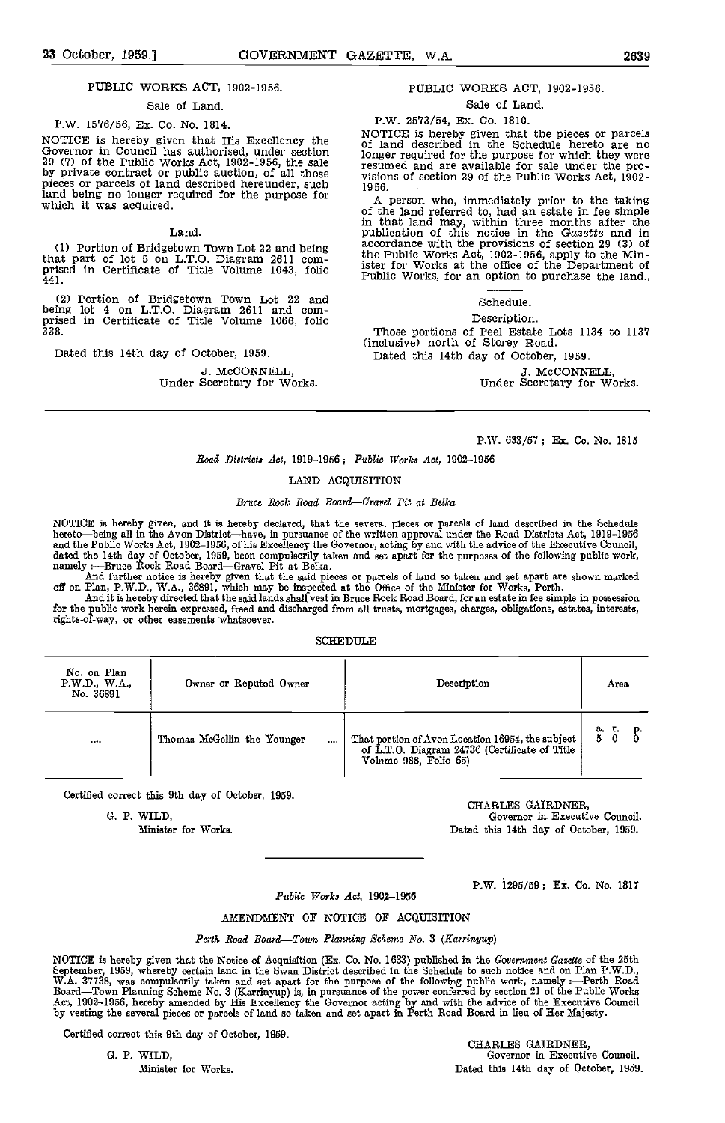#### PUBLIC WORKS ACT, 1902-1956.

#### Sale of Land.

P.W. 1576/56, Ex. Co. No. 1814.

NOTICE is hereby given that His Excellency the Governor in Council has authorised, under section 29 (7) of the Public Works Act, 1902-1956, the sale 29 (1902) of the Public Works Act, 1902-1990, the sale pieces or parcels of land described hereunder, such pisic land being no longer required for the purpose for which It was acquired.

#### Land

(1) Portion of Bridgetown Town Lot 22 and being that part of lot 5 on L.T.O. Diagram 2611 com- prIsed in Certificate of Title Volume 1043, folio 441.

Portion of Bridgetown Town Lot 22 and being lot 4 on L.T.O. Diagram 2611 and com- prised in Certificate of Title Volume 1066, folio 338.

Dated this 14th day of October, 1959.

# 3. McCONNELL, Under Secretary for Works.

#### PUBLIC WORKS ACT, 1902-1956.

# Sale of Land.

P.W. 2513/54, Ex. Co. 1810.

NOTICE is hereby given that the pieces or parcels<br>of land described in the Schedule hereto are no<br>longer required for the purpose for which they were<br>resumed and are available for sale under the pro-<br>visions of section 29

1956. A person who, immediately prior to the taking<br>of the land referred to, had an estate in fee simple<br>in that land may, within three months after the<br>publication of this notice in the Gazette and in<br>accordance with the the Public Works Act, 1902-1956, apply to the Min-ister for Works at the office of the Department of Public Works, for an option to purchase the land.,

### Schedule,

## Description.

Those portions of Peel Estate Lots 1134 to 1131 (inclusive) north of Storey Road.

Dated this 14th day of October, 1959.

3. McCONNELL Under Secretary for Works.

#### P.W. 633/57; Ex. Co. No. 1815

#### Road Districts Act, 1919-1956; Public Works Act, 1902-1956

### LAND ACQUISITION

#### Bruce Rock Road Board-Gravel Pit at Belka

NOTICE is hereby given, and it is hereby declared, that the several pieces or parcels of land described in the Schedule<br>hereto—being all in the Avon District—have, in pursuance of the written approval under the Road Distri and the Public Works Act, 1902–1956, of his Excellency the Governor, acting by and with the advice of the Executive Council,<br>dated the 14th day of October, 1959, been compulsorily taken and set apart for the purposes of th

off on Plan, P.W.D., W.A., 36891, which may be inspected at the Office of the Minister for Works, Perth.<br>And it is hereby directed that the said lands shall vest in Bruce Rock Road Board, for an estate in fee simple in pos

for the public work herein expressed, freed and discharged from all trusts, mortgages, charges, obligations, estates, interests,<br>rights-of-way, or other easements whatsoever.

#### **SCHEDULE**

| No. on Plan<br>P.W.D., W.A.,<br>No. 36891 | Owner or Reputed Owner                  | Description                                                                                                                | Area          |
|-------------------------------------------|-----------------------------------------|----------------------------------------------------------------------------------------------------------------------------|---------------|
|                                           | Thomas McGellin the Younger<br>$\cdots$ | That portion of Avon Location 16954, the subject<br>of L.T.O. Diagram 24736 (Certificate of Title<br>Volume 988, Folio 65) | a.r.p.<br>500 |

Certified correct this 9th day of October, 1959.

G. P. WILD,

Minister for Works.

CHARLES GAIRDNER, Governor in. Executive Council. Dated this 14th day of October, 1959.

P.W. 1295/59; Ex. Co. No. 1817

Public Works Act, 1902-1956

#### AMENDNBNT OF NOTICE OF ACQUISITION

Perth Road Board—Town Planning Scheme No. 3 (Karringup)

NOTICE is hereby given that the Notice of Acquisition (Ex. Co. No. 1633) published in the *Government Gazette* of the 25th<br>September, 1959, whereby certain land in the Swan District described in the Schedule to such notice Board—Town Planning Scheme No. 3 (Karrinyup) is, in pursuance of the power conferred by section 21 of the Public Works<br>Act, 1902–1956, hereby amended by His Excellency the Governor acting by and with the advice of the Exec by vesting the several pieces or parcels of land so taken and set apart in Perth Road Board in lieu of Her Majesty.

Certified correct this 9th day of October, 1959.<br>
G. P. WILD. Governor in Executive Governor in Executive Council. Minister for Works. The Community of Dated this 14th day of October, 1959.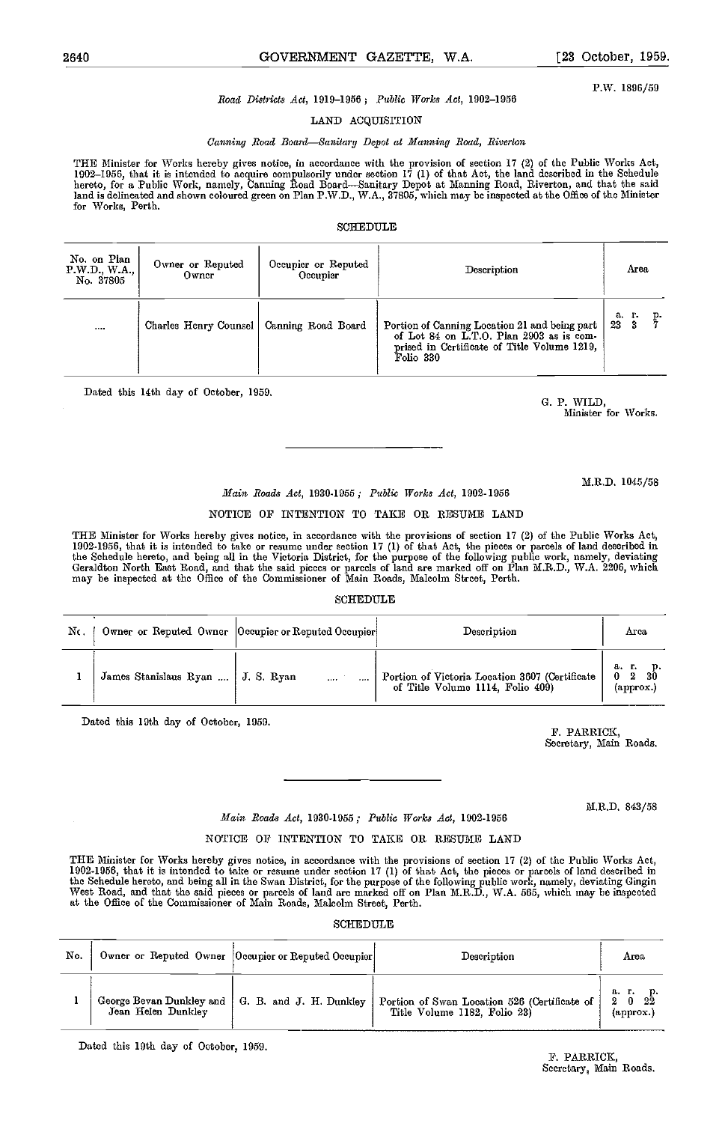2640 GOVERNMENT GAZETTE, W.A. [23 October, 1959.

P.W. 1896/59

## Road Districts Act, 1919-1956; Public Works Act, 1902-1956

LAND ACQUISITION

#### Canning Road Board-Sanitary Depot at Manning Road, Riverton

THE Minister for Works hereby gives notice, in accordance with the provision of section 17 (2) of the Poblio Works Act, 1902–1956, that it is intended to acquire compulsorily under section 17 (1) of that Act, the land described in the Schedule<br>hereto, for a Public Work, namely, Canning Road Board—Sanitary Depot at Manning Road, Riverton, an land is delineated and shown coloured green on Plan P.W.D., W.A., 37805, which may be inspected at the Office of the Minister<br>for Works, Perth.

#### SCHEDULE

| No. on Plan<br>P.W.D., W.A.,<br>No. 37805 | Owner or Reputed<br>Owner                  | Occupier or Reputed<br>Occupier | Description                                                                                                                                           | Area                           |
|-------------------------------------------|--------------------------------------------|---------------------------------|-------------------------------------------------------------------------------------------------------------------------------------------------------|--------------------------------|
| $\cdots$                                  | Charles Henry Counsel   Canning Road Board |                                 | Portion of Canning Location 21 and being part<br>of Lot 84 on L.T.O. Plan 2903 as is com-<br>prised in Certificate of Title Volume 1219,<br>Folio 330 | а.<br>г.<br>р.<br>7<br>23<br>3 |

Dated this 14th day of October, 1959. G. P. WILD, G. P. WILD,

Minister for Works.

M.R.D. 1045/58

#### Maim Roads Act, 1930-1955; Public Works Act, 1902-1956

#### NOTICE OF INTENTION TO TAKE OR RESUME LAND

THE Minister for Works hereby gives notice, in accordance with the provisions of section 17 (2) of the Public Works Act, 1902-1956, that it is intended to take or resume under section 17 (1) of that Act, the pieces or parcels of land described in<br>the Schedule hereto, and being all in the Victoria District, for the purpose of the following pu may be inspected at the Office of the Commissioner of Main Roads, Malcolm Street, Perth.

#### SCHEDULE

| Nc. |                                   | Owner or Reputed Owner Occupier or Reputed Occupier | Description                                                                        | Arca                           |
|-----|-----------------------------------|-----------------------------------------------------|------------------------------------------------------------------------------------|--------------------------------|
|     | James Stanislaus Ryan  J. S. Ryan | $\cdots$                                            | Portion of Victoria Location 3607 (Certificate<br>of Title Volume 1114, Folio 409) | a.r. p.<br>0 2 30<br>(approx.) |

Dated this 19th day of October, 1959. F. PARRICK,

Secretary, Main Roads.

M.R.D. 843/58

Main Roads Act, 1930-1955; Pubtic Works Act, 1902-1956

#### NOTICE OP INTENTION TO TAKE OR RESUME LAND

THE Minister for Works hereby gives notice, in accordance with the provisions of section 17 (2) of the Public Works Act, 1902-1956, that it is intended to take or resume under section 17 (1) of that Act, the pieces or parcels of land described in<br>the Schedule hereto, and being all in the Swan District, for the purpose of the following public West Road, and that the said pieces or parcels of land are marked off on Plan M.R.D., W.A. 565, which may be inspected at the Office of the Commissioner of Main Roads, Malcolm Street, Perth.

| No. |                                                                          | Owner or Reputed Owner  Occupier or Reputed Occupier | Description                                                                  | Агеа.                                                     |
|-----|--------------------------------------------------------------------------|------------------------------------------------------|------------------------------------------------------------------------------|-----------------------------------------------------------|
|     | George Bevan Dunkley and   G. B. and J. H. Dunkley<br>Jean Helen Dunkley |                                                      | Portion of Swan Location 526 (Certificate of<br>Title Volume 1182, Folio 23) | а г.<br>- 22<br>$2\quad 0$<br>$\langle$ approx. $\rangle$ |

Dated this 19th day of October, 1959.

F. PARRICK, Secretary, Main Roads.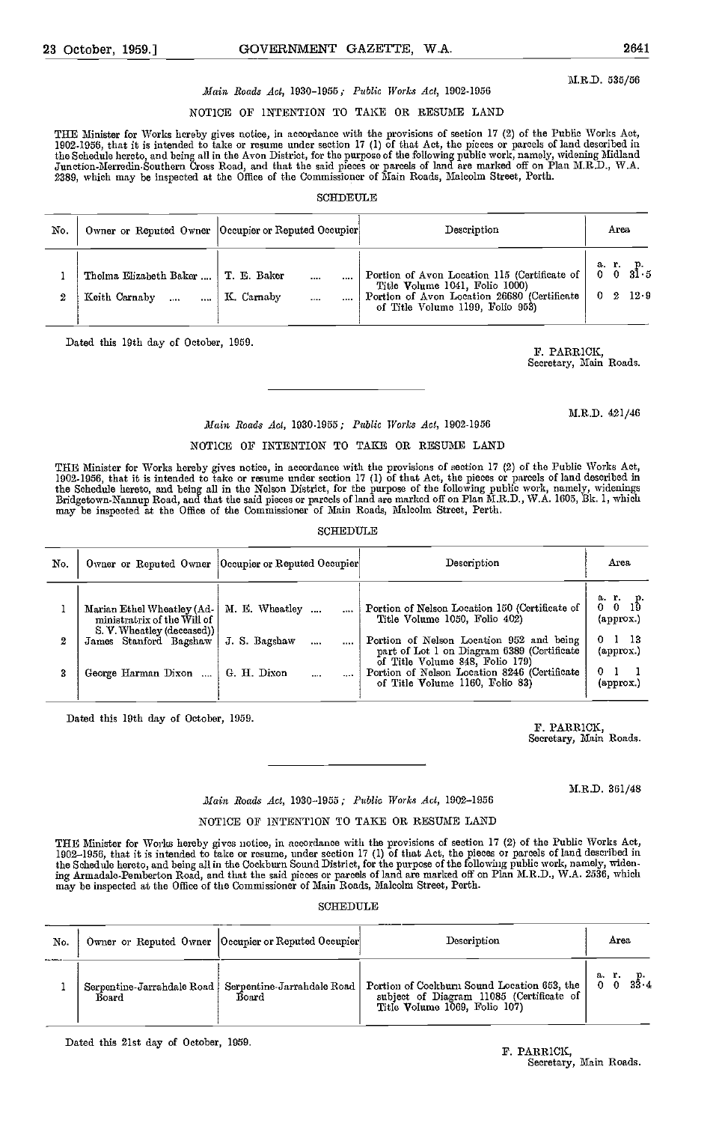M.R.D. 535/56

# Maim Roads Act, 1930-1955; Public TVorks Act, 1902-1956

# NOTICE OF INTENTION TO TAKE OR RESUME LAND

THE Minister for Works hereby gives notice, in accordance with the provisions of section 17 (2) of the Public Works Act,<br>1902-1956, that it is intended to take or resume under section 17 (1) of that Act, the pieces or parc the Schedule hereto, and being all in the Avon District, for the purpose of the following public work, namely, widening Midland<br>Junction-Merredin-Southern Cross Road, and that the said pieces or parcels of land are marked 2389, which may be inspected at the Office of the Commissioner of Main Roads, Malcolm Street, Perth.

#### SCHDEULE

| No. |                                         | Owner or Reputed Owner  Occupier or Reputed Occupier | Description                                                                                                         | Area               |
|-----|-----------------------------------------|------------------------------------------------------|---------------------------------------------------------------------------------------------------------------------|--------------------|
| Ω   | Thelma Elizabeth Baker<br>Keith Carnaby | T. E. Baker<br><br>K. Carnaby<br>$\cdots$            | Title Volume 1041, Folio 1000)<br>Portion of Avon Location 26680 (Certificate )<br>of Title Volume 1199, Folio 953) | 12.9<br>$0\quad 2$ |

Dated this 19th day of October, 1959. F. PARRICK,

Secretary, Main Roads.

M.R.D. 421/46

# Main Roads Act, 1930.1955; Public lVorks Act, 1902-1956

#### NOTICE OF INTENTION TO TAKE OR RESUME LAND

THE Minister for Works hereby gives notice, in accordance with the provisions of section 17 (2) of the Public Works Act,<br>1902-1956, that it is intended to take or resume under section 17 (1) of that Act, the pieces or parc the Schedule hereto, and being all in the Nelson District, for the purpose of the following public work, namely, widenings<br>Bridgetown-Nannup Road, and that the said pieces or parcels of land are marked off on Plan M.R.D.,

#### **SCHEDULE**

| No. | Owner or Reputed Owner   Occupier or Reputed Occupier                                   |                | Description                                                                                                                   | Агеа                                  |
|-----|-----------------------------------------------------------------------------------------|----------------|-------------------------------------------------------------------------------------------------------------------------------|---------------------------------------|
|     | Marian Ethel Wheatley (Ad-<br>ministratrix of the Will of<br>S. V. Wheatley (deceased)) | M. E. Wheatley | Portion of Nelson Location 150 (Certificate of<br>Title Volume 1050, Folio 402)                                               | arp.<br>0019<br>(approx.)             |
| 2   | James Stanford Bagshaw                                                                  | J. S. Bagshaw  | <br>Portion of Nelson Location 952 and being<br>part of Lot 1 on Diagram 6389 (Certificate<br>of Title Volume 848, Folio 179) | $0\quad1\quad13$<br>${\rm (approx.)}$ |
|     | George Harman Dixon                                                                     | G. H. Dixon    | <br>Portion of Nelson Location 8246 (Certificate<br>of Title Volume 1160, Folio 83)                                           | 0 <sub>1</sub><br>(approx.)           |

Dated this 19th day of October, 1959. F. PARRICK,

Secretary, Main Roads.

M.R.D. 361/48

## Main Roads Act, 1930-1955; Public Works Act, 1902-1956

#### NOTICE OF INTENTION TO TAKE OR RESUME LAND

THE Minister for Works hereby gives notice, in accordance with the provisions of section 17 (2) of the Public Works Act,<br>1902–1956, that it is intended to take or resume, under section 17 (1) of that Act, the pieces or par the Schedule hereto, and being all in the Cockburn Sound District, for the purpose of the following public work, namely, widen-<br>ing Armadale-Pemberton Road, and that the said picces or parcels of land are marked off on Pla may be inspected at the Office of the Commissioner of Main Roads, Malcolm Street, Perth.

#### SCHEDULE

| No. |       | Owner or Reputed Owner  Occupier or Reputed Occupier             | Description                                                                                                                    | Area       |
|-----|-------|------------------------------------------------------------------|--------------------------------------------------------------------------------------------------------------------------------|------------|
|     | Board | Serpentine-Jarrahdale Road   Serpentine-Jarrahdale Road<br>Board | Portion of Cockburn Sound Location 653, the   0 0<br>subject of Diagram 11085 (Certificate of<br>Title Volume 1069, Folio 107) | а.<br>33.4 |

Dated this 21st day of October, 1959.

# F. PARRICK, Secretary, Main Roads.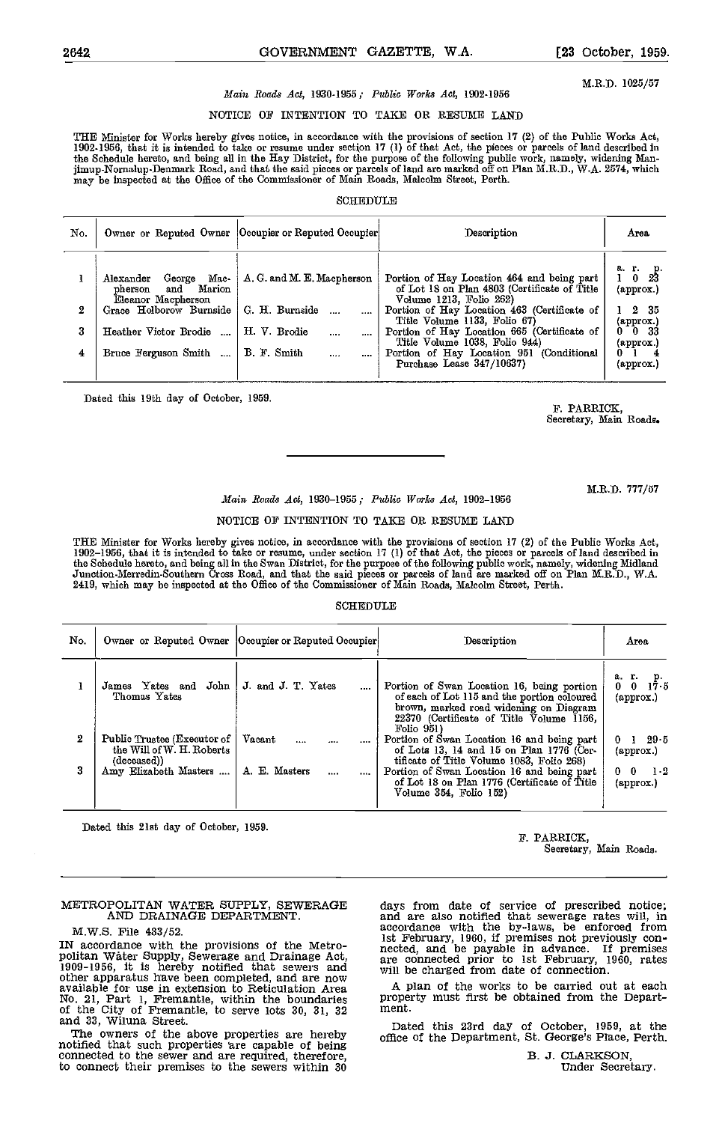2642 GOVERNMENT GAZETTE, W.A. [23 October, 1959.

M.R.D. 1025/57

#### Main Roads Act, 1930-1955; Public Works Act, 1902-1956

#### NOTICE OF INTENTION TO TAKE OR RESUME LAND

THE Minister for Works hereby gives notice, in accordance with the provisions of section 17 (2) of the Public Works Act, 1902-1956, that it is intended to take or resume under section 17 (1) of that Act, the pieces or parcels of land described in<br>the Schedule hereto, and being all in the Hay District, for the purpose of the following public may be inspected at the Office of the Commissioner of Main Roads, Malcolm Street, Perth.

#### **SCHEDULE**

| No. |                                                                                                                   | Owner or Reputed Owner  Occupier or Reputed Occupier | Description                                                                                                                                                                                          | Агеа                                                        |
|-----|-------------------------------------------------------------------------------------------------------------------|------------------------------------------------------|------------------------------------------------------------------------------------------------------------------------------------------------------------------------------------------------------|-------------------------------------------------------------|
| 2   | Mac-<br>Alexander<br>George<br>Marion<br>$_{\rm pherson}$<br>and<br>Eleanor Macpherson<br>Grace Holborow Burnside | A. G. and M. E. Macpherson<br>G. H. Burnside         | Portion of Hay Location 464 and being part<br>of Lot 18 on Plan 4803 (Certificate of Title<br>Volume 1213, Folio 262)<br>Portion of Hay Location 463 (Certificate of<br>Title Volume 1133, Folio 67) | a. r. p.<br>1023<br>$(\text{approx.})$<br>2 35<br>(approx.) |
| 3   | Heather Victor Brodie                                                                                             | H. V. Brodie<br>$\cdots$                             | Portion of Hay Location 665 (Certificate of<br>Title Volume 1038, Folio 944)                                                                                                                         | $01$ 0 33<br>(approx.)                                      |
| 4   | Bruce Ferguson Smith                                                                                              | B. F. Smith<br>$\cdots$                              | Portion of Hay Location 951 (Conditional<br>Purchase Lease 347/10637)                                                                                                                                | $(\text{approx.})$                                          |

Dated this 19th day of October, 1959.

F. PARRICK, Secretary, Main Roads.

M.R.D. 777/57

#### Main Roads Act, 1930-1955; Public Works Act, 1902-1956

#### NOTICE OF INTENTION TO TAKE OR RESUME LAND

THE Minister for Works hereby gives notice, in accordance with the provisions of section 17 (2) of the Public Works Act,<br>1902–1956, that it is intended to take or resume, under section 17 (1) of that Act, the pieces or par the Schedule hereto, and being all in the Swan District, for the purpose of the following public work, namely, widening Midland<br>Junction-Merredin-Southern Cross Road, and that the said pieces or parcels of land are marked 2419, which may be inspected at the Office of the Commissioner of Main Roads, Malcolm Street, Perth.

#### SCHEDULE

| No. |                                                                                                  | Owner or Reputed Owner   Occupier or Reputed Occupier | Description                                                                                                                                                                                            | Area                                                            |
|-----|--------------------------------------------------------------------------------------------------|-------------------------------------------------------|--------------------------------------------------------------------------------------------------------------------------------------------------------------------------------------------------------|-----------------------------------------------------------------|
|     | John<br>James Yates and<br>Thomas Yates                                                          | J. and J. T. Yates<br>$\cdots$                        | Portion of Swan Location 16, being portion<br>of each of Lot 115 and the portion coloured<br>brown, marked road widening on Diagram<br>22370 (Certificate of Title $\bar{V}$ olume 1156,<br>Folio 951) | a. r. p.<br>$17-5$<br>0.<br>$(\text{approx.})$                  |
| 2   | Public Trustee (Executor of<br>the Will of W. H. Roberts<br>(deceased))<br>Amy Elizabeth Masters | Vacant<br><br>A. E. Masters<br>$\cdots$<br>           | Portion of Swan Location 16 and being part<br>of Lots 13, 14 and 15 on Plan 1776 (Cer-<br>tificate of Title Volume 1083, Folio 268)<br>Portion of Swan Location 16 and being part                      | 29.5<br>01<br>$\left($ approx. $\right)$<br>$1-2$<br>$0\quad 0$ |
|     |                                                                                                  |                                                       | of Lot 18 on Plan 1776 (Certificate of Title<br>Volume 354, Folio 152)                                                                                                                                 | $\left($ approx. $\right)$                                      |

Dated this 21st day of October, 1859.

F. PARRICK,

Secretary, Main Roads.

# METROPOLITAN WATER SUPPLY, SEWERAGE AND DRAINAGE DEPARTMENT.

#### M.W.S. File 483/52.

IN accordance with the provisions of the Metro-<br>politan Water Supply, Sewerage and Drainage Act,<br>1909-1956, it is hereby notified that sewers and<br>other apparatus have been completed, and are now available for use in extension to Reticulation Area No. 21, Part 1, Fremantle, within the boundaries proper<br>of the City of Fremantle, to serve lots 30, 31, 32 ment.<br>and 33, Wiluna Street.

notified that such properties are capable of being connected to the sewer and are required, therefore, to connect their premises to the sewers within 30

days from date of service of prescribed notice; and are also notified that sewerage rates will, in accordance with the by-laws, be enforced from 1st February, 1960, if premises not previously con-<br>nected, and be payable in advance. If premises<br>are connected prior to 1st February, 1960, rates<br>will be charged from date of connection.

A plan of the works to be carried out at each property must first be obtained from the Depart- ment.

Id 33, will a Street.<br>The owners of the above properties are hereby affice of the Department St. George's Place Perth office of the Department, St. George's Place, Perth.

B. 3. CLARKSON, Under Secretary.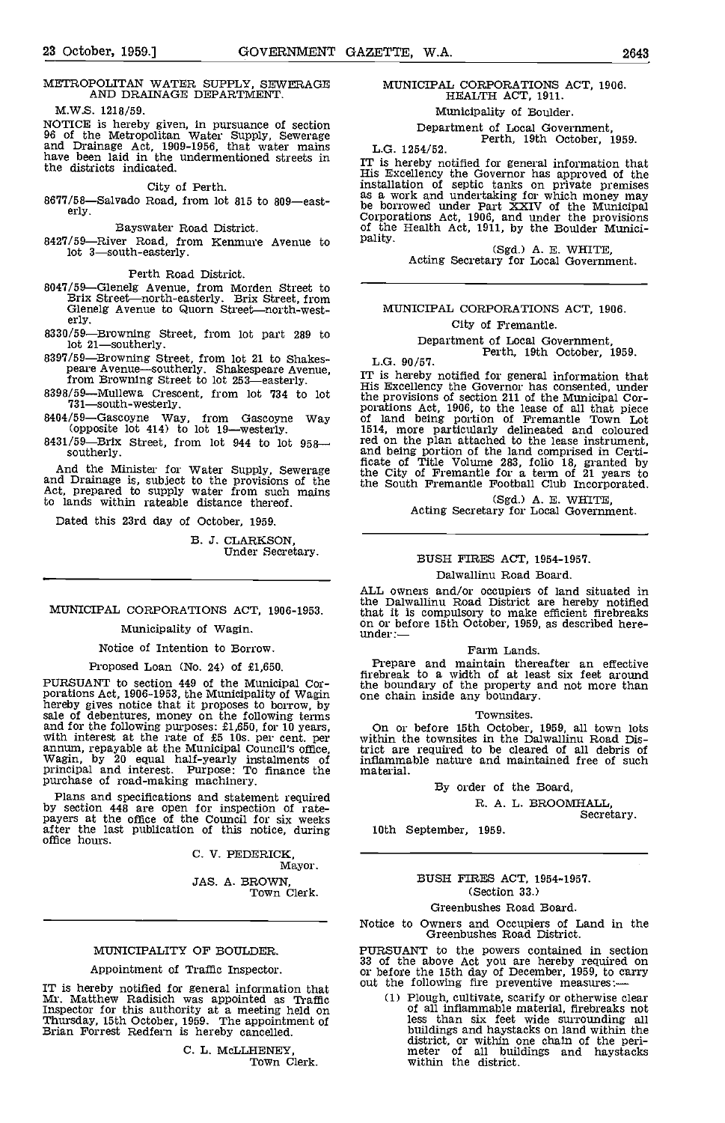#### METROPOLITAN WATER SUPPLY, SEWERAGE AND DRAINAGE DEPARTMENT.

M.W.S. 1218/59.

NOTICE is hereby given, in pursuance of section<br>
96 of the Metropolitan Water Supply, Sewerage<br>
and Drainage Act, 1909-1956, that water mains have been laid in the undermentioned streets in<br>
the districts indicated<br>
the di the districts indicated.

Bayswater Road District.

8427/59—River Road, from Kenmure Avenue to pality.<br>lot 3—south-easterly.

Perth Road District.

- 8047/59-Glenelg Avenue, from Morden Street to Brix Street-north-easterly. Brix Street, from Brix Street—north-easterly. Brix Street, from<br>Glenelg Avenue to Quorn Street—north-west-<br>erly.
- 8330/59-Browning Street, from lot part 289 to lot 21-southerly.
- 

- 
- southerly.

And the Minister for Water Supply, Sewerage the C and Drainage is, subject to the provisions of the act, prepared to supply water from such mains to lands within rateable distance thereof.

Dated this 23rd day of October, 1959.

B. J. CLARKSON, Under Secretary.

### MUNICIPAL CORPORATIONS ACT, 1906-1953.

### Municipality of Wagin.

#### Notice of Intention to Borrow.

Proposed Loan (No. 24) of £1,650.

PURSUANT to section 449 of the Municipal Cor-<br>porations Act, 1906-1953, the Municipality of Wagin<br>hereby gives notice that it proposes to borrow, by<br>sale of debentures, money on the following terms<br>and for the following pu with interest at the rate of £5 10s, per cent, per case,<br>annum, repayable at the Municipal Council's office,<br>wagin, by 20 equal half-yearly instalments of<br>principal and interest. Purpose: To finance the<br>purchase of road-ma

Plans and specifications and statement required<br>by section 448 are open for inspection of rate-<br>payers at the office of the Council for six weeks<br>after the last publication of this notice, during office hours.

V. PEDERICK,

Mayor. JAS. A. BROWN,<br>Town Clerk.

#### MUNICIPALITY OF BOULDER.

#### Appointment of Traffic Inspector.

IT is hereby notified for general information that <sup>out t</sup><br>Mr. Matthew Radisich was appointed as Traffic Inspector for this authority at a meeting held on Thursday, 15th October, 1959. The appointment of Brian Forrest Redfern is hereby cancelled.

> C. L. McLLHENEY, Town Clerk.

# MUNICIPAL CORPORATIONS ACT, 1906. HEALTH ACT, 1911.

Municipality of Boulder.

Department of Local Government,<br>Perth, 19th October, 1959.

the districts indicated.<br>City of Perth.<br>8677/58—Salvado Road, from lot 815 to 809—east-<br>erly.<br>8677/58—Salvado Road, from lot 815 to 809—east-<br>erly.<br>8677/58—Salvado Road, from lot 815 to 809—east-<br>86 borrowed under Part XXI msalador of separation and undertaking for which money may<br>as a work and undertaking for which money may<br>be borrowed under Part XXIV of the Municipal<br>Corporations Act, 1906, and under the provisions<br>of the Health Act, 1911

## MUNICIPAL CORPORATIONS ACT, 1906. City of Fremantle.

Department of Local Government,<br>Perth, 19th October, 1959.

8397/59—Browning Street, from lot 21 to Shakes-<br>
peare Avenue—southerly. Shakespeare Avenue,<br>
from Browning Street to lot 253—easterly.<br>
TT is hereby notified for general information that<br>
from Browning Street to lot 253— IT is hereby notified for general information that His Excellency the Governor has consented, under the provisions of section 211 of the Municipal Cor-<br>porations Act, 1906, to the lease of all that piece<br>of land being portion of Fremantle Town Lot<br>1514, more particularly delineated and coloured red on the plan attached to the lease instrument, and being portion of the land comprised in Certi- ficate of Title Volume 283, folio 18, granted by the City of Fremantle for a term of 21 years to the South Fremantle Football Club Incorporated.

(Sgd.) A. E. WHITE,<br>Acting Secretary for Local Government.

#### BUSH FIRES ACT, 1954-1957.

#### Dalwallinu Road Board.

ALL owners and/or occupiers of land situated in the Dalwallinu Road District are hereby notified that it is compulsory to make efficient firebreaks<br>on or before 15th October, 1959, as described here-<br>under:—

#### Farm Lands

Prepare and maintain thereafter an effective firebreak to a width of at least six feet around the boundary of the property and not more than one chain inside any boundary.

#### Townsites.

On or before 15th October, 1959, all town lots within the townsites in the Dalwallinu Road District are required to be cleared of all debris of inflammable nature and maintained free of such material.

#### By order of the Board,

R. A. L. BROOMHALL,<br>Secretary.

10th September, 1959.

#### BUSH FIRES ACT, 1954-1957. (Section 33.)

#### Greenbushes Road Board.

Notice to Owners and Occupiers of Land in the Greenbushes Road District.

PURSUANT to the powers contained in section 33 of the above Act you are hereby required on or before the 15th day of December, 1959, to carry out the following fire preventive measures:

(1) Plough, cultivate, scarify or otherwise clear<br>of all inflammable material, firebreaks not<br>less than six feet wide surrounding all<br>buildings and haystacks on land within the<br>district, or within one chain of the peri-<br>m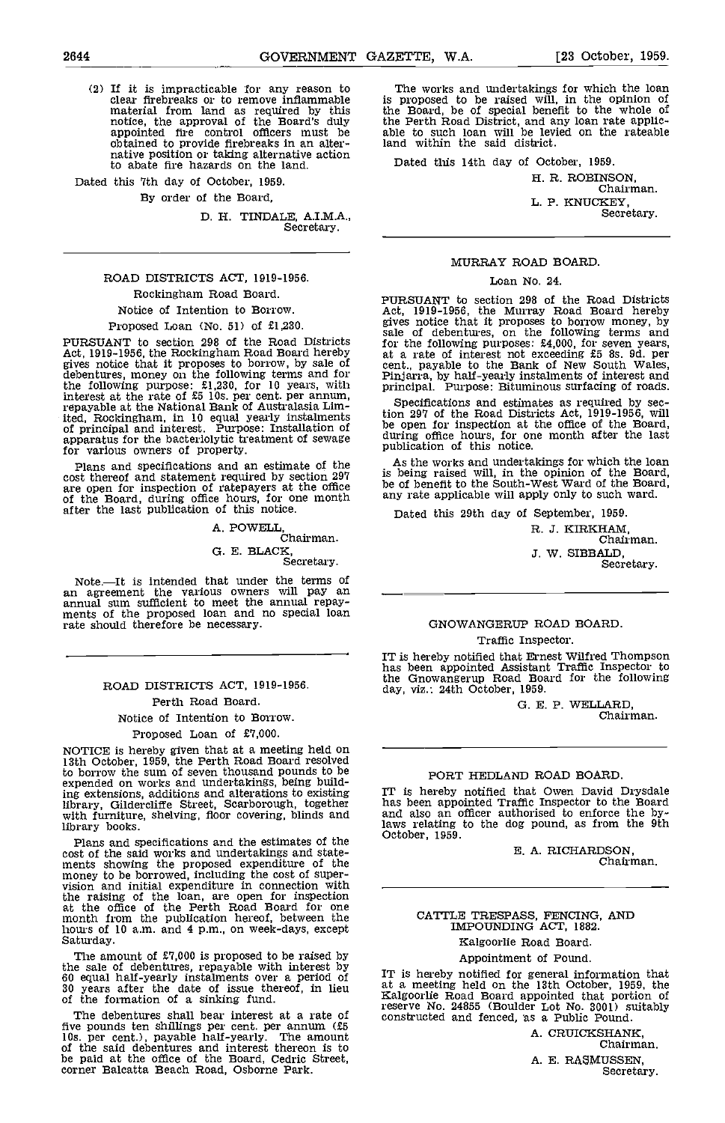(2) If it is impracticable for any reason to clear firebreaks or to remove inflammable material from land as required by this notice, the approval of the Board's duly appointed fire control officers must be able obtained to provide firebreaks in an alter- native position or taking alternative action to abate fire hazards on the land.

Dated this 7th day of October, 1959.

By order of the Board,

D. H. TINDALE, A.I.M.A., Secretary.

# ROAD DISTRICTS ACT, 1919-1956. Rockingham Road Board.

### Notice of Intention to Borrow.

Proposed Loan (No. 51) of £1,230.

PURSUANT to section 298 of the Road Districts for Act, 1919-1956, the Rockingham Road Board hereby at a<br>gives notice that it proposes to borrow, by sale of dent.,<br>debentures, money on the following terms and for Pinja the following purpose: £1,230, for 10 years, with princip interest at the rate of £5 lOs. per cent, per annum, repayable at the National Bank of Australasia Limited, Rockingham, in 10 equal yearly instalments of principal and interest. Purpose: Installation of apparatus for the bacterlolytic treatment of sewage for various owners of property.

Plans and specifications and an estimate of the  $A_5$  has cost thereof and statement required by section 297 is beliated are open for inspection of ratepayers at the office of the Board, during office hours, for one month any reafter the last publication of this notice.

A. POWELL, Chairman. G. E. BLACK, Secretary.

Note.—It is intended that under the terms of<br>an agreement the various owners will pay an \_\_\_\_\_\_ annual sum sufficient to meet the annual repay- ments of the proposed loan and no special loan ments of the proposed loan and no special loan<br>rate should therefore be necessary.

# ROAD DISTRICTS ACT, 1919-1956. Perth Road Board. Notice of Intention to Borrow. Proposed Loan of £7,000.

NOTICE is hereby given that at a meeting held on 13th October, 1959, the Perth Road Board resolved to borrow the sum of seven thousand pounds to be expended on works and undertakings, being building extensions, additions and alterations to existing TT is library, Qildercliffe Street, Scarborough, together with furniture, shelving, floor covering, blinds and with furniture, shelving, floor covering, blinds and library books.

Plans and specifications and the estimates of the October, 1959. cost of the said works and undertakings and statements showing the proposed expenditure of the money to be borrowed, including the cost of supervision and initial expenditure in connection with the raising of the loan, are at the office of the Perth Road Board for one month from the publication hereof, between the hours of 10 am, and 4 p.m., on week-days, except Saturday.

The amount of £7,000 is proposed to be raised by the sale of debentures, repayable with interest by  $\tau_{\text{m}}$  is 60 equal half-yearly instalments over a period of  $\begin{bmatrix} 1T & iS \\ 30 & \text{years} \end{bmatrix}$  at a new state of issue thereof, in lieu  $\begin{bmatrix} 1 & 0 & 0 \\ 0 & 0 & 0 \\ 0 & 0 & 0 \end{bmatrix}$ of the formation of a sinking fund.

The debentures shall bear interest at a rate of five pounds ten shillings per cent, per annum (£5 lOs. per cent.), payable half-yearly. The amount of the said debentures and interest thereon is to be paid at the office of the Board, Cedric Street, corner Balcatta Beach Road, Osborne Park.

The works and undertakings for which the loan is proposed to be raised will, in the opinion of the Board, be of special benefit to the whole of the Perth Road District, and any loan rate applic- able to such loan will be levied on the rateable asset to sach four and so reflex on

Dated this 14th day of October, 1959.

H. R. ROBINSON, Chairman. L. P. KNUCKEY, Secretary.

#### MURRAY ROAD BOARD.

#### Loan No. 24.

PURSUANT to section 298 of the Road Districts Act, 1919-1956, the Murray Road Board hereby gives notice that it proposes to borrow money, by sale of debentures, on the following terms and For the number of interest not exceeding £5 8s. 9d. per<br>cent., payable to the Bank of New South Wales,<br>Pinjarra, by half-yearly instalments of interest and<br>principal. Purpose: Bituminous surfacing of roads.

Specifications and estimates as required by section 297 of the Road Districts Act, 1919-1956, will be open for inspection at the office of the Board, tion 297 of the Road Districts Act, 1919-1956, will be open for inspection at the office of the Board, during office hours, for one month after the last publication of this notice.

s the works and undertakings for which the loan is being raised will, in the opinion of the Board, be of benefit to the South-West Ward of the Board, any rate applicable will apply only to such ward.

Dated this 29th day of September, 1959.

R. J. KIRKHAM, Chairman. J. W. SIBBALD, Secretary.

#### GNOWANGERUP ROAD BOARD. Traffic Inspector.

IT is hereby notified that Ernest Wilfred Thompson has been appointed Assistant Traffic Inspector to the Gnowangerup Road Board for the following day, viz.: 24th October, 1959.

0. E. P. WELLARD, Chairman.

### PORT HEDLAND ROAD BOARD.

IT is hereby notified that Owen David Drysdale has been appointed Traffic Inspector to the Board and also an officer authorised to enforce the bylaws relating to the dog pound, as from the 9th

E. A. RICHARDSON, Chairman.

# CATTLE TRESPASS, FENCING, AND IMPOUNDING ACT, 1882.

Kalgoorlie Road Board.

# Appointment of Pound.

IT is hereby notified for general information that at a meeting held on the 13th October, 1959. the Kalgoorlie Road Board appointed that portion of reserve No. 24855 (Boulder Lot No. 3001) suitably constructed and fenced, as a Public Pound.

> A. CRUICKSHANK, Chairman. A. E. RASMUSSEN, Secretary.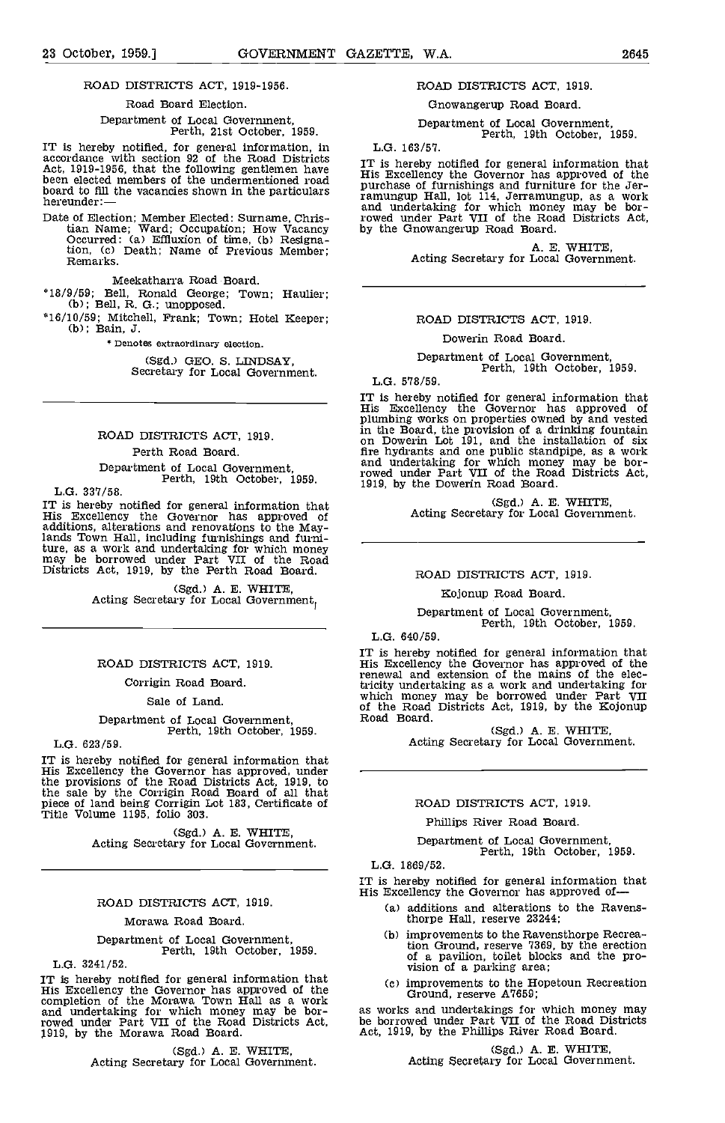#### Road Board Election.

Department of Local Government, Perth, 21st October, 1959.

IT is hereby notified, for general information, in  $\frac{1}{2}$  accordance with section 92 of the Road Districts  $\frac{1}{2}$ Act, 1919-1956, that the following gentlemen have TP is<br>been elected members of the undermentioned road His E been elected members of the undermentioned road<br>board to fill the vacancies shown in the particulars<br>hereunder:—

Date of Election; Member Elected: Surname, Chris-<br>tian Name; Ward; Occupation; How Vacancy by the<br>Occurred: (a) Effluxion of time, (b) Resignation, (c) Death; Name of Previous Member; Remarks.

Meekatharra Road Board.

- \*18/9/59; Bell, Ronald George; Town; Haulier;<br>(b); Bell, R. G.; unopposed.
- 16/10/59; Mitchell, Frank; Town; Hotel Keeper; (b); Bain, J.

\* Denotes extraordinary election.

(Sgd.) GEO. S. LINDSAY, Secretary for Local Government.

# ROAD DISTRICTS ACT, 1919. Perth Road Board.

Department of Local Government, Perth, 19th October, 1959.

L.G. 337/58.

IT is hereby notified for general information that<br>His Excellency the Governor has approved of<br>additions, alterations and renovations to the May-<br>lands Town Hall, including furnishings and furni-<br>ture, as a work and undert

(Sgd.) A. E. WHITE,<br>Acting Secretary for Local Government,

#### ROAD DISTRICTS ACT, 1919.

Corrigin Road Board.

Sale of Land.

# Department of Local Government, Perth, 19th October, 1959.

L.G. 623/59.

IT is hereby notified for general information that His Excellency the Governor has approved, under the provisions of the Road Districts Act, 1919, to the sale by the Corrigin Road Board of all that piece of land being Corrigin Lot 183, Certificate of Title Volume 1195, folio 303.

(Sgd.) A. E. WHITE,<br>Acting Secretary for Local Government.

### ROAD DISTRICTS ACT, 1919.

#### Morawa Road Board.

Department of Local Government, Perth, 19th October, 1959.

L.G. 3241/52.

IT is hereby notified for general information that<br>His Excellency the Governor has approved of the<br>completion of the Morawa Town Hall as a work<br>and undertaking for which money may be bor-<br>as work rowed under Part VII of the Road Districts Act, by the Morawa Road Board.

(Sgd.) A. E. WHITE,<br>Acting Secretary for Local Government.

#### ROAD DISTRICTS ACT, 1919.

Gnowangerup Road Board.

Department of Local Government, Perth, 19th October, 1959.

L.G. 163/57.

IT is hereby notified for general information that His Excellency the Governor has approved of the purchase of furnishings and furniture for the Jer- ramungup Hall, lot 114, Jerramungup, as a work and undertaking for which money may be borrowed under Part VII of the Road Districts Act, by the Gnowangerup Road Board,

A. E. WHITE,<br>Acting Secretary for Local Government.

#### ROAD DISTRICTS ACT, 1919,

#### Dowerin Road Board.

Department of Local Government, Perth, 19th October, 1959.

L.G. 578/59.

IT is hereby notified for general information that His Excellency the Governor has approved of plumbing works on properties owned by and vested in the Board, the provision of a drinking fountain<br>on Dowerin Lot 191, and the installation of six<br>fire hydrants and one public standpipe, as a work<br>and undertaking for which money may be bor-<br>rowed under Part VII of the R

(Sgd.) A. E. WHITE, Acting Secretary for Local Government.

#### ROAD DISTRICTS ACT, 1919.

ICojonup Road Board.

Department of Local Government, Perth, 19th October, 1959.

L.G. 640/59.

IT is hereby notified for general information that His Excellency the Governor has approved of the renewal and extension of the mains of the electricity undertaking as a work and undertaking for<br>which money may be borrowed under Part VII<br>of the Road Districts Act, 1919, by the Kojonup<br>Road Board. (Sgd.) A. E. WHITE,

Acting Secretary for Local Government.

ROAD DISTRICTS ACT, 1919.

Phillips River Road Board.

Department of Local Government, Perth, 19th October, 1959.

L.G. 1869/52.

IT is hereby notified for general information that His Excellency the Governor has approved of

- additions and alterations to the Ravensthorpe Hall, reserve 23244;
	- improvements to the Ravensthorpe Recrea-tion Ground, reserve 7369, by the erection of a pavilion, toilet blocks and the pro- vision of a parking area;
- improvements to the Hopetoun Recreation Ground, reserve A7659;

as works and undertakings for which money may be borrowed under Part VII of the Road Districts Act, 1919, by the Phillips River Road Board.

(Sgd.) A. E. WHITE,<br>Acting Secretary for Local Government.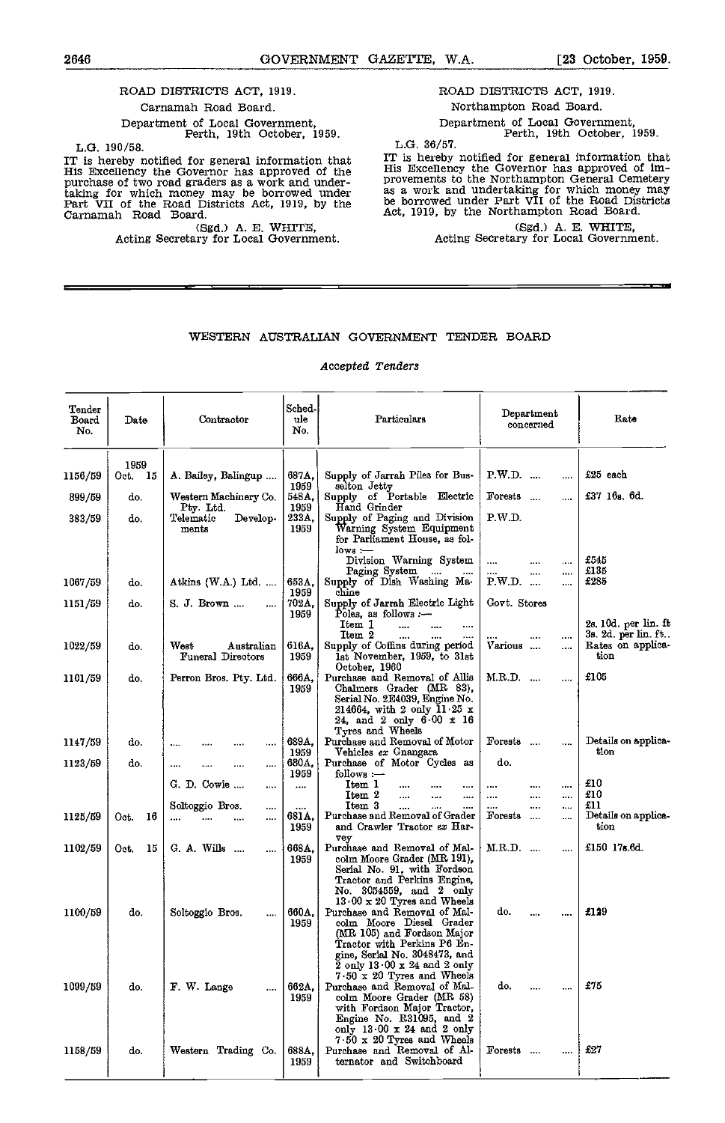and the control of the control of the control of the control of the control of the control of the control of t<br>The control of the control of the control of the control of the control of the control of the control of the c

# ROAD DISTRICTS ACT, 1919.

# Carnamah Road Board. Department of Local Government, Perth, 19th October, 1959.

L.G. 190/58.

IT is hereby notified for general information that  $\begin{array}{cc} \text{IT} & \text{is} \\ \text{His} & \text{Excelency} \\ \text{purchase of two road graders as a work and under} \end{array}$ taking for which money may be borrowed under as a<br>Part VII of the Road Districts Act, 1919, by the be be<br>Carnamah Road Board. Act, 1919, by the Act,

(Sgd.) A. B. WHITE, Acting Secretary for Local Government.

ROAD DISTRICTS ACT, 1919. Northampton Road Board.

Department of Local Government, Perth, 19th October, 1959.

L.G. 36/57.

IT is hereby notified for general information that His Excellency the Governor has approved of im- provements to the Northampton General Cemetery as a work and undertaking for which money may be borrowed under Part VII of the Road Districts Act, 1919, by the Northampton Road Board,

ī

(Sgd.) A. E. WHITE,<br>Acting Secretary for Local Government.

ī

# WESTERN AUSTRALIAN GOVERNMENT TENDER BOARD

#### Accepted Tenders

| Tender<br>Board<br>No. | Date            | Contractor                                  | Sched-<br>ule<br>No.  | Particulars                                                                                                                                                                                                                                   | Department<br>concerned            | Rato                                             |
|------------------------|-----------------|---------------------------------------------|-----------------------|-----------------------------------------------------------------------------------------------------------------------------------------------------------------------------------------------------------------------------------------------|------------------------------------|--------------------------------------------------|
| 1156/59                | 1959<br>Oct. 15 | A. Bailey, Balingup                         | 687A,<br>1959         | Supply of Jarrah Piles for Bus-<br>selton Jetty                                                                                                                                                                                               | $P.W.D.$<br>                       | £25 each                                         |
| 899/59                 | do.             | Western Machinery Co.<br>Pty Ltd.           | 548A,<br>1959         | Supply of Portable Electric<br>Hand Grinder                                                                                                                                                                                                   | Forests<br>                        | £37 16 <sub>8</sub> , 6d.                        |
| 383/59                 | do.             | Develop-<br>Telematic<br>ments              | 233A,<br>1959         | Supply of Paging and Division<br>Warning System Equipment<br>for Parliament House, as fol-<br>lows :—                                                                                                                                         | P.W.D.                             |                                                  |
|                        |                 |                                             |                       | Division Warning System<br>Paging System                                                                                                                                                                                                      | .<br><br>.<br>                     | £545<br>£135                                     |
| 1067/59                | do.             | Atkins $(W.A.)$ Ltd.                        | 653A,<br>1959         | Supply of Dish Washing Ma-<br>chine                                                                                                                                                                                                           | P.W.D.<br>                         | £285                                             |
| 1151/59                | do.             | S. J. Brown<br>                             | 702A,<br>1959         | Supply of Jarrah Electric Light<br>Poles, as follows $-$<br>Item 1<br>$\cdots$                                                                                                                                                                | Govt. Stores                       | $2s$ 10d. per lin. ft                            |
| 1022/59                | do.             | West<br>Australian<br>Funeral Directors     | 616A.<br>1959         | Item 2<br>Supply of Coffins during period<br>1st November, 1959, to 31st<br>October, 1960                                                                                                                                                     | <br>Various<br>$\cdots$            | 3s. 2d. per lin. ft<br>Rates on applica-<br>tion |
| 1101/59                | do.             | Perron Bros. Pty. Ltd.                      | 666A,<br>1959         | Purchase and Removal of Allis<br>Chalmers Grader (MR 83),<br>Serial No. 2E4039, Engine No.<br>214664, with 2 only $11.25 \times$<br>24, and 2 only $6.00 \times 16$<br>Tyres and Wheels                                                       | M.R.D.<br>$\cdots$                 | £105                                             |
| 1147/59                | do.             | <br>                                        | 689A,                 | Purchase and Removal of Motor                                                                                                                                                                                                                 | Forests<br>                        | Details on applica-                              |
| 1123/59                | do.             | $\cdots$<br>.<br>.<br>                      | 1959<br>680A,<br>1959 | Vehicles <i>ex</i> Gnangara<br>Purchase of Motor Cycles as<br>follows :-                                                                                                                                                                      | do.                                | tion                                             |
|                        |                 | G. D. Cowie<br>                             |                       | Item 1<br><br>$\cdots$<br>Item 2<br>$\cdots$<br><br>                                                                                                                                                                                          | <br><br><br><br>$\cdots$<br>       | £10<br>£10                                       |
| 1125/59                | Oot.<br>16      | Soltoggio Bros.<br>$\cdots$<br>$\cdots$<br> | <br>681 A,<br>1959    | Item 3<br>$\ddotsc$<br>$\cdots$<br>Purchase and Removal of Grader<br>and Crawler Tractor ex Har-                                                                                                                                              | <br><br><br><b>Forests</b><br><br> | £11<br>Details on applica-<br>tion               |
| 1102/59                | 15<br>Oct.      | G. A. Wills<br>$\cdots$                     | 668 A.<br>1959        | 78y<br>Purchase and Removal of Mal-<br>colm Moore Grader (MR 191),<br>Serial No. 91, with Fordson<br>Tractor and Perkins Engine,<br>No. 3054559, and 2 only                                                                                   | M.R.D.<br>.                        | £150 17s.6d.                                     |
| 1100/59                | do.             | Soltoggio Bros.<br>$\cdots$                 | 660A.<br>1959         | 13.00 $\times$ 20 Tyres and Wheels<br>Purchase and Removal of Mal-<br>colm Moore Diesel Grader<br>(MR 105) and Fordson Major<br>Tractor with Perkins P6 En-<br>gine, Serial No. 3048473, and<br>$2$ only $13 \cdot 00 \times 24$ and $2$ only | do.<br><br>                        | £129                                             |
| 1099/59                | do.             | F. W. Lange<br>$\cdots$                     | 662A.<br>1959         | $7.50 \times 20$ Tyres and Wheels<br>Purchase and Removal of Mal-<br>colm Moore Grader (MR 58)<br>with Fordson Major Tractor,<br>Engine No. R31095, and 2<br>only 13 00 x 24 and 2 only                                                       | do.<br>$\cdots$<br>                | ±75                                              |
| 1158/59                | do.             | Western Trading Co.                         | 688A.<br>1959         | $7.50 \times 20$ Tyres and Wheels<br>Purchase and Removal of Al-<br>ternator and Switchboard                                                                                                                                                  | Forests                            | -627                                             |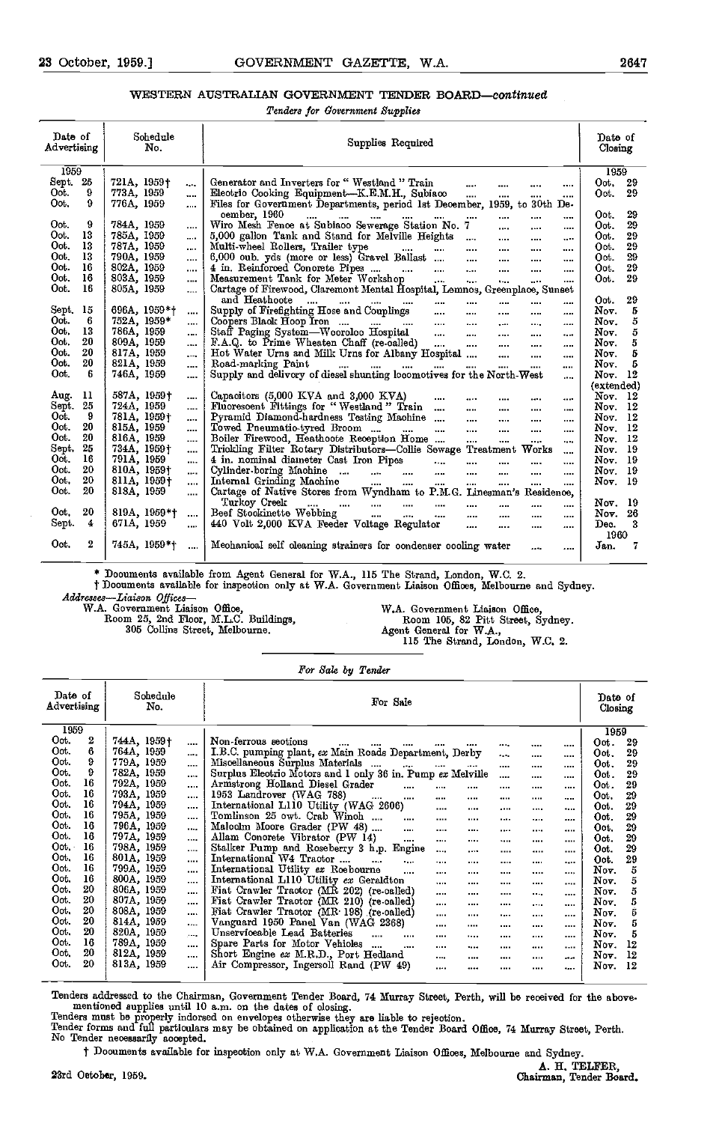# WESTERN AUSTRALIAN GOVERNMENT TENDER BOARD-continued

Tenders for Government Supplies

| Date of<br>Advertising |     | Schedule<br>No. |          | Supplies Required                                                                                                                                                                                                            | Date of<br>Closing       |
|------------------------|-----|-----------------|----------|------------------------------------------------------------------------------------------------------------------------------------------------------------------------------------------------------------------------------|--------------------------|
| 1959                   |     |                 |          |                                                                                                                                                                                                                              | 1959                     |
| Sept.                  | -25 | 721A, 1959†     |          | Generator and Inverters for "Westland "Train<br>$\cdots$<br>                                                                                                                                                                 | Oot.<br>29               |
| Oot.                   | 9   | 773A, 1959      |          | Electric Cooking Equipment-K.E.M.H., Subiaco<br>$\cdots$                                                                                                                                                                     | Oot.<br>29               |
| Oot.                   | 9   | 776A, 1959      |          | <br><br><br>Files for Government Departments, period 1st December, 1959, to 30th De-                                                                                                                                         |                          |
|                        |     |                 |          | oember, 1960                                                                                                                                                                                                                 | 29<br>Oot.               |
| Oot.                   | 9   | 784A, 1959      |          | <b>Sales Control</b><br>and the same company of the same of the same of the same of the same of the same of the same of the same of the<br>$\cdots$<br>$\cdots$<br><br><br>Wiro Mesh Fence at Subiaco Sewerage Station No. 7 | 29<br>Oot.               |
| Oot.                   | 13  | 785A, 1959      | $\cdots$ | $\cdots$<br><br><br>5,000 gallon Tank and Stand for Melville Heights                                                                                                                                                         | 29<br>Oot.               |
| Oot.                   | 13  | 787A, 1959      | $\cdots$ | $\cdots$<br><br><br>Multi-wheel Rollers, Trailer type                                                                                                                                                                        | 29<br>Oot.               |
| Oot.                   | 13  | 790A, 1959      |          | $\sim 10^{-10}$<br>$\cdots$<br>$\cdots$<br><br><br>6,000 oub. yds (more or less) Gravel Ballast                                                                                                                              | 29<br>Oot.               |
| Oot.                   | 16  | 802A, 1959      |          | $\sim$<br>$\cdots$<br>$\cdots$<br><br>4 in. Reinforced Concrete Pipes                                                                                                                                                        | 29<br>Oot.               |
| Oot.                   | 16  | 803A, 1959      |          | <b>Contact Contact</b><br>$\Delta \Delta \Delta \Delta \Delta \Delta \Delta$<br>$\mathbf{r}$<br>$\cdots$<br>$\cdots$<br><br>Measurement Tank for Meter Workshop<br>$\Delta \Delta \Delta \Delta$                             | 29<br>Oot.               |
| Oot.                   | 16  |                 |          | $\sim$<br>1.11<br>$\cdots$<br>$\cdots$                                                                                                                                                                                       |                          |
|                        |     | 805A, 1959      |          | Cartage of Firewood, Claremont Mental Hospital, Lemnos, Greenplace, Sunset<br>and Heathoote                                                                                                                                  |                          |
|                        |     |                 |          | $\cdots$<br>and the same state of<br>$\cdots$<br>$\cdots$<br><br><br>                                                                                                                                                        | 29<br>Oot.               |
| Sept.                  | 15  | 696A, 1959*†    | $\cdots$ | Supply of Firefighting Hose and Couplings<br>$\cdots$<br>$\cdots$<br><br><br>                                                                                                                                                | 5<br>Nov.                |
| Oot.                   | 6   | 752A, 1959*     | $\cdots$ | Coopers Black Hoop Iron<br>Staff_Paging System—Wooroloo_Hospital<br>$\cdots$<br><br>$\cdots$<br>                                                                                                                             | 5<br>Nov.                |
| Oot.                   | 13  | 786A, 1959      |          | $\ddotsc$<br>$\cdots$<br>$\ddotsc$<br>                                                                                                                                                                                       | $\overline{5}$<br>Nov.   |
| Oot.                   | 20  | 809A, 1959      | $\cdots$ | F.A.Q. to Prime Wheaten Chaff (re-called)<br>Hot Water Urns and Milk Urns for Albany Hospital<br>$\cdots$<br><br>                                                                                                            | 5<br>Nov.                |
| Oot.                   | 20  | 817A, 1959      |          | <br><br>                                                                                                                                                                                                                     | 5<br>Nov.                |
| Oot.                   | 20  | 821A, 1959      | $\cdots$ | Road-marking Paint<br>and the con-<br>and the same of<br>and the<br>$\cdots$<br>and a<br><br>                                                                                                                                | 5<br>Nev.                |
| Oot.                   | 6   | 746A, 1959      |          | Supply and delivery of diesel shunting locomotives for the North-West<br>$\cdots$                                                                                                                                            | Nov. $12$                |
|                        |     |                 |          |                                                                                                                                                                                                                              | (extended)               |
| Aug.                   | 11  | 587A, 1959†     |          | Capacitors (5,000 KVA and 3,000 KVA)<br>$\cdots$<br><br>                                                                                                                                                                     | Nov. 12                  |
| Sept.                  | 25  | 724A, 1959      |          | Fluorescent Fittings for "Westland" Train<br>$\dddotsc$<br>$\cdots$<br>$\cdots$<br>$\cdots$<br>                                                                                                                              | Nov. 12                  |
| Oot.                   | 9   | 781A, 1959†     |          | Pyramid Diamond-hardness Testing Machine<br>$\cdots$<br><br><br>                                                                                                                                                             | Nov. 12                  |
| Oot.                   | 20  | 815A, 1959      |          | Towed Pneumatio-tyred Broom<br>$\cdots$<br>$\cdots$<br>$\cdots$<br><br>                                                                                                                                                      | $12\phantom{.0}$<br>Nov. |
| Oot.                   | 20  | 816A, 1959      |          | Boiler Firewood, Heathoote Reception Home<br>$\cdots$<br>$\cdots$<br><br>                                                                                                                                                    | Now. 12                  |
| Sept.                  | 25  | 734A, 1959†     | $\cdots$ | Trickling Filter Rotary Distributors-Collie Sewage Treatment<br>Works<br>                                                                                                                                                    | -19<br>Nov.              |
| Oot.                   | 16  | 791A, 1959      | $\cdots$ | 4 in. nominal diameter Cast Iron Pipes<br>$\sim$<br>$\cdots$                                                                                                                                                                 | Nov. 19                  |
| Oot.                   | 20  | 810A, 1959†     | $\cdots$ | <br><br><br>Cylinder-boring Machine<br>$\sim$                                                                                                                                                                                | Nov. 19                  |
| Oot.                   | 20  | 811A, 1959†     |          | $\cdots$<br><br><br><br>Internal Grinding Machine<br>$\mathbf{m}$<br>$\cdots$                                                                                                                                                | Nov. 19                  |
| Oot.                   | 20  | 818A, 1959      | $\cdots$ | $\cdots$<br><br><br><br><br>Cartage of Native Stores from Wyndham to P.M.G. Linesman's<br>Residence,                                                                                                                         |                          |
|                        |     |                 | $\cdots$ | Turkoy Creek                                                                                                                                                                                                                 | Nov. 19                  |
| Oot.                   | 20  | 819A, 1959*†    |          | $\cdots$<br>$\cdots$<br><br>$\cdots$<br><br><br><br>Beef Stockinette Webbing                                                                                                                                                 | -26                      |
|                        | 4   | 671A, 1959      | $\cdots$ | $\cdots$<br>$\ddotsc$<br>$\cdots$<br>$\cdots$<br><br>$\cdots$<br>                                                                                                                                                            | Nev.                     |
| Sept.                  |     |                 | $\cdots$ | 440 Volt 2,000 KVA Feeder Voltage Regulator<br>$\cdots$<br><br>                                                                                                                                                              | 3<br>Dec.                |
|                        |     |                 |          |                                                                                                                                                                                                                              | 1960                     |
| Oot.                   | 2   | 745A, 1959*†    |          | Mechanical self cleaning strainers for condenser cooling water<br><br>                                                                                                                                                       | 7<br>Jan.                |
|                        |     |                 |          |                                                                                                                                                                                                                              |                          |

\* Documents available from Agent General for WA., 115 The Strand, London, W.C. 2.

t Documents available for inspection only at W.A. Government Liaison Offices, Melbourne and Sydney. Addresses-Liaison Offices-W.A. Government Liaison Office,

Room 25, 2nd Floor, M.L.C. Buildings, 305 Collins Street, Melbourne.

WA. Government Liaison Office, Room 105, 82 Pitt Street, Sydney. Agent General for W.A., 115 The Strand, London, W.C. 2.

#### For Sale by Tender

| Date of<br>Advertising |                  | Schedule<br>No.            | For Sale                                                                                                                                                      | Date of<br>Closing |
|------------------------|------------------|----------------------------|---------------------------------------------------------------------------------------------------------------------------------------------------------------|--------------------|
| 1959                   |                  |                            |                                                                                                                                                               | 1959               |
| Oot.                   | $\boldsymbol{2}$ | 744A, 1959†<br>$\cdots$    | Non-ferrous sections<br><br><br><br><br>                                                                                                                      | 29<br>Oot.         |
| Oot.                   | 6                | 764A, 1959<br>$\cdots$     | I.B.C. pumping plant, ex Main Roads Department, Derby<br>$\cdots$<br><br>                                                                                     | 29<br>Oot.         |
| Oot.                   | 9                | 779A, 1959<br>$\cdots$     | Miscellaneous Surplus Materials<br>$\cdots$<br>$\cdots$<br>$\cdots$<br><br>                                                                                   | 29<br>Oot.         |
| Oot.                   | 9                | 782A, 1959<br>$\cdots$     | Surplus Electric Motors and 1 only 36 in. Pump ex Melville<br><br><br>                                                                                        | 29<br>Oot.         |
| Oot.                   | 16               | 792A, 1959<br>$\cdots$     | Armstrong Holland Diesel Grader<br><br>$\cdots$<br><br><br><br>                                                                                               | 29<br>Oot.         |
| Oot.                   | 16               | 793A, 1959<br>$\cdots$     | 1953 Landrover (WAG 788)<br><br><br><br><br><br><br>                                                                                                          | 29<br>Oot.         |
| Oot.                   | 16               | 794A, 1959<br>$\cdots$     | International L110 Utility (WAG 2606)<br><br><br><br><br>                                                                                                     | 29<br>Oot.         |
| Oot.                   | 16               | 795A, 1959<br>$\cdots$     | Tomlinson 25 owt. Crab Winch<br><br><br><br>$1.11 - 1.02$<br><br>                                                                                             | 29<br>Oot.         |
| Oot.                   | 16               | 796A, 1959<br><b>A 800</b> | Maloolm Moore Grader (PW 48)<br>$\cdots$<br><br><br><br><br>1.111                                                                                             | 29<br>Oot.         |
| Oot.                   | 16               | 797A, 1959<br>$\cdots$     | Allam Conorete Vibrator (PW 14)<br>$\cdots$<br>$\cdots$<br><br><br><b>NAME</b><br>                                                                            | 29<br>Oot.         |
| $\mathbf{O}$ ot        | 16               | 798A, 1959<br>$\cdots$     | Stalker Pump and Roseberry 3 h.p. Engine<br>$\cdots$<br>1.1.4<br>1.111<br>$\cdots$<br>                                                                        | 29<br>Oot.         |
| Oot.                   | 16               | 801A, 1959<br>$\cdots$     | International W4 Tractor<br><br>1.111<br><br><br><br>                                                                                                         | 29<br>Oot.         |
| Oot.                   | 16               | 799A, 1959<br>             | International Utility ex Roebourne<br>$\cdots$<br>$\cdots$<br><br><br>1.11<br>                                                                                | 5<br>Nov.          |
| Oot.                   | 16               | 800A, 1959<br>$\cdots$     | International L110 Utility ex Geraldton<br>$\cdots$<br><br><br><br>                                                                                           | 5<br>Nov.          |
| Oot.                   | 20               | 806A, 1959<br>             | Fiat Crawler Tractor (MR 202) (re-called)<br><br><br><br><br>                                                                                                 | 5<br>Nov.          |
| Oot.                   | 20               | 807A, 1959<br>$\cdots$     | Fiat Crawler Tractor (MR 210) (re-called)<br><br><br><br><br>                                                                                                 | 5<br>Nov.          |
| Oot.                   | 20               | 808A, 1959<br>             | Fiat Crawler Tractor (MR 198) (re-called)<br><br><br>1.1.1<br><br>                                                                                            | Ġ<br>Nov.          |
| Oot.                   | 20               | 814A, 1959<br>$\cdots$     | Vanguard 1950 Panel Van (WAG 2368)<br><br><br><br><br>                                                                                                        | 5<br>Nov.          |
| Oot.                   | 20               | 820A, 1959<br>$1 - 1$      | Unserviceable Lead Batteries<br>$\cdots$<br><br><br><br><br><br>                                                                                              | 5<br>Nov.          |
| Oot.                   | 16               | 789A, 1959<br>$\cdots$     | Spare Parts for Motor Vehicles<br>$\sim$ $\sim$<br>$\cdots$<br>$\cdots$<br><br><br><br>$\begin{array}{ccc} \bullet & \bullet & \bullet & \bullet \end{array}$ | 12<br>Nov.         |
| Oot.                   | 20               | 812A, 1959<br>$\cdots$     | Short Engine ex M.R.D., Port Hedland<br>$\cdots$<br><br><br>an an<br>                                                                                         | 12<br>Nov.         |
| Oot.                   | 20               | 813A, 1959<br>$\cdots$     | Air Compressor, Ingersoll Rand (PW 49)<br>1.1.1<br><br><br><br>٠                                                                                              | 12<br>Nov.         |
|                        |                  |                            |                                                                                                                                                               |                    |

Tenders addressed to the Chairman, Government Tender Board, 74 Murray Street, Perth, will be received for the above. mentioned supplies until 10 a.m. on the dates of closing.

Tenders must be properly indorsed on envelopes otherwise they are liable to rejection.<br>Tender forms and full particulars may be obtained on application at the Tender Board Office, 74 Murray Street, Perth.<br>No Tender necessa

t Documents available for inspection only at WA. Government Liaison Offices, Melbourne and Sydney.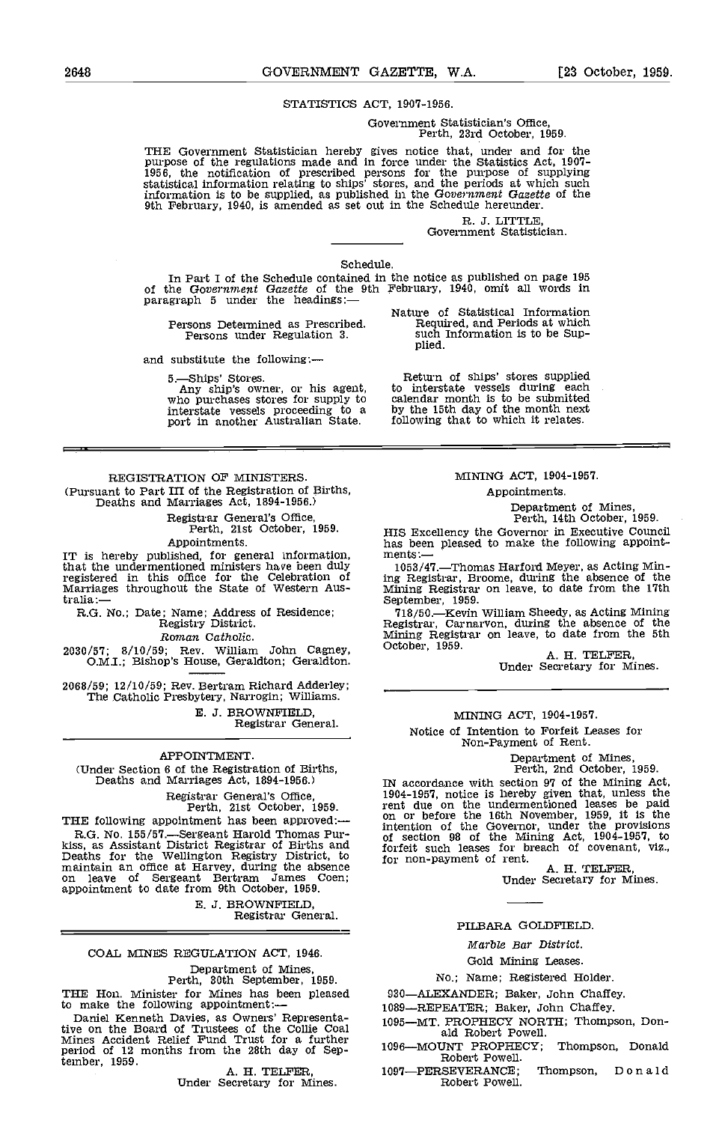#### STATISTICS ACT, 1907-1956.

Government Statistician's Office, Perth, 23rd October, 1959.

THE Government Statistician hereby gives notice that, under and for the purpose of the regulations made and in force under the Statistics Act, 1907–<br>1956, the notification of prescribed persons for the purpose of supplying statistical information relating to ships' stores, and the periods at which such information is to be supplied, as published in the Government Gazette of the 9th February, 1940, is amended as set out in the Schedule hereunder.

R. J. LITTLE, Government Statistician.

#### Schedule.

In Part I of the Schedule contained in the notice as published on page 195 of the Government Gazette of the 9th February, 1940, omit all words in paragraph 5 under the headings:—

Persons Determined as Prescribed. Persons under Regulation 3.

and substitute the following:-

5.Ships' Stores. Any ship's owner, or his agent, who purchases stores for supply to Interstate vessels proceeding to a by the port in another Australian State. following

# REGISTRATION OF MINISTERS. (Pursuant to Part III of the Registration of Births, Deaths and Marriages Act, 1894-1956.)

Registrar General's Office, Perth, 21st October, 1959. Appointments.

IT is hereby published, for general information, ments<br>that the undermentioned ministers have been duly 1053 registered in this office for the Celebration of inguistered in this office for the Celebration of inguistance<br>Marriages throughout the State of Western Aus-<br>tralia:— Sep

R.G. No.; Date; Name; Address of Residence; Registry District.

Roman Catholic.

2030/57; 8/10/59; Rev. William John Cagney, October, 1959.<br>O.M.I.; Bishop's House, Geraldton; Geraldton.

2068/59; 12/10/59; Rev. Bertram Richard Adderley; The Catholic Presbytery, Narrogin; Williams. E. J. BROWNFIELD,<br>Registrar General.

#### APPOINTMENT.

(Under Section 6 of the Registration of Births, Deaths and Marriages Act, 1894-1956.)

Registrar General's Office, Perth, 21st October, 1959.

THE following appointment has been approved:— $R.G. No. 155/57$ —Sergeant Harold Thomas Pur-<br>kiss, as Assistant District Registrar of Births and for sec<br>Deaths for the Wellington Registry District, to for no<br>maintain an office on leave of Sergeant Bertram James Coen; appointment to date from 9th October, 1959.

E. J. BROWNFIELD Registrar General.

# COAL MINES REGULATION ACT, 1946.

Department of Mines, Perth, 30th September, 1959.

THE Hon. Minister for Mines has been pleased<br>to make the following appointment:—

Daniel Kenneth Davies, as Owners' Representative on the Board of Trustees of the Collie Coal Mines Accident Relief Fund Trust for a further<br>period of 12 months from the 28th day of Sep-<br> tember, 1959. A. II. TELFER, Under Secretary for Mines.

### MINING ACT, 1904-1957.

Appointments.

Department of Mines, Perth, 14th October, 1959.

HIS Excellency the Governor in Executive Council has been pleased to make the following appoint-<br>ments:-

1053/47.Thomas Harford Meyer, as Acting Min-ing Registrar, Broome, during the absence of the Mining Registrar on leave, to date from the 17th September, 1959.

September, 1959.<br>
718/50.—Kevin William Sheedy, as Acting Mining Registrar, Carnarvon, during the absence of the Mining Registrar on leave, to date from the 5th October, 1959.<br>
A, H. TELFER, Under Secretary for Mines.

#### MINING ACT, 1904-1957.

Notice of Intention to Forfeit Leases for Non-Payment of Rent,

Department of Mines, Perth, 2nd October, 1959.

IN accordance with section 97 of the Mining Act, 1904-1957, notice is hereby given that, unless the rent due on the undermentioned leases be paid on or before the 16th November, 1959, it is the intention of the Governor, under the provisions of section 98 of the Mining Act, 1904-1957, to forfeit such leases for breach of covenant, viz., for non-payment of rent.<br>A. H. TELFER, Under Secretary for Mines.

#### PILBARA GOLDFIELD.

Marble Ear District.

# Gold Mining Leases.

#### No.; Name; Registered Holder.

930-ALEXANDER; Baker, John Chaffey.

1089-REPEATER; Baker, John Chaffey.

- 1095-MT. PROPHECY NORTH; Thompson, Don-<br>ald Robert Powell.
- 1096-MOUNT PROPHECY; Thompson, Donald Robert Powell.
- 1097-PERSEVERANCE; Thompson, Donald Robert Powell.

Nature of Statistical Information

Return of ships' stores supplied to interstate vessels during each calendar month is to be submitted by the 15th day of the month next following that to which it relates.

Required, and Periods at which such Information is to be Sup- plied.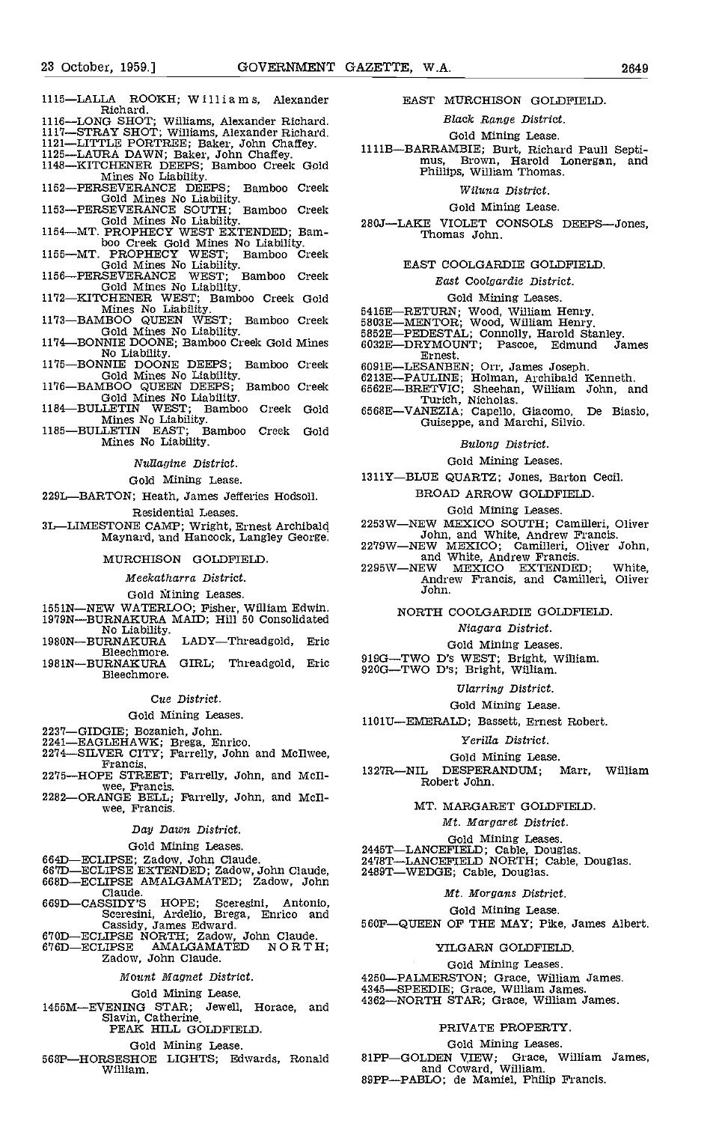- 1115-LALLA ROOKH; Williams, Alexander<br>Richard. Richard.
- 1116-LONG SHOT; Williams, Alexander Richard.
- 
- 
- 
- 1117—STRAY SHOT; Williams, Alexander Richard.<br>
1121—LITTLE PORTREE; Baker, John Chaffey.<br>
1125—LAURA DAWN; Baker, John Chaffey.<br>
1111B-<br>
1148—KITCHENER DEEPS; Bamboo Creek Gold<br>
Mines No Liability.<br>
1152—PERSEVERANCE DEEPS
- 
- 
- boo Creek Gold Mines No Liability.<br>1155—MT. PROPHECY WEST; Bamboo Creek<br>Gold Mines No Liability.<br>1156—PERSEVERANCE WEST; Bamboo Creek
- 
- 
- Gold Mines No Liability.<br>
1172—KITCHENER WEST; Bamboo Creek Gold<br>
Mines No Liability.<br>
1173—BAMBOO QUEEN WEST; Bamboo Creek 5803E-<br>
6000 MINES NO Liability.<br>
1174—BONNIE DOONE; Bamboo Creek Gold Mines<br>
No Liability.<br>
1175—
- 
- 
- 
- 
- Mines No Liability.

Nullagine District.

#### Gold Mining Lease.

229L-BARTON; Heath, James Jefferies Hodsoll.

Residential Leases.

3L—LIMESTONE CAMP; Wright, Ernest Archibald 2253W—NEW MEXICO SOUTH; Camilleri, Oliver<br>Maynard, and Hancock, Langley George. Maynard, and Hancock, Langley George.

#### MURCHISON GOLDFIELD

Meekatharra District.

Gold Mining Leases.

- 1551N—NEW WATERLOO; Fisher, William Edwin.
- 1979N-BURNAKURA MAID; Hill 50 Consolidated No Liability.<br>
1980N—BURNAKURA LADY—Threadgold, Eric
- 
- Bleechmore.<br>1981N-BURNAKURA GIRL; Threadgold, Eric  $919G - TWO$  D's WEST; Bright, William. Bleechmore.

#### Cue District.

## Gold Mining Leases.

- 
- 
- 2237-GIDGIE; Bozanich, John.<br>2241-EAGLEHAWK; Brega, Enrico.<br>274-SILVER CITY; Farrelly, John and McIlwee,<br>PREE STREET; Farrelly, John and McIl. 1327R-NIL
- 2275-HOPE STREET; Farrelly, John, and McIl-<br>wee, Francis.<br>2282-ORANGE BELL; Farrelly, John, and McIl-<br>wee, Francis.
- 

#### Day Dawn District.

Gold Mining Leases.

- 
- 
- 669D-CASSIDY'S HOPE; Sceresini, Antonio, Sceresini, Ardelio, Brega, Enrico and
- Cassidy, James Edward.<br>670D—ECLIPSE NORTH; Zadow, John Claude.<br>676D—ECLIPSE AMALGAMATED NOR T H;<br>Zadow, John Claude.
- 

#### Mount Magnet District.

#### Gold Mining Lease.

1455M—EVENING STAR; Jewell, Horace, and <sup>4362–</sup> Slavin, Catherine.<br>PEAK HILL GOLDFIELD.

#### Gold Mining Lease.

568P-HORSESHOE LIGHTS; Edwards, Ronald William.

#### EAST MURCHISON OOLDFIELD

#### Black Range District.

Gold Mining Lease.

1111B-BARRAMBIE; Burt, Richard Paull Septi-<br>mus. Brown, Harold Lonergan, and Brown, Harold Lonergan, and Phillips, William Thomas.

#### Wiluna District.

#### Gold Mining Lease.

280J-LAKE VIOLET CONSOLS DEEPS-Jones, Thomas John.

#### EAST COOLGARDIE GOLDFIELD

#### East Coolgardie District.

# Gold Mining Leases.

- 
- 
- 5415E—RETURN; Wood, William Henry.<br>5803E—MENTOR; Wood, William Henry.<br>5852E—PEDESTAL; Connolly, Harold Stanley.<br>6032E—DRYMOUNT; Pascoe, Edmund James
- Ernest.
- 
- 
- 
- 1184—BULLETIN WEST; Bamboo Creek Gold 6568E—VANEZIA; Capello, Giacomo, De Biasio,<br>Mines No Liability.<br>1185—BULLETIN EAST; Bamboo Creek Gold Guiseppe, and Marchi, Silvio. 6091E-LESANBEN; Orr, James Joseph.<br>6213E-PAULINE; Holman, Archibald Kenneth.<br>6562E-BRETVIC; Sheehan, William John, and<br>Turich, Nicholas.<br>6568E-VANEZIA; Capello, Giacomo, De Biasio,<br>Guiseppe, and Marchi, Silvio.
	- Bulong District.

# Gold Mining Leases.

1311Y-BLUE QUARTZ; Jones, Barton Cecil.

## BROAD ARROW GOLDFIELD

# Gold Mining Leases.

- 
- 
- 
- 2279W—NEW MEXICO; Camilleri, Oliver John, and White, Andrew Francis.<br>
2279W—NEW MEXICO; Camilleri, Oliver John, and White, Andrew Francis, and Camilleri, Oliver John.

#### NORTH COOLGARDIE GOLDFIELD

#### Niagara District.

Gold Mining Leases.<br>919G—TWO D's WEST; Bright, William.

- - Ularring District.

# Gold Mining Lease.

110111EMERALD; Bassett, Ernest Robert.

#### Yerifla District.

Gold Mining Lease.

DESPERANDUM; Marr, William Robert John.

#### MT. MARGARET GOLDFIELD

- Mt. Margaret District.
- 
- 
- 664D—ECLIPSE; Zadow, John Claude. 24787—LANCEFIELD, Cause, Do.<br>667D—ECLIPSE EXTENDED; Zadow, John Claude, 2489T—WEDGE; Cable, Douglas.<br>668D—ECLIPSE AMALGAMATED; Zadow, John Claude. Mt Morgans Distr Gold Mining Leases.<br>2445T—LANCEFIELD; Cable, Douglas.<br>2478T—LANCEFIELD NORTH; Cable, Douglas.
	- Mt. Morgans District.

# Gold Mining Lease.

560F-QUEEN OF THE MAY; Pike, James Albert.

## YILGARN GOLDFIELD Gold Mining Leases.

PRIVATE PROPERTY. Gold Mining Leases. 81PP—GOLDEN VIEW; Grace, William James,

4250—PALMERSTON; Grace, William James.<br>4345—SPEEDIE; Grace, William James.<br>4362—NORTH STAR; Grace, William James.

and Coward, William.<br>89PP—PABLO; de Mamiel, Philip Francis.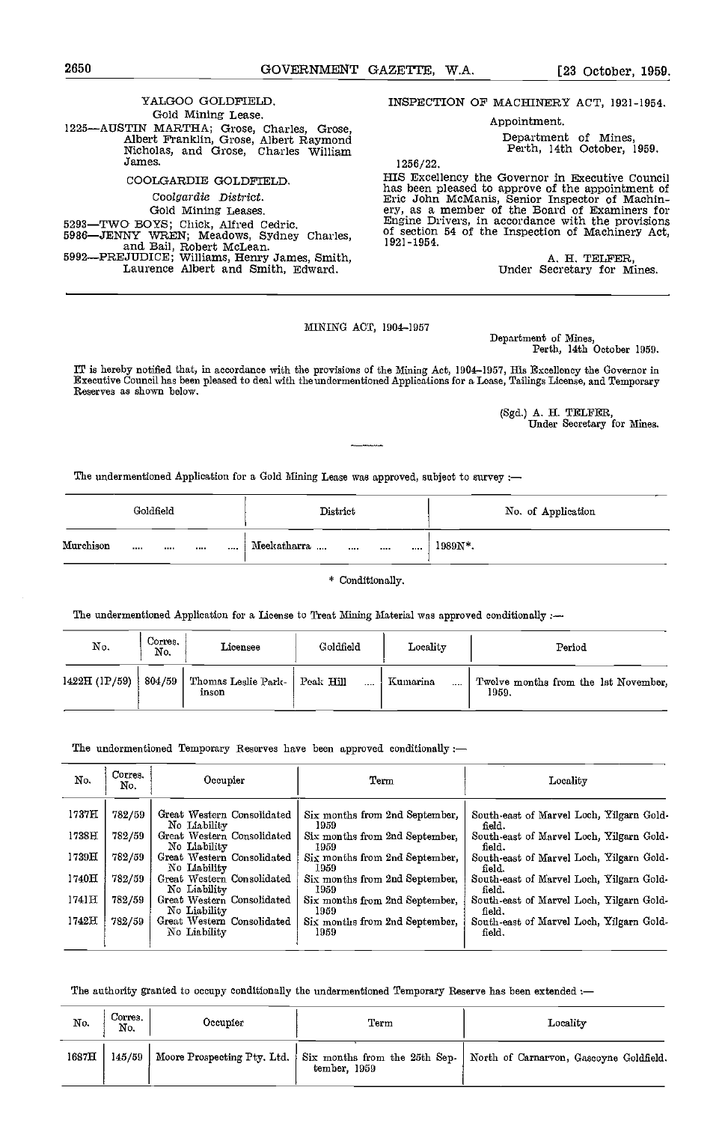# YALGOO GOLDFIELD. Gold Mining Lease. 1225—AUSTIN MARTHA; Grose, Charles, Grose, Albert Franklin, Grose, Albert Raymond<br>Nicholas, and Grose, Charles William James. COOLGARDIE GOLDFIELD. Coolgardie District.

Gold Mining Leases.<br>5293—TWO BOYS; Chick, Alfred Cedric. 5293TWO BOYS; Chick, Alfred Cedric. 5986JENNY WREN; Meadows, Sydney Charles, and Bail Robert McLean. 5992—PREJUDICE; Williams, Henry James, Smith, Laurence Albert and Smith, Edward.

INSPECTION OF MACHINERY ACT, 1921-1954.

Appointment.

Department of Mines, Perth, 14th October, 1959.

1256/ 22.

HIS Excellency the Governor in Executive Council<br>has been pleased to approve of the appointment of<br>Eric John McManis, Senior Inspector of Machin-<br>ery, as a member of the Board of Examiners for<br>Engine Divers, in accordance

A. H. TELFER,<br>Under Secretary for Mines.

# MINING ACT, 1904-1957

Department of Mines, Perth, 14th October 1959.

IT is hereby notified that, in accordance with the provisions of the Mining Act, 1904-1957, His Excellency the Governor in Executive Council has been pleased to deal with theundermentioned Applications for a Lease, Tailings License, and Temporary Reserves as shown below.

> (Sgd.) A. H. TELFER, Under Secretary for Mines.

The undermentioned Application for a Gold Mining Lease was approved, subject to survey :-

| Goldfield |      |  | District | No. of Application |                 |                 |  |
|-----------|------|--|----------|--------------------|-----------------|-----------------|--|
| Murchison | ---- |  |          | $\cdots$           | Meekatharra<br> | <br><br>1989N*. |  |

\* Conditionally.

The undermentioned Application for a License to Treat Mining Material was approved conditionally :-

| No.           | Corres.<br>No. | Licensee                     | Goldfield             | Locality             | Period                                        |
|---------------|----------------|------------------------------|-----------------------|----------------------|-----------------------------------------------|
| 1422H (1P/59) | 804/59         | Thomas Leslie Park-<br>inson | Peak Hill<br>$\cdots$ | Kumarina<br>$\cdots$ | Twelve months from the 1st November.<br>1959. |

The undermentioned Temporary Reserves have been approved conditionally :-

| No.       | Corres.<br>No. | Occupier                                   | Term                                   | Locality                                           |  |  |  |  |  |
|-----------|----------------|--------------------------------------------|----------------------------------------|----------------------------------------------------|--|--|--|--|--|
| 1737H     | 782/59         | Great Western Consolidated<br>No Liability | Six months from 2nd September,<br>1959 | South-east of Marvel Loch, Yilgarn Gold-<br>field. |  |  |  |  |  |
| 1738H     | 782/59         | Great Western Consolidated<br>No Liability | Six months from 2nd September.<br>1959 | South-east of Marvel Loch, Yilgarn Gold-<br>field. |  |  |  |  |  |
| 1739H     | 782/59         | Great Western Consolidated<br>No Liability | Six months from 2nd September.<br>1959 | South-east of Marvel Loch, Yilgarn Gold-<br>field. |  |  |  |  |  |
| 1740H     | 782/59         | Great Western Consolidated<br>No Liability | Six months from 2nd September,<br>1959 | South-east of Marvel Loch, Yilgarn Gold-<br>field. |  |  |  |  |  |
| $1741\Pi$ | 782/59         | Great Western Consolidated<br>No Liability | Six months from 2nd September,<br>1959 | South-east of Marvel Loch, Yilgarn Gold-<br>field. |  |  |  |  |  |
| 1742H     | 782/59         | Great Western Consolidated<br>No Liability | Six months from 2nd September,<br>1959 | South-east of Marvel Loch, Yilgarn Gold-<br>field. |  |  |  |  |  |

The authority granted to occupy conditionally the undermentioned Temporary Reserve has been extended :-

| Corres.<br>No.<br>No. | Occupier | ${\rm Term}$ | Locality                                                                                                       |
|-----------------------|----------|--------------|----------------------------------------------------------------------------------------------------------------|
| 1687H                 |          | tember, 1959 | 145/59   Moore Prospecting Pty. Ltd.   Six months from the 25th Sep.   North of Carnarvon, Gascoyne Goldfield. |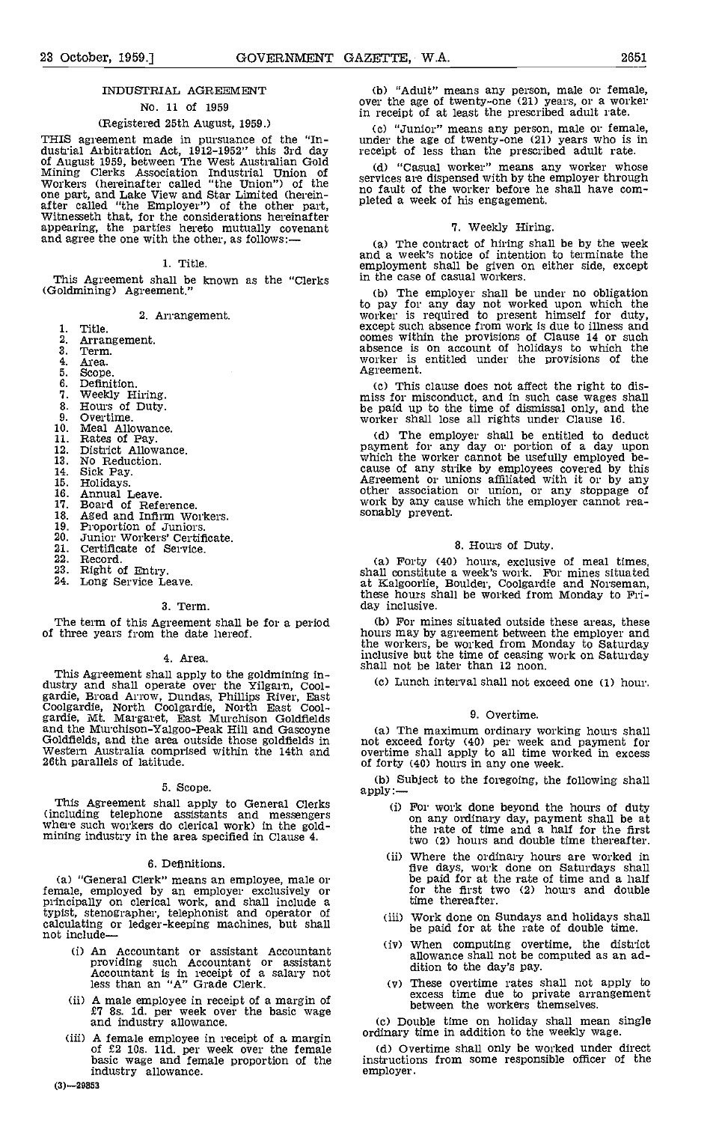# No. 11 of 1959

# (Registered 25th August, 1959.)

THIS agreement made in pursuance of the 'In- dustrial Arbitration Act, 1912-1952" this 3rd day of August 1959, between The West Australian Gold (d)<br>
Mining Clerks Association Industrial Union of servic<br>
Workers (hereinafter called "the Union") of the<br>
one part, and Lake View and Star Limited (herein-<br>
no fa<br>
after

1. Title,

This Agreement shall be known as the "Clerks (Goldmining) Agreement."

2. Arrangement,

- Title.
- $\mathbf{2}$ Arrangement. Term,
- 3.
- 4 Area.
- 5.
- $\overline{6}$ .
- Definition.<br>Weekly Hiring. 7.
- Hours of Duty.<br>Overtime. 8.
- 9.
- $10<sup>2</sup>$
- Meal Allowance.<br>Rates of Pay. 11.
- District Allowance. 12.
- 13. No Reduction.
- 14.
- 15.
- Sick Pay.<br>Holidays.<br>Annual Leave. 16.
- 17.
- Annual Leave.<br>Board of Reference.<br>Aged and Infirm Workers. 18
- 19
- Proportion of Juniors.<br>Junior Workers' Certificate.  $20.$
- $21.$ Certificate of Service. Record.
- $\overline{22}$ .
- 23.
- Right of Entry. Long Service Leave. 24.

#### 3. Term.

#### Area.

This Agreement shall apply to the goldmining in-<br>
dustry and shall operate over the Yilgarn, Cool-<br>
gardie, Broad Arrow, Dundas, Phillips River, East<br>
Coolgardie, North Coolgardie, North East Cool-<br>
gardie, M. Margaret, Ea Western Australia comprised within the 14th and 26th parallels of latitude.

#### Scope.

This Agreement shall apply to General Clerks (including telephone assistants and messengers where such workers do clerical work) in the gold- mining industry in the area specified in Clause 4.

#### 6. Definitions.

(a) "General Clerk" means an employee, male or female, employed by an employer exclusively or principally on clerical work, and shall include a typist, stenographer, telephonist and operator of calculating or ledger-keeping machines, but shall not include-

- (1) An Accountant or assistant Accountant providing such Accountant or assistant Accountant is in receipt of a salary not less than an "A" Grade Clerk.
- A male employee in receipt of a margin of £7 8s. ld. per week over the basic wage and industry allowance.
- (iii) A female employee in receipt of a margin ordinary time in addition to the weekly wage.<br>
of  $£2$  10s. 11d, per week over the female (d) Overtime shall only be worked under direct<br>
basic wage and female proportion of industry allowance.

"Adult" means any person, male or female, over the age of twenty-one (21) years, or a worker in receipt of at least the prescribed adult rate.

"Junior" means any person, male or female, under the age of twenty-one (21) years who is in receipt of less than the prescribed adult rate.

"Casual worker" means any worker whose services are dispensed with by the employer through no fault of the worker before he shall have comno fault of the worker before he shall have completed a week of his engagement.

#### 7. Weekly Hiring.

(a) The contract of hiring shall be by the week and a week's notice of intention to terminate the employment shall be given on either side, except in the case of casual workers.

The employer shall be under no obligation to pay for any day not worked upon which the worker is required to present himself for duty, except such absence from work is due to illness and comes within the provisions of Clause 14 or such absence is on account of holidays to which the worker is entitled under the provisions of the Agreement.

This clause does not affect the right to dis- miss for misconduct, and in such case wages shall be paid up to the time of dismissal only, and the worker shall lose all rights under Clause 16.

(d) The employer shall be entitled to deduct<br>payment for any day or portion of a day upon<br>which the worker cannot be usefully employed be-<br>cause of any strike by employees covered by this<br>Agreement or unions affiliated wi

#### 8. Hours of Duty.

Forty (40) hours, exclusive of meal times, shall constitute a week's work. For mines situated at Kalgoorlie, Boulder, Coolgardie and Norseman, these hours shall be worked from Monday to Fri- day inclusive.

The term of this Agreement shall be for a period (b) For mines situated outside these areas, these of three years from the date hereof. hours may by agreement between the employer and For mines situated outside these areas, these hours may by agreement between the employer and the workers, be worked from Monday to Saturday inclusive but the time of ceasing work on Saturday shall not be later than 12 noon.

Lunch interval shall not exceed one (1) hour.

#### 9. Overtime.

The maximum ordinary working hours shall not exceed forty (40) per week and payment for overtime shall apply to all time worked in excess

(b) Subject to the foregoing, the following shall apply:—

- For work done beyond the hours of duty on any ordinary day, payment shall be at the rate of time and a half for the first two (2) hours and double time thereafter.
- Where the ordinary hours are worked in five days, work done on Saturdays shall be paid for at the rate of time and a half for the first two (2) hours and double time thereafter.
- Work done on Sundays and holidays shall be paid for at the rate of double time.
- When computing overtime, the district allowance shall not be computed as an ad- dition to the day's pay.
- These overtime rates shall not apply to excess time due to private arrangement<br>between the workers themselves.
- Cc) Double time on holiday shall mean single ordinary time in addition to the weekly wage.

instructions from some responsible officer of the employer.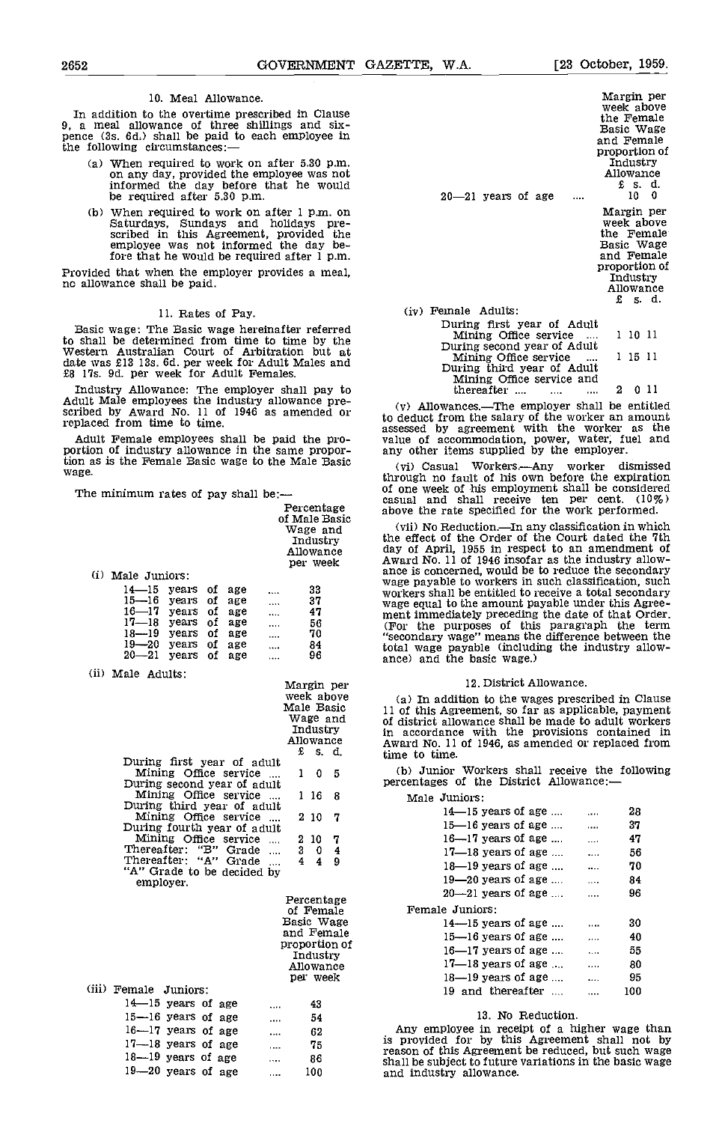#### 10. Meal Allowance.

In addition to the overtime prescribed in Clause 9, a meal allowance of three shillings and six-<br>pence (3s. 6d.) shall be paid to each employee in the following circumstances:

- When required to work on after 5.30 p.m.<br>on any day, provided the employee was not<br>informed the day before that he would be required after 5.30 p.m.
- When required to work on after 1 p.m. on<br>Saturdays, Sundays and holidays pre-<br>scribed in this Agreement, provided the<br>employee was not informed the day before that he would be required after 1 p.m.

Provided that when the employer provides a meal, no allowance shall be paid.

#### 11. Rates of Pay.

Basic wage: The Basic wage hereinafter referred to shall be determined from time to time by the Western Australian Court of Arbitration but at date was £13 13s. 6d. per week for Adult Males and<br>£8 17s. 9d. per week for Adult Females.

Industry Allowance: The employer shall pay to Adult Male employees the industry allowance pre- scribed by Award No. 11 of 1946 as amended or replaced from time to time.

Adult Female employees shall be paid the pro-<br>portion of industry allowance in the same propor-<br>ar tion as is the Female Basic wage to the Male Basic  $\frac{1}{y}$ wage.

The minimum rates of pay shall be:-

| Percentage                | casu<br>abov |
|---------------------------|--------------|
| of Male Basic<br>Wage and | (v           |
| Industry                  | the l<br>day |
| Allowance<br>per week     | Awa          |
|                           |              |

(i) Male Juniors:

| $14 - 15$ years of age<br>$15 - 16$ years of age<br>$16 - 17$ years of age<br>$17 - 18$ years of age |  | <br>$\cdots$<br>$\cdots$<br> | 33<br>37<br>47<br>56 |  |
|------------------------------------------------------------------------------------------------------|--|------------------------------|----------------------|--|
| $18 - 19$ years of age                                                                               |  |                              | 70                   |  |
| $19 - 20$ years of age                                                                               |  | <br>.                        | 84                   |  |
| $20 - 21$ years of age                                                                               |  | .                            | 96                   |  |

| (ii) Male Adults:                 |            |          |                |         |
|-----------------------------------|------------|----------|----------------|---------|
|                                   | Margin per |          |                |         |
|                                   |            |          | week above     | (a)     |
|                                   | Male Basic |          |                | $11$ of |
|                                   |            |          | Wage and       | of di   |
|                                   |            | Industry |                | in a    |
|                                   |            |          | Allowance      | Awai    |
|                                   |            | £ s. d.  |                | time    |
| During first year of adult        |            |          |                |         |
| Mining Office service             | 1          |          | 0 <sub>5</sub> | (b.     |
| During second year of adult       |            |          |                | perce   |
| Mining Office service             |            | 116      | 8              |         |
| During third year of adult        |            |          |                |         |
| Mining Office service             |            | 2 10     | 7              |         |
| During fourth year of adult       |            |          |                |         |
| Mining Office service<br>$\cdots$ |            | 210      | 7              |         |
| Thereafter: "B" Grade<br>$\cdots$ | 3          | 0        | 4              |         |
| Thereafter: "A" Grade             | 4          | 4        | 9              |         |
| "A" Grade to be decided by        |            |          |                |         |
| employer.                         |            |          |                |         |
|                                   |            |          |                |         |

Percentage of Female Basic Wage and Female proportion of Industry Allowance per week

| (iii) Female Juniors:  |  |          |     |  |
|------------------------|--|----------|-----|--|
| $14 - 15$ years of age |  | 1.11     | 43  |  |
| $15 - 16$ years of age |  | $\cdots$ | 54  |  |
| $16 - 17$ years of age |  | .        | 62  |  |
| $17 - 18$ years of age |  | $\cdots$ | 75  |  |
| $18 - 19$ years of age |  | $\cdots$ | 86  |  |
| 19-20 years of age     |  |          | 100 |  |
|                        |  |          |     |  |

| $20 - 21$ years of age      | Margin per<br>week above<br>the Female<br>Basic Wage<br>and Female<br>Allowance | Industry<br>£ s. d.<br>10 0 | proportion of |  |
|-----------------------------|---------------------------------------------------------------------------------|-----------------------------|---------------|--|
|                             |                                                                                 |                             | Margin per    |  |
|                             |                                                                                 |                             | week above    |  |
|                             |                                                                                 |                             | the Female    |  |
|                             | Basic Wage                                                                      |                             |               |  |
|                             |                                                                                 |                             | and Female    |  |
|                             |                                                                                 |                             | proportion of |  |
|                             |                                                                                 | Industry                    | Allowance     |  |
|                             |                                                                                 | £ s.d.                      |               |  |
| (iv) Female Adults:         |                                                                                 |                             |               |  |
| During first year of Adult  |                                                                                 |                             |               |  |
| Mining Office service       |                                                                                 | 1 10 11                     |               |  |
| During second year of Adult |                                                                                 |                             |               |  |
| Mining Office service<br>.  |                                                                                 | 1 15 11                     |               |  |
| During third year of Adult  |                                                                                 |                             |               |  |
| Mining Office service and   |                                                                                 |                             |               |  |
| thereafter<br>$\cdots$      | 2.                                                                              |                             | 0 11          |  |

Allowances.—The employer shall be entitled to deduct from the salary of the worker an amount assessed by agreement with the worker as the value of accommodation, power, water, fuel and any other items supplied by the employer.

of one week of his employment shall be considered<br>casual and shall receive ten per cent. (10%)<br>Percentage above the rate specified for the work performed.<br>of Male Basic (ii) N. Debutier Personal priori is a which Casual Workers.Any worker dismissed through no fault of his own before the expiration

(vii) No Reduction.—In any classification in which<br>the effect of the Order of the Court dated the 7th day of April, 1955 in respect to an amendment of<br>Award No. 11 of 1946 insofar as the industry allow-<br>ance is concerned, would be to reduce the secondary<br>wage payable to workers in such classification, such<br>workers shall be "secondary wage" means the difference between the total wage payable (including the industry allow- ance) and the basic wage.)

#### 12. District Allowance.

In addition to the wages prescribed in Clause 11 of this Agreement, so far as applicable, payment of district allowance shall be made to adult workers in accordance with the provisions contained In Award No. 11 of 1946, as amended or replaced from time to time.

(b) Junior Workers shall receive the following percentages of the District Allowance: $-$ 

Male Juniors:

| ------ |                                  |          |     |  |
|--------|----------------------------------|----------|-----|--|
|        | $14 - 15$ years of age           |          | 28  |  |
|        | $15$ — $16$ years of age $\dots$ | $\cdots$ | 37  |  |
|        | $16 - 17$ years of age           | $\cdots$ | 47  |  |
|        | $17 - 18$ years of age           | $\cdots$ | 56  |  |
|        | $18 - 19$ vears of age           |          | 70  |  |
|        | $19 - 20$ years of age           | $\cdots$ | 84  |  |
|        | $20 - 21$ years of age           | $\cdots$ | 96  |  |
|        | Female Juniors:                  |          |     |  |
|        | $14$ — $15$ years of age         |          | 30  |  |
|        | $15$ — $16$ years of age         | $\cdots$ | 40  |  |
|        | $16 - 17$ vears of age           | $\cdots$ | 55  |  |
|        | $17 - 18$ years of age           | $\cdots$ | 80  |  |
|        | $18 - 19$ years of age           |          | 95  |  |
|        | 19 and thereafter                |          | 100 |  |
|        |                                  |          |     |  |

#### 13. No Reduction.

Any employee in receipt of a higher wage than is provided for by this Agreement shall not by reason of this Agreement be reduced, but such wage shall be subject to future variations in the basic wage and industry allowance.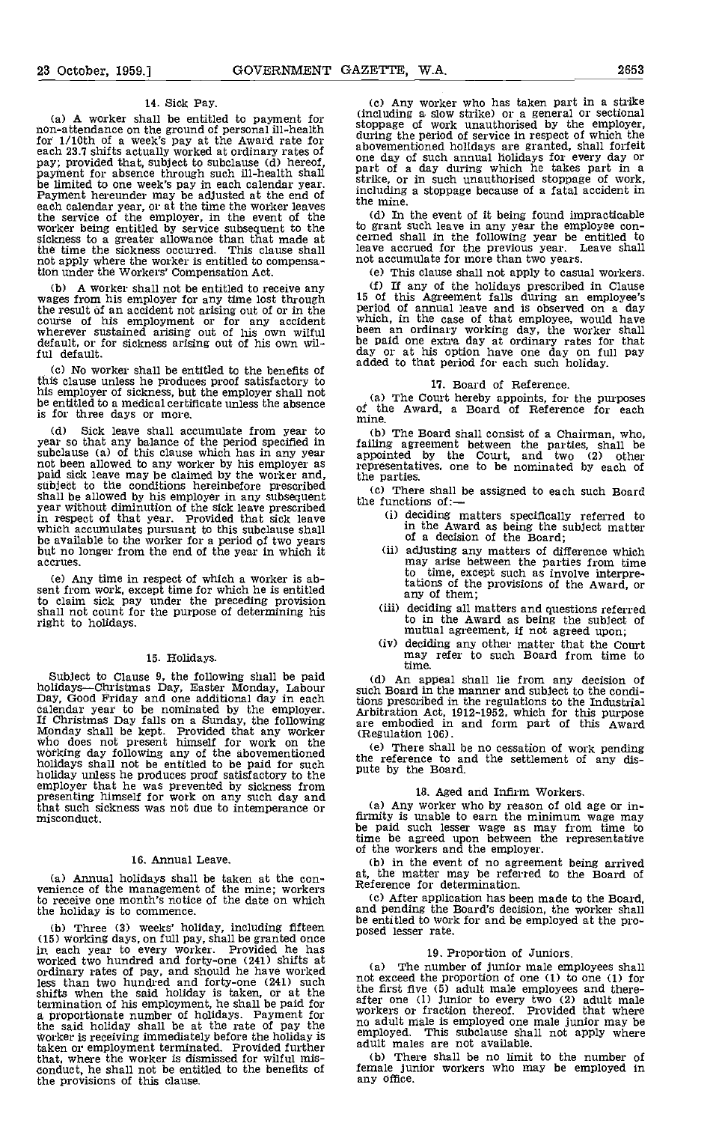#### 14. Sick Pay.

for 1/10th of a week's pay at the Award rate for<br>each 23.7 shifts actually worked at ordinary rates of a above,<br>pay; provided that, subject to subclause (d) hereof,<br>one<br>payment for absence through such ill-health shall<br>be the service of the employer, in the event of the (d)<br>worker being entitled by service subsequent to the to gra sickness to a greater allowance than that made at the time the sickness occurred. This clause shall not apply where the worker is entitled to compensation under the Workers' Compensation Act.

(b) A worker shall not be entitled to receive any wages from his employer for any time lost through the result of an accident not arising out of or in the course of his employment or for any accident wherever sustained arising out of his own wilful default, or for sickness arising out of his own wilful default.

No worker shall be entitled to the benefits of this clause unless he produces proof satisfactory to his employer of sickness, but the employer shall not be entitled to a medical certificate unless the absence is for three days or more.

The characteristic leave shall accumulate from year to the Board shall consist of a Chairman, who, year so that any balance of the period specified in subclause (a) of this clause which has in any year subclause (a) of this clause which has in any year appoint been allowed to any worker by his employer as paid sick leave may be claimed by the worker and, subject to the conditions hereinbefore prescribed  $\frac{1}{2}$ shall be allowed by his employer in any subsequent year without diminution of the sick leave prescribed in respect of that year. Provided that sick leave which accumulates pursuant to this subclause shall be available to the worker for a period of two years but no longer from the end of the year in which it accrues

(e) Any time in respect of which a worker is ab- sent from work, except time for which he is entitled to claim sick pay under the preceding provision shall not count for the purpose of determining his right to holidays.

#### 15. Holidays.

Subject to Clause 9, the following shall be paid holidays—Christmas Day, Easter Monday, Labour holidays—Christmas Day, Easter Monday, Labour<br>
Day, Good Friday and one additional day in each<br>
calendar year to be nominated by the employer.<br>
If Christmas Day falls on a Sunday, the following<br>
are embodied in a<br>
diffeomo holiday unless he produces proof satisfactory to the plue by the employer that he was prevented by sickness from 18<br>presenting himself for work on any such day and that such sickness was not due to intemperance or misconduct.

#### 16. Annual Leave.

(a) Annual holidays shall be taken at the con-<br>venience of the management of the mine; workers  $\sum_{\ell}$ to receive one month's notice of the date on which the holiday is to commence.

(15) working days, on full pay, shall be granted once in each year to every worker. Provided he has worked two hundred and forty-one (241) shifts at<br>ordinary rates of pay, and should he have worked<br>less than two hundred and forty-one (241) such shifts when the said holiday is taken, or at the the fire of termination of his employment, he shall be paid for a proportionate number of holidays. Payment for  $\frac{1}{2}$ a proportionate number of holidays. Payment for workers or fraction thereof. F<br>the said holiday shall be at the rate of pay the Worker is receiving immediately before the holiday is<br>taken or employment terminated Provided taken or employment terminated. Provided further that, where the worker is dismissed for wilful mis- conduct, he shall not be entitled to the benefits of the provisions of this clause.

(a) A worker shall be entitled to payment for the ding a slow strike) or a general or sectional<br>non-attendance on the ground of personal ill-health<br>for 1/10th of a work of personal ill-health<br>for 1/10th of a work of person Cc) Any worker who has taken part in a strike abovementioned holidays are granted, shall forfeit<br>one day of such annual holidays for every day or<br>part of a day during which he takes part in a strike, or in such unauthorised stoppage of work, including a stoppage because of a fatal accident in the mine.

> (d) In the event of it being found impracticable to grant such leave in any year the employee con- cerned shall in the following year be entitled to leave accrued for the previous year, Leave shall not accumulate for more than two years.

This clause shall not apply to casual workers. (f) If any of the holidays prescribed in Clause<br>15 of this Agreement falls during an employee's<br>period of annual leave and is observed on a day<br>which, in the case of that employee, would have<br>been an oridinary working day

#### 17. Board of Reference.

(a) The Court hereby appoints, for the purposes of the Award, a Board of Reference for each mine.

Cb) The Board shall consist of a Chairman, who, failing agreement between the parties, shall be appointed by the Court, and two (2) other representatives, one to be nominated by each of the parties.

(c) There shall be assigned to each such Board the functions of: $\leftarrow$ 

- deciding matters specifically referred to in the Award as being the subject matter of a decision of the Board:
- adjusting any matters of difference which may arise between the parties from time to time, except such as involve interpretations of the provisions of the Award, or any of them,
- deciding all matters and questions referred to in the Award as being the subject of mutual agreement, if not agreed upon;<br>(iv) deciding any other matter that the Court may refer to such Board from time to
- time.

Cd) An appeal shall lie from any decision of such Board in the manner and subject to the conditions prescribed in the regulations to the Industrial Arbitration Act, 1912-1952, which for this purpose are embodied in and form part of this Award (Regulation 106).

(e) There shall be no cessation of work pending the reference to and the settlement of any dis-

18. Aged and Infirm Workers.<br>(a) Any worker who by reason of old age or in-Any worker who by reason of old age or in- firmity is unable to earn the minimum wage may be paid such lesser wage as may from time to time be agreed upon between the representative of the workers and the employer.

(b) in the event of no agreement being arrived at, the matter may be referred to the Board of Reference for determination.

the entitled to work for and be employed at the pro-<br>(b) Three (3) weeks' holiday, including fifteen posed lesser rate. (c) After application has been made to the Board, and pending the Board's decision, the worker shall

19. Proportion of Juniors.<br>(a) The number of junior male employees shall (a) The number of junior male employees shall not exceed the proportion of one (1) to one (1) for the first five (5) adult male employees and there-<br>after one (1) junior to every two (2) adult male<br>workers or fraction thereof. Provided that where no adult male is employed one male junior may be employed. This subclause shall not apply where

(b) There shall be no limit to the number of female junior workers who may be employed in any office,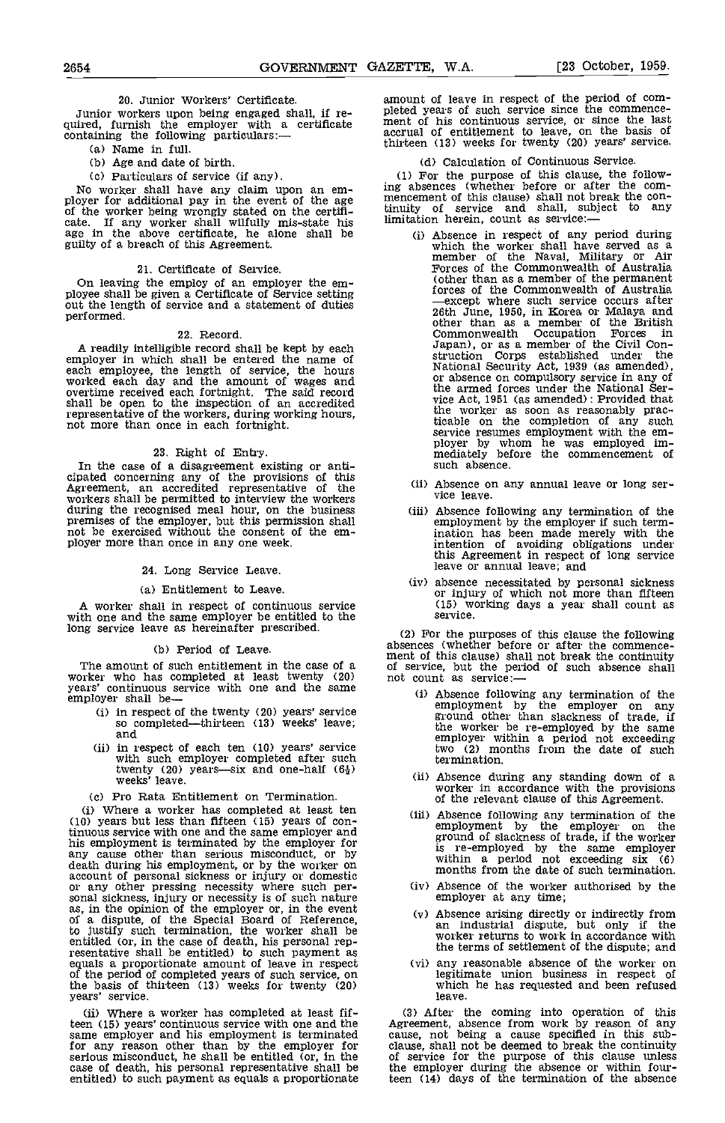20. Junior Workers' Certificate.<br>Junior workers upon being engaged shall, if re-Junior workers upon being engaged shall, if re- quired, furnish the employer with a certificate containing the following particulars:—

- (a) Name in full.
- (b) Age and date of birth.
- 

(c) Particulars of service (if any). (1)<br>No worker shall have any claim upon an em-<br>ployer for additional pay in the event of the age menc<br>of the worker being wrongly stated on the certificate. If any worker shall wilfully mis-state his limitating improvements age in the above certificate, he alone shall be (controlled as  $\alpha$ )

#### 21. Certificate of Service.

On leaving the employ of an employer the em- ployee shall be given a Certificate of Service setting out the length of service and a statement of duties performed.

#### 22. Record.

A readily intelligible record shall be kept by each employer in which shall be entered the name of each employee, the length of service, the hours worked each day and the amount of wages and overtime received each fortnight. The said record shall be open to the inspection of an accredited representative of the workers, during working hours, not more than once in each fortnight.

23. Right of Entry.<br>In the case of a disagreement existing or anti-<br>cipated concerning any of the provisions of this<br>Agreement, an accredited representative of the<br>workers shall be permitted to interview the workers workers shall be permitted to interview the workers<br>during the recognised meal hour, on the business<br>premises of the employer, but this permission shall<br>not be exercised without the consent of the em-<br>ployer more than once

#### 24. Long Service Leave.

#### (a) Entitlement to Leave.

A worker shall in respect of continuous service with one and the same employer be entitled to the long service leave as hereinafter prescribed.

#### (b) Period of Leave.

The amount of such entitlement in the case of a worker who has completed at least twenty (20) years' continuous service with one and the same employer shall be—

- (i) in respect of the twenty  $(20)$  years' service so completed—thirteen  $(13)$  weeks' leave; and
- (ii) in respect of each ten (10) years' service with such employer completed after such twenty (20) years—six and one-half  $(6<sub>4</sub>)$ <br>weeks' leave.
- (c) Pro Rata Entitlement on Termination.

Where a worker has completed at least ten (10) years but less than fifteen (15) years of con-<br>tinuous service with one and the same employer and his employment is terminated by the employer for any cause other than serious misconduct, or by death during his employment, or by the worker on account of personal sickness or injury or domestic account of personal sickness or injury or domestic<br>or any other pressing necessity where such per-<br>sonal sickness, injury or necessity is of such nature<br>as, in the opinion of the employer or, in the event<br>of a dispute, of entitled (or, in the case of death, his personal rep-<br>resentative shall be entitled) to such payment as<br>equals a proportionate amount of leave in respect of<br>the period of completed years of such service, on the basis of thirteen (13) weeks for twenty (20) years' service.

(ii) Where a worker has completed at least fif-<br>teen (15) years' continuous service with one and the Agre same employer and his employment is terminated cause,<br>for any reason other than by the employer for clause<br>serious misconduct, he shall be entitled (or, in the of ser<br>case of death, his personal representative shall be the entitled) to such payment as equals a proportionate

amount of leave in respect of the period of com-<br>pleted years of such service since the commence-<br>ment of his continuous service, or since the last<br>accrual of entitlement to leave, on the basis of<br>thirteen (13) weeks for t

#### (d) Calculation of Continuous Service.

(1) For the purpose of this clause, the following absences (whether before or after the com- mencement of this clause) shall not break the continuity of service and shall, subject to any limitation herein, count as service:-

- (i) Absence in respect of any period during which the worker shall have served as a member of the Naval, Military or Air Forces of the Commonwealth of Australia (other than as a member of the permanent<br>forces of the Commonwealth of Australia<br>—except where such service occurs after<br> $26th$  June, 1950, in Korea or Malaya and<br>other than as a member of the British<br>Commonwealth Occupati Japan), or as a member of the Civil Con- struction Corps established under the National Security Act, 1939 (as amended), or absence on compulsory service in any of the armed forces under the National Serthe worker as soon as reasonably practicable on the completion of any such service resumes employment with the emservice resumes employment with the em-<br>ployer by whom he was employed im-<br>mediately before the commencement of<br>such absence.
- (ii) Absence on any annual leave or long ser-<br>vice leave.
- Absence following any termination of the employment by the employer if such term-ination has been made merely with the intention of avoiding obligations under this Agreement in respect of long service leave or annual leave; and
- absence necessitated by personal sickness or injury of which not more than fifteen (15) working days a year shall count as service.

(2) For the purposes of this clause the following absences (whether before or after the commence-<br>ment of this clause) shall not break the continuity<br>of service, but the period of such absence shall<br>not count as service:---

- Absence following any termination of the employment by the employer on any ground other than slackness of trade, if the worker be re-employed by the same employer within a period not exceeding two (2) months from the date of such termination.
- Absence during any standing down of a worker in accordance with the provisions of the relevant clause of this Agreement.
- Absence following any termination of the employment by the employer on the ground of slackness of trade, if the worker is re-employed by the same employer within a period not exceeding six  $(6)$  months from the date of su
- Absence of the worker authorised by the employer at any time;
- Absence arising directly or indirectly from an industrial dispute, but only if the<br>worker returns to work in accordance with<br>the terms of settlement of the dispute; and
- any reasonable absence of the worker on legitimate union business in respect of which he has requested and been refused leave.

(3) After the coming into operation of this Agreement, absence from work by reason of any cause, not being a cause specified in this sub-<br>clause, shall not be deemed to break the continuity<br>of service for the purpose of this clause unless the employer during the absence or within fourteen (14) days of the termination of the absence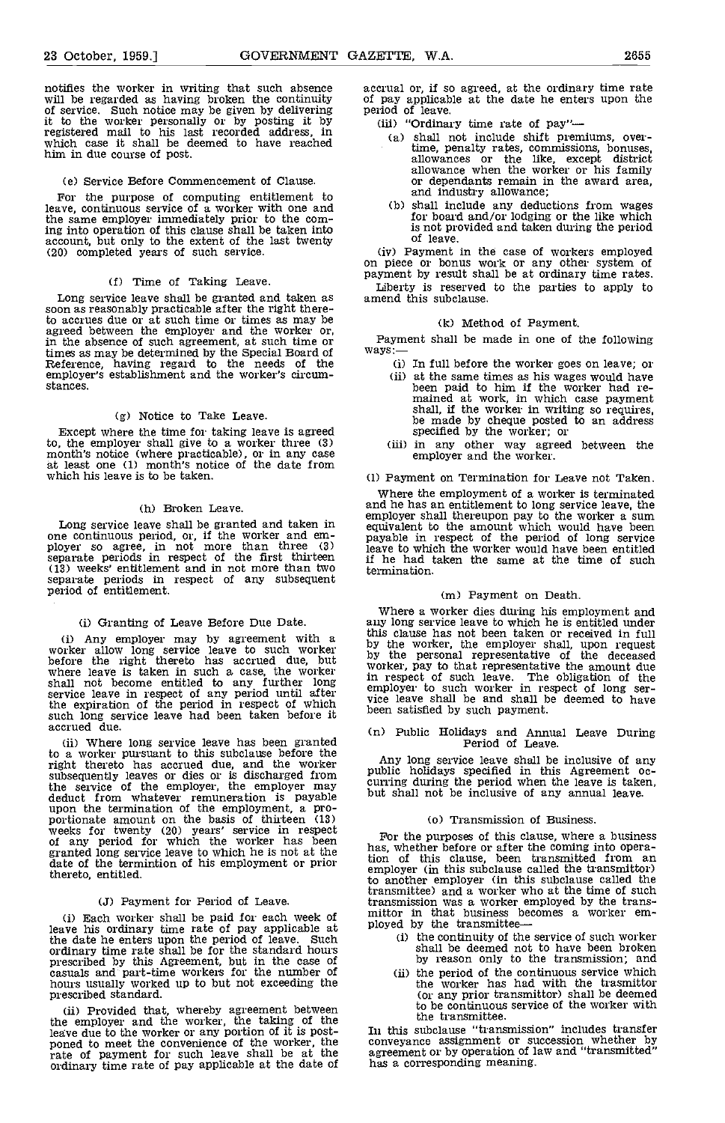notifies the worker in writing that such absence will be regarded as having broken the continuity of service. Such notice may be given by delivering period it to the worker personally or by posting it by (iii) registered mail to his last recorded address, in which case it shall be deemed to have reached him in due course of post.

#### (e) Service Before Commencement of Clause.

For the purpose of computing entitlement to leave, continuous service of a worker with one and the same employer immediately prior to the coming into operation of this clause shall be taken into account, but only to the extent of the last twenty (20) completed years of such service.

## (f) Time of Taking Leave.

soon as reasonably practicable after the right there-<br>to accrues due or at such time or times as may be agreed between the employer and the worker or, in the absence of such agreement, at such time or times as may be determined by the Special Board of Reference, having regard to the needs of the employer's establishment and the worker's circumstances.

#### (g) Notice to Take Leave.

Except where the time for taking leave is agreed Except where the time for taking leave is agreed<br>to, the employer shall give to a worker three (3) (iii) in any other way agreed<br>month's notice (where practicable), or in any case<br>at least one (1) month's notice of the dat which his leave is to be taken.

#### (h) Broken Leave.

(13) weeks' entitlement and in not more than two separate periods in respect of any subsequent period of entitlement.

#### (i) Granting of Leave Before Due Date.

service leave in respect of any period until after  $\frac{e}{\text{wic}}$ the expiration of the period in respect of which wice le such long service leave had been taken before it because the service leave had been taken before it

(ii) Where long service leave has been granted to a worker pursuant to this subclause before the to a worker pursuant to this subclause before the fight thereto has accrued due, and the worker subsequently leaves or dies or is discharged from subsequently leaves or dies or is discharged from subsequently leaves the service of the employer, the employer may  $h$  but she deduct from whatever remuneration is payable<br>upon the termination of the employment, a pro-<br>portionate amount on the basis of thirteen (13)<br>weeks for twenty (20) years' service in respect<br>of any period for which the worker granted long service leave to which he is not at the has, date of the termintion of his employment or prior  $\frac{\text{tan}}{\text{sinh}}$ thereto, entitled.

#### U) Payment for Period of Leave

(i) Each worker shall be paid for each week of  $\frac{m}{2}$  mitter in that business b leave his ordinary time rate of pay applicable at pl the date he enters upon the period of leave. Such ordinary time rate shall be for the standard hours prescribed by this Agreement, but in the case of casuals and part-time workers for the number of hours usually worked up to but not exceeding the prescribed standard.

(ii) Provided that, whereby agreement between<br>the employer and the worker, the taking of the leave due to the worker or any portion of it is post-<br>poned to meet the convenience of the worker, the conven parte of payment for such leave shall be at the ordinary time rate of pay applicable at the date of has a

accrual or, if so agreed, at the ordinary time rate of pay applicable at the date he enters upon the period of leave.<br>
(ii) "Ordinary time rate of pay"—<br>
(a) shall not include shift premiums, over-

- - time, penalty rates, commissions, bonuses, allowances or the like, except district allowance when the worker or his family and wance when the worker or his family or dependants remain in the award area, and industry allowance;
- Cb) shall include any deductions from wages for board and/or lodging or the like which is not provided and taken during the period of leave.<br>(iv) Payment in the case of workers employed

(1) Time of Taking Leave.<br>Long service leave shall be granted and taken as amend this subclause. on piece or bonus work or any other system of payment by result shall be at ordinary time rates. amend this subclause.

#### (k) Method of Payment.

Payment shall be made in one of the following ways:-

- (i) In full before the worker goes on leave; or at the same times as his wages would have been paid to him if the worker had re- mained at work, in which case payment shall, if the worker in writing so requires, be made by cheque posted to an address
- (iii) in any other way agreed between the employer and the worker.

#### (1) Payment on Termination for Leave not Taken.

Long service leave shall be granted and taken in one continuous period, or, if the worker and em-<br>ployer so agree, in not more than three (3) separate periods in respect of the first thirteen<br>separate periods in respect of Where the employment of a worker is terminated and he has an entitlement to long service leave, the equivalent to the amount which would have been payable in respect of the period of long service leave to which the worker would have been entitled if he had taken the same at the time of such termination.

#### (m) Payment on Death.

(i) Any employer may by agreement with a<br>worker allow long service leave to such worker<br>before the right thereto has accrued due, but<br>worker, the employer shall, upon request<br>before the right thereto has accrued due, but<br>w Where a worker dies during his employment and any long service leave to which he is entitled under this clause has not been taken or received in full by the worker, the employer shall, upon request by the worker, the employer shall, upon request in respect of such leave. The obligation of the employer to such worker in respect of long ser- vice leave shall be and shall be deemed to have been satisfied by such payment.

# (n) Public Holidays and Annual Leave During Period of Leave.

Any long service leave shall be inclusive of any public holidays specified in this Agreement oc-<br>curring during the period when the leave is taken, but shall not be inclusive of any annual leave.

#### (o) Transmission of Business.

For the purposes of this clause, where a business has, whether before or after the coming into operation of this clause, been transmitted from an employer (in this subclause called the transmittor) to another employer (in this subclause called the transmittee) and a worker who at the time of such mittor in that business becomes a worker em-

- ployed by the transmittee-<br>
(i) the continuity of the service of such worker<br>
shall be deemed not to have been broken by reason only to the transmission; and
	- (ii) the period of the continuous service which the worker has had with the trasmittor (or any prior transmittor) shall be deemed to be continuous service of the worker with the transmittee.

In this subclause "transmission" includes transfer conveyance assignment or succession whether by agreement or by operation of law and "transmitted" has a corresponding meaning.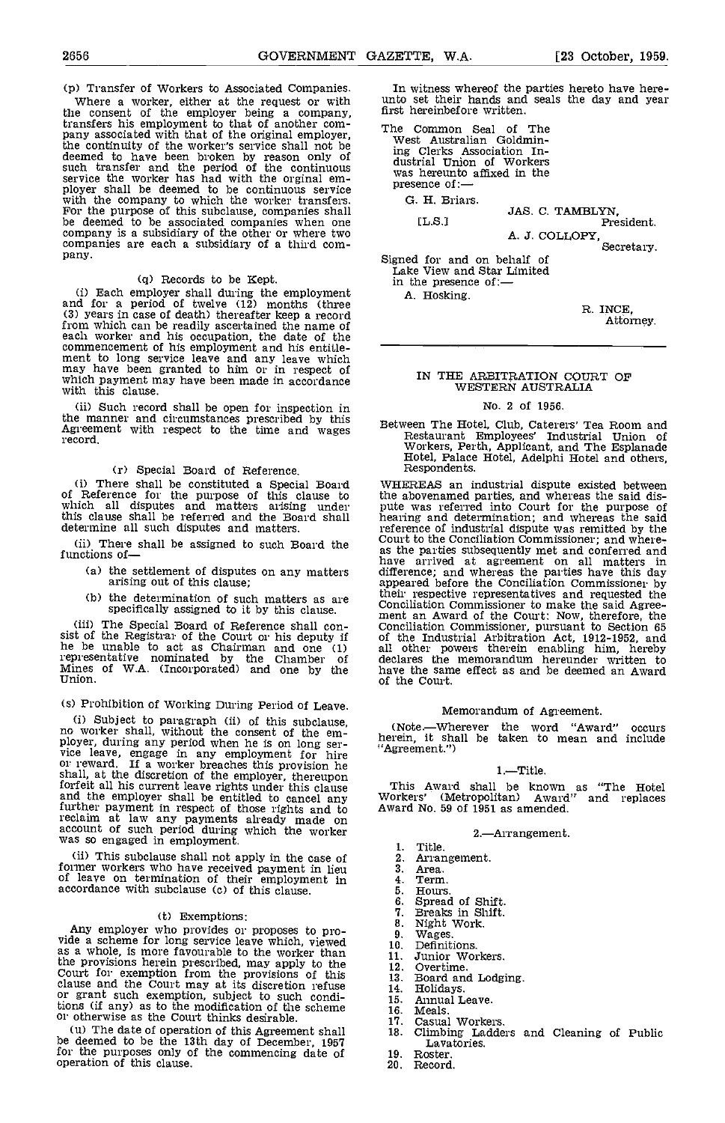where a working a company,<br>transfers his employment to that of another company,<br>transfers his employment to that of another com-<br>pany associated with that of the original employer,<br>the continuity of the worker's service sh Service the worker has had with the orginal em-<br>ployer shall be deemed to be continuous service press<br>with the company to which the worker transfers. G.<br>For the purpose of this subclause, companies shall<br>company is a subsi

(q) Records to be Kept. Each employer shall during the employment in the and for a period of twelve (12) months (three (3) years in case of death) thereafter keep a record from which can be readily ascertained the name of each worker and his occupation, the date of the commencement of his employment and his entitle-<br>ment to long service leave and any leave which<br>may have been granted to him or in respect of<br>which payment may have been made in accordance<br>with this clause.

(ii) Such record shall be open for inspection in<br>the manner and circumstances prescribed by this<br>Agreem The Hotel, Club, Caterers' Tea Room and<br>Agreement with agreed to the time and wages Agreement with respect to the time and wages record.

# (r) Special Board of Reference.

(i) There shall be constituted a Special Board WHERI<br>of Reference for the purpose of this clause to the abo<br>which all disputes and matters arising under pute w this clause shall be referred and the Board shall determine all such disputes and matters.

- (a) the settlement of disputes on any matters arising out of this clause;
- (b) the determination of such matters as are specifically assigned to it by this clause.

(iii) The Special Board of Reference shall con-<br>sist of the Registrar of the Court or his deputy if of<br>he be unable to act as Chairman and one (1) all representative nominated by the Chamber of declared Mines of W.A. (Incorporated) and one by the Union.<br>Union. Union.

# (s) Prohibition of Working During Period of Leave.

(i) Subject to paragraph (ii) of this subcluse,<br>no worker shall, without the consent of the em-<br>ployer, during any period when he is on long service leave, engage in any employment for hire<br>or reward. If a worker breaches shall, at the discretion of the employer, thereupon<br>forfeit all his current leave rights under this clause forfeit all his current leave rights under this clause and the employer shall be entitled to cancel any Worker further payment in respect of those rights and to Award<br>reclaim at law any payments already made on<br>account of such period during which the worker<br>was so engaged in employment.

(ii) This subclause shall not apply in the case of former workers who have received payment in lieu a.<br>of leave on termination of their employment in 4. accordance with subclause (c) of this clause.

(t) Exemptions:<br>Any employer who provides or proposes to pro-Any employer who provides or proposes to pro-<br>vide a scheme for long service leave which, viewed  $\frac{9}{10}$ . as a whole, is more favourable to the worker than  $\frac{10}{11}$ the provisions herein prescribed, may apply to the Court for exemption from the provisions of this clause and the Court may at its discretion refuse  $\begin{array}{c} 12.1 \\ 14.1 \\ 15.1 \\ 15.1 \\ \end{array}$ tions (if any) as to the modification of the scheme 16.<br>
or otherwise as the Court thinks desirable. [17]

(u) The date of operation of this Agreement shall be deemed to be the lath day of December, 1951 for the purposes only of the commencing date of operation of this clause.

(p) Transfer of Workers to Associated Companies. In witness where of the parties hereto have here-<br>Where a worker, either at the request or with unto set their hands and seals the day and year unto set their hands and seals the day and year first hereinbefore written.

> The Common Seal of The West Australian Goldmining Clerks Association In- dustrial Union of Workers was hereunto affixed in the presence of:-

0. H. Briars.

JAS. C. TAMBLYN, [L.S.I President.

A. J. COLLOPY,

Signed for and on behalf of Lake View and Star Limited in the presence of: $-$ A. Hosking.

> R. INCE. Attorney.

#### IN THE ARBITRATION COURT OF WESTERN AUSTRALIA

#### No. 2 of 1956.

Between The Hotel, Club, Caterers' Tea Room and Restaurant Employees' Industrial Union of Workers, Perth, Applicant, and The Esplanade Hotel, Palace Hotel, Adelphi Hotel and others, Respondents.

(ii) There shall be assigned to such Board the court to the Conclustion Commissioner; and where-<br>functions of-<br>(a) the settlement of disputes on any matters the parties subsequently met and conferred at agreement on all ma WHEREAS an industrial dispute existed between the abovenamed parties, and whereas the said dis- pute was referred into Court for the purpose of hearing and determination; and whereas the said reference of industrial dispute was remitted by the<br>Court to the Conciliation Commissioner; and where-<br>as the parties subsequently met and conferred and<br>have arrived at agreement on all matters in<br>difference; and whereas t appeared before the Conciliation Commissioner by their respective representatives and requested the<br>Conciliation Commissioner to make the said Agree-<br>ment an Award of the Court: Now, therefore, the<br>Conciliation Commissioner, pursuant to Section 65<br>of the Industrial Arbit all other powers therein enabling him, hereby declares the memorandum hereunder written to have the same effect as and be deemed an Award of the Court.

#### Memorandum of Agreement.

(Note.Wherever the word "Award" occurs herein, it shall be taken to mean and include "Agreement.")

#### 1.-Title.

This Award shall be known as "The Hotel Workers' (Metropolitan) Award" and replaces Award No. 59 of 1951 as amended.

#### 2.Arrangement.

- Title.
- Arrangement. Area.
- 
- Term.
- 
- Hours.<br>Spread of Shift. Spread of Shift. Breaks in Shift. 6.
- 7.
- Night Work.<br>Wages.<br>Definitions.
- 
- Junior Workers.
- overtime.
- Board and Lodging. Holidays, Annual Leave.
- 
- 
- Meals.
- Casual Workers.
- Climbing Ladders and Cleaning of Public Lavatories.
- Roster.
	- Record.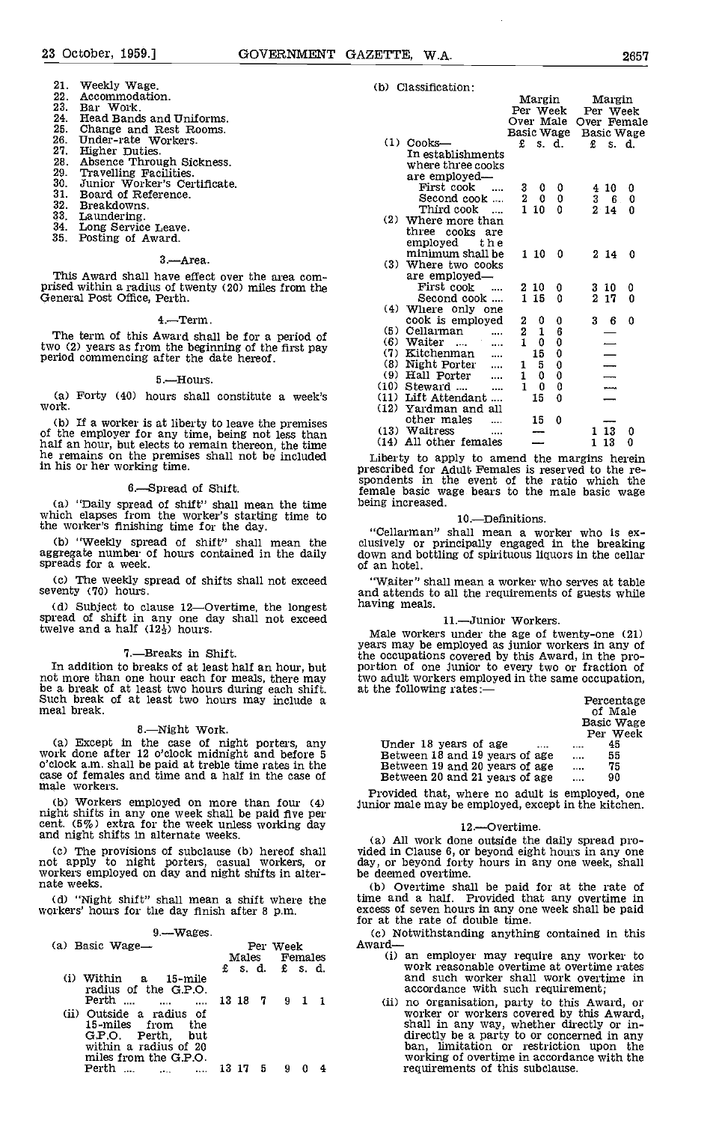#### Weekly Wage. Accommodation. 21 22.

- Bar Work. 23.
- 24 Head Bands and Uniforms.
- 25. Change and Rest Rooms.<br>
Under-rate Workers.<br>
Higher Duties.<br>
Absence Through Sickness.
- 26.
- 27.
- 28
- 29.
- Higher Duties. Absence Through Sickness. Travelling Facilities. Junior Worker's Certificate. 30.
- $31.$ Board of Reference.
- 32. Breakdowns.<br>Laundering.
- 33
- 34.
- Long Service Leave.<br>Posting of Award.  $35.$

#### 3.-Area.

This Award shall have effect over the area comprised within a radius of twenty (20) miles from the General Post Office, Perth.

#### 4.Term.

The term of this Award shall be for a period of two (2) years as from the beginning of the first pay period commencing after the date hereof.

#### 5.Hours.

Forty (40) hours shall constitute a week's work.

(b) If a worker is at liberty to leave the premises of the employer for any time, being not less than  $(13)$ half an hour, but elects to remain thereon, the time (14<br>he remains on the premises shall not be included Libe he remains on the premises shall not be included in his or her working time.

#### 6.Spread of Shift.

"Daily spread of shift" shall mean the time which elapses from the worker's starting time to the worker's finishing time for the day.

(b) "Weekly spread of shift" shall mean the clusive aggregate number of hours contained in the daily down spreads for a week.

Cc) The weekly spread of shifts shall not exceed seventy (70) hours.

(d) Subject to clause 12—Overtime, the longest having spread of shift in any one day shall not exceed twelve and a half  $(12\frac{1}{2})$  hours.

7.—Breaks in Shift.<br>In addition to breaks of at least half an hour, but not more than one hour each for meals, there may be a break of at least two hours during each shift. Such break of at least two hours may include a meal break.

8.—Night Work.<br>
(a) Except in the case of night porters, any Un<br>
work done after 12 o'clock midnight and before 5 Be o'clock am. shall be paid at treble time rates in the case of females and time and a half in the case of male workers.

Workers employed on more than four (4) night shifts in any one week shall be paid five per cent. (5%) extra for the week unless working day and night shifts in alternate weeks.

(d) "Night shift" shall mean a shift where the workers' hours for the day finish after 8 p.m.

| $9 - W$ ages                                                                                            |                           |                |               |  |  |    |
|---------------------------------------------------------------------------------------------------------|---------------------------|----------------|---------------|--|--|----|
| (a) Basic Wage—                                                                                         | Per Week<br>Males Females |                |               |  |  | Αu |
|                                                                                                         |                           |                | £ s.d. £ s.d. |  |  |    |
| $(i)$ Within a $15$ -mile<br>radius of the G.P.O.<br>Perth    13 18 7 9 1 1<br>(ii) Outside a radius of |                           |                |               |  |  |    |
| 15-miles from<br>the the t<br>G.P.O. Perth, but<br>within a radius of 20<br>miles from the G.P.O.       |                           |                |               |  |  |    |
| <b>Perth  </b><br>. 13                                                                                  | -17                       | 5 <sub>5</sub> | 9             |  |  |    |

#### (b) Classification:

|      |                                 |                | Margin           |                                               |          | Margin                                                                         |             |
|------|---------------------------------|----------------|------------------|-----------------------------------------------|----------|--------------------------------------------------------------------------------|-------------|
|      |                                 |                |                  | Per Week                                      | Per Week |                                                                                |             |
|      |                                 |                |                  | Over Male                                     |          |                                                                                | Over Female |
|      |                                 |                |                  | Basic Wage                                    |          |                                                                                | Basic Wage  |
| (1)  | $Cooks$ —                       | £              |                  | s. d.                                         | £        |                                                                                | s. d.       |
|      | In establishments               |                |                  |                                               |          |                                                                                |             |
|      | where three cooks               |                |                  |                                               |          |                                                                                |             |
|      | are employed—                   |                |                  |                                               |          |                                                                                |             |
|      | First cook                      | 3              | 0                | 0                                             |          | 4 10                                                                           | 0           |
|      | Second cook                     | $\overline{2}$ | 0                | 0                                             |          | 36                                                                             | 0           |
|      | Third cook                      | 1              | 10               | 0                                             |          | $2 \t14$                                                                       | 0           |
| (2)  | Where more than                 |                |                  |                                               |          |                                                                                |             |
|      | three<br>cooks are              |                |                  |                                               |          |                                                                                |             |
|      | employed<br>the                 |                |                  |                                               |          |                                                                                |             |
|      | minimum shall be                |                | $1\,10$          | 0                                             |          | 214                                                                            | 0           |
| (3). | Where two cooks                 |                |                  |                                               |          |                                                                                |             |
|      | are employed—                   |                |                  |                                               |          |                                                                                |             |
|      | First cook                      |                | $2\,$ $10$       | 0                                             |          | $3\,10$                                                                        | 0           |
|      | Second cook                     | $\mathbf{1}$   | 15               | 0                                             | 2        | 17                                                                             | 0           |
| (4)  | Where only one                  |                |                  |                                               |          |                                                                                |             |
|      | cook is employed                |                | 0                | 0                                             | 3        | - 6                                                                            | 0           |
|      | (5) Cellarman                   | 2<br>2<br>1    | 1                | $\begin{smallmatrix} 6 \ 0 \end{smallmatrix}$ |          |                                                                                |             |
| (6)  | Waiter<br>.                     |                | 0                |                                               |          |                                                                                |             |
|      | (7) Kitchenman                  |                | 15               | 0                                             |          |                                                                                |             |
|      | (8) Night Porter                | 1              | 5                | 0                                             |          |                                                                                |             |
|      | (9) Hall Porter                 | 1              | 0                | 0                                             |          | <b>III</b><br><br><br><br><br><br><br><br><br><br><br><br><br><br><br><br><br> |             |
|      | $(10)$ Steward<br>              | 1              | $\boldsymbol{0}$ | 0                                             |          |                                                                                |             |
|      | (11) Lift Attendant<br>$\cdots$ |                | 15               | 0                                             |          |                                                                                |             |
| (12) | Yardman and all                 |                |                  |                                               |          |                                                                                |             |
|      | other males                     |                | 15               | 0                                             |          |                                                                                |             |
|      | (13) Waitress<br>               |                |                  |                                               | 1        | 13                                                                             | 0           |
|      | (14) All other females          |                |                  |                                               | 1        | 13                                                                             | 0           |

Liberty to apply to amend the margins herein prescribed for Adult Females is reserved to the re- spondents in the event of the ratio which the female basic wage bears to the male basic wage being increased.

## 10.-Definitions.

"Cellarman" shall mean a worker who is exclusively or principally engaged in the breaking down and bottling of spirituous liquors in the cellar of an hotel.

"Waiter" shall mean a worker who serves at table and attends to all the requirements of guests while having meals.

11.—Junior Workers.<br>Male workers under the age of twenty-one (21) Male workers under the age of twenty-one (21) years may be employed as junior workers in any of the occupations covered by this Award, in the pro- portion of one junior to every two or fraction of two adult workers employed in the same occupation, at the following rates:  $\frac{P}{Q}$ 

| Letterrage     |
|----------------|
| of Male        |
| Basic Wage     |
| Per Week       |
| 45<br>1.111    |
| 55<br>$\cdots$ |
| 75<br>$\cdots$ |
| 90<br>$\cdots$ |
|                |

Provided that, where no adult is employed, one junior male may be employed, except in the kitchen.

#### 12.-Overtime.

The provisions of subclause (b) hereof shall not apply vided in Clause 6, or beyond eight hours in any one not apply to night porters, casual workers, or workers employed on day and night shifts in alter- nate weeks. Shall All work done outside the daily spread pro- vided in Clause 6, or beyond eight hours in any one day, or beyond forty hours in any one week, shall be deemed overtime.

(b) Overtime shall be paid for at the rate of time and a half. Provided that any overtime in excess of seven hours in any one week shall be paid for at the rate of double time.

(c) Notwithstanding anything contained in this Award—<br>(i) an employer may require any worker to

- work reasonable overtime at overtime rates and such worker shall work overtime in accordance with such requirement;
- (ii) no organisation, party to this Award, or worker or workers covered by this Award, shall in any way, whether directly or indirectly be a party to or concerned in any ban, limitation or restriction upon the working of o requirements of this subclause.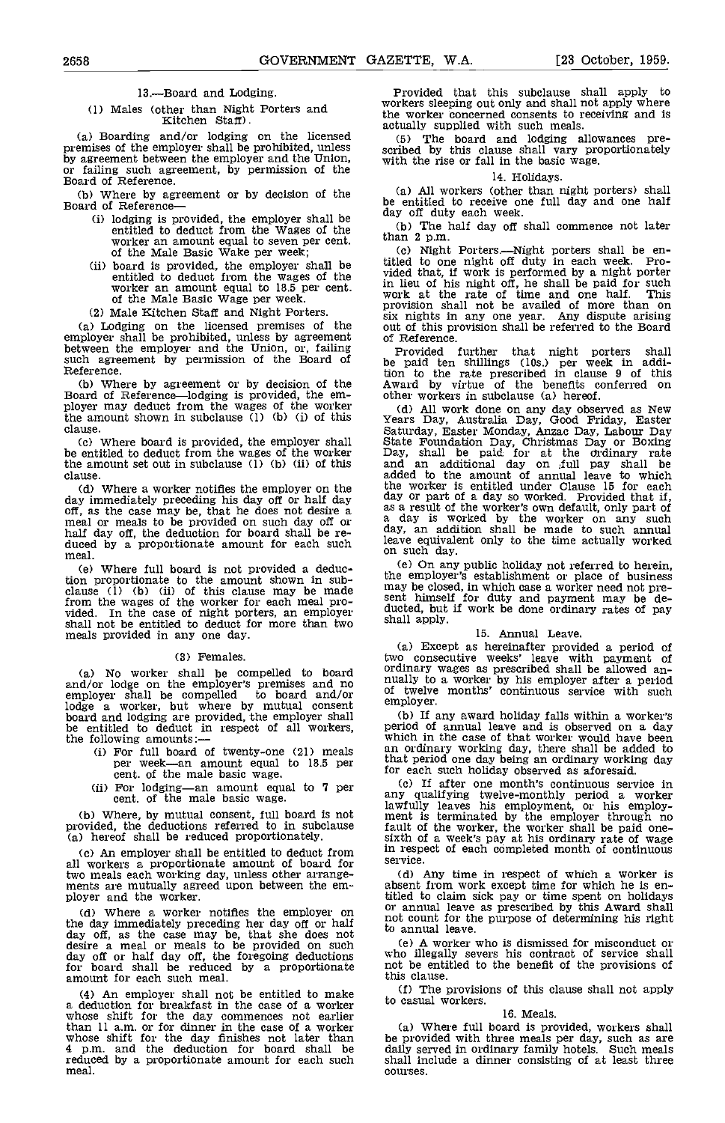#### 13.-Board and Lodging.

(a) Boarding and/or lodging on the licensed<br>premises of the employer shall be prohibited, unless scribed by this clause shall vary proportionately premises of the employer shall be prohibited, unless by agreement between the employer and the Union, or failing such agreement, by permission of the Board of Reference.<br>
Board of Reference. (b) Where hy agreement or by de

Where by agreement or by decision of the Board of Reference-

- (i) lodging is provided, the employer shall be day off duty entitled to deduct from the Wages of the Wages of the worker an amount equal to seven per cent.  $\frac{\text{than } 2 \text{ p.m.}}{\text{of the Male Basic Wave}}$
- (ii) board is provided, the employer shall be entitled to deduct from the wages of the worker an amount equal to  $18.5$  per cent. of the Male Basic Wage per week. (2) Male Kitchen Staff and Night Porters.
- 

(a) Lodging on the licensed premises of the employer shall be prohibited, unless by agreement between the employer and the Union, or, failing such agreement by permission of the Board of Reference.

(b) Where by agreement or by decision of the  $\overline{A}$ Wal Board of Reference—lodging is provided, the em-<br>ployer may deduct from the wages of the worker (d) the amount shown in subclause (1) (b) (i) of this  $\chi_{\text{ea}}$ clause.

Where board is provided, the employer shall be entitled to deduct from the wages of the worker the amount set out in subclause (1) (b) (ii) of this clause.

Where full board is not provided a deduction proportionate to the amount shown in sub-<br>clause (1) (b) (ii) of this clause may be made<br>from the wages of the worker for each meal provided. In the case of night porters, an employer ducted, but shall not be entitled to deduct for more than two shall apply. meals provided in any one day.

#### (3) Females.

(a) No worker shall be compelled to board ordinal<br>and/or lodge on the employer's premises and no nually<br>employer shall be compelled to board and/or of twe blodge a worker, but where by mutual consent<br>board and lodging are provided, the employer shall<br>the entitled to deduct in respect of all workers, peri<br>the following amounts:—<br>ti For full board of twenty-one (21) meals<br>may

- 
- 

(b) Where, by mutual consent, full board is not ment<br>provided, the deductions referred to in subclause fault (a) hereof shall be reduced proportionately.

(c) An employer shall be entitled to deduct from  $\frac{1}{2}$  respectively. all workers a proportionate amount of board for meants are mutually agreed upon between the em-<br>ployer and the worker.

(d) Where a worker notifies the employer on the day immediately preceding her day off or half<br>day off, as the case may be, that she does not<br>desire a meal or meals to be provided on such<br>day off or half day off the foregoing deductions<br>for board shall be reduced by

(4) An employer shall not be entitled to make  $(1)$ a deduction for breakfast in the ease of a worker whose shift for the day commences not earlier than 11 a.m. or for dinner in the case of a worker (a) whose shift for the day finishes not later than be proved p.m. and the deduction for board shall be daily so reduced by a proportionate amount for each such meal.

(1) Males (other than Night Porters and Workers sleeping out only and shall the worker concerned consents to r<br>Kitchen Staff). The worker concerned consents to r<br>actually supplied with such meals. Provided that this subclause shall apply to workers sleeping out only and shall not apply where the worker concerned consents to receiving and is

scribed by this clause shall vary proportionately with the rise or fall in the basic wage.

#### 14. Holidays.

be entitled to receive one full day and one half day off duty each week.

The half day off shall commence not later

than 2 p.m.<br>
(c) Night Porters.—Night porters shall be en-<br>
titled to one night off duty in each week. Provided that, if work is performed by a night porter in lieu of his night off, he shall be paid for such work at the rate of time and one half. This provision shall not be availed of more than on six nights in any one year. Any dispute arising out of this provision shall be referred to the Board of Reference.

Provided further that night porters shall be paid ten shillings (los.) per week in addition to the rate prescribed in clause 9 of this Award by virtue of the benefits conferred on other workers in subclause (a) hereof.

do Where a worker notifies the employer on the the worker is entitled under Clause 15 for each day immediately preceding his day off or half day of part of a day so worked. Provided that if, off, as the case may be, that h (d) All work done on any day observed as New<br>Years Day, Australia Day, Good Friday, Easter<br>Saturday, Easter Monday, Anzac Day, Labour Day<br>State Foundation Day, Christmas Day or Boxing<br>Day, shall be paid for at the drinary the worker is entitled under Clause 15 for each day or part of a day so worked. Provided that if, as a result of the worker's own default, only part of a day is worked by the worker on any such day, an addition shall be made to such annual leave equivalent only to the time actually worked on such day.

(e) On any public holiday not referred to herein, the employer's establishment or place of business may be closed, in which case a worker need not present himself for duty and payment may be de-ducted, but if work be done

#### 15. Annual Leave.

(a) Except as hereinafter provided a period of<br>two consecutive weeks' leave with payment of<br>ordinary wages as prescribed shall be allowed an-<br>nually to a worker by his employer after a period<br>of twelve months' continuous s employer.

If any award holiday falls within a worker's period of annual leave and is observed on a day which in the case of that worker would have been an ordinary working day, there shall be added to that period one day being an ordinary working day for each such holiday observed as aforesaid.

If after one month's continuous service in any qualifying twelve-monthly period a worker lawfully leaves his employment, or his employ- ment is terminated by the employer through no fault of the worker, the worker shall be paid one-<br>sixth of a week's pay at his ordinary rate of wage<br>in respect of each completed month of continuous<br>service.

Any time in respect of which a worker is absent from work exoept time for which he is entitled to claim sick pay or time spent on holidays or annual leave as prescribed by this Award shall not count for the purpose of determining his right to annual leave.

A worker who is dismissed for misconduct or who illegally severs his contract of service shah not be entitled to the benefit of the provisions of this clause.

The provisions of this clause shall not apply to casual workers.

#### 16. Meals.

(a) Where full board is provided, workers shall be provided with three meals per day, such as are daily served in ordinary family hotels. Such meals shall include a dinner consisting of at least three courses.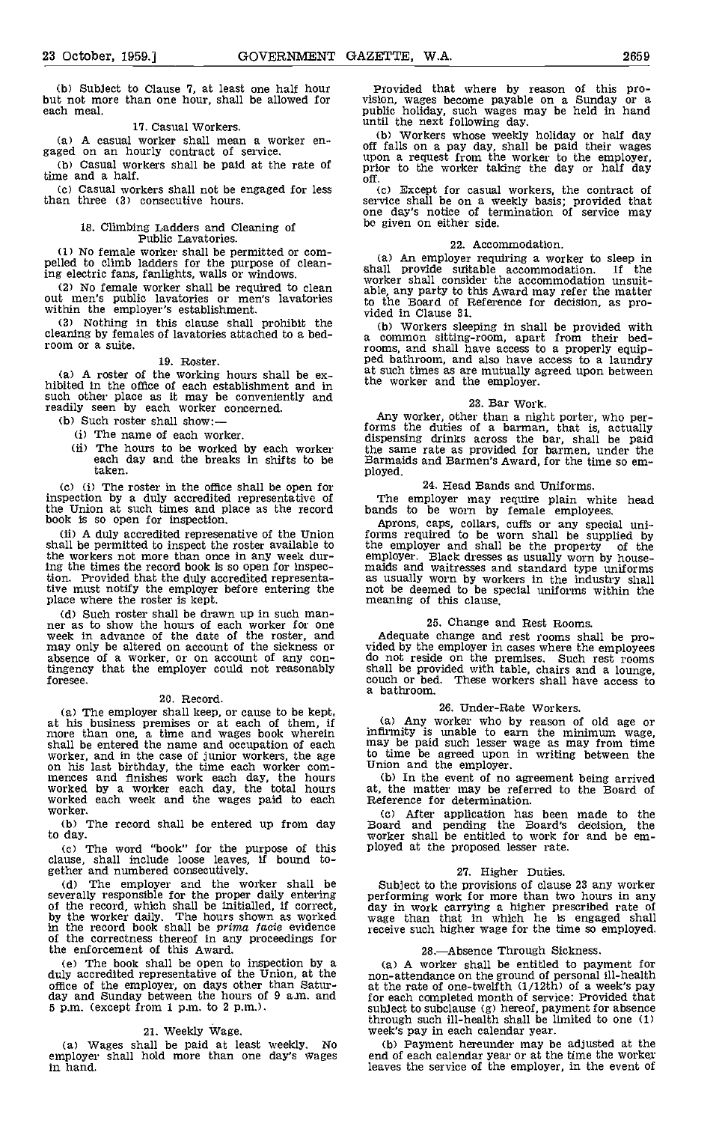(b) Subject to Clause 7, at least one half hour but not more than one hour, shall be allowed for each meal.

#### 17. Casual Workers.

(a) A casual worker shall mean a worker en-<br>gaged on an hourly contract of service.

(b) Casual workers shall be paid at the rate of time and a half.

Casual workers shall not be engaged for less than three (3) consecutive hours.

# 18. Climbing Ladders and Cleaning of<br>Public Lavatories.<br>(1) No female worker shall be permitted or com-

(1) No female worker shall be permitted or compelled to climb ladders for the purpose of cleaning electric fans, fanlights, walls or windows.

(2) No female worker shall be required to clean worker shall consider out men's public lavatories or men's lavatories to the Board of F within the employer's establishment.

Nothing in this clause shall prohibit the  $\frac{1}{10}$ cleaning by females of lavatories attached to a bed- $\frac{a}{r}$ 

19. Roster.<br>(a) A roster of the working hours shall be ex-(a) A roster of the working hours shall be  $ex-$  at such hibited in the office of each establishment and in the w such other place as it may be conveniently and readily seen by each worker concerned.<br>(b) Such roster shall show:-

- 
- (i) The name of each worker.
- (ii) The hours to be worked by each worker the same each day and the breaks in shifts to be Barmai taken. taken.

(c) (i) The roster in the office shall be open for inspection by a duly accredited representative of the Union at such times and place as the record book is so open for inspection.

(ii) A duly accredited represenative of the Union shall be permitted to inspect the roster available to the workers not more than once in any week during the times the record book is so open for inspection. Provided that the duly accredited representative must notify the employer before entering the place where the roster is kept.

(d) Such roster shall be drawn up in such manner as to show the hours of each worker for one week in advance of the date of the roster, and may only be altered on account of the sickness or absence of a worker, or on account of any contingency that the employer could not reasonably foresee.

20. Record.<br>(a) The employer shall keep, or cause to be kept. (a) The employer shall keep, or cause to be kept, at his business premises or at each of them, if (a) more than one, a time and wages book wherein infirmities shall be entered the name and occupation of each  $\frac{mxy}{w}$  be worker, and in the case of junior workers, the age to time on his last birthday, the time each worker com-<br>mences and finishes work each day, the hours (b) I

(b) The record shall be entered up from day to day.

The word "book" for the purpose of this clause, shall include loose leaves, if bound to-

(d) The employer and the worker shall be Subject to the provisions of clause 23 any worker severally responsible for the proper daily entering performing work for more than two hours in any severally responsible for the proper daily entering of the record, which shall be initialled, if correct, day in by the worker daily. The hours shown as worked wage in the record book shall be *prima facie* evidence receiving cf the correctness thereof in any proceedings for the enforcement of this Award.

(e) The book shall be open to inspection by a duly accredited representative of the Union, at the office of the employer, on days other than Satur- at the rate of one-twelfth  $(1/12th)$  of a week's pay day and Sunday betwe 5 p.m. (except from 1 p.m. to 2 p.m.).

### 21. weekly wage.

(a) Wages shall be paid at least weekly. No employer shall hold more than one day's wages in hand.

Provided that where by reason of this pro- vision, wages become payable on a Sunday or a public holiday, such wages may be held in hand until the next following day.

Workers whose weekly holiday or half day off falls on a pay day, shall be paid their wages upon a request from the worker to the employer, prior to the worker taking the day or half day off.

Except for casual workers, the contract of service shall be on a weekly basis; provided that one day's notice of termination of service may be given on either side.

#### 22. Accommodation.

An employer requiring a worker to sleep in shall provide stlitable accommodation. If the worker shall consider the accommodation unsuitable, any party to this Award may refer the matter to the Board of Reference for decision, as pro- vided in Clause 31.

Workers sleeping in shall be provided with a common sitting-room, apart from their bedrooms, and shall have access to a properly equip- ped bathroom, and also have access to a laundry ped bathroom, and also have access to a laundry<br>at such times as are mutually agreed upon between the worker and the employer.

23. Bar Work.<br>Any worker, other than a night porter, who per-Any worker, other than a night porter, who per-<br>forms the duties of a barman, that is, actually dispensing drinks across the bar, shall be paid the same rate as provided for barmen, under the Barmaids and Barmen's Award, for the time so em-

#### 24. Head Bands and Uniforms.

The employer may require plain white head bands to be worn by female employees.

Aprons, caps, collars, cuffs or any special uni- forms required to be worn shall be supplied by the employer and shall be the property of the emaids and warntesses and standard type uniforms<br>as usually workers and standard type uniforms<br>not be deemed to be special uniforms within the<br>meaning of this clause.

## 25. Change and Rest Rooms.

Adequate change and rest rooms shall be pro-<br>vided by the employer in cases where the employees<br>do not reside on the premises. Such rest rooms shall be provided with table, chairs and a lounge, couch or bed. These workers shall have access to a bathroom.

#### 26. Under-Rate Workers.

Any worker who by reason of old age or infirmity is unable to earn the minimum wage, may be paid such lesser wage as may from time to time be agreed upon in writing between the Union and the employer.<br>Union and the employer.<br>In the event of no agreement being arrived

at, the matter may be referred to the Board of Reference for determination.

(c) After application has been made to the Board and pending the Board's decision, the worker shall be entitled to work for and be employed at the proposed lesser rate.

#### 27. Higher Duties.

Subject to the provisions of change zo any worker<br>has been than two hours in any<br>day in work for more than two hours in any<br>day in work carrying a higher prescribed rate of<br>wage than that in which he is engaged shall<br>recei

#### 28.Absence Through Sickness.

A worker shall be entitled to payment for non-attendance on the ground of personal ill-health at the rate of one-twelfth (1/12th) of a week's pay for each completed month of service: Provided that subject to subclause (g) hereof, payment for absence through such ill-health shall be limited to one (1) week's pay in each calendar year.

(b) Payment hereunder may be adjusted at the end of each calendar year or at the time the worker leaves the service of the employer, in the event of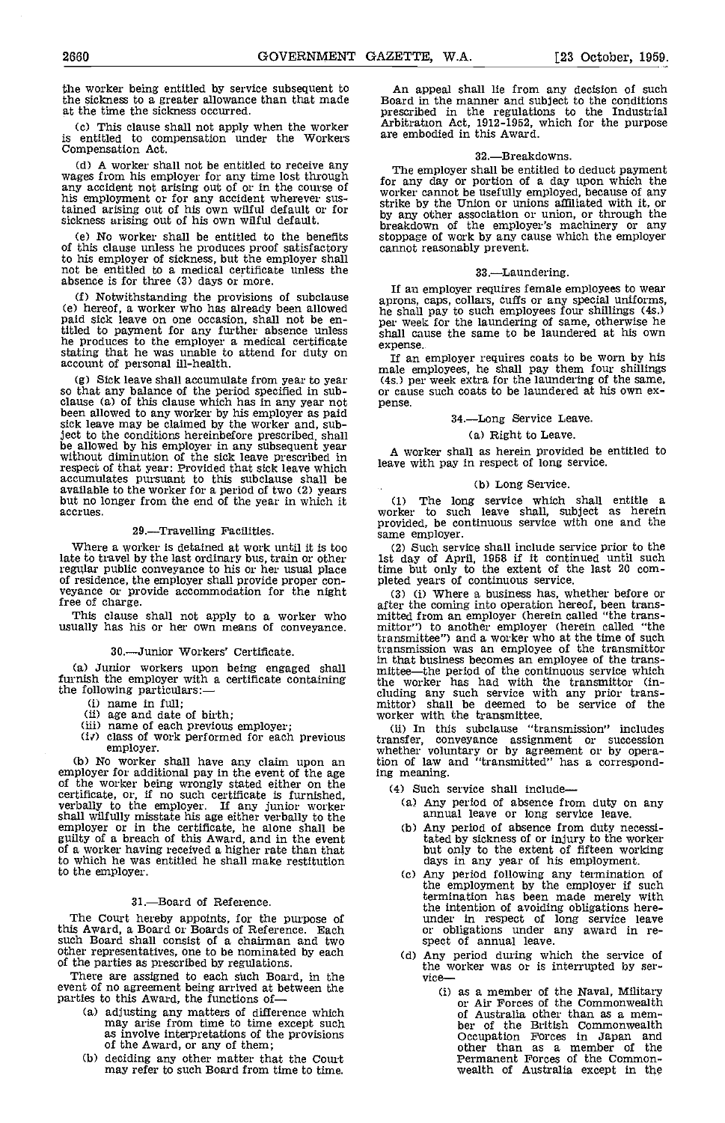the worker being entitled by service subsequent to an appeal shall lie from any decision of such the sickness to a greater allowance than that made Board in the manner and subject to the conditions the sickness to a greater allowance than that made at the time the sickness occurred.

(c) This clause shall not apply when the worker<br>is entitled to compensation under the Workers are<br>Compensation Act.

(d) A worker shall not be entitled to receive any  $\frac{d}{dx}$  and  $\frac{d}{dx}$  and  $\frac{d}{dx}$  and  $\frac{d}{dx}$  and  $\frac{d}{dx}$  and  $\frac{d}{dx}$  and  $\frac{d}{dx}$  and  $\frac{d}{dx}$  and  $\frac{d}{dx}$  and  $\frac{d}{dx}$  and  $\frac{d}{dx}$  and  $\frac{d}{dx}$  and  $\frac$ any accident not arising out of or in the course of his employment or for any accident wherever sustained arising out of his own wilful default or for sickness arising out of his own wilful default.

(e) No worker shall be entitled to the benefits stoppage of work by any cathis clause unless he produces proof satisfactory cannot reasonably prevent. of this clause unless he produces proof satisfactory<br>to his employer of sickness, but the employer shall to his employer of sickness, but the employer shall not be entitled to a medical certificate unless the absence is for three (3) days or more.

(e) hereof, a worker who has already been allowed been allowed paid sick leave on one occasion, shall not be en-<br>paid sick leave on one occasion, shall not be en-<br>titled to payment for any further absence unless shall caus titled to payment for any further absence unless hall<br>he produces to the employer a medical certificate exper stating that he was unable to attend for duty on  $\frac{1}{16}$  or account of personal ill-health.

Sick leave shall accumulate from year to year so that any balance of the period specified in sub- clause (a) of this clause which has in any year not been allowed to any worker by his employer as paid sick leave may be claimed by the worker and, subj ect to the conditions hereinbefore prescribed, shall be allowed by his employer in any subsequent year wilhout diminution of the sick leave prescribed in respect of that year: Provided that sick leave which accumulates pursuant to this subclause shall be available to the worker for a period of two (2) years but no longer from the end of the year in which it but no longer from the end of the year in which it accrues.

#### 29.-Travelling Facilities.

Where a worker is detained at work until it is too (2) Such service shall include service prior to the late to travel by the last ordinary bus, train or other lst day of April, 1958 if it continued until such regular public conveyance to his or her usual place of residence, the employer shall provide proper conveyance or provide accommodation for the night free of charge.

This clause shall not apply to a worker who mitted usually has his or her own means of conveyance.

#### 30.-Junior Workers' Certificate.

- 
- 
- 
- (i) name in full;<br>(ii) age and date of birth;<br>(iii) name of each previous employer;<br> $(iv)$  class of work performed for each previous<br>employer.

(b) No worker shall have any claim upon an employer for additional pay in the event of the age ing n of the worker being wrongly stated either on the  $\begin{array}{c} (4) \\ (4) \end{array}$ certificate, or, if no such certificate is furnished,<br>verbally to the employer. If any junior worker<br>shall wilfully misstate his age either verbally to the<br>employer or in the certificate, he alone shall be<br>guilty of a bre to which he was entitled he shall make restitution<br>to the employer.

#### 31.-Board of Reference.

The Court hereby appoints, for the purpose of this Award, a Board or Boards of Reference. Each such Board shall consist of a chairman and two other representatives, one to be nominated by each of the parties as prescribed by regulations,

There are assigned to each such Board, in the event of no agreement being arrived at between the parties to this Award, the functions of

- adjusting any matters of difference which may arise from time to time except such as involve interpretations of the provisions of the Award, or any of them;
- deciding any other matter that the Court may refer to such Board from time to time,

An appeal shall lie from any decision of such Board in the manner and subject to the conditions prescribed in the regulations to the Industrial Arbitration Act, 1912-1952, which for the purpose are embodied in this Award.

#### 32.-Breakdowns.

For any day or portion of a day upon which the worker cannot be usefully employed, because of any strike by the Union or unions affiliated with it, or by any other association or union, or through the breakdown of the employer mathematical with  $\mu$ , or by any outer association of the employer's machinery or any stoppage of work by any cause which the employer

#### 33.-Laundering.

 $\frac{1}{100}$  Sence is for virtually of more.<br>  $\frac{1}{100}$  Notwithstanding the provisions of subclause species can collars cuffs or any special uniforms. IF an employees to wear approns, caps, collars, cuffs or any special uniforms, he shall pay to such employees four shillings (4s.) shall cause the same to be laundered at his own

expense.<br>If an employer requires coats to be worn by his If an employer requires coats to be worn by his male employees, he shall pay them four shillings (4s.) per week extra for the laundering of the same, or cause such coats to be laundered at his own expense.

#### 34.-Long Service Leave.

#### (a) Right to Leave.

A worker shall as herein provided be entitled to leave with pay in respect of long service.

#### (b) Long Service.

The long service which shall entitle a worker to such leave shall, subject as herein provided, be continuous service with one and the same employer.

such service shall include service prior to the 1st day of April, 1958 if it continued until such time but only to the extent of the last 20 com-<br>pleted years of continuous service.

(a) Junior workers upon being engaged shall in that business becomes an employee of the transfurnish the employer with a certificate containing the worker has had with the transmittor (in-<br>the following particulars:--<br>clud (3) (i) Where a business has, whether before or<br>after the coming into operation hereof, been trans-<br>mitted from an employer (herein called "the trans-<br>mitter") to another employer (herein called "the<br>transmittee") and a w in that business becomes an employee of the trans-<br>mittee—the period of the continuous service which the worker has had with the transmittor (in-<br>cluding any such service with any prior trans-<br>mittor) shall be deemed to be service of the worker with the transmittee.

(ii) In this subclause "transmission" includes transfer, conveyance assignment or succession whether voluntary or by agreement or by opera-tion of law and "transmitted" has a corresponding meaning.

(4) Such service shall include-

- (a) Any period of absence from duty on any annual leave or long service leave.
- (b) Any period of absence from duty necessitated by sickness of or injury to the worker but only to the extent of fifteen working days in any year of his employment.
- Any period following any termination of the employment by the employer if such termination has been made merely with the intention of avoiding obligations here-<br>under in respect of long service leave<br>or obligations under any award in re-<br>spect of annual leave.
- Any period during which the service of the worker was or is interrupted by ser-<br>vice--
	- (i) as a member of the Naval, Military or Air Forces of the Commonwealth of Australia other than as a member of the British commonwealth Occupation Forces in Japan and other than as a member of the Permanent Forces of the Common- wealth of Australia except in the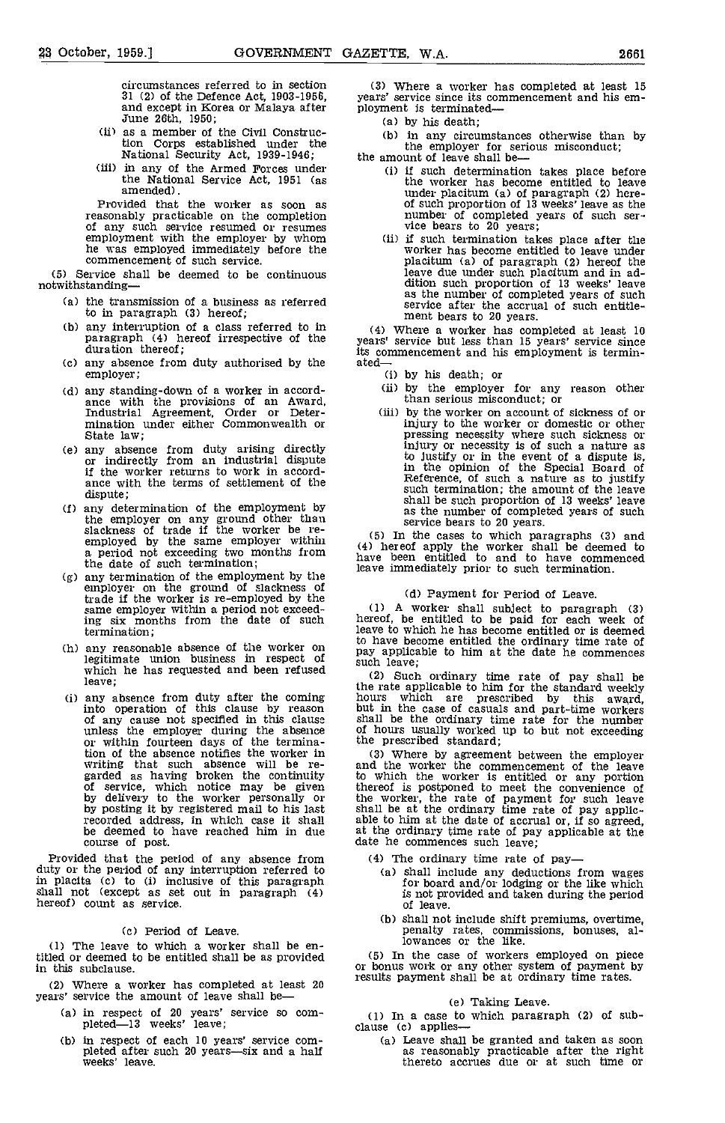circumstances referred to in section and except in Korea or Malaya after ployment is terminated—<br>June 26th, 1950; (a) by his death

- (ii) as a member of the Civil Construcas a member of the Civit Construction<br>tion Corps established under the the employer for ser<br>National Security Act, 1939-1946; the amount of leave shall be-
- (iii) in any of the Armed Forces under the National Service Act, 1951 (as amended).

Provided that the worker as soon as<br>reasonably practicable on the completion reasonably practicable on the completion of any such service resumed or resumes<br>employment with the employer by whom (ii) if such termination takes place after the<br>he was employed immediately before the worker has become e employment with the employer by whom<br>he was employed immediately before the commencement of such service.

(5) Service shall be deemed to be continuous notwithstanding

- the transmission of a business as referred to in paragraph (3) hereof;
- any interruption of a class referred to in paragraph (4) hereof irrespective of the duration thereof;
- (c) any absence from duty authorised by the  $\qquad$  ated— $\qquad$  (i) by his death; or employer;
- any standing-down of a worker in accord- ance with the provisions of an Award, Industrial Agreement, Order or Deter- mination under either Commonwealth or State law;
- any absence from duty arising directly or indirectly from an industrial dispute if the worker returns to work in accordance with the terms of settlement of the dispute;
- any determination of the employment by the employer on any ground other than<br>slackness of trade if the worker be reemployed by the same employer within  $(5)$  be a period not exceeding two months from  $\begin{array}{c} (4) \\ h_{\text{av}} \end{array}$  hereof a the date of such termination;<br>(g) any termination of the employment by the
- any termination of the employment by the state employer on the ground of slackness of trade if the worker is re-employed by the same employer within a period not exceed-<br>ing six months from the date of such termination;
- any reasonable absence of the worker on  $\frac{100 \text{ Hz}}{\text{hav}}$  and legitimate union business in respect of  $\frac{1}{8}$ which he has requested and been refused  $(2)$ leave;
- any absence from duty after the coming into operation of this clause by reason of any cause not specified in this clause shall unless the employer during the absence of homogeneity of the termination of the absence notifies the worker in writing that such absence wilt be regarded as having broken the continuity to whi of service, which notice may be given thereof course of post.

Provided that the period of any absence from duty or the period of any interruption referred to  $\frac{1}{2}$ in placita (c) to (i) inclusive of this paragraph shall not (except as set out in paragraph (4) hereof) count as service.

## (c) Period of Leave.

The leave to which a worker shall be entitled or deemed to be entitled shall be as provided in this subclause.

where a worker has completed at least 20 years' service the amount of leave shall be

- (a) in respect of 20 years' service so com-<br>pleted—13 weeks' leave; blause (c) applies-
- (b) in respect of each 10 years' service com-<br>pleted after such 20 years—six and a half<br>weeks' leave.

(3) Where a worker has completed at least 15 years' service since its commencement and his em-

by his death;

in any circumstances otherwise than by the employer for serious misconduct;<br>the amount of leave shall be—

- - if such determination takes place before the worker has become entitled to leave under placitum (a) of paragraph (2) here-<br>of such proportion of 13 weeks' leave as the<br>number of completed years of such ser-<br>vice bears to 20 years;<br>if such termination takes place after the<br>worker has become entitled to
	- placitum (a) of paragraph (2) hereof the leave due under such placitum and in ad- dition such proportion of 13 weeks' leave as the number of completed years of such service after the accrual of such entitle-ment bears to 20 years.

(4) Where a worker has completed at least 10 years' service but less than 15 years' service since its commencement and his employment is termin-

- 
- (ii) by the employer for any reason other than serious misconduct; or
- (iii) by the worker on account of sickness of or<br>injury to the worker or domestic or other injury to the worker or domestic or other pressing necessity where such sickness or injury or necessity is of such a nature as to justify or in the event of a dispute is, in the opinion of the Special Board of Reference, of such a nature as to justify such termination; the amount of the leave<br>shall be such proportion of 13 weeks' leave shall be such proportion of 13 weeks' leave as the number of completed years of such service bears to 20 years.

(5) In the cases to which paragraphs (3) and (4) hereof apply the worker shall be deemed to have been entitled to and to have commenced leave immediately prior to such termination.

(d) Payment for Period of Leave.<br>
(1) A worker shall subject to paragraph (3)<br>
hereof, be entitled to be paid for each week of<br>
leave to which he has become entitled or is deemed<br>
to have become entitled the ordinary time pay applicable to him at the date he commences such leave;

(2) Such ordinary time rate of pay shall be the rate applicable to him for the standard weekly<br>hours which are prescribed by this award,<br>but in the case of casuals and part-time workers<br>shall be the ordinary time rate for the number<br>of hours usually worked up to but

by posting it by registered mail to his last shall be at the ordinary time rate of pay applic-<br>recorded address, in which case it shall able to him at the date of accrual or, if so agreed,<br>be deemed to have reached him in (3) Where by agreement between the employer and the worker the commencement of the leave to which the worker is entitled or any portion thereof is postponed to meet the convenience of the worker, the rate of payment for such leave shall be at the ordinary time rate of pay applic-<br>able to him at the date of accrual or, if so agreed,<br>at the ordinary time rate of pay applicable at the<br>date he commences such leave;

- (4) The ordinary time rate of pay
	- shall include any deductions from wages for board and/or lodging or the like which is not provided and taken during the period
	- of leave.<br>
	(b) shall not include shift premiums, overtime, shall not include shift premiums, overtime, penalty rates, commissions, bonuses, al-lowances or the like.

(5) In the case of workers employed on piece or bonus work or any other system of payment by results payment shall be at ordinary time rates.

(e) Taking Leave.<br>(1) In a case to which paragraph (2) of sub-

(a) Leave shall be granted and taken as soon as reasonably practicable after the right thereto accrues due or at such time or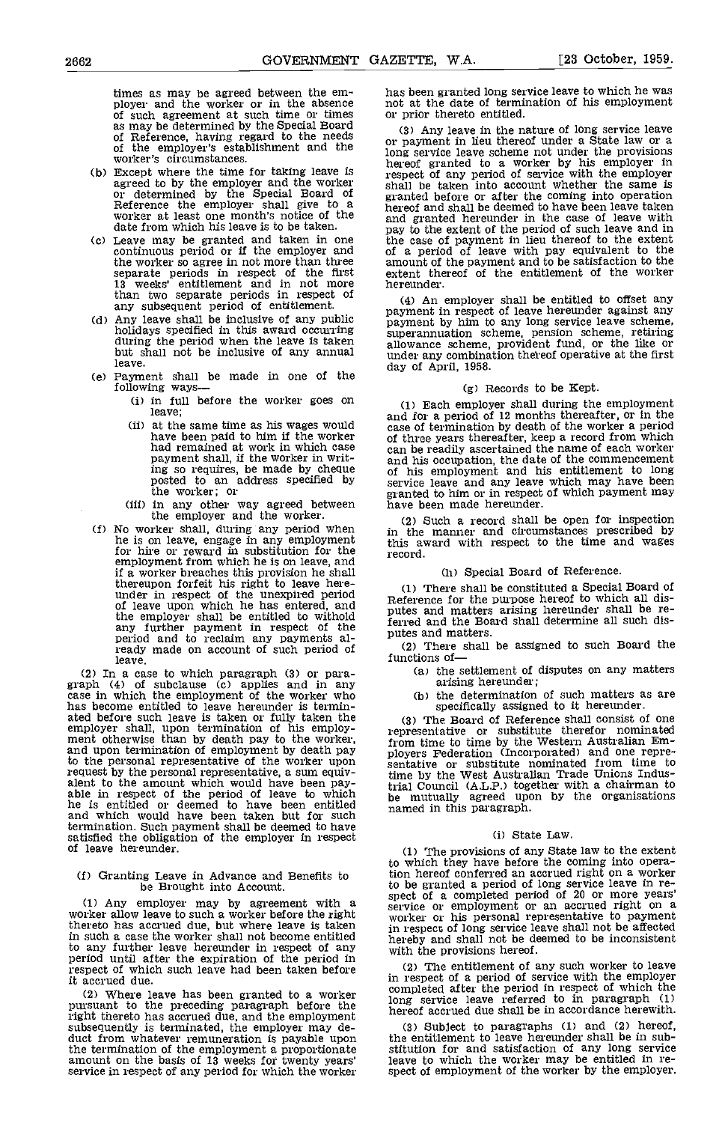times as may be agreed between the em-<br>
ployer and the worker or in the absence in the date of termination of his employment<br>
of such agreement at such time or times or prior thereto entitled.<br>
as may be determined by the

- Except where the time for taking leave is agreed to by the employer and the worker or determined by the Special Board of Reference the employer shall give to a worker at least one month's notice of the date from which his leave is to be taken.
- Leave may be granted and taken in one the c continuous period or if the employer and of a separate periods in respect of the first 13 weeks' entitlement and in not more than two separate periods in respect of any subsequent period of entitlement.<br>(d) Any leave shall be inclusive of any public
- leave.
- leave.<br>
(e) Payment shall be made in one of the day of April, 1958.<br>
following ways— (g) R
	- leave;
	- at the same time as his wages would<br>have been paid to him if the worker of this<br>had remained at work in which case can b payment shall, if the worker in writ-<br>ing so requires, be made by cheque of his<br>posted to an address specified by service the worker; or
	- in any other way agreed between the employer and the worker.
- (f) No worker shall, during any period when he is on leave, engage in any employment for hire or reward in substitution for the employment from which he is on leave, and<br>if a worker breaches this provision he shall if a worker breaches this provision he shall<br>thereupon forfeit his right to leave here-<br>under in respect of the unexpired period<br>of leave upon which he has entered, and<br>nutes the employer shall be entitled to withold<br>
any further payment in respect of the<br>
period and to reclaim any payments al-<br>
ready made on account of such period of (2) leave.

(2) In a case to which paragraph (3) or para-<br>graph (4) of subclause (c) applies and in any<br>case in which the employment of the worker who (b) has become entitled to leave hereunder is terminated before such leave is taken or fully taken the (3)<br>employer shall, upon termination of his employ-<br>ment otherwise than by death pay to the worker, from<br>and upon termination of employment by death pay blover to the personal representative of the worker upon<br>request by the personal representative, a sum equivrequest by the personal representative, a sum equiv-<br>alent to the amount which would have been pay-<br>trial C<br>he is entitled or deemed to have been entitled have he is entitled or deemed to have been entitled and which would have been taken but for such hamed termination. Such payment shall be deemed to have satisfied the obligation of the employer in respect of leave hereunder.

#### (f) Granting Leave in Advance and Benefits to be Brought into Account.

(I) Any employer may by agreement with a worker allow leave to such a worker before the right thereto has accrued due, but where leave is taken in such a case the worker shall not become entitled to any further leave hereunder in respect of any with the provisions hereof. period until after the expiration of the period in respect of which such leave had been taken before it accrued due.

(2) Where leave has been granted to a worker component to the preceding paragraph before the long right thereto has accrued due, and the employment subsequently is terminated, the employer may de- (3) duct from whatever remuneration is payable upon the employer the termination of the employment a proportionate stitude amount on the basis of 13 weeks for twenty years' leave<br>service in respect of any period for which the worker spect

not at the date of termination of his employment

the worker so agree in not more than three amount of the payment and to be satisfaction to the separate periods in respect of the first extent thereof of the entitlement of the worker or payment in lieu thereof under a State law or a long service leave scheme not under the provisions hereof granted to a worker by his employer in respect of any period of service with the employer shall be taken into account whether the same is granted before or after the coming into operation hereof and shall be deemed to have been leave taken and granted hereunder in the case of leave with pay to the extent of the period of such leave and in the case of payment in lieu thereof to the extent of a period of leave with pay equivalent to the amount of the payment and to be satisfaction to the extent thereof of the entitlement of the worker hereunder.

Any leave shall be inclusive of any public inclusive of a payment by him to any long service leave scheme, holidays specified in this award occurring during the period when the leave is taken but shall not be inclusive of An employer shall be entitled to offset any payment in respect of leave hereunder against any payment by him to any long service leave scheme, superannuation scheme, pension scheme, retiring allowance scheme, provident fund, or the like or under any combination thereof operative at the first day of April, 1958.

## (g) Records to be Kept.

(i) in full before the worker goes on  $(1)$  Each employer shall during the employment and for a period of 12 months thereafter, or in the case of termination by death of the worker a period of three years thereafter, keep a record from which can be readily ascertained the name of each worker can be readily ascertained the name of each worker and his occupation, the date of the commencement of his employment and his entitlement to long service leave and any leave which may have been granted to him or in respect of which payment may have been made hereunder.

> Such a record shall be open for inspection in the manner and circumstances prescribed by this award with respect to the time and wages record.

## (h) Special Board of Reference.

There shall be constituted a Special Board of Reference for the purpose hereof to which all dis- putes and matters arising hereunder shall be referred and the Board shall determine all such dis-

(2) There shall be assigned to such Board the functions of

- (a) the settlement of disputes on any matters arising hereunder;
- (b) the determination of such matters as are specifically assigned to it hereunder.

(3) The Board of Reference shall consist of one representative or substitute therefor nominated from time to time by the Western Australian Em- ployers Federation (Incorporated) and one repre- sentative or substitute nominated from time to sentative or substitute nominated from time to time by the West Australian Trade Unions Industrial Council (ALP.) together with a chairman to be mutually agreed upon by the organisations named in this paragraph.

#### (i) State Law.

The provisions of any State law to the extent to which they have before the coming into operation hereof conferred an accrued right on a worker to be granted a period of long service leave in re-<br>spect of a completed period of 20 or more years'<br>service or employment or an accrued right on a<br>worker or his personal representative to payment in respect of long service leave shall not be affected

The entitlement of any such worker to leave in respect of a period of service with the employer completed after the period in respect of which the long service leave referred to in paragraph (1) hereof accrued due shall be in accordance herewith.

(3) Subject to paragraphs (1) and (2) hereof, the entitlement to leave hereunder shall be in substitution for and satisfaction of any long service leave to which the worker may be entitled in re- spect of employment of the worker by the employer.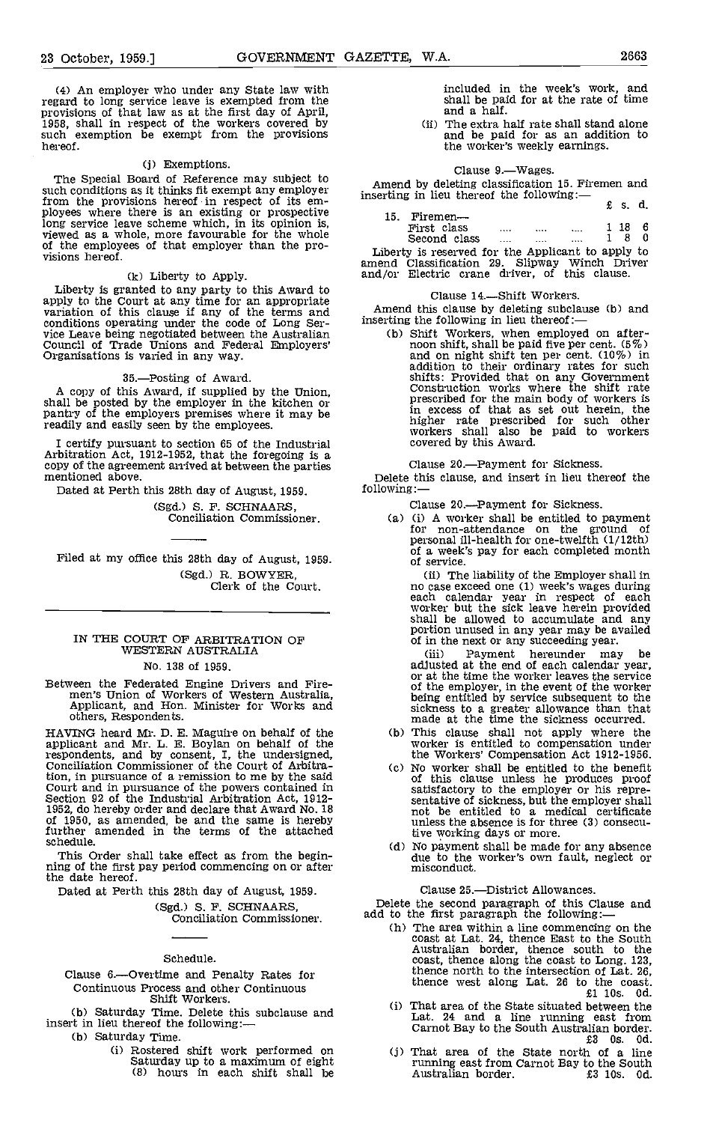(4) An employer who under any State law with regard to long service leave is exempted from the provisions of that law as at the first day of April, 1958, shall in respect of the workers covered by such exemption be exempt from the provisions hereof.

#### (j) Exemptions.

The Special Board of Reference may subject to such conditions as it thinks fit exempt any employer such conditions as it thinks fit exempt any employer from the provisions hereof in respect of its em-<br>ployees where there is an existing or prospective long service leave scheme which, in its opinion is, viewed as a whole, more favourable for the whole of the employees of that employer than the pro-<br>visions hereof.

#### (k) Liberty to Apply.

Liberty is granted to any party to this Award to apply to the Court at any time for an appropriate<br>variation of this clause if any of the terms and conditions operating under the code of Long Ser-<br>vice Leave being negotiated between the Australian<br>Council of Trade Unions and Federal Employers'<br>Organisations is varied in any way.

35.Posting of Award.

A copy of this Award, if supplied by the Union, shall be posted by the employer in the kitchen or pantry of the employers premises where it may be readily and easily seen by the employees.

I certify pursuant to section 65 of the Industrial Arbitration Act, 1912-1952, that the foregoing is a copy of the agreement arrived at between the parties Delete the mentioned above. Delete the mentioned above. The state of  $\alpha$  and  $\alpha$  mentioned at Perth this 28th day of August. 1959.

Dated at Perth this 28th day of August, 1959. (Sgd.) S. F. SCHNAARS, Conciliation Commissioner.

Filed at my office this 28th day of August, 1959. (Sgd.) R. BOWYER, Clerk of the Court.

# IN THE COURT OF ARBITRATION OF WESTERN AUSTRALIA

No. 138 of 1959.

Between the Federated Engine Drivers and Fire- men's Union of Workers of Western Australia, Applicant, and Hon. Minister for Works and others, Respondents.

HAVING heard Mr. D. B. Maguire on behalf of the applicant and Mr. L. B. Boylan on behalf of the respondents, and by consent, I, the undersigned, Conciliation Commissioner of the Court of Arbitration, in pursuance of a remission to me by the said<br>Court and in pursuance of the powers contained in<br>Section 92 of the Industrial Arbitration Act, 1912-<br>1952, do hereby order and declare that Award No. 18<br>05 1950, as ame of 1950, as amended, be and the same is hereby<br>further amended in the terms of the attached<br>schedule.

This Order shall take effect as from the begin- ning of the first pay period commencing on or after the date hereof.

Dated at Perth this 28th day of August, 1959.

(Sgd.) S. P. SCHNAARS, Conciliation Commissioner.

# Schedule.

Clause 6.- Overtime and Penalty Rates for Continuous Process and other Continuous Shift Workers.

(b) Saturday Time. Delete this subclause and  $\frac{1}{10}$  insert in lieu thereof the following:—

- 
- (b) Saturday Time.<br>
(i) Rostered shift work performed on Saturday up to a maximum of eight (j)  $(8)$  hours in each shift shall be

included in the week's work, and shall be paid for at the rate of time and a half.

(ii) The extra half rate shall stand alone and be paid for as an addition to the worker's weekly earnings.

#### Clause 9.-Wages.

Amend by deleting classification 15. Firemen and inserting in lieu thereof the following:-£ s. d.

|                         |      |  | .          |  |
|-------------------------|------|--|------------|--|
| 15.<br>$\rm{Firemen}$ — |      |  |            |  |
| First class             | <br> |  | $1\quad18$ |  |
| Second class            | <br> |  | 8          |  |

Liberty is reserved for the Applicant to apply to amend Classification 29. Slipway Winch Driver and/or Electric crane driver, of this clause.

#### Clause 14 .- Shift Workers.

Amend this clause by deleting subclause (b) and inserting the following in lieu thereof:

(b) Shift Workers, when employed on after-<br>noon shift, shall be paid five per cent.  $(5\%)$ <br>and on night shift ten per cent.  $(10\%)$  in addition to their ordinary rates for such shifts: Provided that on any Government Construction works where the shift rate prescribed for the main body of workers is in excess of that as set out herein, the higher rate prescribed for such other workers shall also be paid to workers covered by this Award.

Clause 20.-Payment for Sickness.

Delete this clause, and insert in lieu thereof the

Clause 20.-Payment for Sickness.

(a) (i) A worker shall be entitled to payment for non-attendance on the ground of personal ill-health for one-twelfth (1/12th) of a week's pay for each completed month of a week's pay for each completed month<br>of service.

 $\left( ii\right)$  The liability of the Employer shall in no case exceed one (1) week's wages during each calendar year in respect of each worker but the sick leave herein provided shall be allowed to accumulate and any portion unused in any year may be availed of in the next or any succeeding year.

Payment hereunder may be adjusted at the end of each calendar year, or at the time the worker leaves the service of the employer, in the event of the worker being entitled by service subsequent to the sickness to a greater allowance than that made at the time the sickness occurred.

- (b) This clause shall not apply where the worker is entitled to compensation under the Workers' Compensation Act 1912-1956.
- (c) No worker shall be entitled to the benefit of this clause unless he produces proof satisfactory to the employer or his repre-<br>sentative of sickness, but the employer shall unless the absence is for three (3) consecutive working days or more.
- (d) No payment shall be made for any absence due to the worker's own fault, neglect or misconduct.

#### Clause 25.-District Allowances.

Delete the second paragraph of this Clause and add to the first paragraph the following:—<br>
(h) The area within a line commencing on the

- The area within a line commencing on the coast at Lat. 24, thence East to the South Australian border, thence south to the coast, thence along the coast to Long. 123, thence north to the intersection of Lat. 26, thence west along Lat. 26 to the coast.  $£1$  10s. Od.
- That area of the State situated between the Lat. 24 and a line running east from Carnot Bay to the South Australian border.<br> $£3$  0s. 0d.
- U) That area of the State north of a line running east from Carnot Bay to the South Australian border. £3 los. Cd.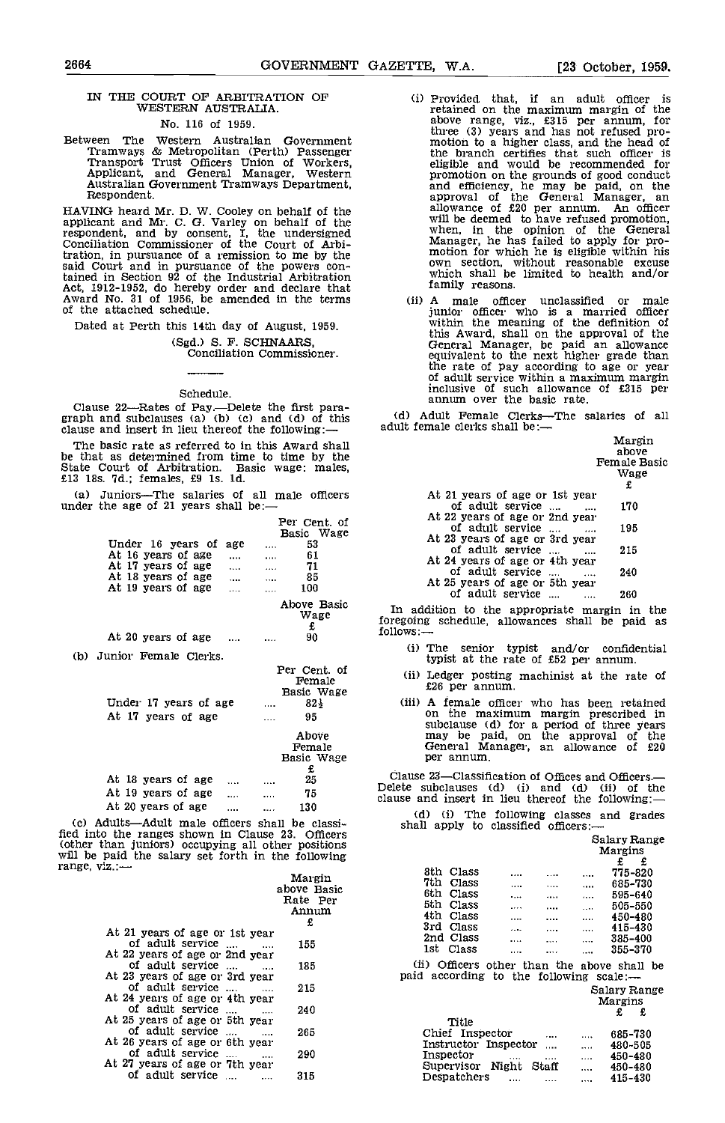# IN THE COURT OF ARBITRATION OF WESTERN AUSTRALIA.

# No. 116 of 1959.

Between The Western Australian Government Tramways & Metropolitan (Perth) Passenger Transport Trust Officers Union of Workers, Applicant, and General Manager, Western Australian Government Tramways Department, Respondent.

HAVING heard Mr. D. W. Cooley on behalf of the applicant and Mr. C. G. Varley on behalf of the respondent, and by consent, I, the undersigned Conciliation Commissioner of the Court of Arbitration, in pursuance of a remission to me by the said Court and in pursuance of the powers contained in Section 92 of the Industrial Arbitration Act, 1912-1952, do hereby order and declare that Award No. 31 of 1956, be amended in the terms of the attached schedule.

Dated at Perth this 14th day of August, 1959. (Sgd.) S. F. SCHNAARS, Conciliation Commissioner.

#### Schedule.

Clause 22—Rates of Pay.—Delete the first para-<br>graph and subclauses (a) (b) (c) and (d) of this (d) Adult Female Clerks-<br>clause and insert in lieu thereof the following:— adult female clerks shall be:-

The basic rate as referred to in this Award shall be that as determined from time to time by the be that as determined from time to time by the State Court of Arbitration. Basic wage: males, £13 18s. 7d.; females, £9 Is. ld.

(a) Juniors—The salaries of all male officers under the age of 21 years shall be:—

|                      | Per Cent. of<br>Basic Wage<br>53<br>61<br>.<br>71<br>$\cdots$<br>85<br>100 | Under 16 years of<br>age<br>At 16 years of age<br>$\cdots$<br>At 17 years of age<br>saan in<br>At 18 years of age<br>$\cdots$<br>At 19 years of age |  |
|----------------------|----------------------------------------------------------------------------|-----------------------------------------------------------------------------------------------------------------------------------------------------|--|
| In<br>foreg<br>follo | Above Basic<br>Wage<br>£<br>90                                             | At 20 years of age                                                                                                                                  |  |
|                      |                                                                            | (b) Junior Female Clerks.                                                                                                                           |  |
| (                    | Per Cent. of<br>Female<br>Basic Wage<br>$82+$<br>95                        | Under 17 years of age<br>At 17 years of age                                                                                                         |  |
|                      | Above<br>Female<br>Basic Wage<br>£                                         |                                                                                                                                                     |  |
| C1<br>Delet          | 25                                                                         | At 18 years of age                                                                                                                                  |  |
| claus                | 75                                                                         | At 19 years of age<br>.                                                                                                                             |  |
|                      | 130<br>                                                                    | At 20 years of age<br>                                                                                                                              |  |

(c) Adults-Adult male officers shall be classifled into the ranges shown in Clause 23. Officers (other than juniors) occupying all other positions will be paid the salary set forth in the following range, viz.: Margin above Basic

|                                   | above Basic<br>Rate Per<br>Annum |
|-----------------------------------|----------------------------------|
|                                   |                                  |
|                                   | £                                |
| At 21 years of age or 1st year    |                                  |
| of adult service                  | 155                              |
| At 22 years of age or 2nd year    |                                  |
| of adult service                  | (ii<br>185                       |
| At 23 years of age or 3rd year    | paid                             |
| of adult service<br>$\sim$ $\sim$ | 215                              |
| At 24 years of age or 4th year    |                                  |
|                                   |                                  |
| of adult service<br>$\cdots$      | 240                              |
| At 25 years of age or 5th year    |                                  |
| of adult service                  | 265                              |
| At 26 years of age or 6th year    |                                  |
| of adult service                  | 290                              |
| At 27 years of age or 7th year    |                                  |
| of adult service                  | 315                              |
|                                   |                                  |

- Ci) Provided that, if an adult officer is retained on the maximum margin of the above range, viz., £315 per annum, for three (3) years and has not refused pro-<br>motion to a higher class, and the head of<br>the branch certifies that such officer is the branch certifies that such officer is<br>eligible and would be recommended for<br>promotion on the grounds of good conduct approval of the General Manager, an allowance of £20 per annum. An officer<br>will be deemed to have refused promotion,<br>when, in the opinion of the General<br>Manager, he has failed to apply for pro-<br>motion for which he is eligible within his<br>own section, without which shall be limited to health and/or family reasons.
- (ii) A male officer unclassified or male junior officer who is a married officer within the meaning of the definition of this Award, shall on the approval of the General Manager, be paid an allowance equivalent to the next higher grade than the rate of pay according to age or year of adult service within a maximum margin inclusive of such allowance of £315 per annum over the basic rate.

(d) Adult Female Clerks-The salaries of all Margin

|                                | margin                |
|--------------------------------|-----------------------|
|                                | above                 |
|                                | <b>Female Basic</b>   |
|                                | Wage                  |
|                                | £                     |
| At 21 years of age or 1st year |                       |
| of adult service               | 170<br>$\sim$         |
| At 22 years of age or 2nd year |                       |
| of adult service               | 195<br>$\cdots$       |
| At 23 years of age or 3rd year |                       |
| of adult service               | 215                   |
| At 24 years of age or 4th year |                       |
| of adult service               | 240<br>$\overline{1}$ |
| At 25 years of age or 5th year |                       |
| of adult service               | 260                   |
|                                |                       |

In addition to the appropriate margin In the foregoing schedule, allowances shall be paid as<br>follows:—

- Ci) The senior typist and/or confidential typist at the rate of £52 per annum.
- (ii) Ledger posting machinist at the rate of £26 per annum.
- (Hi) A female officer who has been retained on the maximum margin prescribed In subclause (d) for a period of three years may be paid, on the approval of the General Manager, an allowance of £20 per annum.

Clause 23—Classification of Offices and Officers.—<br>Delete subclauses (d) (i) and (d) (ii) of the<br>clause and insert in lieu thereof the following:—

|  | (d) (i) The following classes and grades |  |  |
|--|------------------------------------------|--|--|
|  | shall apply to classified officers:—     |  |  |

|                 | shall apply to classified officers:—                                                   |          |          |              |         |  |  |
|-----------------|----------------------------------------------------------------------------------------|----------|----------|--------------|---------|--|--|
|                 |                                                                                        |          |          | Salary Range |         |  |  |
|                 |                                                                                        |          |          | Margins      |         |  |  |
|                 |                                                                                        |          |          | £            | £       |  |  |
| 8th Class       |                                                                                        |          |          |              | 775-820 |  |  |
| 7th<br>Class    |                                                                                        |          | .        |              | 685-730 |  |  |
| 6th<br>Class    |                                                                                        |          | $\cdots$ |              | 595-640 |  |  |
| 5th<br>Class    |                                                                                        | 1.111    | $\cdots$ |              | 505-550 |  |  |
| 4th<br>Class    |                                                                                        |          |          |              | 450-480 |  |  |
| 3rd<br>Class    |                                                                                        | $\cdots$ |          |              | 415-430 |  |  |
| 2nd Class       | .                                                                                      | .        | $\cdots$ |              | 385-400 |  |  |
| 1st<br>Class    |                                                                                        |          | .        |              | 355-370 |  |  |
|                 | (ii) Officers other than the above shall be<br>paid according to the following scale:- |          |          |              |         |  |  |
|                 |                                                                                        |          |          | Salary Range |         |  |  |
|                 |                                                                                        |          |          | Margins      |         |  |  |
|                 |                                                                                        |          |          | £            | £       |  |  |
| Title           |                                                                                        |          |          |              |         |  |  |
| Chief Inspector |                                                                                        |          | .        |              | 685-730 |  |  |
|                 | Instructor Inspector                                                                   | $\cdots$ | .        |              | 480-505 |  |  |
| Inspector       |                                                                                        |          | .        |              | 450-480 |  |  |
| Supervisor      | Night                                                                                  | Staff    | $\cdots$ |              | 450-480 |  |  |
| Despatchers     |                                                                                        |          |          |              | 415-430 |  |  |
|                 |                                                                                        |          |          |              |         |  |  |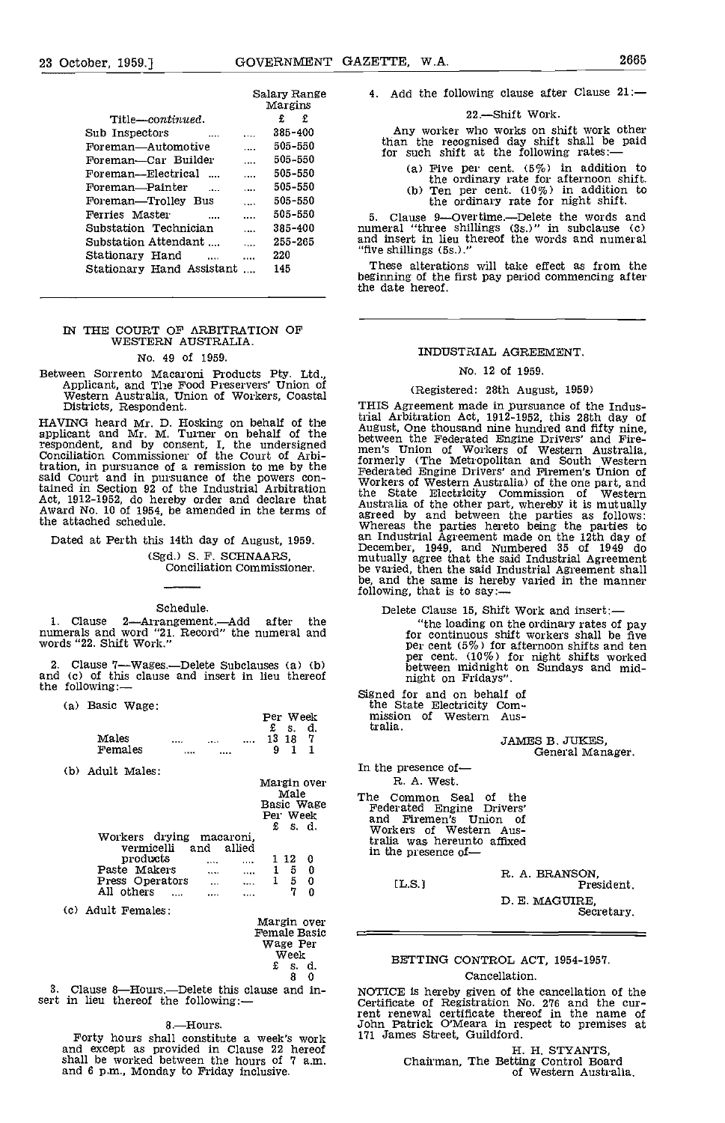| GOVERNMENT GAZETTE, W.A. |  | 23 October, 1959.] |  |  |  |  |  | 2665 |
|--------------------------|--|--------------------|--|--|--|--|--|------|
|--------------------------|--|--------------------|--|--|--|--|--|------|

|                           |          | Salary Range<br>Margins | 4.        |
|---------------------------|----------|-------------------------|-----------|
| Title—continued.          |          | £<br>£.                 |           |
| Sub Inspectors            |          | 385-400                 |           |
| Foreman—Automotive        | .        | 505-550                 |           |
| Foreman—Car Builder       |          | 505-550                 |           |
| Foreman—Electrical        |          | 505-550                 |           |
| Foreman—Painter           |          | 505-550                 |           |
| Foreman—Trolley Bus       |          | 505-550                 |           |
| Ferries Master            |          | 505-550                 | 5.        |
| Substation Technician     | $\cdots$ | 385-400                 | nun       |
| Substation Attendant      |          | 255-265                 | and       |
| Stationary Hand           |          | 220                     | "fiv      |
| Stationary Hand Assistant |          | 145                     | т<br>begi |

# IN THE COURT OF ARBITRATION OF WESTERN AUSTRALIA.

### No. 49 of 1959.

Between Sorrento Macaroni Products Pty. Ltd., Applicant, and The Food Preservers' Union of Western Australia, Union of Workers, Coastal Districts, Respondent.

HAVING heard Mr. D. Hosking on behalf of the applicant and Mr. M. Turner on behalf of the augus<br>respondent, and by consent, I, the undersigned between's<br>Conciliation Commissioner of the Court of Arbi-<br>forme tration, in pursuance of a remission to me by the  $\frac{10 \text{ cm}}{4 \text{ eV}}$ said Court and in pursuance of the powers contained in Section 92 of the Industrial Arbitration  $\frac{1}{100}$ Act, 1912-1952, do hereby order and declare that  $\frac{dN}{d}$  Award No. 10 of 1954, be amended in the terms of  $\frac{dN}{d}$ the attached schedule.

Dated at Perth this 14th day of August, 1959. (Sgd.) S. F. SCHNAARS, Conciliation Commissioner.

Schedule.

1. Clause 2—Arrangement.—Add after the<br>numerals and word "21. Record" the numeral and<br>words "22. Shift Work."

2. Clause 7—Wages.—Delete Subclauses (a) (b) and (c) of this clause and insert in lieu thereof the following:—

(a) Basic Wage:

|         |       |              |   | Per Week<br>$\mathbf{\pounds}$ s. | d. | mission<br>tralia. | Οf |
|---------|-------|--------------|---|-----------------------------------|----|--------------------|----|
| Males   | 1.1.1 | <br>$\cdots$ |   | 13 18                             |    |                    |    |
| Females |       |              | 9 | $\blacksquare$                    |    |                    |    |

(b) Adult Males:

|                                                                     | Margin over                                    | R. A                                             |
|---------------------------------------------------------------------|------------------------------------------------|--------------------------------------------------|
|                                                                     | Male<br>Basic Wage<br>Per Week<br>£<br>- s. d. | The<br>Com<br>Federate<br>-Fii<br>and<br>Workers |
| Workers drying macaroni.<br>vermicelli<br>allied<br>and<br>products | 112<br>0                                       | tralia wa<br>in the pi                           |
| Paste Makers<br>$\cdots$<br>Press Operators<br>All others           | 5<br>0<br>5<br>0<br>0                          | LL S                                             |

Adult Females:

| Margin over<br><b>Female Basic</b> |     |
|------------------------------------|-----|
| Wage Per<br>Week                   | EET |
| £.<br>d.<br>s.<br>я<br>Λ           |     |

3. Clause 8—Hours.—Delete this clause and in- sert in lieu thereof the following:-

#### 8.Hours.

Forty hours shall constitute a week's work 171 James Street, Guildford. and except as provided in Clause 22 hereof shall be worked between the hours of 7 a.m. and 6 p.m., Monday to Friday inclusive,

#### 22 - Shift Work.

Any worker who works on shift work other than the recognised day shift shall be paid for such shift at the following rates:—

(a) Five per cent.  $(5\%)$  in addition to the ordinary rate for afternoon shift. (b) Ten per cent.  $(10\%)$  in addition to the ordinary rate for night shift.

255-265 numeral "three shillings (3s.)" in subclause (c) and insert in lieu thereof the words and numeral Clause 9-Overtime.--Delete the words and "five shillings (5s.)

> These alterations will take effect as from the beginning of the first pay period commencing after the date hereof.

### INDUSTRIAL AGREEMENT.

#### No. 12 of 1959.

#### (Registered: 28th August, 1959)

THIS Agreement made in pursuance of the Industrial Arbitration Act, 1912-1952, this 28th day of<br>August, One thousand nine hundred and fifty nine,<br>between the Federated Engine Drivers' and Fire-<br>men's Union of Workers of Western Australia,<br>formerly (The Metropolitan a the State Electricity Commission of Western Australia of the other part, whereby it is mutually agreed by and between the parties as follows: Whereas the parties hereto being the parties to an Industrial Agreement made on the 12th day of December, 1949, and Numbered 35 of 1949 do mutually agree that the said Industrial Agreement be varied, then the said Industrial Agreement shall be, and the same is hereby varied in the manner following, that is to say:—

Delete Clause 15, Shift Work and insert:

"the loading on the ordinary rates of pay for continuous shift workers shall be five per cent  $(5\%)$  for afternoon shifts and ten per cent.  $(10\%)$  for night shifts worked between midnight on Sundays and mid- night on Fridays".

Signed for and on behalf of the State Electricity Com- mission of Western Aus-

tralia.

JAMES B. JUKES, General Manager.

In the presence of R. A. West.

The Common Seal of the<br>Federated Engine Drivers' Federated Engine Drivers' and Firemen's Union of Workers of Western Australia was hereunto affixed in the presence of-

R. A. BRANSON,<br>
Fresident. D. E. MAGUIRE, Secretary.

### BETTING CONTROL ACT, 1954-1957. Cancellation.

NOTICE is hereby given of the cancellation of the Certificate of Registration No. 276 and the cur- rent renewal certificate thereof in the name of John Patrick O'Meara in respect to premises at 171 James Street, Guildford.

> H. H. STYANTS,<br>Chairman, The Betting Control Board of Western Australia.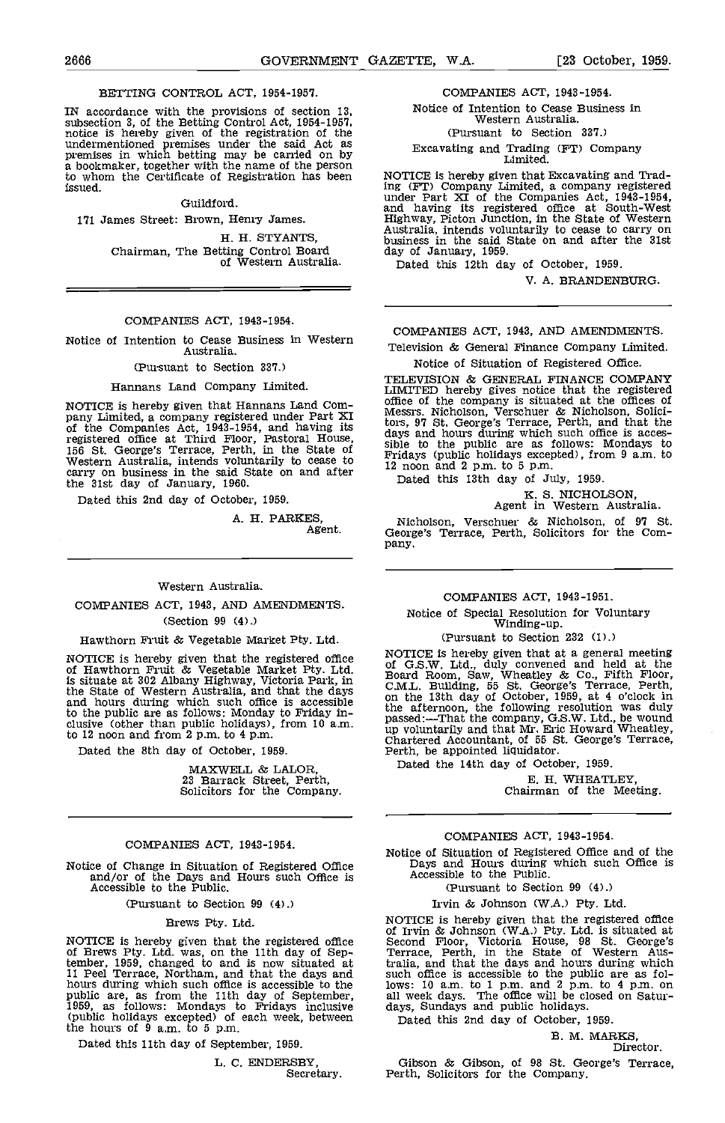#### BETTING CONTROL ACT, 1954-1957.

IN accordance with the provisions of section 13,<br>subsection 3, of the Betting Control Act, 1954-1957,<br>notice is hereby given of the registration of the<br>undermentioned premises under the said Act as<br>premises in which betti a bookmaker, together with the name of the person to whom the Certificate of Registration has been issued.

#### Guildford.

171 James Street: Brown, Henry James.

H. H. STYANTS, Chairman, The Betting Control Board of Western Australia.

#### COMPANIES ACT, 1943-1954.

Notice of Intention to Cease Business in Western Australia.

#### (Pursuant to Section 337.)

#### Hannans Land Company Limited.

NOTICE is hereby given that Hannans Land Com-<br>pany Limited, a company registered under Part XI Mes<br>of the Companies Act, 1943-1954, and having its thaw registered office at Third Floor, Pastoral House,<br>156 St. George's Terrace, Perth, in the State of sible<br>Western Australia, intends voluntarily to cease to Friday carry on business in the said State on and after  $\frac{12}{7}$ the 31st day of January, 1960.

Dated this 2nd day of October, 1959.

A. H. PARKES, Agent.

#### Western Australia.

#### COMPANIES ACT, 1943, AND AMENDMENTS,

(Section 99 (4).)

#### Hawthorn Fruit & Vegetable Market Pty. Ltd.

NOTICE is hereby given that the registered office of G.<br>of Hawthorn Fruit & Vegetable Market Pty. Ltd. is situate at 302 Albany Highway, Victoria Park, in CM L the State of Western Australia, and that the days could the days and hours during which such office is accessible on the to the public are as follows: Monday to Friday in- clusive (other than public holidays), from 10 a.m. to 12 noon and from 2 p.m. to 4 p.m.

Dated the 8th day of October, 1959.

MAXWELL & LALOR, 23 Barrack Street, Perth, Solicitors for the Company.

#### COMPANIES ACT, 1943-1954.

(Pursuant to Section 99 (4).)

#### Brews Pty. Ltd.

NOTICE is hereby given that the registered office Second Brews Pty. Ltd. was, on the 11th day of Sep-<br>
Terr tember, 1959, changed to and is now situated at 11 raila,<br>11 Peel Terrace, Northam, and that the days and such hours during which such office is accessible to the plows<br>public are, as from the 11th day of September, all w<br>1959, as follows: Mondays to Fridays inclusive days (public holidays excepted) of each week, between the hours of 9 a,m. to 5 p.m.

Dated this 11th day of September, 1959.

L. C. ENDERSBY, Secretary.

#### COMPANIES ACT, 1943-1954.

Notice of Intention to Cease Business in Western Australia. (Pursuant to Section 337.) Excavating and Trading (PT) Company Limited.

NOTICE is hereby given that Excavating and Trading (PT) Company Limited, a company registered

tmder Part XI of the Companies Act, 1943-1954, and having its registered office at South-West Highway, Picton Junction, in the State of Western Australia, intends voluntarily to cease to carry on business in the said State on and after the 31st Austrian, inventors volumearly to cease to carry on<br>business in the said State on and after the 31st<br>day of January, 1959.

Dated this 12th day of October, 1959.

V. A. BRANDENBURG.

# COMPANIES ACT, 1943, AND AMENDMENTS.

Television & General Finance Company Limited,

Notice of Situation of Registered Office.

TELEVISION & GENERAL FINANCE COMPANY LIMITED hereby gives notice that the registered<br>office of the company is situated at the offices of offices of the company is situated at the official designs. Nicholson, Verschuer & Nicholson, Solici-<br>tors, 97 St. George's Terrace, Perth, and that the days and hours during which such office is accessible to the public are as follows: Mondays to Fridays (public holidays excepted), from 9 a.m. to 12 noon and 2 p.m. to 5 p.m.

Dated this 13th day of July, 1959.

K. S. NICHOLSON, Agent in Western Australia.

Nicholson, Verschuer & Nicholson, of 97 St. George's Terrace, Perth, Solicitors for the Company.

# COMPANIES ACT, 1943-1951. Notice of Special Resolution for Voluntary Winding-up.

(Pursuant to Section 232 (1).)

NOTICE is hereby given that at a general meeting<br>of G.S.W. Ltd., duly convened and held at the<br>Board Room, Saw, Wheatley & Co., Fifth Floor,<br>C.M.L. Building, 55 St. George's Terrace, Perth,<br>on the 13th day of October, 195 the afternoon, the following resolution was duly passed:—That the company, G.S.W. Ltd., be wound up voluntarily and that Mr. Eric Howard Wheatley, Chartered Accountant, of 55 St. George's Terrace, Perth, be appointed liquidator. Dated the 14th day of October, 1959.

E. H. WHEATLEY, Chairman of the Meeting.

#### COMPANIES ACT, 1943-1954.

Notice of Change in Situation of Registered Office and Stephend Change in Situation of Registered Office is and/or of the Days and Hours such Office is Accessible to the Public.<br>Accessible to the Public. (Pursuant to Secti Days and Hours during which such Office is Accessible to the Public.

(Pursuant to Section 99 (4).)

Irvin & Johnson (W.A.) Pty. Ltd.

NOTICE is hereby given that the registered office<br>of Irvin & Johnson (W.A.) Pty. Ltd. is situated at<br>Second Floor, Victoria House, 98 St. George's<br>Terrace, Perth, in the State of Western Australia, and that the days and hours during which such office is accessible to the public are as fol-lows: 10 a.m. to 1 p.m. and 2 p.m. to 4 p.m. on all week days. The office will be closed on Satur- days, Sundays and public holidays.

Dated this 2nd day of October, 1959.

B. M. MARKS, Director.

Gibson & Gibson, of 98 St. George's Terrace, Perth, Solicitors for the Company.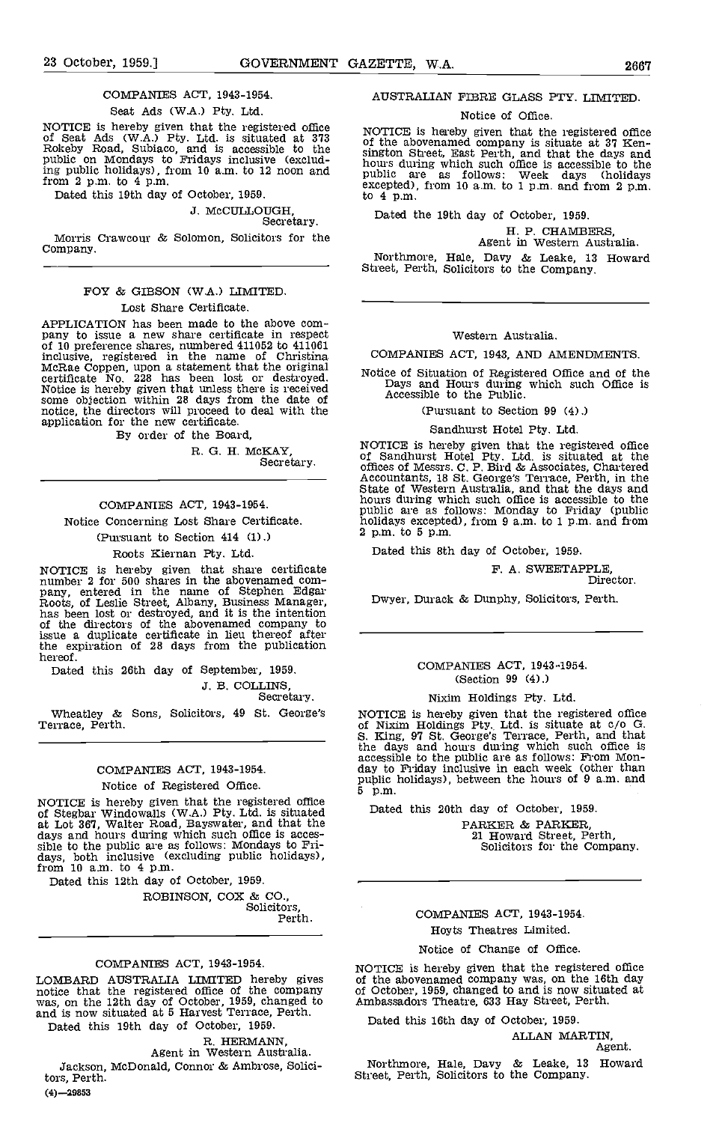# COMPANIES ACT, 1943-1954.

Seat Ads (WA.) Pty. Ltd.

NOTICE is hereby given that the registered office of Seat Ads (W.A.) Pty. Ltd. is situated at 373 of the Rokeby Road, Subiaco, and is accessible to the sington public on Mondays to Fridays inclusive (exclud-<br>public on Mond ing public holidays), from 10 a.m. to 12 noon and public from 2 p.m. to 4 p.m.

Dated this 19th day of October, 1959.

J. McCULLOUGH, Secretary.

Morris Crawcour & Solomon, Solicitors for the Company.

## FOY & GIBSON (W.A.) LIMITED. Lost Share Certificate.

APPLICATION has been made to the above company to issue a new share certificate in respect of 10 preference shares, numbered  $411052$  to  $411061$ inclusive, registered in the name of Christina McRae Coppen, upon a statement that the original certificate No. 228 has been lost or destroyed. Notice is hereby given that unless there is received<br>some objection within 28 days from the date of<br>notice, the directors will proceed to deal with the application for the new certificate. By order of the Board,

R. G. H. McKAY, Secretary.

### COMPANIES ACT, 1943-1954.

Notice Concerning Lost Share Certificate.

(Pursuant to Section 414 (1).)

## Roots Kiernan Pty. Ltd.

NOTICE is hereby given that share certificate<br>number 2 for 500 shares in the abovenamed com-<br>pany, entered in the name of Stephen Edgar<br>Roots, of Leslie Street, Albany, Business Manager,<br>has been lost or destroyed, and it issue a duplicate certificate in lieu thereof after the expiration of 28 days from the publication hereof.

Dated this 26th day of September, 1959.

J. B. COLLINS, Secretary.

Wheatley & Sons, Solicitors, 49 St. George's Terrace, Perth.

# COMPANIES ACT, 1943-1954. Notice of Registered Office.

NOTICE is hereby given that the registered office<br>of Stegbar Windowalls (W.A.) Pty. Ltd. is situated<br>at Lot 367, Walter Road, Bayswater, and that the days and hours during which such office is accessible to the public are as follows: Mondays to Fri-<br>days, both inclusive (excluding public holidays), from 10 a.m. to 4 p.m.

Dated this 12th day of October, 1959.

ROBINSON, COX & CO.,<br>Solicitors,<br>Perth.

#### COMPANIES ACT, 1943-1954.

LOMBARD AUSTRALIA LIMITED hereby gives of the<br>notice that the registered office of the company of Oct<br>was, on the 12th day of October, 1959, changed to Amba: and is now situated at 5 Harvest Terrace, Perth.

Dated this 19th day of October, 1959.

R. HERMANN,<br>Agent in Western Australia.

Jackson, McDonald, Connor & Ambrose, Solicitors, Perth.  $(4) - 29853$ 

#### AUSTRALIAN FIBRE GLASS PTY. LIMITED.

#### Notice of Office.

NOTICE is hereby given that the registered office of the abovenamed company is situate at 37 Ken- sington Street, East Perth, and that the days and hours during which such office is accessible to the public are as follows: Week days (holidays excepted), from 10 a.m. to 1 p.m. and from 2 p.m. to 4 p.m.

Dated the 19th day of October, 1959.

H. P. CHAMBERS, Agent in Western Australia.

Northmore, Hale, Davy & Leake, 13 Howard Street, Perth, Solicitors to the Company.

#### Western Australia.

COMPANIES ACT, 1943, AND AMENDMENTS.

Notice of Situation of Registered Office and of the Days and Hours during which such Office is Accessible to the Public.

(Pursuant to Section 99 (4).)

Sandhurst Hotel Pty. Ltd.

NOTICE is hereby given that the registered office of Sandhurst Hotel Pty. Ltd. is situated at the offices of Messrs. C. P. Bird & Associates, Chartered Accountants, 18 St. George's Terrace, Perth, in the State of Western Australia, and that the days and horn's during which such office is accessible to the public are as follows: Monday to Friday (public holidays excepted), from 9 am. to 1 p.m. and from  $2$  p.m. to  $5$  p.m.

Dated this 8th day of October, 1959.

F. A. SWEETAPPLE,<br>Director.

Dwyer, Durack & Dunphy, Solicitors, Perth.

#### COMPANIES ACT, 1943-1954. (Section 99 (4).)

#### Nixim Holdings Pty. Ltd.

NOTICE is hereby given that the registered office<br>of Nixim Holdings Pty. Ltd. is situate at c/o G.<br>S. King, 97 St. George's Terrace, Perth, and that<br>the days and hours during which such office is<br>accessible to the public a public holidays), between the hours of 9 a.m. and

Dated this 20th day cf October, 1959.

PARKER & PARKER,<br>21 Howard Street, Perth,<br>Solicitors for the Company.

# COMPANIES ACT, 1943-1954.

#### Hoyts Theatres Limited.

#### Notice of Change of Office.

NOTICE is hereby given that the registered office of the abovenamed company was, on the 16th day of October, 1959, changed to and is now situated at Ambassadors Theatre, 633 Hay Street. Perth.

Dated this 16th day of October, 1959.

ALLAN MARTIN, Agent.

Northalore, Hale, Davy & Leake, 13 Howard Street, Perth, Solicitors to the Company.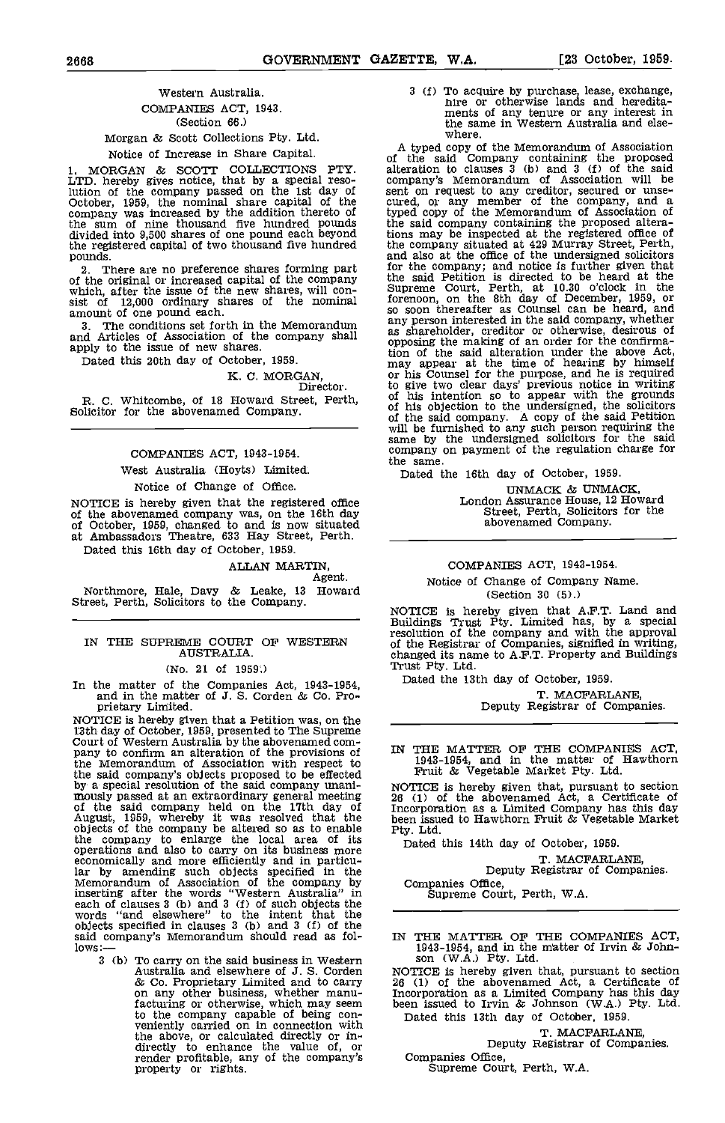# Western Australia. COMPANIES ACT, 1943. (Section 66.)

Morgan & Scott Collections Pty. Ltd.

Notice of Thcrese in Share Capital.

1. MORGAN & SCOTT COLLECTIONS PTY. LTD. hereby gives notice, that by a special reso-<br>lution of the company passed on the 1st day of sent of<br>October, 1959, the nominal share capital of the cured, company was increased by the addition thereto of typed<br>the sum of nine thousand five hundred pounds the stay<br>divided into 9,500 shares of one pound each beyond tions the registered capital of two thousand five hundred

pounds. and all pounds. There are no preference shares forming part for the original or increased capital of the company the same which, after the issue of the new shares, will conwhich, after the issue of the new shares, will con-<br>sist of 12,000 ordinary shares of the nominal amount of one pound each.

The conditions set forth in the Memorandum

# K. C. MORGAN,<br>Director.

R. C. Whitcombe, of 18 Howard Street, Perth, Solicitor for the abovenamed Company.

# COMPANIES ACT, 1943-1954.

West Australia (Hoyts) Limited.

# Notice of Change of Office,

NOTICE is hereby given that the registered office of the abovenamed company was, on the 16th day of October, 1959, changed to and is now situated<br>at Ambassadors Theatre, 633 Hay Street, Perth.

Dated this 16th day of October, 1959.

#### ALLAN MARTIN, Agent.

Northmore, Hale, Davy & Leake, 13 Howard (Section 30 (5).)<br>Street, Perth, Solicitors to the Company.<br>NOTICE is hereby given that A.F.T. Land and

# AUSTRALIA.

#### (No. 21 of 1959;)

In the matter of the Companies Act, 1943-1954, and in the matter of J. S. Corden & Co. Proprietary Limited.<br>NOTICE is hereby given that a Petition was, on the

NOTICE is hereby given that a Petition was, on the<br>13th day of October, 1959, presented to The Supreme<br>Court of Western Australia by the abovenamed com-<br>pany to confirm an alteration of the provisions of IN the Memorandum of Association with respect to  $\frac{19}{10}$ the said company's objects proposed to be effected be said company solution of the said company unani-<br>
mously passed at an extraordinary general meeting 26 (1) of the said company held on the 17th day of Incorpora<br>
August, 1959, whereby it was resolved that the been issue the company to enlarge the local area of its operations and also to carry on its business more economically and more efficiently and in particu-lar by amending such objects specified in the Memorandum of Association of the company by inserting after the words "Western Australia" in each of clauses 3 (b) and 3 (f) of such objects the words "and elsewhere" to the intent that the objects specified in clauses 3 (b) and 3 (f) of the said company's Memorandum should read as fol-<br>lows:-

3 (b) To carry on the said business in Western son (W.A.) Pty. Ltd.<br>Australia and elsewhere of J. S. Corden NOTICE is hereby given t & Co. Proprietary Limited and to carry 26 (1)<br>on any other business, whether manu- Incorp facturing or otherwise, which may seem been issued<br>to the company capable of being con-<br>veniently carried on in connection with the above, or calculated directly or in- directly to enhance the value of, or render profitable, any of the company's Corporation C

3 (f) To acquire by purchase, lease, exchange, hire or otherwise lands and heredita- ments of any tenure or any interest in the same in Western Australia and elsewhere.

and Articles of Association of the company shall as shareholder, creditor or otherwise, desirous of apply to the issue of new shares.<br>
Dated this 20th day of October, 1959.<br>
Dated this 20th day of October, 1959. A typed copy of the Memorandum of Association of the said Company containing the proposed alteration to clauses 3 (b) and 3 (f) of the said company's Memorandum of Association will be sent on request to any creditor, secured or unse-<br>cured, or any member of the company, and a<br>typed copy of the Memorandum of Association of the said company containing the proposed altera-tions may be inspected at the registered office of the company situated at 429 Murray Street, Perth, and also at the office of the undersigned solicitors for the company; and notice is further given that the said Petition is directed to be heard at the Supreme Court, Perth, at 10.30 o'clock in the forenoon, on the 8th day of December, 1959, or so soon thereafter as Counsel can be heard and as shareholder, creditor or otherwise, desirous of opposing the making of an order for the confirmato give two clear days' previous notice in writing<br>of his intention so to appear with the grounds<br>of his objection to the undersigned, the solicitors<br>of the said company. A copy of the said Petition<br>will be furnished to an same by the undersigned solicitors for the said company on payment of the regulation charge for the same. the same.<br>Dated the 16th day of October, 1959.

UNMACK & UNMACK, London Assurance House, 12 Howard Street, Perth, Solicitors for the abovenamed Company.

#### COMPANIES ACT, 1943-1954.

Notice of Change of Company Name. (Section 30 (5).)

IN THE SUPREME COURT OF WESTERN of the Registrar of Companies, signified in writing,<br>AUSTRALIA. changed its name to A.F.T. Property and Buildings Buildings Trust Pty. Limited has, by a special resolution of the company and with the approval<br>of the Registrar of Companies, signified in writing,<br>changed its name to A.F.T. Property and Buildings<br>Trust Pty. Ltd.

Dated the 13th day of October, 1959.

T. MACFARLANE, Deputy Registrar of Companies.

IN THE MATTER OF THE COMPANIES ACT, 1943-1954, and in the matter of Hawthorn Fruit & Vegetable Market Pty. Ltd.

NOTICE is hereby given that, pursuant to section 26 (1) of the abovenamed Act, a Certificate of Incorporation as a Limited Company has this day been issued to Hawthorn Fruit & Vegetable Market Pty. Ltd.

Dated this 14th day of October, 1959.

T. MACFARLANE, Deputy Registrar of Companies.

Companies Office, Supreme Court, Perth, W.A.

IN THE MATTER OF THE COMPANIES ACT, 1943-1954, and in the matter of Irvin  $\&$  John-

<sup>26</sup> (1) of the abovenamed Act, a Certificate of Incorporation as a Limited Company has this day been issued to Irvin & Johnson (W.A.) Pty. Ltd. Dated this 13th day of October, 1959.

T. MACFARLANE, Deputy Registrar of Companies.

Companies Office, Supreme Court, Perth, W.A.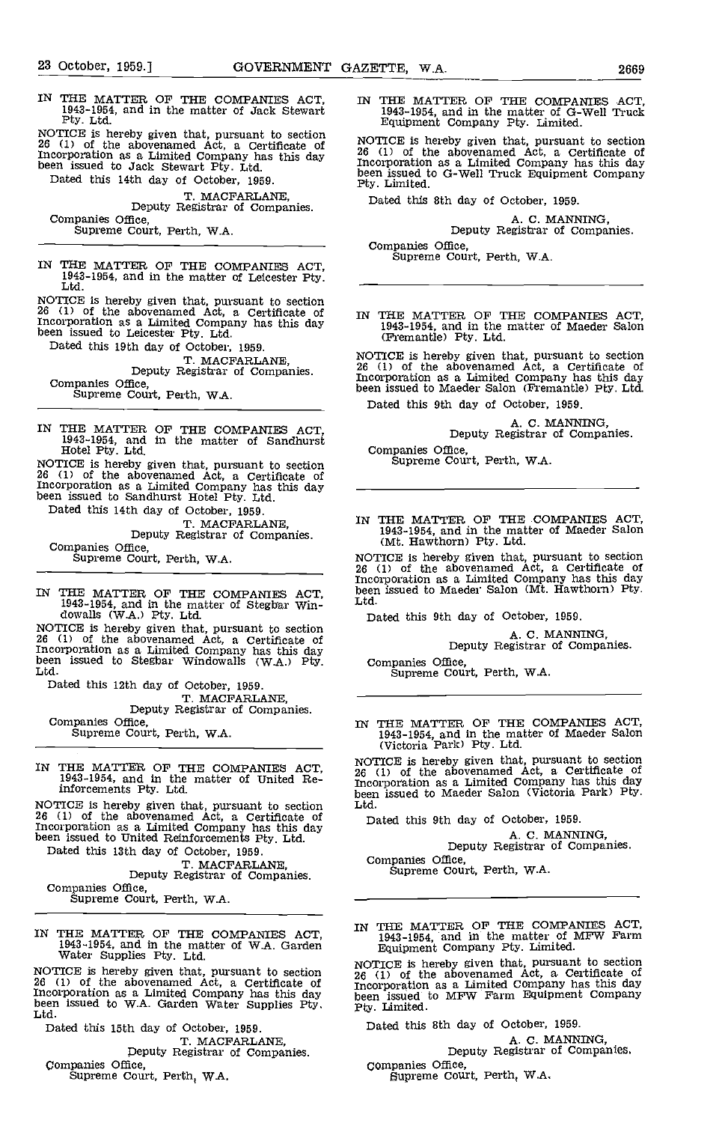IN THE MATTER OF THE COMPANIES ACT,<br>1943-1954, and in the matter of Jack Stewart 1943-1954, and in the matter of G-Well Truck<br>Pty. Ltd. Equipment Company Pty. Limited.

NOTICE is hereby given that, pursuant to section  $26 \t(1)$  of the abovenamed Act, a Certificate of  $26 \t(1)$ Incorporation as a Limited Company has this day been issued to Jack Stewart Pty. Ltd. [1001]

Dated this 14th day of October, 1959.

T. MACFARLANE,<br>Deputy Registrar of Companies.<br>Companies Office,

Supreme Court, Perth, W.A.

IN THE MATTER OF THE COMPANIES ACT, 1943-1954, and in the matter of Leicester Pty.<br>Ltd.

NOTICE is hereby given that, pursuant to section <sup>26</sup> (1) of the abovenamed Act, a Certificate of Incorporation as a Limited Company has this day been issued to Leicester Pty. Ltd.

Dated this 19th day of October, 1959.<br>T. MACFARLANE. Deputy Registrar of Companies.

Companies Office, Supreme Court, Perth, WA.

IN THE MATTER OF THE COMPANIES ACT, 1943-1954, and in the matter of Sandhurst Hotel Pty, Ltd.

NOTICE is hereby given that, pursuant to section 26 (1) of the abovenamed Act, a Certificate of Incorporation as a Limited Company has this day been issued to Sandhurst Hotel Pty. Ltd.

Dated this 14th day of October, 1959.<br>T. MACFARLANE, Deputy Registrar of Companies.<br>Companies Office, Supreme Court, Perth, W.A.

IN THE MATTER OF THE COMPANIES ACT, 1943-1954, and in the matter of Stegbar Win- dowalls (W.A.) Pty. Ltd

NOTICE is hereby given that, pursuant to section  $26$  (1) of the abovenamed Act, a Certificate of Incorporation as a Limited Company has this day<br>been issued to Stegbar Windowalls (W.A.) Pty. Com<br>Ltd.

Dated this 12th day of October, 1959.<br>T. MACFARLANE,

Deputy Registrar of Companies.<br>Companies Office,

Supreme Court, Perth, W.A.

IN THE MATTER OF THE COMPANIES ACT, 1943-1954, and in the matter of United Re-inforcements Pty. Ltd.

NOTICE is hereby given that, pursuant to section <sup>26</sup> (1) of the abovenamed Act, a Certificate of Incorporation as a Limited Company has this day been issued to United Reinforcements Pty. Ltd.

Dated this 13th day of October, 1959. T. MACFARLANE,<br>Deputy Registrar of Companies.<br>Companies Office,

Supreme Court, Perth, W.A.

IN THE MATTER OF THE COMPANIES ACT, 1943-1954, and in the matter of W.A. Garden Water Supplies Pty. Ltd.

NOTICE is hereby given that, pursuant to section  $26 \t{1}$ <br>26 (1) of the abovenamed Act, a Certificate of  $26 \t{1}$ Incorporation as a Limited Company has this day<br>been issued to W.A. Garden Water Supplies Pty. Pty. I<br>Ltd.

Dated this 15th day of October, 1959.<br>T. MACFARLANE,

Deputy Registrar of Companies.<br>Companies Office,

Supreme Court, Perth, W.A.

1943-1954, and in the matter of G-Well Truck<br>Equipment Company Pty. Limited.

NOTICE is hereby given that, pursuant to section <sup>26</sup> (1) of the abovenamed Act, a Certificate of Incorporation as a Limited Company has this day been issued to G-Well Truck Equipment Company<br>Pty. Limited.

Dated this 8th day of October, 1959.

A. C. MANNING,<br>Deputy Registrar of Companies.

Companies Office, Supreme Court, Perth, W.A.

IN THE MATTER OF THE COMPANIES ACT, 1943-1954, and in the matter of Maeder Salon (Fremantle) Pty. Ltd.

NOTICE is hereby given that, pursuant to section 26 (1) of the abovenamed Act, a Certificate of Incorporation as a Limited Company has this day been issued to Maeder Salon (Fremantle) Pty. Ltd.

Dated this 9th day of October, 1959.

A. C. MANNING,<br>Deputy Registrar of Companies.

Companies Office, Supreme Court, Perth, WA.

IN THE MATTER OF THE COMPANIES ACT, 1943-1954, and in the matter of Maeder Salon (Mt. Hawthorn) Pty. Ltd.

NOTICE is hereby given that, pursuant to section 26 (1) of the abovenamed Act, a Certificate of Incorporation as a Limited Company has this day been issued to Maeder Salon (Mt. Hawthorn) Pty. Ltd.

Dated this 9th day of October, 1959.

A. C. MANNING,<br>Deputy Registrar of Companies.

Companies Office,<br>Supreme Court, Perth, W.A.

IN THE MATTER OF THE COMPANIES ACT, 1943-1954, and in the matter of Maeder Salon (Victoria Park) Pty. Ltd

NOTICE is hereby given that, pursuant to section <sup>26</sup> (1) of the abovenamed Act, a Certificate of Incorporation as a Limited Company has this day been issued to Maeder Salon (Victoria Park) Pty. Ltd.

Dated this 9th day of October, 1959.

A. C. MANNING,<br>Deputy Registrar of Companies.

Companies Office, Supreme Court, Perth, WA.

IN THE MATTER OF THE COMPANIES ACT, 1943-1954, and in the matter of MFW Farm Equipment Company Pty. Limited.

NOTICE is hereby given that, pursuant to section <sup>26</sup> (1) of the abovenamed Act, a Certificate of Incorporation as a Limited Company has this day been issued to MFW Farm Equipment Company Pty. Limited.

Dated this 8th day of October, 1959.

A. C. MANNING, Deputy Registrar of Companies.

Companies Office,<br>Supreme Court, Perth, W.A.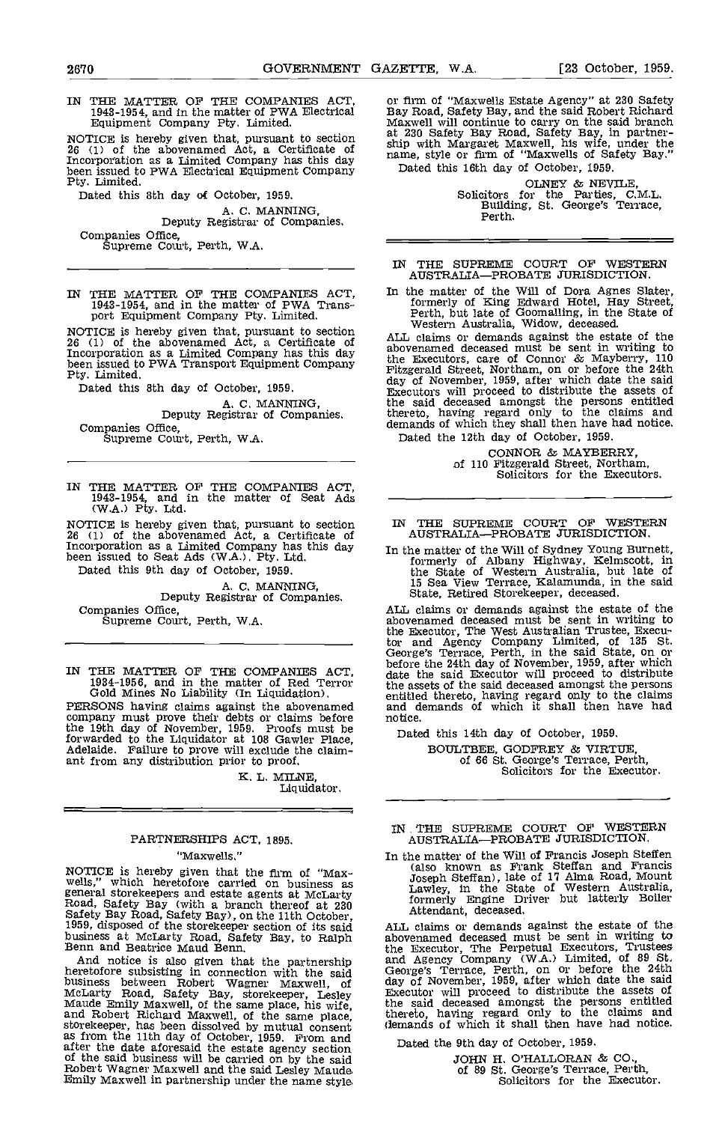NOTICE is hereby given that, pursuant to section 26 (1) of the abovenamed Act, a Certificate of sinp when  $\frac{1}{26}$  (1) of the abovenamed Act, a Certificate of name, been issued to PWA Electrical Equipment Company Dated.<br>Pty. Limited. Dated this 8th day of October. 1959.

A. C. MANNING,<br>Deputy Registrar of Companies.

Companies Office, Supreme Court, Perth, W.A.

IN THE MATTER OF THE COMPANIES ACT, 1943-1954, and in the matter of PWA Trans- port Equipment Company fly. Limited.

NOTICE is hereby given that, pursuant to section<br>26 (1) of the abovenamed Act, a Certificate of aboven<br>Incorporation as a Limited Company has this day the F been issued to PWA Transport Equipment Company the list of the Pritzge Pty. Limited.

Dated this 8th day of October, 1959.

A. C. MANNING,<br>Deputy Registrar of Companies.<br>Companies Office. Supreme Court, Perth, W.A.

IN THE MATTER OF THE COMPANIES ACT, 1943-1954, and in the matter of Seat Ads (WA.) Pty. Ltd.

NOTICE is hereby given that, pursuant to section IN 7<br>  $26$  (1) of the abovenamed Act, a Certificate of Alexandron as a Limited Company has this day In the been issued to Seat Ads (W.A.). Pty. Ltd.

Dated this 9th day of October, 1959. A. C. MANNING,<br>Deputy Registrar of Companies.<br>Companies Office,

Supreme Court, Perth, W.A.

IN THE MATTER OF THE COMPANIES ACT, 1934-1956, and in the matter of Red Terror Gold Mines No Liability (In Liquidation).

PERSONS having claims against the abovenamed company must prove their debts or claims before the 19th day of November, 1959. Proofs must be forwarded to the Liquidator at 108 Gawler Place, Adelaide. Failure to prove will exclude the claim- ant from any distribution prior to proof.

> K. L. MILNE, Liquidator.

# PARTNERSHIPS ACT, 1895.

'Maxwells."

NOTICE is hereby given that the firm of "Max-<br>wells," which heretofore carried on business as<br>general storekeepers and estate agents at McLarty<br>Road, Safety Bay (with a branch thereof at 230<br>Safety Bay Road, Safety Bay), o

And notice is also given that the partnership and A heretofore subsisting in connection with the said Georg<br>business between Robert Wagner Maxwell, of day of<br>McLarty Road, Safety Bay, storekeeper, Lesley Execut<br>Maude Emily Maxwell, of the same place, his wife, the san<br>and R of the said business will be carried on by the said Robert Wagner Maxwell and the said Lesley Maude Emily Maxwell in partnership under the name styl&

IN THE MATTER OF THE COMPANIES ACT, or firm of "Maxwells Estate Agency" at 230 Safety 1943-1954, and in the matter of PWA Electrical Bay Road, Safety Bay, and the said Robert Richard Equipment Company Pty. Limited. Maxwell or firm of "Maxwells Estate Agency" at 230 Safety Bay Road, Safety Bay, and the said Robert Richard Maxwell will continue to carry on the said branch at 230 Safety Bay Road, Safety Bay, in partner- ship with Margaret Maxwell, his wife, under the name, style or firm of "Maxwells of Safety Bay." Dated this 16th day of October, 1959.

> OLNEY & NEVILE,<br>Solicitors for the Parties, C.M.L. Building, St. George's Terrace, Perth.

#### IN THE SUPREME COURT OF WESTERN AUSTRALIA-PROBATE JURISDICTION.

In the matter of the Will of Dora Agnes Slater, formerly of King Edward Hotel, Hay Street, Perth, but late of Goomalling, in the State of Western Australia, Widow, deceased,

ALL claims or demands against the estate of the abovenamed deceased must be sent in writing to the Executors, care of Connor & Mayberry, 110 Fitzgerald Street, Northam, on or before the 24th day of November. 1959, after which date the said Executors will proceed to distribute the assets of the said deceased amongst the persons entitled thereto, having regard only to the claims and demands of which they shall then have had notice. Dated the 12th day of October, 1959.

CONNOR & MAYBERRY, of 110 Fitzgerald Street, Northam, Solicitors for the Executors.

# IN THE SUPREME COURT OF WESTERN<br>AUSTRALIA—PROBATE JURISDICTION.

In the matter of the Will of Sydney Young Burnett, formerly of Albany Highway, Kelmscott, in the State of Western Australia but late of 15 Sea View Terrace, Icalamunda, in the said State, Retired Storekeeper, deceased.

ALL claims or demands against the estate of the abovenamed deceased must be sent in writing to the Executor, The West Australian Trustee, Executor and Agency Company Limited, of 135 St.<br>George's Terrace, Perth, in the said State, on or before the 24th day of November, 1959, after which date the said Executor will pr the assets of the said deceased amongst the persons entitled thereto, having regard only to the claims and demands of which it shall then have had notice.

Dated this 14th day of October, 1959.

EOULTBEE, GODFREY & VIRTUE, of 66 St. George's Terrace, Perth, Solicitors for the Executor.

# IN THE SUPREME COURT OF WESTERN<br>AUSTRALIA—PROBATE JURISDICTION.

In the matter of the Will of Francis Joseph Steffen (also known as Frank Steffan and Francis Joseph Steff an), late of 17 Alma Road, Mount Lawley, in the State of Western Australia, formerly Engine Driver but latterly Boiler Attendant, deceased.

ALL claims or demands against the estate of the abovenamed deceased must be sent in writing to the Executor, The Perpetual Executors, Trustees and Agency Company (W.A.) Limited, of 89 St.<br>George's Terrace, Perth, on or before the 24th day of November, 1959, after which date the said Executor will proceed to distribute the assets of the said deceased amongst the persons entitled thereto, having regard only to the claims and demands of which it shall then have had notice,

Dated the 9th day of October, 1959.

JOHN H. O'HALLORAN & CO., of 89 St. George's Terrace, Perth, Solicitors for the Executor.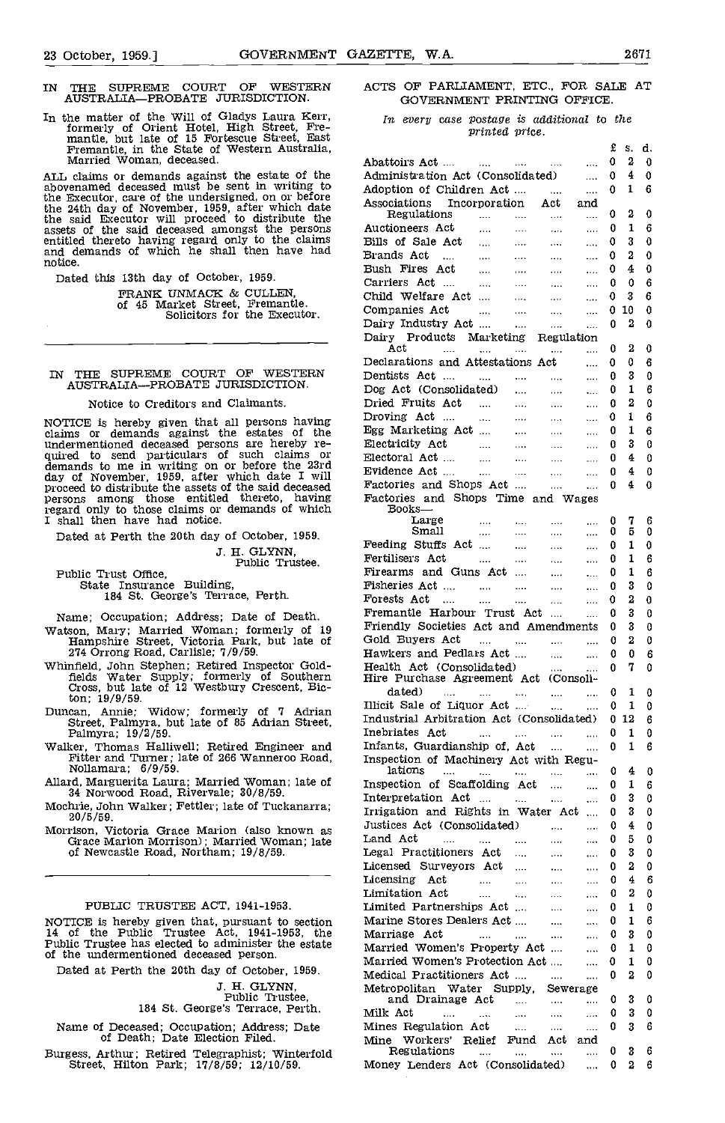# IN THE SUPREME COURT OF WESThRN AUSTRALIAPROBATE JURISDICTION.

In the matter of the Will of Gladys Laura Kerr, formerly of Orient Hotel, High Street, Fremantle, but late of 15 Fortescue Street, East Fremantle, in the State of Western Australia,<br>Married Woman, deceased.

ALL olaims or demands against the estate of the abovenamed deceased must be sent in writing to adoptional above and deceased must be sent in writing to adoptional above a sent in writing to a sensitive sent in writing to a sensitive sent in writing to a sensitive sensit the 24th day of November, 1959, after which date has determined the said Executor will proceed to distribute the assets of the said deceased amongst the persons entitled thereto having regard only to the claims and demands of which he shall then have had notice.

Dated this 13th day of October, 1959.

FRANK UNMACK & CULLEN,<br>of 45 Market Street, Fremantle.<br>Solicitors for the Executor.

IN THE SUPREME COURT OF WESTERN Dentists AUSTRALIA—PROBATE JURISDICTION. Dog Act.

#### Notioe to Creditors and Claimants.

NOTICE is hereby given that all persons having **Drovin**<br>claims or demands against the estates of the Egg M undermentioned deceased persons are hereby re- quired to send particulars of such olaims or demands to me in writing on or before the 23rd Eucoop day of November, 1959, after which date I will Evidence Brown ber, 1959, after which date I will Evidence persons among those entitled thereto, having Facto:<br>regard only to those claims or demands of which B I shall then have had notice.

Dated at Perth the 20th day of October, 1959.

3. H. GLYNN, Public Trustee.

Public Trust Office,<br>State Insurance Building,<br>184 St. George's Terrace, Perth.

Name; Occupation; Address; Date of Death.

- Watson, Mary; Married Woman; formerly of 19 Hampshire Street, Victoria Park, but late of 274 Orrong Road, Carlisle; 7/9/59.
- Whinfield, John Stephen; Retired Inspector Gold- fields Water Supply; formerly of Southern Cross, but late of 12 Westbury Crescent, Bicton; 19/9/59.
- Duncan, Annie; Widow; formerly of 7 Adrian Street, Palmyra, but late of 85 Adrian Street, Palmyra; 19/2/59.
- Walker, Thomas Halliwell; Retired Engineer and Fitter and Turner; late of 266 Wanneroo Road, Nollamara; 6/9/59.

Allard, Marguerita Laura; Married Woman; late of 34 Norwood Road, Rivervale; 30/8/59.

Mochrie, John Walker; Fettler; late of Tuckanarra;

20/5/59.<br>Morrison, Victoria Grace Marion (also known as Grace Marion Morrison); Married Woman; late of Newcastle Road, Northam; 19/8/59.

#### PUBLIC TRUSTEE ACT, 1941-1953.

NOTICE is hereby given that, pursuant to section 14 of the Public Trustee Act, 1941-1953, the Public Trustee has elected to administer the estate of the undermentioned deceased person.

Dated at Perth the 20th day of October, 1959.

J. H. GLYNN,<br>Public Trustee,<br>184 St. George's Terrace, Perth.

Name of Deceased; Occupation; Address; Date of Death; Date Election Filed.

Burgess, Arthur; Retired Telegraphist; Winterfold Street, Hilton Park; 17/8/59; 12/10/59.

## ACTS OF PARLIAMENT, ETC., FOR SALE AT GOVERNMENT PRINTING OFRICE.

In every case postage is additional to the<br>printed price.

|                                           |                                       |                       |                          |                | £      | S.     | d.     |
|-------------------------------------------|---------------------------------------|-----------------------|--------------------------|----------------|--------|--------|--------|
| Abattoirs Act                             | <b>Seat College</b>                   | $\Delta$ and $\Delta$ | $\sim 100$               | $\cdots$       | 0      | 2      | 0      |
| Administration Act (Consolidated)         |                                       |                       |                          |                | 0      | 4      | 0      |
|                                           |                                       |                       |                          | $\ddotsc$      |        |        |        |
| Adoption of Children Act                  |                                       |                       |                          | $\cdots$       | 0      | 1      | 6      |
| Associations Incorporation Act            |                                       |                       |                          | and            |        | 2      | 0      |
| Regulations                               | and the state of                      |                       | $\sim$ 1000 $\sim$       |                | 0      |        |        |
| Auctioneers Act                           |                                       |                       |                          |                | 0      | 1      | 6      |
| Bills of Sale Act                         | المنتشر المنتشر<br>المنتشر المنتشر    |                       | $\cdots$                 | $\cdots$       | 0      | 3      | 0      |
| Brands Act                                |                                       |                       | $\sim 100$               | $\ldots$       | 0      | 2      | 0      |
| Bush Fires Act                            | المتوارث المتوارد                     |                       | $\sim 100$               | $\cdots$       | 0      | 4      | 0      |
| Carriers Act                              | $\sim$ 100 $\pm$ 100 $\pm$            |                       | $\cdots$                 | $\cdots$       | 0      | 0      | 6      |
| Child Welfare Act                         |                                       | $\sim$ 100 $\sim$     | $\ldots$                 |                | 0      | 3      | 6      |
| Companies Act                             | $\sim 100$                            | $\sim$ 100 $\sim$     | $\ldots$                 | $\cdots$       | 0      | 10     | 0      |
| Dairy Industry Act                        |                                       |                       |                          |                | 0      | 2      | 0      |
|                                           |                                       |                       | $\cdots$                 | $\cdots$       |        |        |        |
| Dairy Products Marketing<br>Act           |                                       |                       | Regulation               |                | 0      | 2      | 0      |
|                                           | and the state                         |                       | $\cdots$                 | $\cdots$       |        |        |        |
| Declarations and Attestations Act         |                                       |                       |                          | $\overline{1}$ | 0      | 0      | 6      |
| Dentists Act                              |                                       |                       |                          | $\cdots$       | 0      | 3      | 0      |
| Dog Act (Consolidated)                    |                                       |                       | $\cdots$                 |                | 0      | 1      | 6      |
| Dried Fruits Act                          |                                       |                       | $\ldots$                 | $\cdots$       | 0      | 2      | 0      |
| Droving Act                               |                                       |                       | $\sim$ 1000 $\sim$       | $\cdots$       | 0      | 1      | 6      |
| Egg Marketing Act                         |                                       |                       | $\sim$ 0.000 $\sim$      | $\cdots$       | 0      | 1      | 6      |
| Electricity Act                           |                                       |                       | $\sim$                   | $\cdots$       | 0      | 3      | 0      |
| Electoral Act                             |                                       |                       |                          |                | 0      | 4      | 0      |
| Evidence Act                              | $\sim$                                | $\sim 1000$           | $\cdots$                 | $\cdots$       |        |        |        |
|                                           | $\frac{1}{2}$                         | $\sim 100$ km $^{-1}$ | $\cdots$                 | $\cdots$       | 0      | 4      | 0      |
| Factories and Shops Act                   |                                       |                       |                          | $\cdots$       | a      | 4      | 0      |
| Factories and Shops Time and Wages        |                                       |                       |                          |                |        |        |        |
| $Books$ —                                 |                                       |                       |                          |                |        |        |        |
| Large<br>Small                            | and the second contract of the second |                       |                          | $\cdots$       | 0<br>0 | 7<br>5 | 6<br>0 |
|                                           |                                       |                       | <b>Service</b>           | $\cdots$       |        |        |        |
| Feeding Stuffs Act                        | المستحدث المقدار المناد               |                       | $\sim$ 2004 $\sim$       | $\cdots$       | 0      | 1      | 0      |
| Fertilisers Act                           |                                       |                       | $\sim$ $\sim$            | $\cdots$       | 0      | 1      | 6      |
| Firearms and Guns Act                     |                                       |                       | $\cdots$                 | $\cdots$       | 0      | 1      | 6      |
| Fisheries Act                             | $\Delta\Delta\Delta\approx 0.01$      | $\sim 100$            | $\sim$                   | $\cdots$       | 0      | 3      | 0      |
| $\mathbf F$ orests Act $\dots$            | $\mathbb{R}^{n \times n}$             | $\sim$                |                          | $\cdots$       | 0      | 2      | 0      |
| Fremantle Harbour Trust Act               |                                       |                       |                          | $\cdots$       | 0      | 3      | 0      |
| Friendly Societies Act and Amendments     |                                       |                       |                          |                | 0      | 3      | 0      |
| Gold Buyers Act                           |                                       |                       | $\sim$                   |                | 0      | 2      | 0      |
| Hawkers and Pedlars Act                   |                                       |                       |                          | $\cdots$       |        |        |        |
|                                           |                                       |                       | $\overline{\phantom{a}}$ |                | 0      | 0      | 6      |
| Health Act (Consolidated)                 |                                       |                       | $\cdots$                 | $\ldots$       | 0      | 7      | 0      |
| Hire Purchase Agreement Act (Consoli-     |                                       |                       |                          |                |        |        |        |
| dated)<br><b>Second</b>                   | and the state of the state            |                       |                          | $\cdots$       | 0      | 1      | 0      |
| Illicit Sale of Liquor Act                |                                       |                       | $\mathbf{r}$             | $\ddotsc$      | 0      | 1      | 0      |
| Industrial Arbitration Act (Consolidated) |                                       |                       |                          |                | 0      | 12     | 6      |
| Inebriates Act                            | الموجود المتحولات المتحولات المتحدث   |                       |                          |                | 0      | 1      | 0      |
| Infants, Guardianship of, Act             |                                       |                       |                          | .              | 0      | 1      | 6      |
| Inspection of Machinery Act with Regu-    |                                       |                       |                          |                |        |        |        |
| lations                                   |                                       |                       |                          |                | 0      | 4      | 0      |
| $\cdots$                                  | $\cdots$                              | $\ldots$              | .                        |                |        |        |        |
| Inspection of Scaffolding Act             |                                       |                       |                          | .              | 0      | 1      | 6      |
| Interpretation Act                        | $\ddotsc$                             | .                     |                          | $\cdots$       | 0      | 3      | 0      |
| Irrigation and Rights in Water Act        |                                       |                       |                          | $\cdots$       | 0      | 3      | 0      |
| Justices Act (Consolidated)               |                                       |                       | $\cdots$                 | $\cdots$       | 0      | 4      | 0      |
| $\tt Land Act$<br>$\sim$ $\sim$           | $\ddotsc$                             |                       | $\cdots$                 | $\cdots$       | 0      | 5      | 0      |
| Legal Practitioners Act                   |                                       | $\cdots$              | $\cdots$                 | $\cdots$       | 0      | 3      | 0      |
| Licensed Surveyors Act                    |                                       |                       |                          |                | 0      | 2      | 0      |
|                                           |                                       | .                     |                          |                |        |        |        |
| Licensing<br>Act                          | $\cdots$                              |                       | $\cdots$                 |                | 0      | 4      | 6      |
| Limitation Act                            | $\ldots$                              |                       |                          | $\cdots$       | 0      | 2      | 0      |
| Limited Partnerships Act                  |                                       |                       | $\cdots$                 | $\cdots$       | 0      | 1      | 0      |
| Marine Stores Dealers Act                 |                                       |                       | $\cdots$                 | $\ldots$       | 0      | 1      | 6      |
| Marriage Act                              |                                       | $\cdots$              |                          | $\cdots$       | 0      | 3      | 0      |
| Married Women's Property Act              |                                       |                       |                          |                | 0      | 1      | 0      |
|                                           |                                       |                       |                          |                |        |        |        |
| Married Women's Protection Act            |                                       |                       |                          | .              | 0      | 1      | 0      |
| Medical Practitioners Act                 |                                       |                       | $\cdots$                 | $\cdots$       | 0      | 2      | 0      |
| Metropolitan Water Supply,                |                                       |                       | Sewerage                 |                |        |        |        |
| and Drainage Act                          |                                       |                       |                          |                | o      | 3      | 0      |
| Milk Act<br>$\cdots$                      | $\sim 100$ km s $^{-1}$               | $\cdots$              | $\cdots$                 |                | 0      | 3      | 0      |
| Mines Regulation Act                      |                                       | $\ldots$              | $\cdots$                 | .              | 0      | 3      | 6      |
| Workers'<br>Mine                          | Relief                                | Fund                  | Act                      | and            |        |        |        |
| Regulations                               |                                       |                       |                          |                | 0      | 3      | 6      |
|                                           |                                       | $\cdots$              | $\ldots$                 |                |        |        |        |
| Money Lenders Act (Consolidated)          |                                       |                       |                          |                | 0      | 2      | 6      |